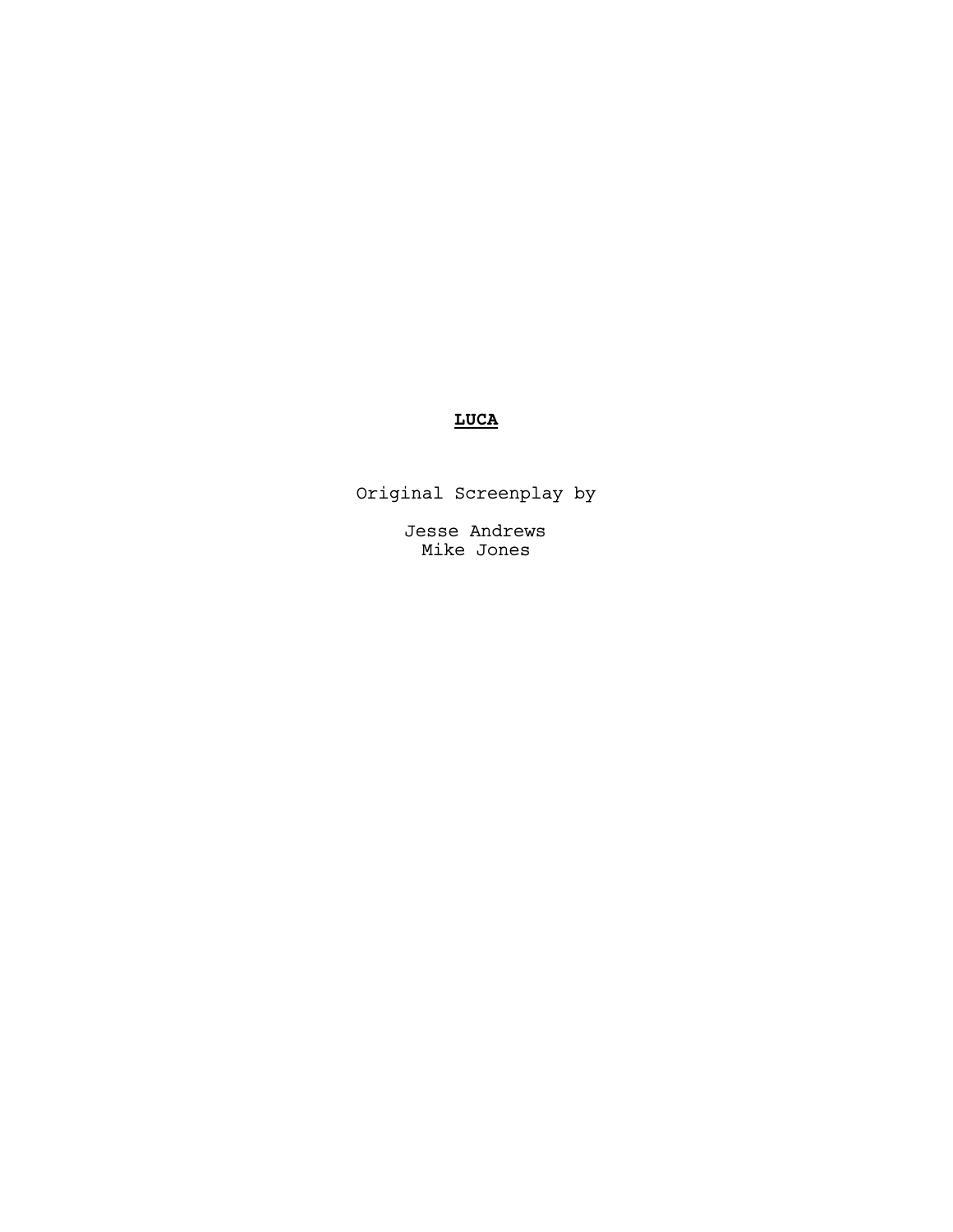# **LUCA**

Original Screenplay by

Jesse Andrews Mike Jones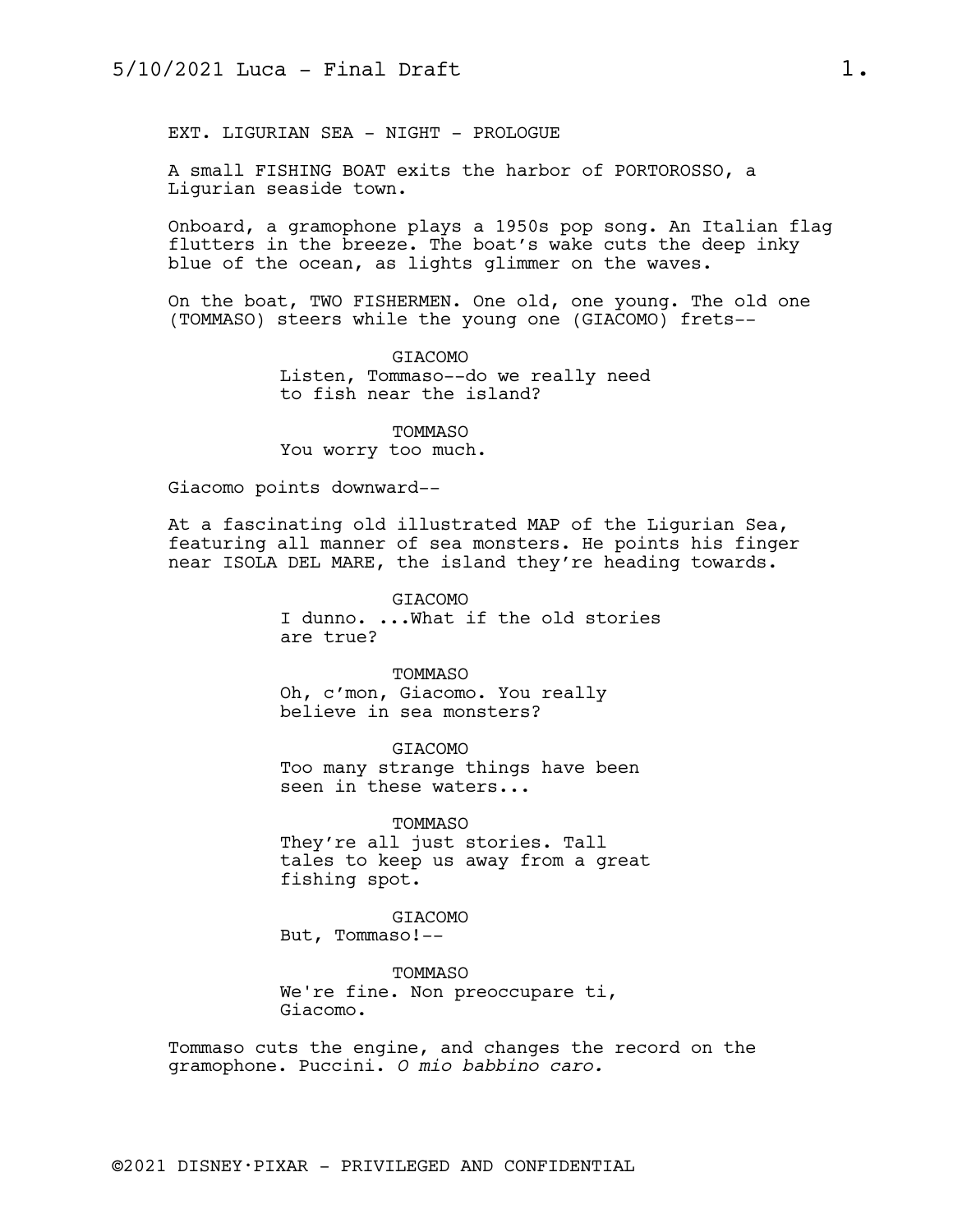EXT. LIGURIAN SEA - NIGHT - PROLOGUE

A small FISHING BOAT exits the harbor of PORTOROSSO, a Ligurian seaside town.

Onboard, a gramophone plays a 1950s pop song. An Italian flag flutters in the breeze. The boat's wake cuts the deep inky blue of the ocean, as lights glimmer on the waves.

On the boat, TWO FISHERMEN. One old, one young. The old one (TOMMASO) steers while the young one (GIACOMO) frets--

> GIACOMO Listen, Tommaso--do we really need to fish near the island?

TOMMASO You worry too much.

Giacomo points downward--

At a fascinating old illustrated MAP of the Ligurian Sea, featuring all manner of sea monsters. He points his finger near ISOLA DEL MARE, the island they're heading towards.

> GIACOMO I dunno. ...What if the old stories are true?

TOMMASO Oh, c'mon, Giacomo. You really believe in sea monsters?

GIACOMO Too many strange things have been seen in these waters...

TOMMASO They're all just stories. Tall tales to keep us away from a great fishing spot.

GIACOMO But, Tommaso!--

TOMMASO We're fine. Non preoccupare ti, Giacomo.

Tommaso cuts the engine, and changes the record on the gramophone. Puccini. *O mio babbino caro.*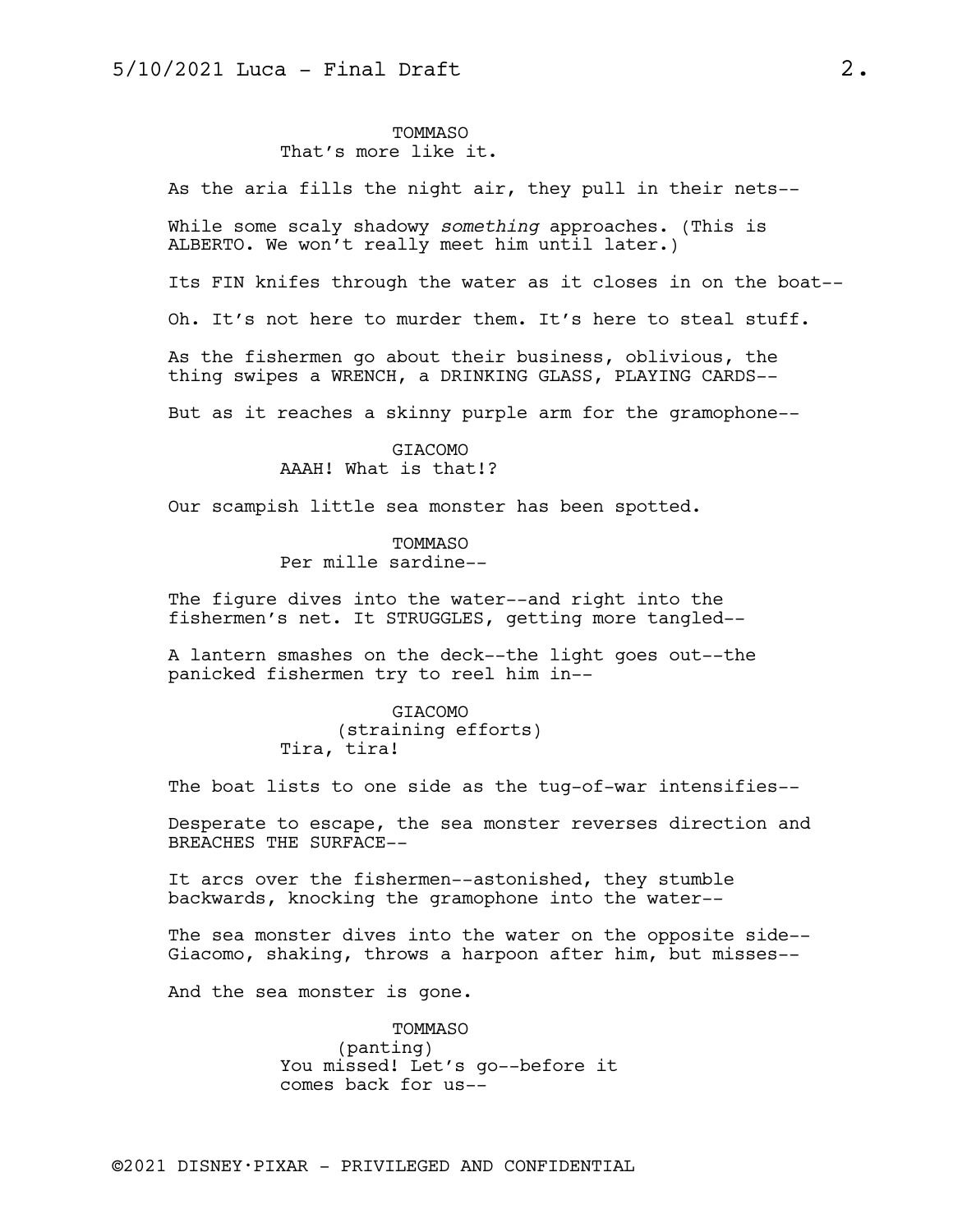## TOMMASO That's more like it.

As the aria fills the night air, they pull in their nets--

While some scaly shadowy *something* approaches. (This is ALBERTO. We won't really meet him until later.)

Its FIN knifes through the water as it closes in on the boat--

Oh. It's not here to murder them. It's here to steal stuff.

As the fishermen go about their business, oblivious, the thing swipes a WRENCH, a DRINKING GLASS, PLAYING CARDS--

But as it reaches a skinny purple arm for the gramophone--

GIACOMO AAAH! What is that!?

Our scampish little sea monster has been spotted.

TOMMASO Per mille sardine--

The figure dives into the water--and right into the fishermen's net. It STRUGGLES, getting more tangled--

A lantern smashes on the deck--the light goes out--the panicked fishermen try to reel him in--

> GIACOMO (straining efforts) Tira, tira!

The boat lists to one side as the tug-of-war intensifies--

Desperate to escape, the sea monster reverses direction and BREACHES THE SURFACE--

It arcs over the fishermen--astonished, they stumble backwards, knocking the gramophone into the water--

The sea monster dives into the water on the opposite side-- Giacomo, shaking, throws a harpoon after him, but misses--

And the sea monster is gone.

TOMMASO (panting) You missed! Let's go--before it comes back for us--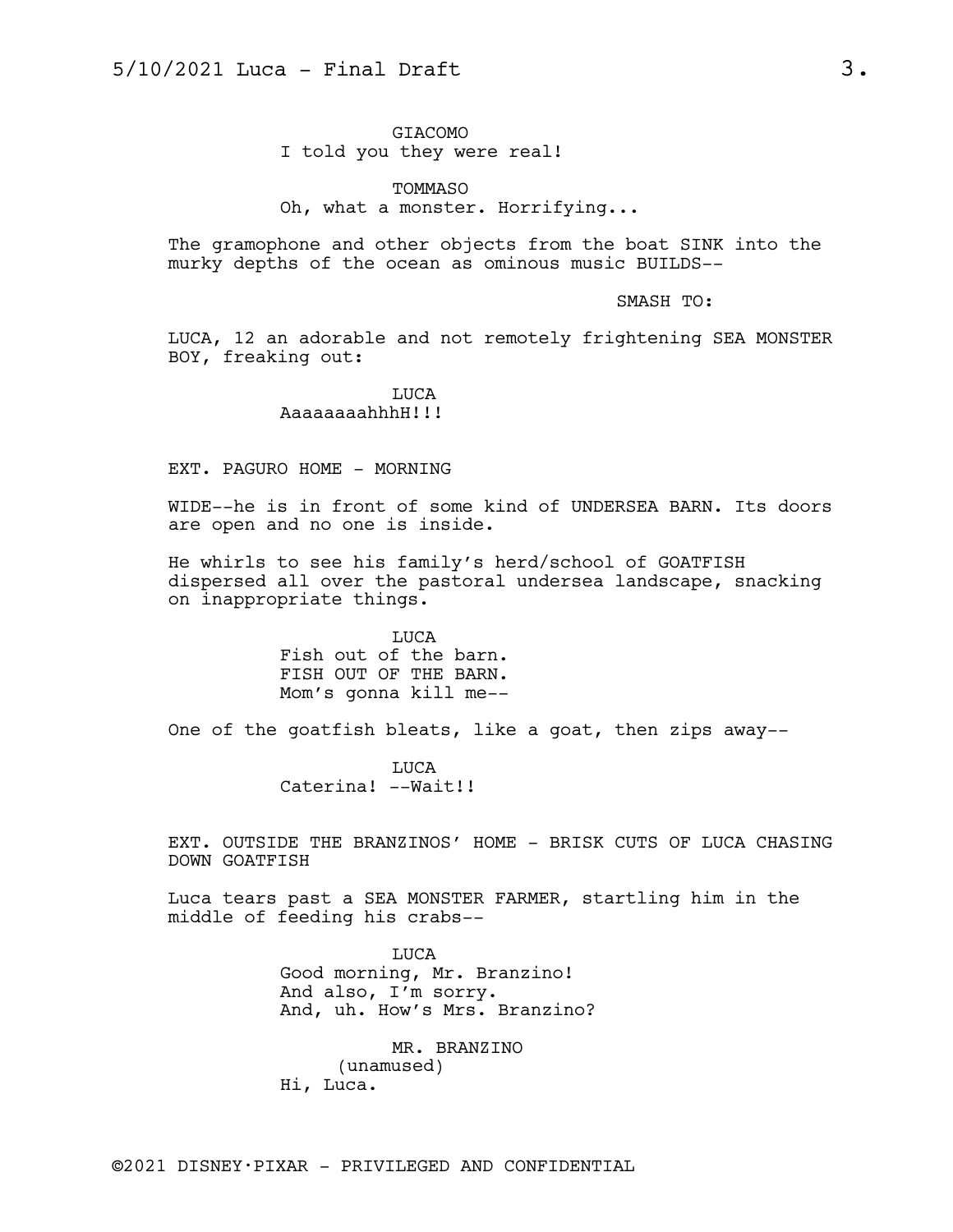GIACOMO I told you they were real!

TOMMASO Oh, what a monster. Horrifying...

The gramophone and other objects from the boat SINK into the murky depths of the ocean as ominous music BUILDS--

SMASH TO:

LUCA, 12 an adorable and not remotely frightening SEA MONSTER BOY, freaking out:

## LUCA AaaaaaaahhhH!!!

#### EXT. PAGURO HOME - MORNING

WIDE--he is in front of some kind of UNDERSEA BARN. Its doors are open and no one is inside.

He whirls to see his family's herd/school of GOATFISH dispersed all over the pastoral undersea landscape, snacking on inappropriate things.

> LUCA Fish out of the barn. FISH OUT OF THE BARN. Mom's gonna kill me--

One of the goatfish bleats, like a goat, then zips away--

LUCA Caterina! --Wait!!

EXT. OUTSIDE THE BRANZINOS' HOME - BRISK CUTS OF LUCA CHASING DOWN GOATFISH

Luca tears past a SEA MONSTER FARMER, startling him in the middle of feeding his crabs--

> LUCA Good morning, Mr. Branzino! And also, I'm sorry. And, uh. How's Mrs. Branzino?

MR. BRANZINO (unamused) Hi, Luca.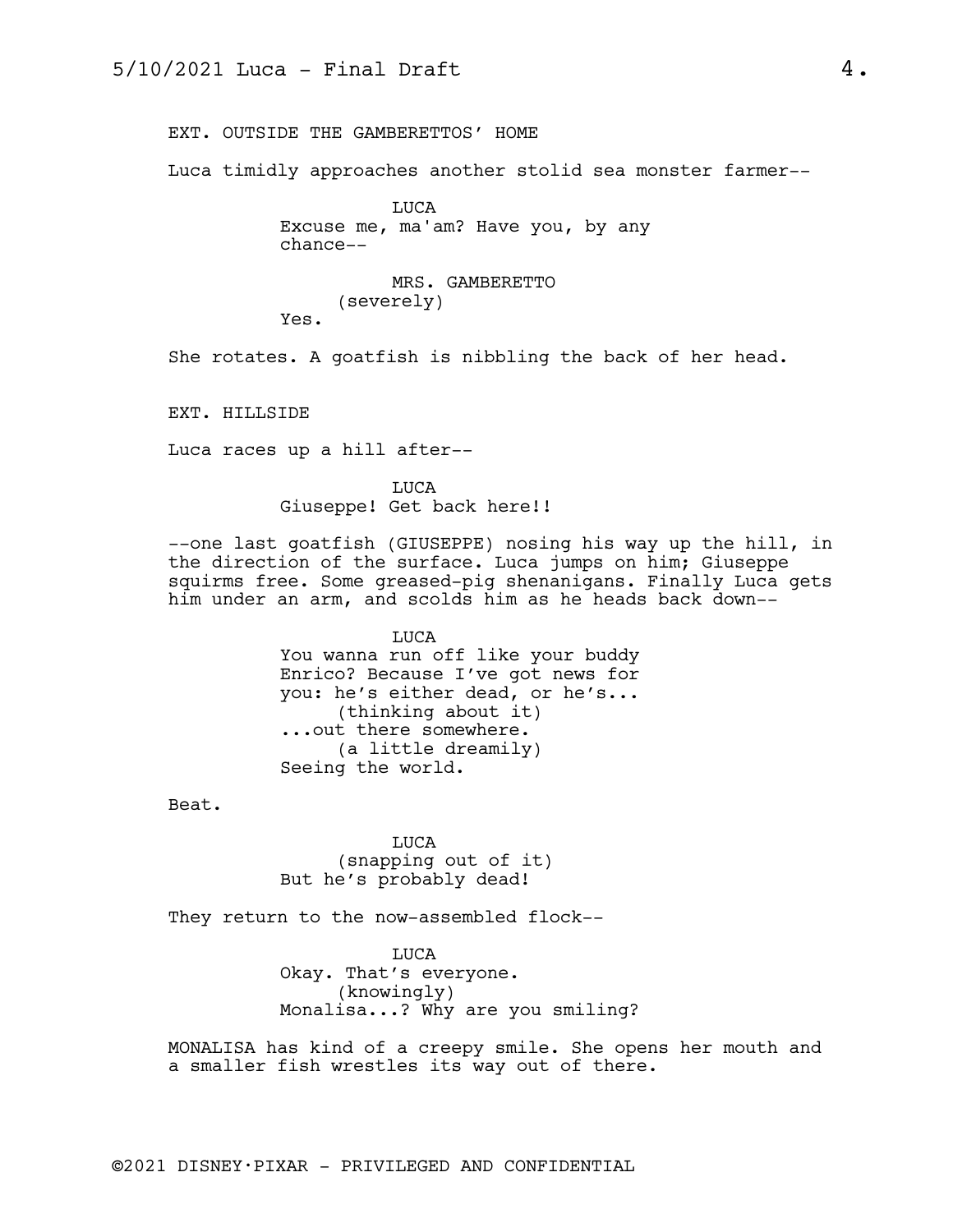EXT. OUTSIDE THE GAMBERETTOS' HOME

Luca timidly approaches another stolid sea monster farmer--

LUCA Excuse me, ma'am? Have you, by any chance--

MRS. GAMBERETTO (severely) Yes.

She rotates. A goatfish is nibbling the back of her head.

EXT. HILLSIDE

Luca races up a hill after--

LUCA Giuseppe! Get back here!!

--one last goatfish (GIUSEPPE) nosing his way up the hill, in the direction of the surface. Luca jumps on him; Giuseppe squirms free. Some greased-pig shenanigans. Finally Luca gets him under an arm, and scolds him as he heads back down--

> LUCA You wanna run off like your buddy Enrico? Because I've got news for you: he's either dead, or he's... (thinking about it) ...out there somewhere. (a little dreamily) Seeing the world.

Beat.

LUCA (snapping out of it) But he's probably dead!

They return to the now-assembled flock--

LUCA Okay. That's everyone. (knowingly) Monalisa...? Why are you smiling?

MONALISA has kind of a creepy smile. She opens her mouth and a smaller fish wrestles its way out of there.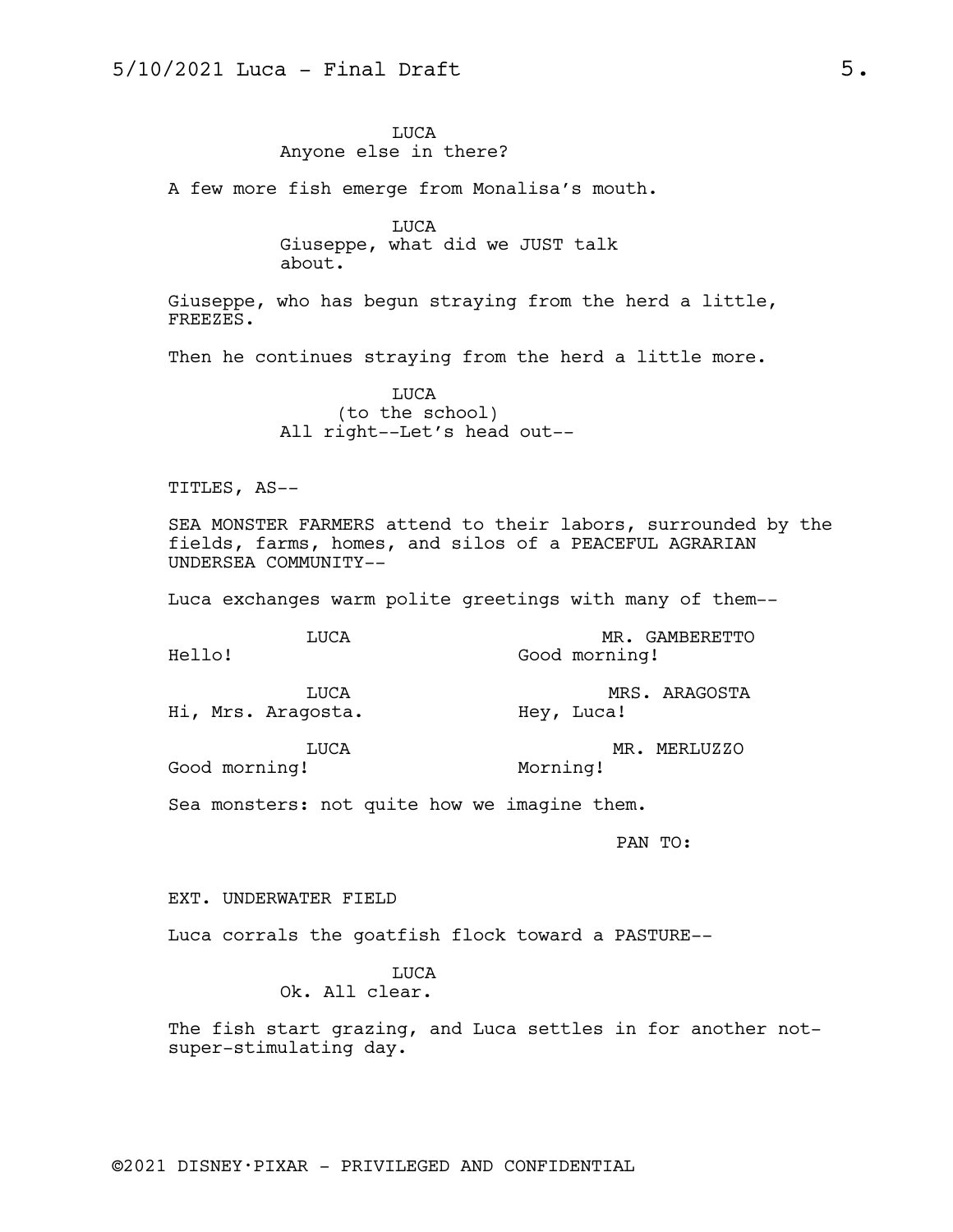LUCA Anyone else in there?

A few more fish emerge from Monalisa's mouth.

LUCA Giuseppe, what did we JUST talk about.

Giuseppe, who has begun straying from the herd a little, FREEZES.

Then he continues straying from the herd a little more.

LUCA (to the school) All right--Let's head out--

TITLES, AS--

SEA MONSTER FARMERS attend to their labors, surrounded by the fields, farms, homes, and silos of a PEACEFUL AGRARIAN UNDERSEA COMMUNITY--

Luca exchanges warm polite greetings with many of them--

| Hello! | <b>TJUCA</b>                | MR. GAMBERETTO<br>Good morning! |               |  |  |  |
|--------|-----------------------------|---------------------------------|---------------|--|--|--|
|        | TJICA<br>Hi, Mrs. Aragosta. | Hey, Luca!                      | MRS. ARAGOSTA |  |  |  |

Hi, Mrs. Aragosta.

LUCA

MR. MERLUZZO Morning!

Good morning!

Sea monsters: not quite how we imagine them.

PAN TO:

EXT. UNDERWATER FIELD

Luca corrals the goatfish flock toward a PASTURE--

LUCA

Ok. All clear.

The fish start grazing, and Luca settles in for another notsuper-stimulating day.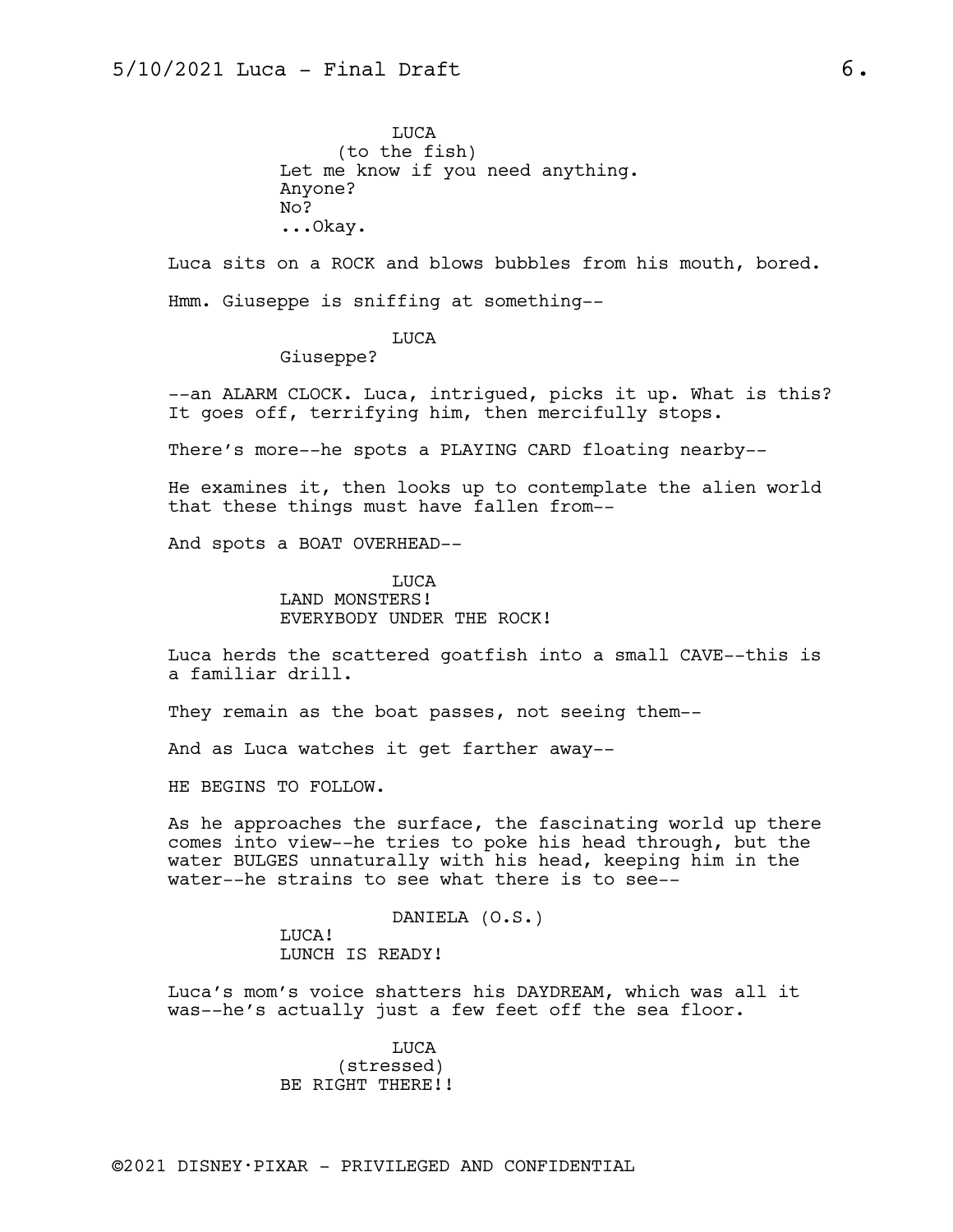LUCA (to the fish) Let me know if you need anything. Anyone? No? ...Okay.

Luca sits on a ROCK and blows bubbles from his mouth, bored. Hmm. Giuseppe is sniffing at something--

### LUCA

Giuseppe?

--an ALARM CLOCK. Luca, intrigued, picks it up. What is this? It goes off, terrifying him, then mercifully stops.

There's more--he spots a PLAYING CARD floating nearby--

He examines it, then looks up to contemplate the alien world that these things must have fallen from--

And spots a BOAT OVERHEAD--

LUCA LAND MONSTERS! EVERYBODY UNDER THE ROCK!

Luca herds the scattered goatfish into a small CAVE--this is a familiar drill.

They remain as the boat passes, not seeing them--

And as Luca watches it get farther away--

HE BEGINS TO FOLLOW.

As he approaches the surface, the fascinating world up there comes into view--he tries to poke his head through, but the water BULGES unnaturally with his head, keeping him in the water--he strains to see what there is to see--

> DANIELA (O.S.) LUCA! LUNCH IS READY!

Luca's mom's voice shatters his DAYDREAM, which was all it was--he's actually just a few feet off the sea floor.

> LUCA (stressed) BE RIGHT THERE!!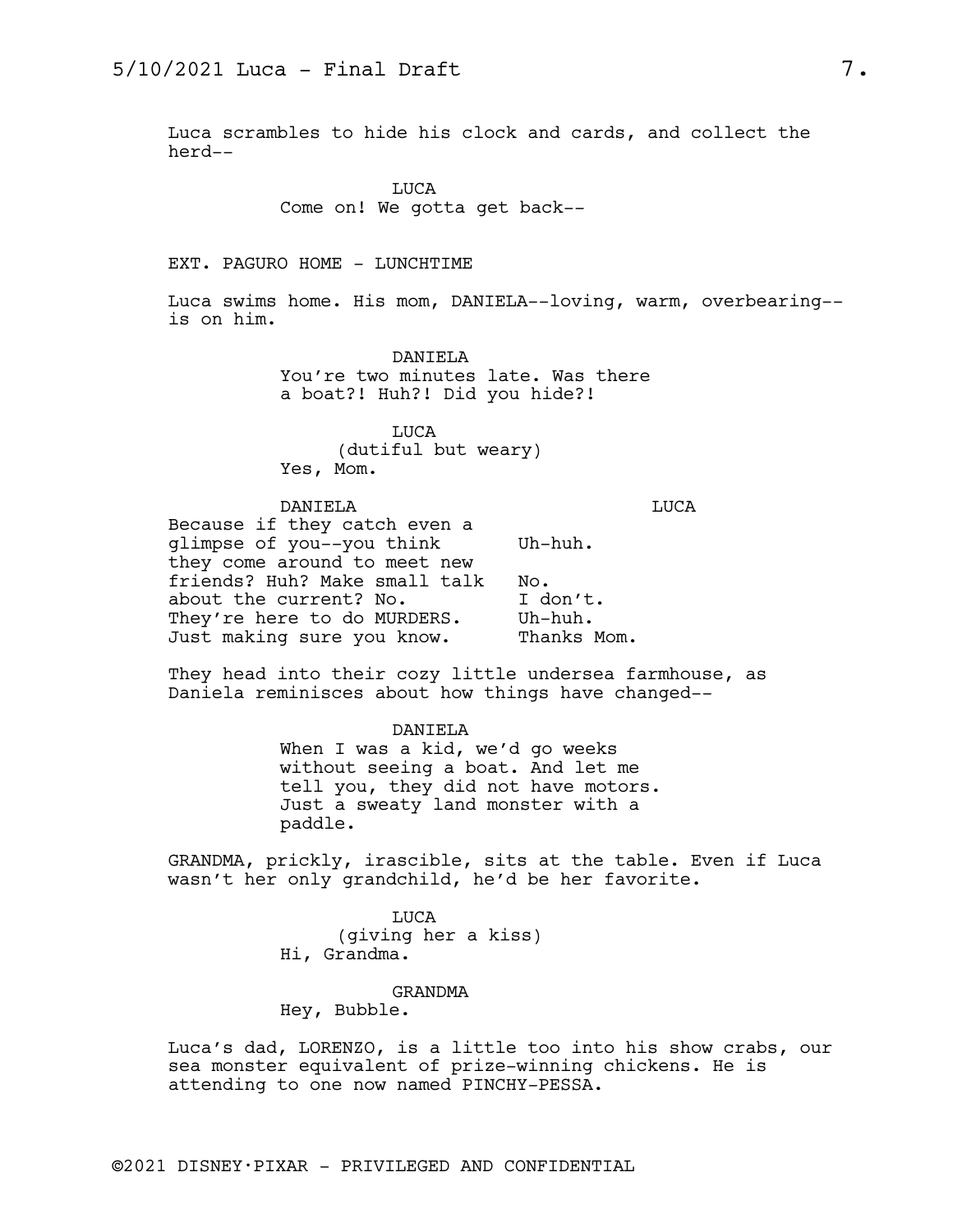Luca scrambles to hide his clock and cards, and collect the herd--

> LUCA Come on! We gotta get back--

#### EXT. PAGURO HOME - LUNCHTIME

Luca swims home. His mom, DANIELA--loving, warm, overbearing- is on him.

> DANIELA You're two minutes late. Was there a boat?! Huh?! Did you hide?!

LUCA (dutiful but weary) Yes, Mom.

#### DANIELA

LUCA

| $Uh$ -huh.  |  |  |  |
|-------------|--|--|--|
|             |  |  |  |
| No.         |  |  |  |
| I don't.    |  |  |  |
| $Uh$ -huh.  |  |  |  |
| Thanks Mom. |  |  |  |
|             |  |  |  |

They head into their cozy little undersea farmhouse, as Daniela reminisces about how things have changed--

> DANIELA When I was a kid, we'd go weeks without seeing a boat. And let me tell you, they did not have motors. Just a sweaty land monster with a paddle.

GRANDMA, prickly, irascible, sits at the table. Even if Luca wasn't her only grandchild, he'd be her favorite.

> LUCA (giving her a kiss) Hi, Grandma.

## GRANDMA

Hey, Bubble.

Luca's dad, LORENZO, is a little too into his show crabs, our sea monster equivalent of prize-winning chickens. He is attending to one now named PINCHY-PESSA.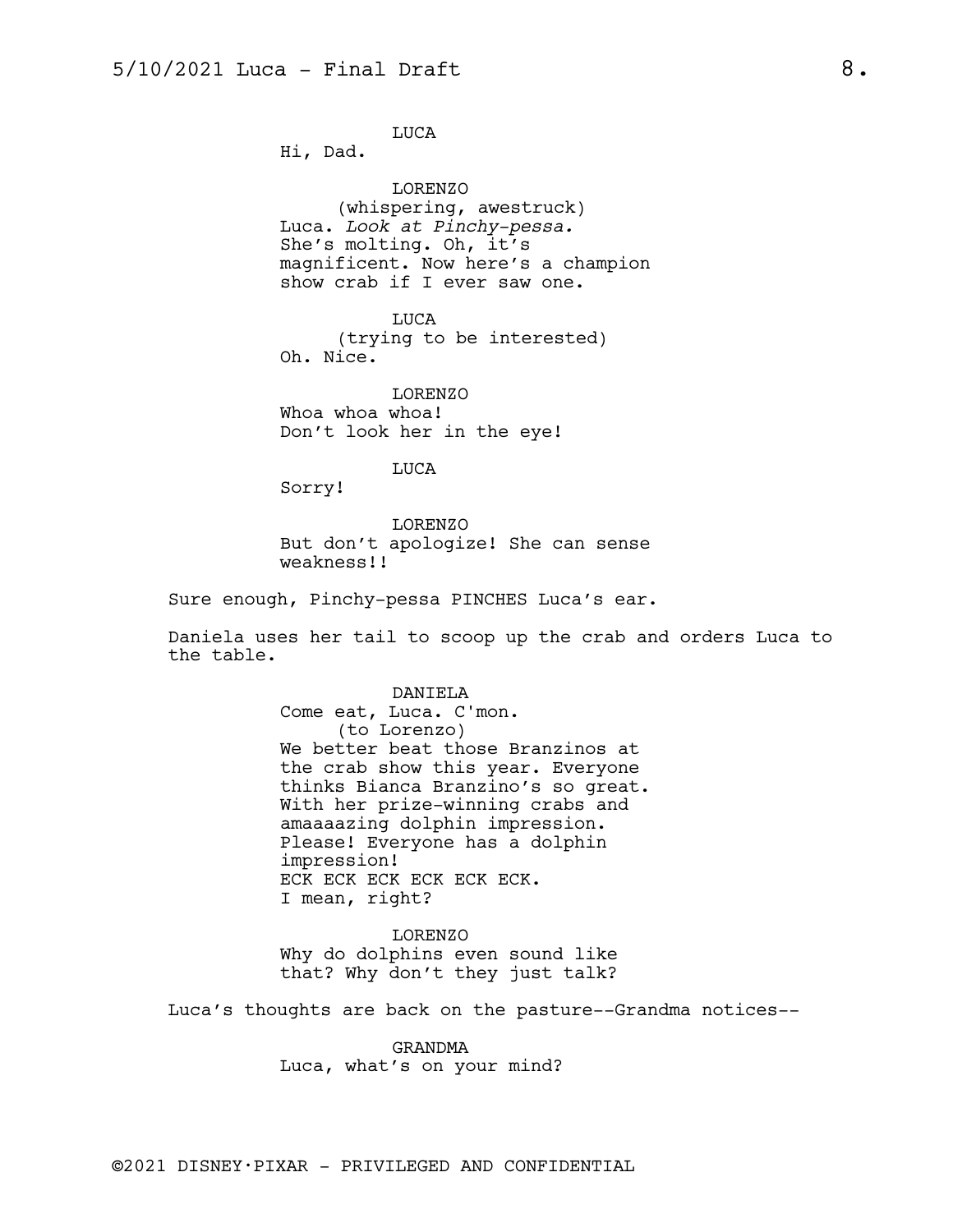LUCA

Hi, Dad.

LORENZO (whispering, awestruck) Luca. *Look at Pinchy-pessa.* She's molting. Oh, it's magnificent. Now here's a champion show crab if I ever saw one.

LUCA (trying to be interested) Oh. Nice.

LORENZO Whoa whoa whoa! Don't look her in the eye!

LUCA

Sorry!

LORENZO But don't apologize! She can sense weakness!!

Sure enough, Pinchy-pessa PINCHES Luca's ear.

Daniela uses her tail to scoop up the crab and orders Luca to the table.

> DANIELA Come eat, Luca. C'mon. (to Lorenzo) We better beat those Branzinos at the crab show this year. Everyone thinks Bianca Branzino's so great. With her prize-winning crabs and amaaaazing dolphin impression. Please! Everyone has a dolphin impression! ECK ECK ECK ECK ECK ECK. I mean, right?

LORENZO Why do dolphins even sound like that? Why don't they just talk?

Luca's thoughts are back on the pasture--Grandma notices--

GRANDMA Luca, what's on your mind?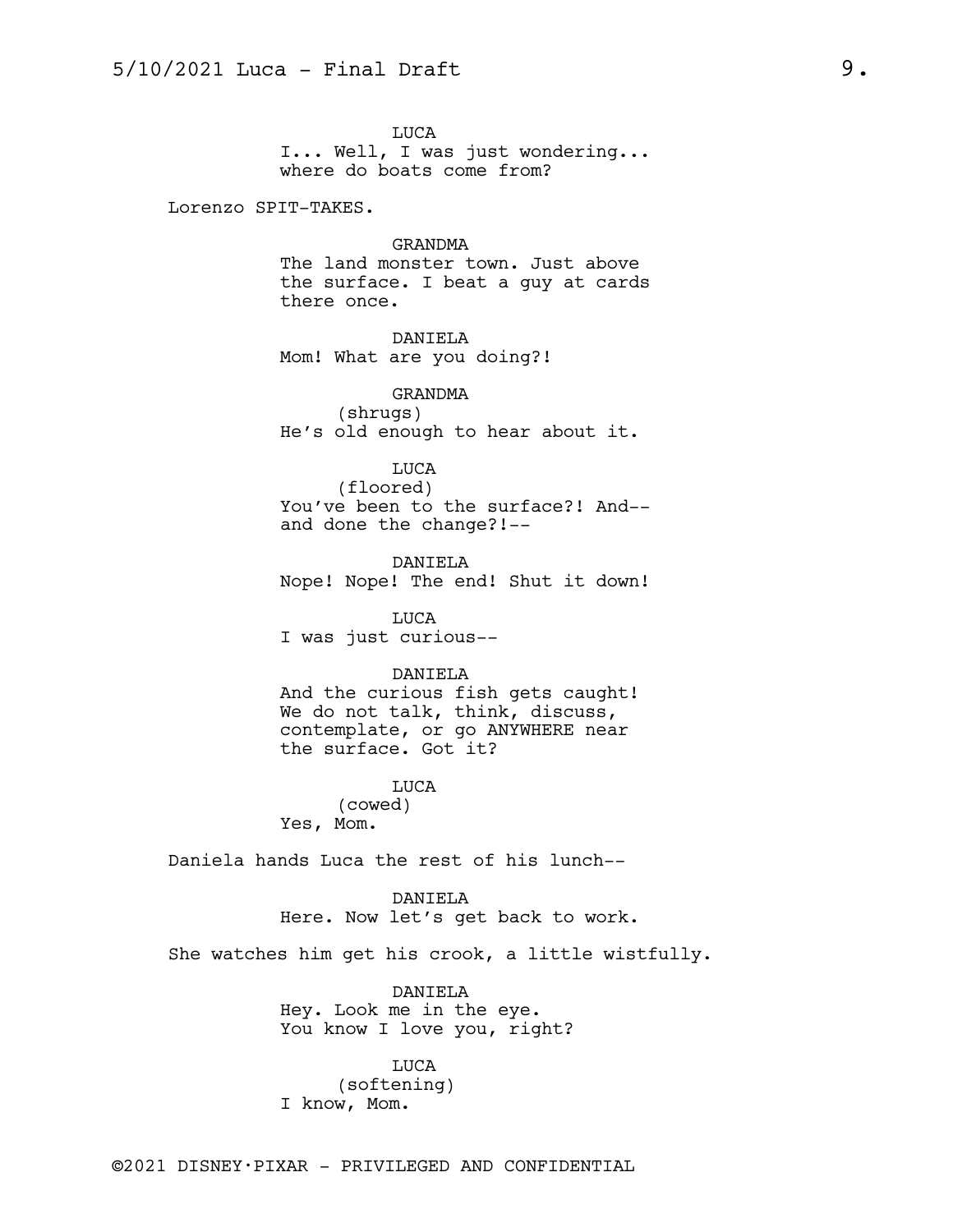LUCA I... Well, I was just wondering... where do boats come from?

Lorenzo SPIT-TAKES.

GRANDMA

The land monster town. Just above the surface. I beat a guy at cards there once.

DANIELA Mom! What are you doing?!

GRANDMA (shrugs) He's old enough to hear about it.

## LUCA

(floored) You've been to the surface?! And- and done the change?!--

DANIELA Nope! Nope! The end! Shut it down!

LUCA I was just curious--

#### DANIELA

And the curious fish gets caught! We do not talk, think, discuss, contemplate, or go ANYWHERE near the surface. Got it?

LUCA

(cowed) Yes, Mom.

Daniela hands Luca the rest of his lunch--

DANIELA Here. Now let's get back to work.

She watches him get his crook, a little wistfully.

DANIELA Hey. Look me in the eye. You know I love you, right?

LUCA (softening) I know, Mom.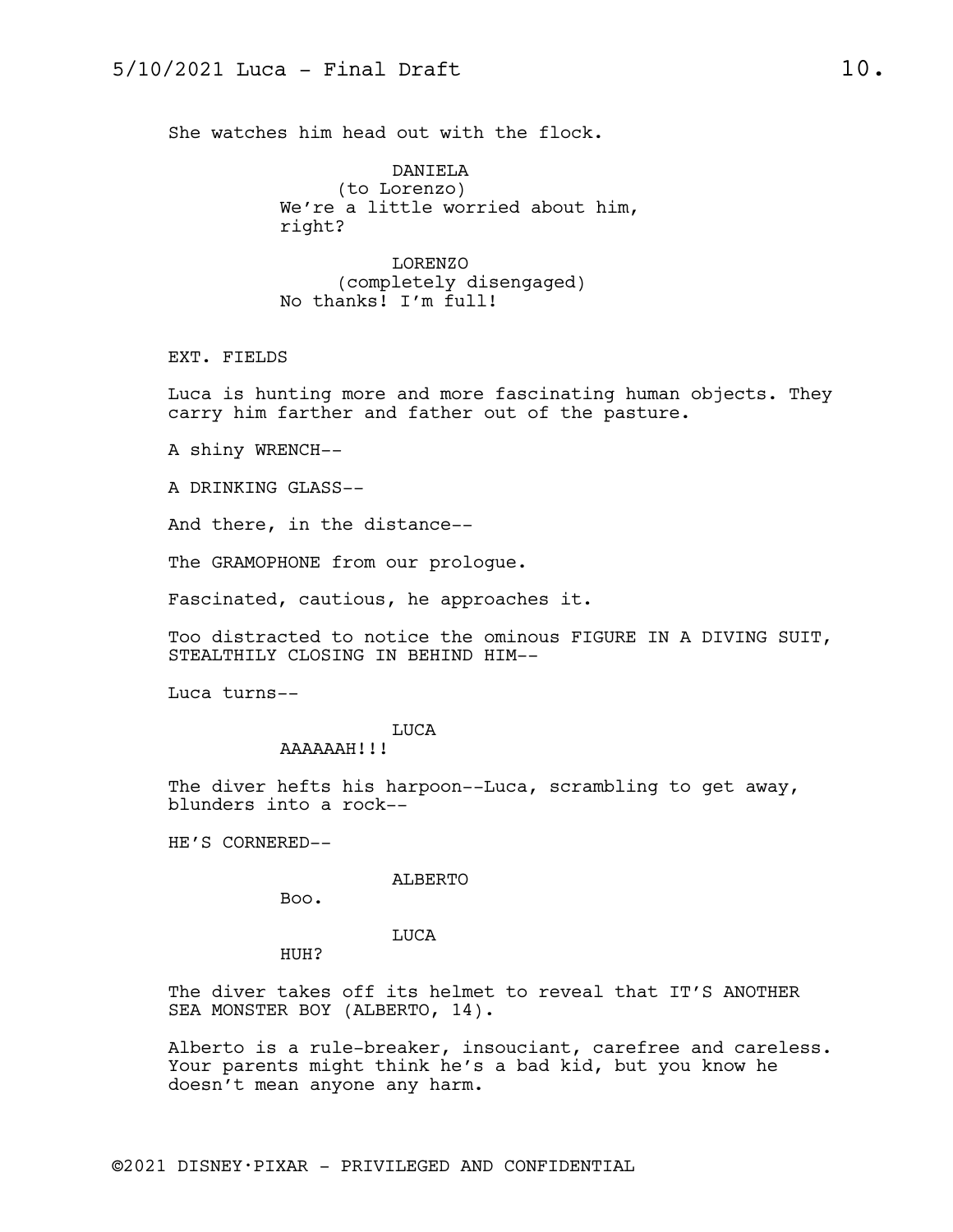She watches him head out with the flock.

DANIELA (to Lorenzo) We're a little worried about him, right?

LORENZO (completely disengaged) No thanks! I'm full!

EXT. FIELDS

Luca is hunting more and more fascinating human objects. They carry him farther and father out of the pasture.

A shiny WRENCH--

A DRINKING GLASS--

And there, in the distance--

The GRAMOPHONE from our prologue.

Fascinated, cautious, he approaches it.

Too distracted to notice the ominous FIGURE IN A DIVING SUIT, STEALTHILY CLOSING IN BEHIND HIM--

Luca turns--

#### LUCA

AAAAAAH!!!

The diver hefts his harpoon--Luca, scrambling to get away, blunders into a rock--

HE'S CORNERED--

#### ALBERTO

Boo.

LUCA

HUH?

The diver takes off its helmet to reveal that IT'S ANOTHER SEA MONSTER BOY (ALBERTO, 14).

Alberto is a rule-breaker, insouciant, carefree and careless. Your parents might think he's a bad kid, but you know he doesn't mean anyone any harm.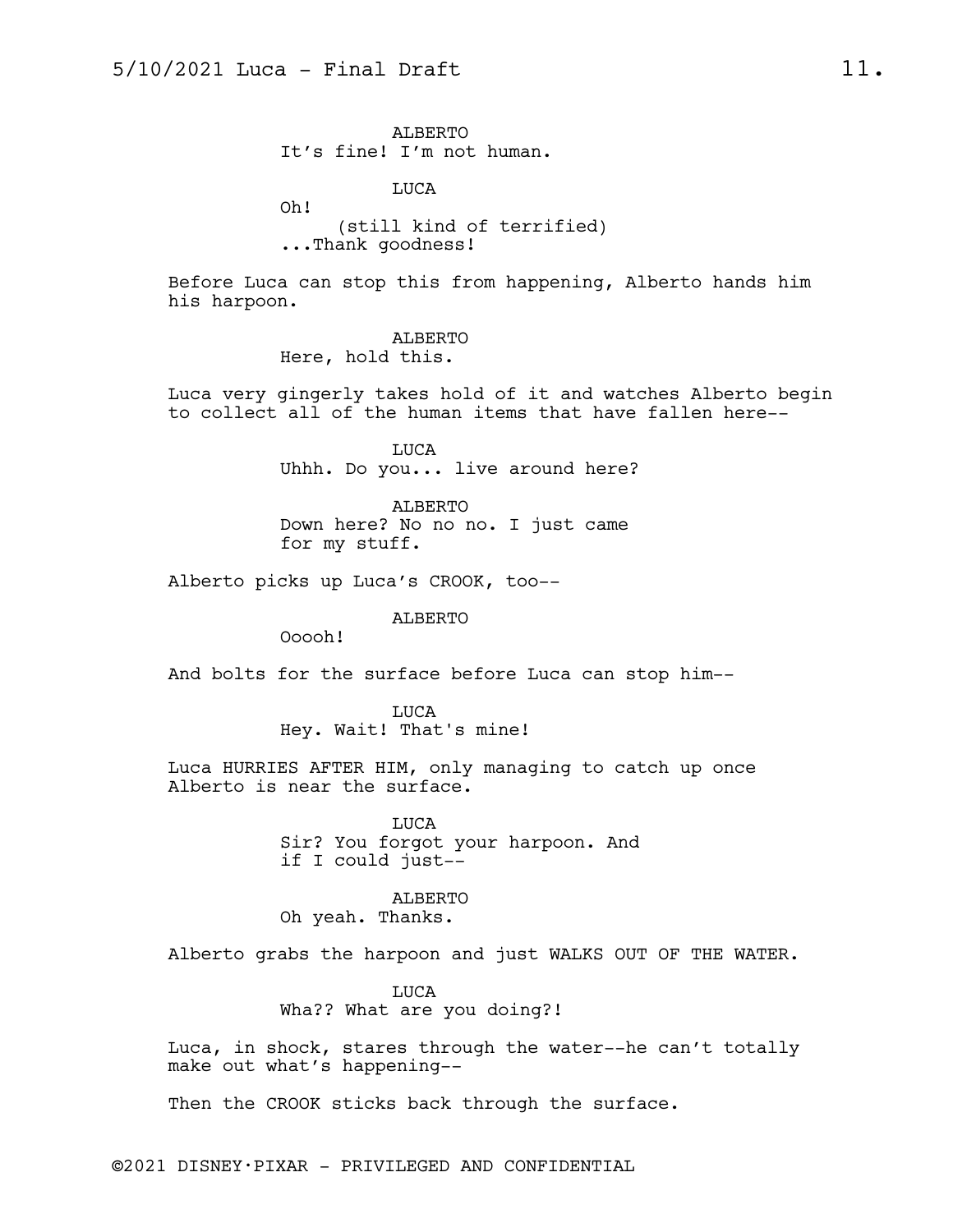ALBERTO It's fine! I'm not human.

LUCA

Oh! (still kind of terrified) ...Thank goodness!

Before Luca can stop this from happening, Alberto hands him his harpoon.

> ALBERTO Here, hold this.

Luca very gingerly takes hold of it and watches Alberto begin to collect all of the human items that have fallen here--

> LUCA Uhhh. Do you... live around here?

ALBERTO Down here? No no no. I just came for my stuff.

Alberto picks up Luca's CROOK, too--

ALBERTO

Ooooh!

And bolts for the surface before Luca can stop him--

LUCA Hey. Wait! That's mine!

Luca HURRIES AFTER HIM, only managing to catch up once Alberto is near the surface.

> LUCA Sir? You forgot your harpoon. And if I could just--

ALBERTO Oh yeah. Thanks.

Alberto grabs the harpoon and just WALKS OUT OF THE WATER.

LUCA Wha?? What are you doing?!

Luca, in shock, stares through the water--he can't totally make out what's happening--

Then the CROOK sticks back through the surface.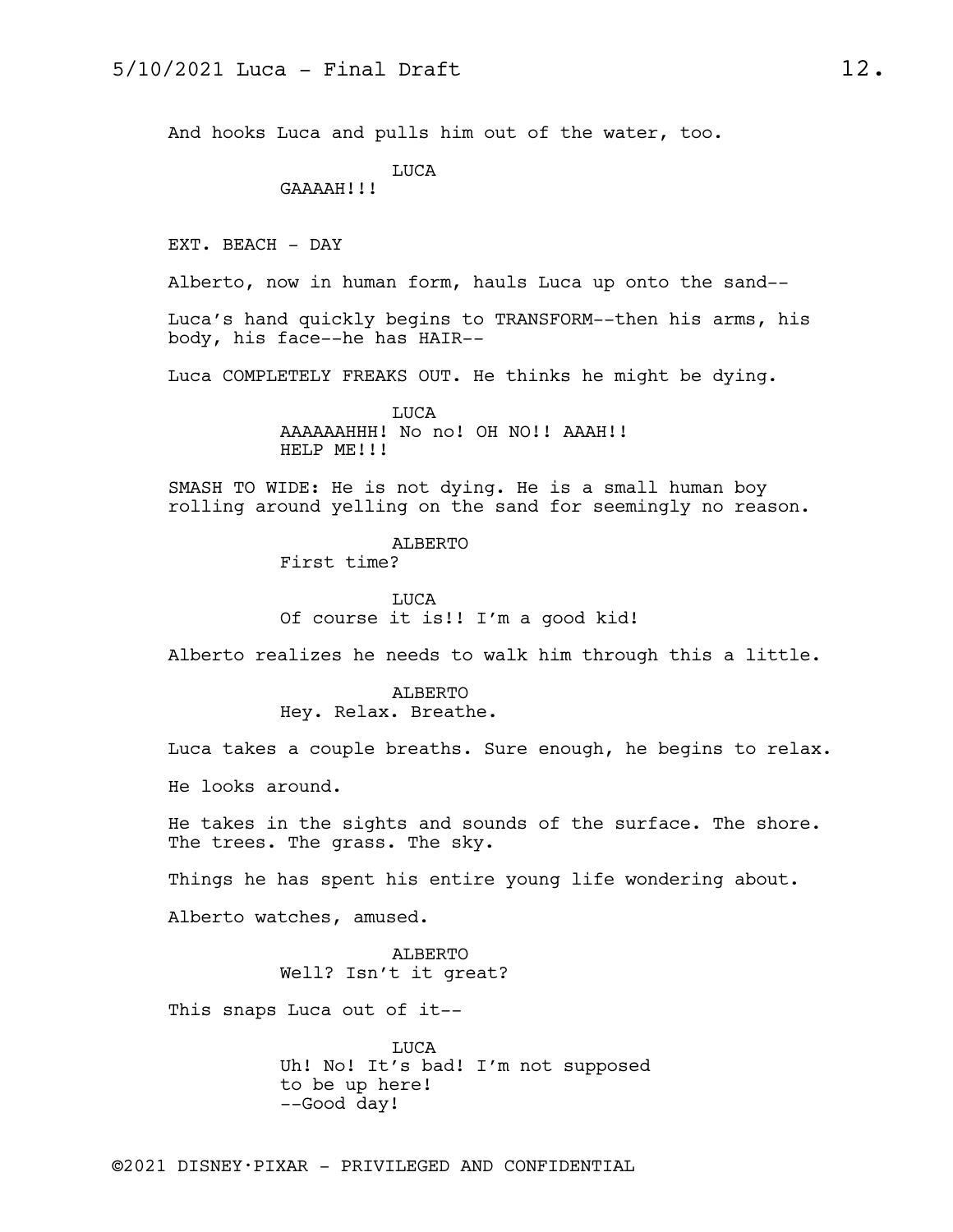And hooks Luca and pulls him out of the water, too.

LUCA

GAAAAH!!!

EXT. BEACH - DAY

Alberto, now in human form, hauls Luca up onto the sand--

Luca's hand quickly begins to TRANSFORM--then his arms, his body, his face--he has HAIR--

Luca COMPLETELY FREAKS OUT. He thinks he might be dying.

LUCA AAAAAAHHH! No no! OH NO!! AAAH!! HELP ME!!!

SMASH TO WIDE: He is not dying. He is a small human boy rolling around yelling on the sand for seemingly no reason.

> ALBERTO First time?

LUCA Of course it is!! I'm a good kid!

Alberto realizes he needs to walk him through this a little.

ALBERTO Hey. Relax. Breathe.

Luca takes a couple breaths. Sure enough, he begins to relax.

He looks around.

He takes in the sights and sounds of the surface. The shore. The trees. The grass. The sky.

Things he has spent his entire young life wondering about.

Alberto watches, amused.

ALBERTO Well? Isn't it great?

This snaps Luca out of it--

LUCA Uh! No! It's bad! I'm not supposed to be up here! --Good day!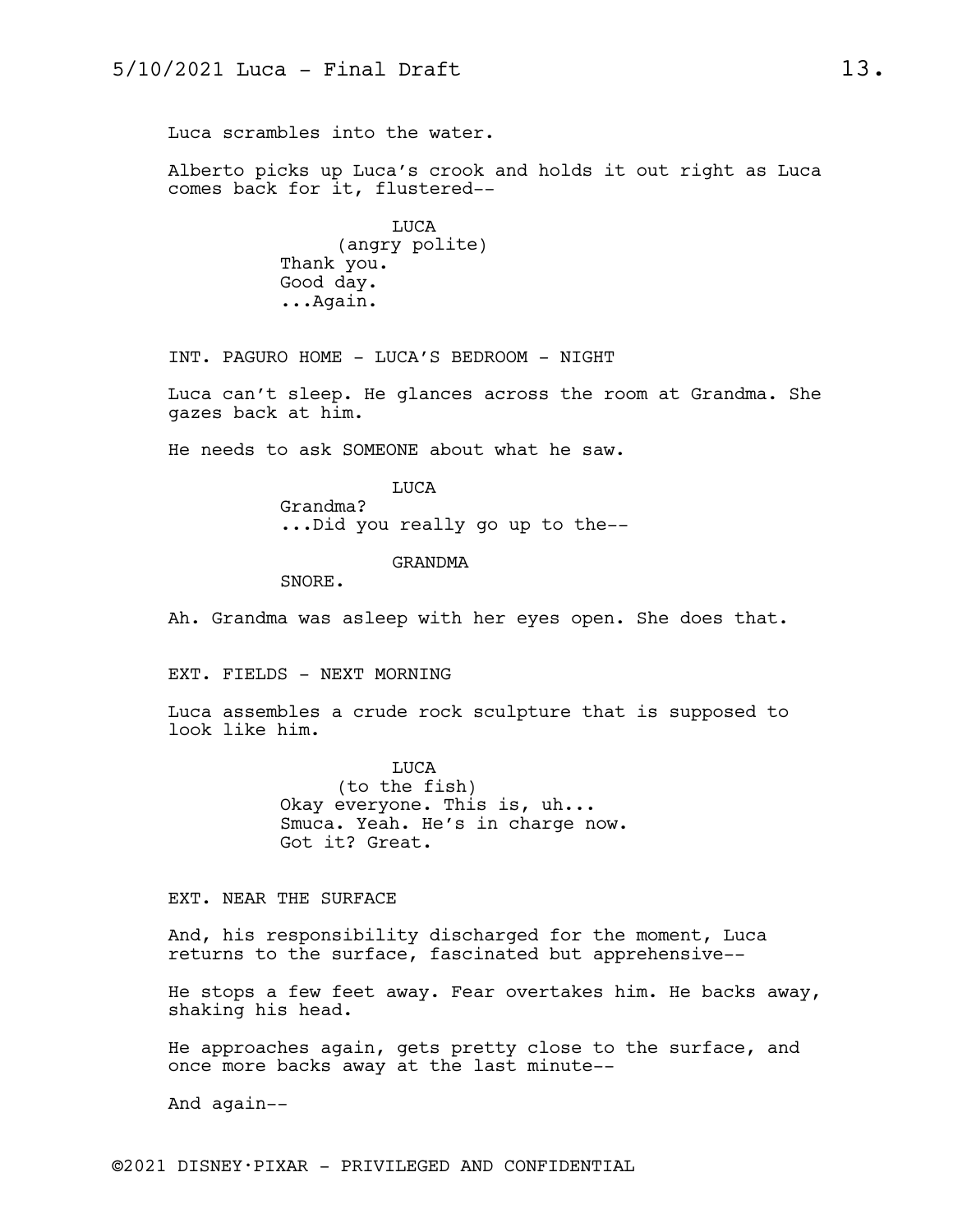Luca scrambles into the water.

Alberto picks up Luca's crook and holds it out right as Luca comes back for it, flustered--

> LUCA (angry polite) Thank you. Good day. ...Again.

INT. PAGURO HOME - LUCA'S BEDROOM - NIGHT

Luca can't sleep. He glances across the room at Grandma. She gazes back at him.

He needs to ask SOMEONE about what he saw.

LUCA Grandma? ...Did you really go up to the--

GRANDMA

SNORE.

Ah. Grandma was asleep with her eyes open. She does that.

EXT. FIELDS - NEXT MORNING

Luca assembles a crude rock sculpture that is supposed to look like him.

> LUCA (to the fish) Okay everyone. This is, uh... Smuca. Yeah. He's in charge now. Got it? Great.

EXT. NEAR THE SURFACE

And, his responsibility discharged for the moment, Luca returns to the surface, fascinated but apprehensive--

He stops a few feet away. Fear overtakes him. He backs away, shaking his head.

He approaches again, gets pretty close to the surface, and once more backs away at the last minute--

And again--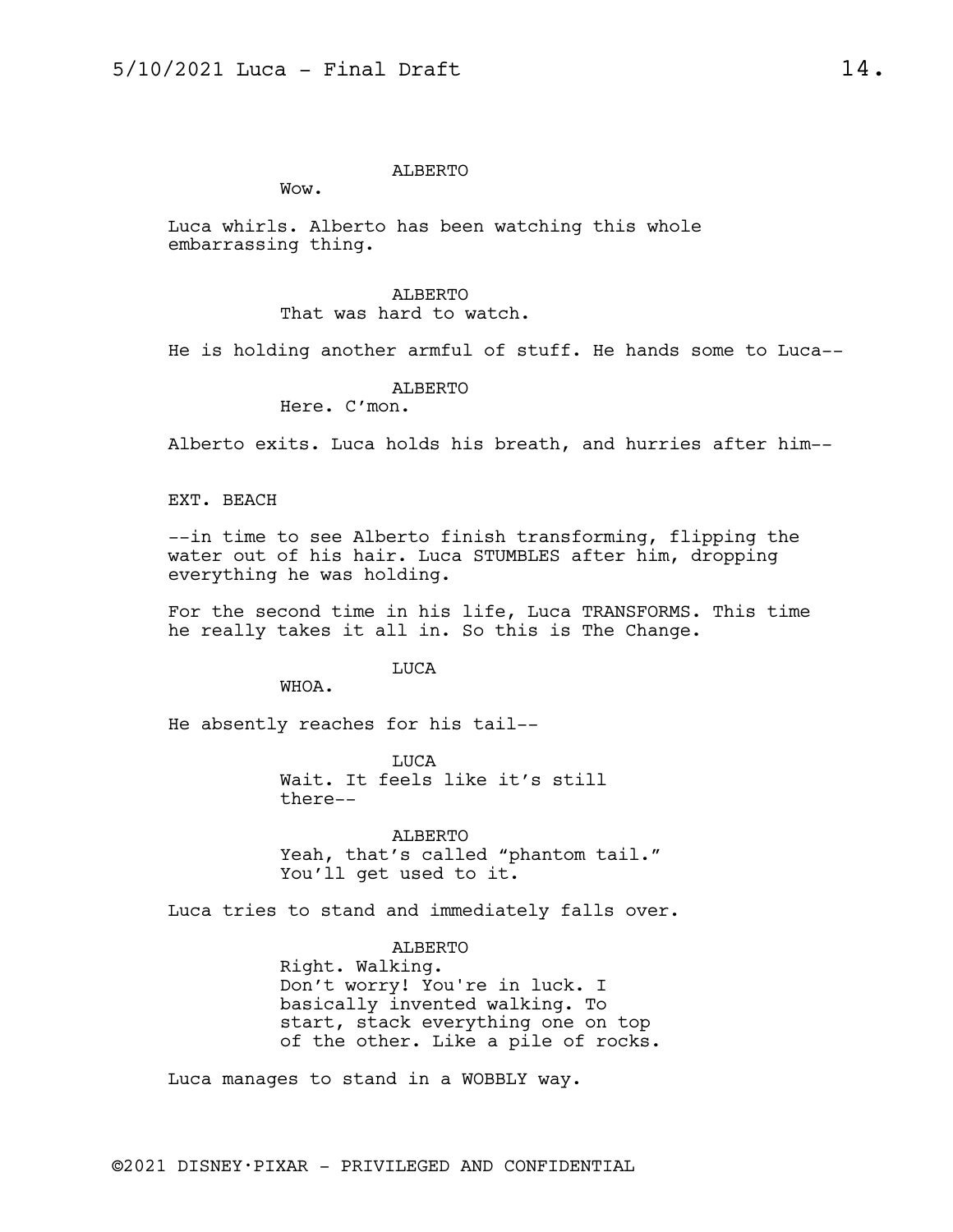#### ALBERTO

Wow.

Luca whirls. Alberto has been watching this whole embarrassing thing.

> ALBERTO That was hard to watch.

He is holding another armful of stuff. He hands some to Luca--

ALBERTO

Here. C'mon.

Alberto exits. Luca holds his breath, and hurries after him--

EXT. BEACH

--in time to see Alberto finish transforming, flipping the water out of his hair. Luca STUMBLES after him, dropping everything he was holding.

For the second time in his life, Luca TRANSFORMS. This time he really takes it all in. So this is The Change.

LUCA

WHOA.

He absently reaches for his tail--

**TJUCA** Wait. It feels like it's still there--

ALBERTO Yeah, that's called "phantom tail." You'll get used to it.

Luca tries to stand and immediately falls over.

ALBERTO Right. Walking. Don't worry! You're in luck. I basically invented walking. To start, stack everything one on top of the other. Like a pile of rocks.

Luca manages to stand in a WOBBLY way.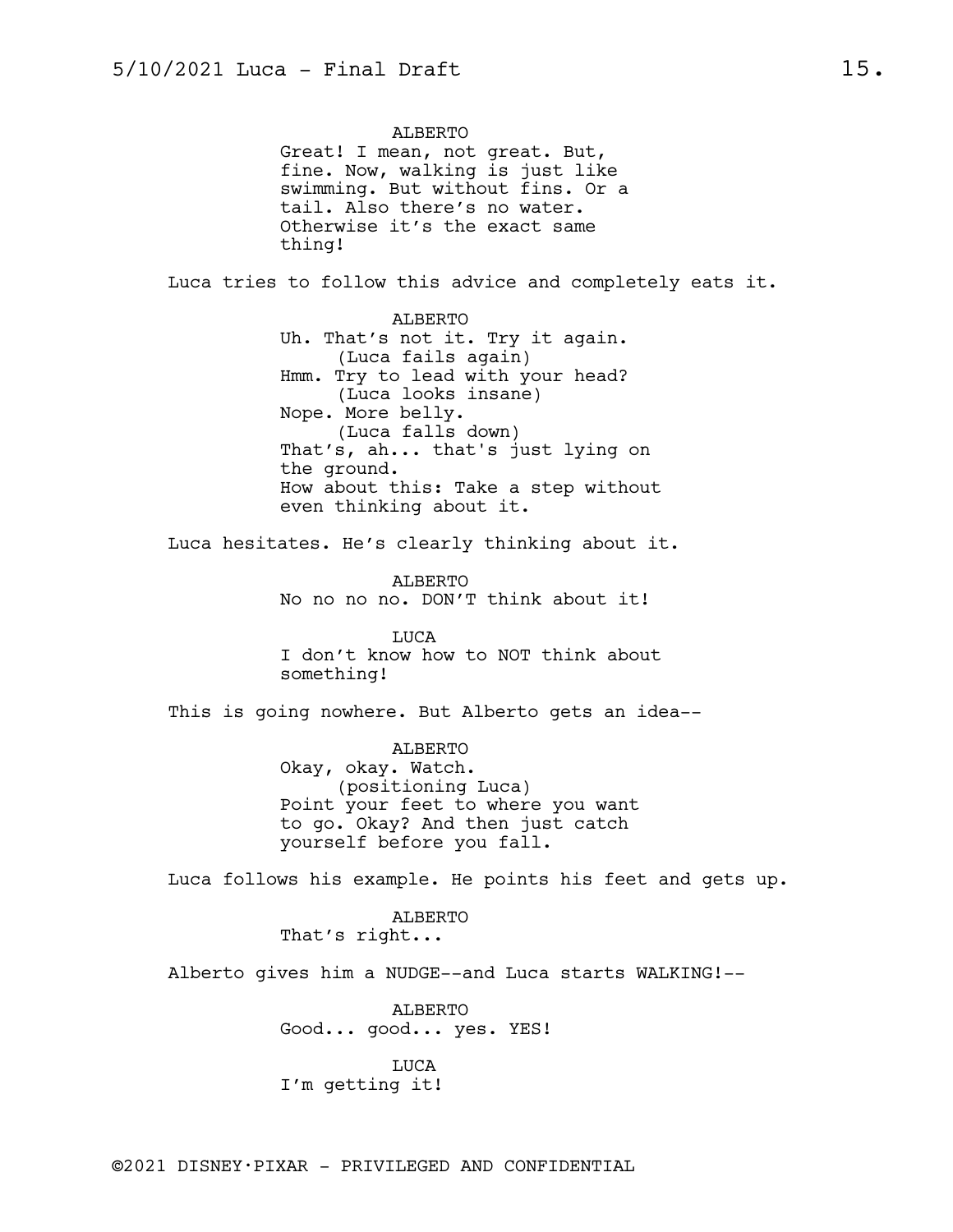ALBERTO Great! I mean, not great. But, fine. Now, walking is just like swimming. But without fins. Or a tail. Also there's no water. Otherwise it's the exact same thing! Luca tries to follow this advice and completely eats it. ALBERTO Uh. That's not it. Try it again. (Luca fails again) Hmm. Try to lead with your head? (Luca looks insane) Nope. More belly. (Luca falls down) That's, ah... that's just lying on the ground. How about this: Take a step without even thinking about it. Luca hesitates. He's clearly thinking about it. ALBERTO No no no no. DON'T think about it! LUCA I don't know how to NOT think about something! This is going nowhere. But Alberto gets an idea-- ALBERTO Okay, okay. Watch. (positioning Luca) Point your feet to where you want to go. Okay? And then just catch yourself before you fall. Luca follows his example. He points his feet and gets up. ALBERTO That's right... Alberto gives him a NUDGE--and Luca starts WALKING!-- ALBERTO Good... good... yes. YES! LUCA I'm getting it!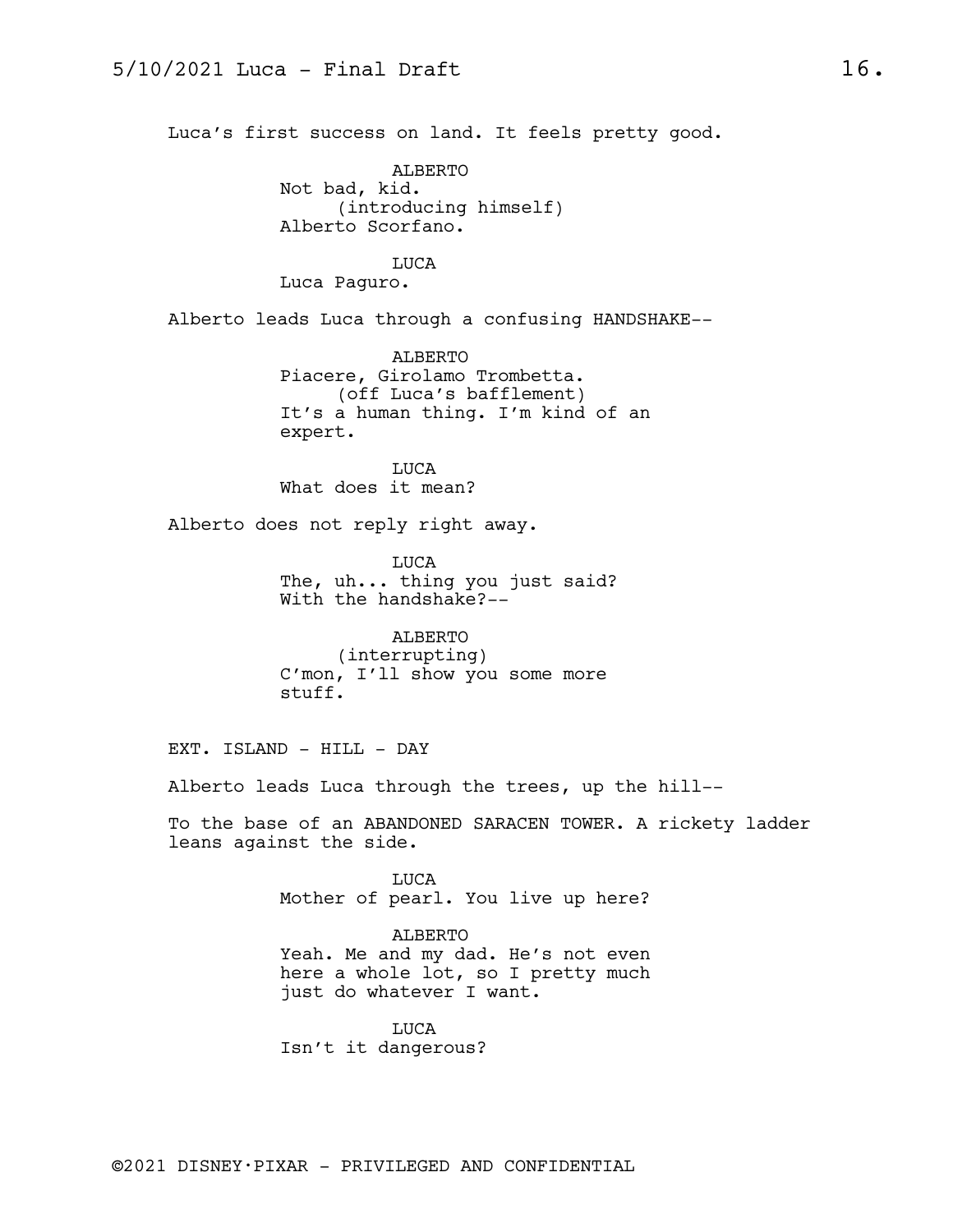Luca's first success on land. It feels pretty good.

ALBERTO Not bad, kid. (introducing himself) Alberto Scorfano.

LUCA Luca Paguro.

Alberto leads Luca through a confusing HANDSHAKE--

ALBERTO Piacere, Girolamo Trombetta. (off Luca's bafflement) It's a human thing. I'm kind of an expert.

LUCA What does it mean?

Alberto does not reply right away.

LUCA The, uh... thing you just said? With the handshake?--

ALBERTO (interrupting) C'mon, I'll show you some more stuff.

EXT. ISLAND - HILL - DAY

Alberto leads Luca through the trees, up the hill--

To the base of an ABANDONED SARACEN TOWER. A rickety ladder leans against the side.

> LUCA Mother of pearl. You live up here?

> ALBERTO Yeah. Me and my dad. He's not even here a whole lot, so I pretty much just do whatever I want.

LUCA Isn't it dangerous?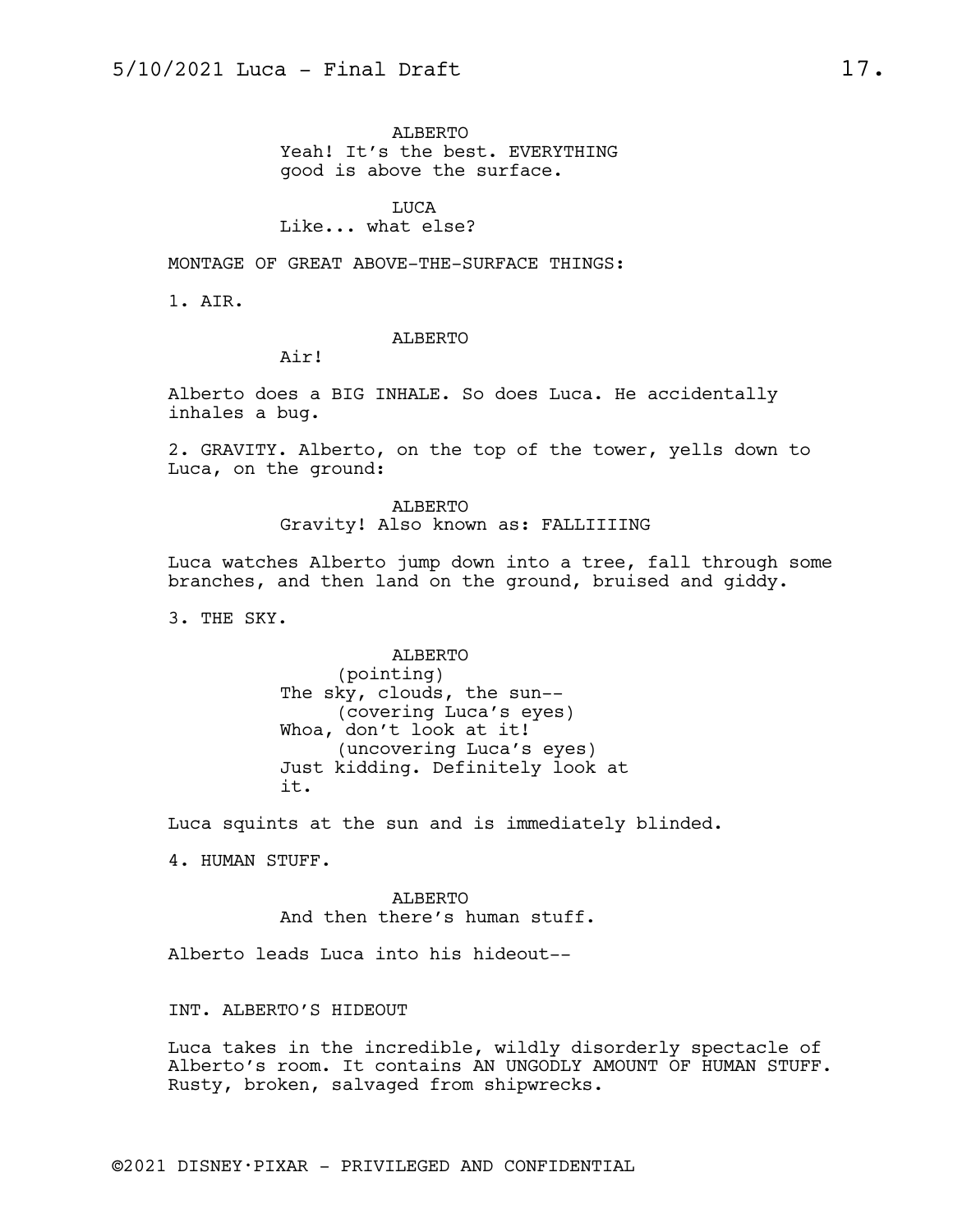ALBERTO Yeah! It's the best. EVERYTHING good is above the surface.

LUCA Like... what else?

MONTAGE OF GREAT ABOVE-THE-SURFACE THINGS:

1. AIR.

ALBERTO

Air!

Alberto does a BIG INHALE. So does Luca. He accidentally inhales a bug.

2. GRAVITY. Alberto, on the top of the tower, yells down to Luca, on the ground:

> ALBERTO Gravity! Also known as: FALLIIIING

Luca watches Alberto jump down into a tree, fall through some branches, and then land on the ground, bruised and giddy.

3. THE SKY.

ALBERTO (pointing) The sky, clouds, the sun-- (covering Luca's eyes) Whoa, don't look at it! (uncovering Luca's eyes) Just kidding. Definitely look at it.

Luca squints at the sun and is immediately blinded.

4. HUMAN STUFF.

ALBERTO And then there's human stuff.

Alberto leads Luca into his hideout--

INT. ALBERTO'S HIDEOUT

Luca takes in the incredible, wildly disorderly spectacle of Alberto's room. It contains AN UNGODLY AMOUNT OF HUMAN STUFF. Rusty, broken, salvaged from shipwrecks.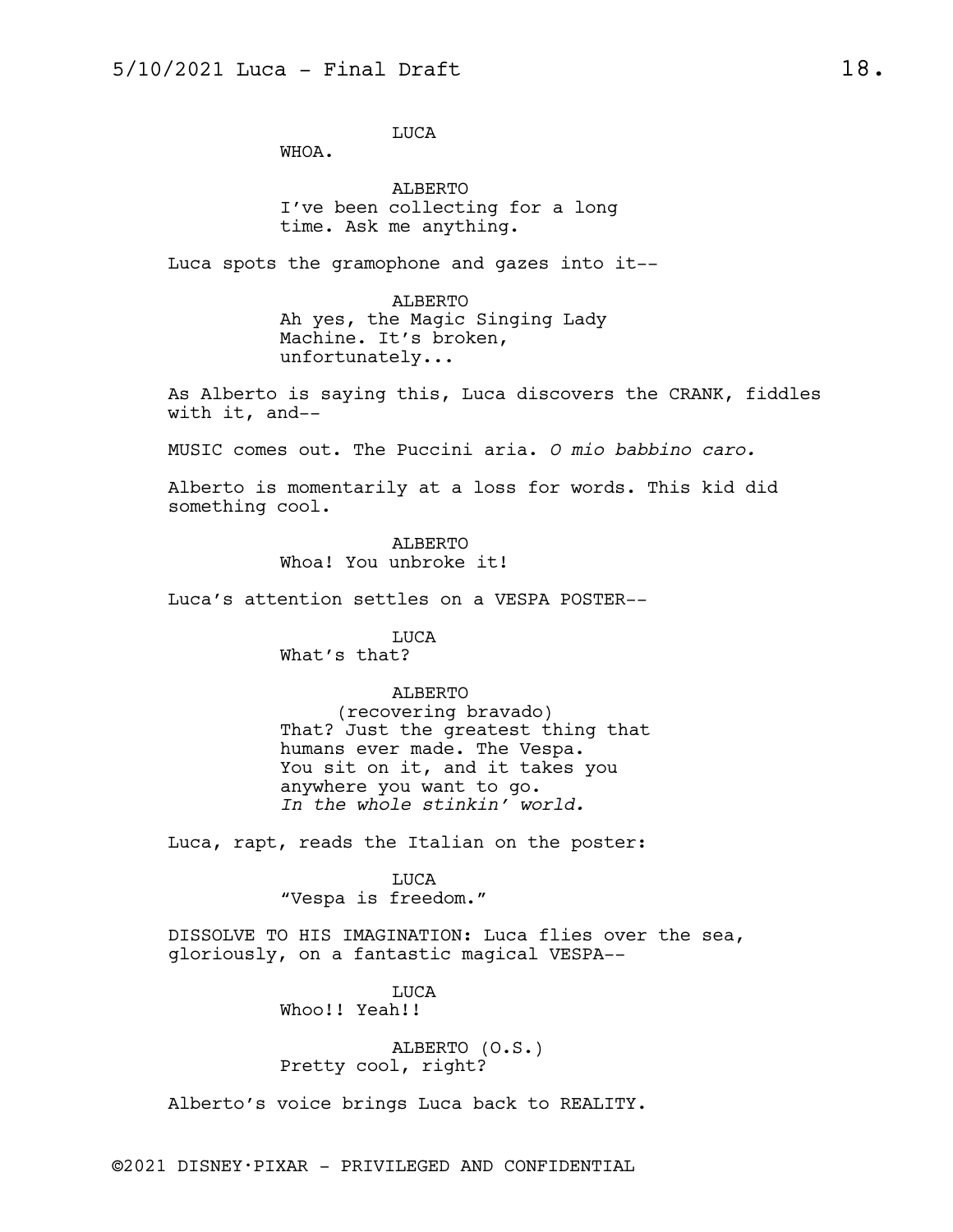LUCA

WHOA.

ALBERTO I've been collecting for a long time. Ask me anything.

Luca spots the gramophone and gazes into it--

ALBERTO Ah yes, the Magic Singing Lady Machine. It's broken, unfortunately...

As Alberto is saying this, Luca discovers the CRANK, fiddles with it, and--

MUSIC comes out. The Puccini aria. *O mio babbino caro.*

Alberto is momentarily at a loss for words. This kid did something cool.

> ALBERTO Whoa! You unbroke it!

Luca's attention settles on a VESPA POSTER--

LUCA What's that?

## ALBERTO

(recovering bravado) That? Just the greatest thing that humans ever made. The Vespa. You sit on it, and it takes you anywhere you want to go. *In the whole stinkin' world.*

Luca, rapt, reads the Italian on the poster:

LUCA "Vespa is freedom."

DISSOLVE TO HIS IMAGINATION: Luca flies over the sea, gloriously, on a fantastic magical VESPA--

> LUCA Whoo!! Yeah!!

ALBERTO (O.S.) Pretty cool, right?

Alberto's voice brings Luca back to REALITY.

©2021 DISNEY•PIXAR - PRIVILEGED AND CONFIDENTIAL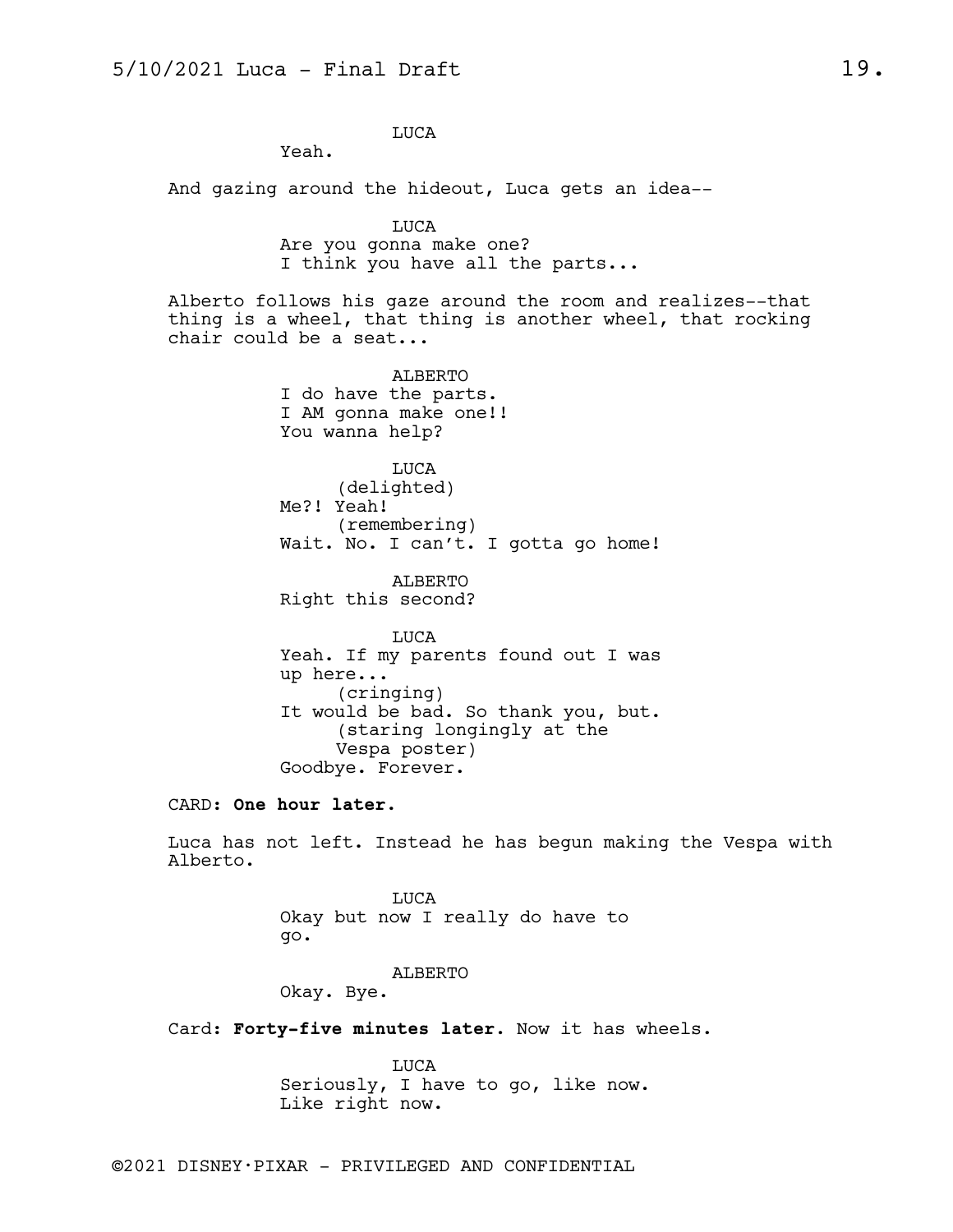LUCA

Yeah.

And gazing around the hideout, Luca gets an idea--

LUCA Are you gonna make one? I think you have all the parts...

Alberto follows his gaze around the room and realizes--that thing is a wheel, that thing is another wheel, that rocking chair could be a seat...

> ALBERTO I do have the parts. I AM gonna make one!! You wanna help?

LUCA (delighted) Me?! Yeah! (remembering) Wait. No. I can't. I gotta go home!

ALBERTO Right this second?

LUCA Yeah. If my parents found out I was up here... (cringing) It would be bad. So thank you, but. (staring longingly at the Vespa poster) Goodbye. Forever.

CARD: **One hour later.**

Luca has not left. Instead he has begun making the Vespa with Alberto.

> LUCA Okay but now I really do have to go.

> > ALBERTO

Okay. Bye.

Card: **Forty-five minutes later.** Now it has wheels.

LUCA Seriously, I have to go, like now. Like right now.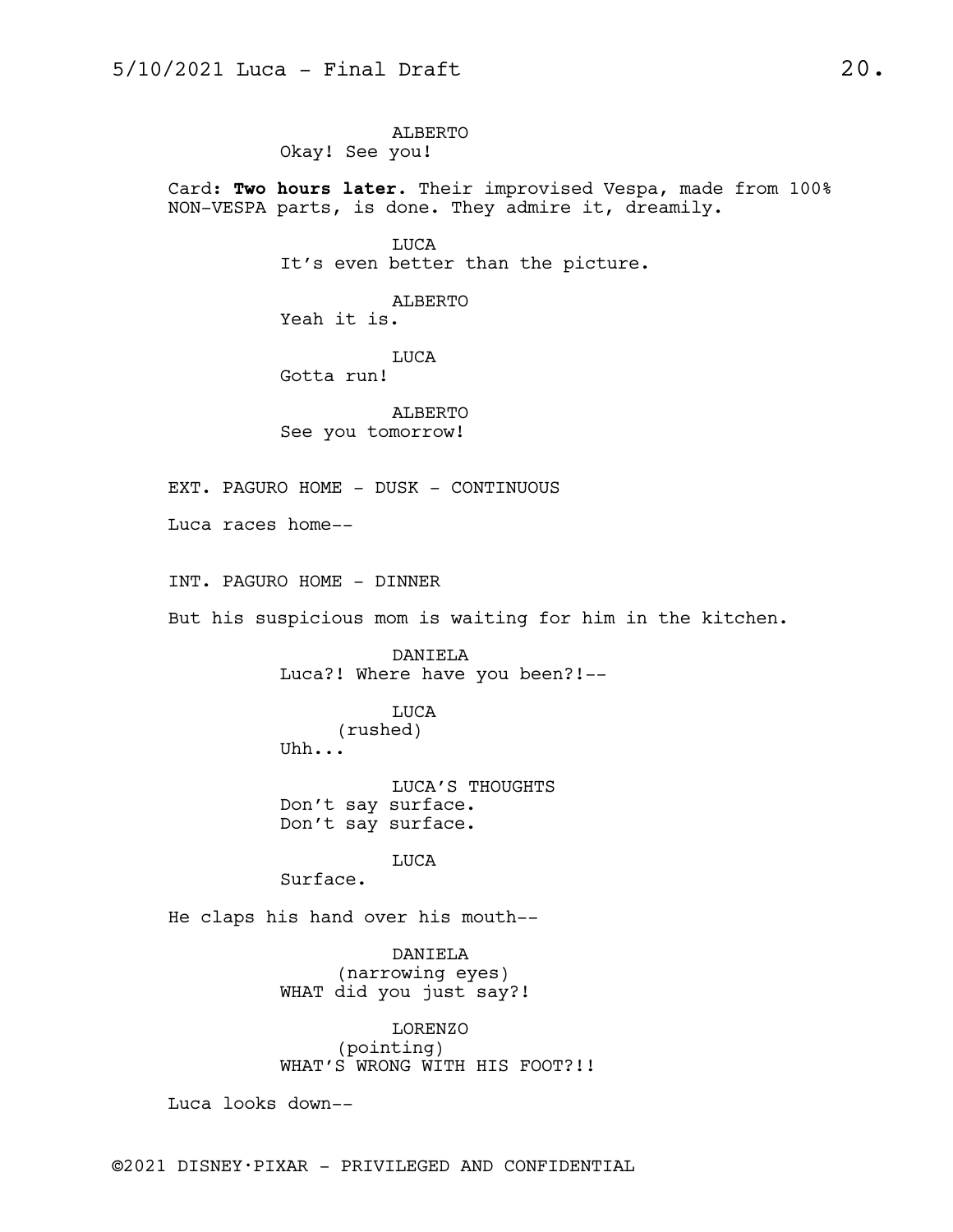ALBERTO Okay! See you!

Card: **Two hours later.** Their improvised Vespa, made from 100% NON-VESPA parts, is done. They admire it, dreamily.

> LUCA It's even better than the picture.

ALBERTO Yeah it is.

LUCA Gotta run!

ALBERTO See you tomorrow!

EXT. PAGURO HOME - DUSK - CONTINUOUS

Luca races home--

INT. PAGURO HOME - DINNER

But his suspicious mom is waiting for him in the kitchen.

DANIELA Luca?! Where have you been?!--

LUCA

(rushed) Uhh...

LUCA'S THOUGHTS Don't say surface. Don't say surface.

LUCA

Surface.

He claps his hand over his mouth--

DANIELA (narrowing eyes) WHAT did you just say?!

LORENZO (pointing) WHAT'S WRONG WITH HIS FOOT?!!

Luca looks down--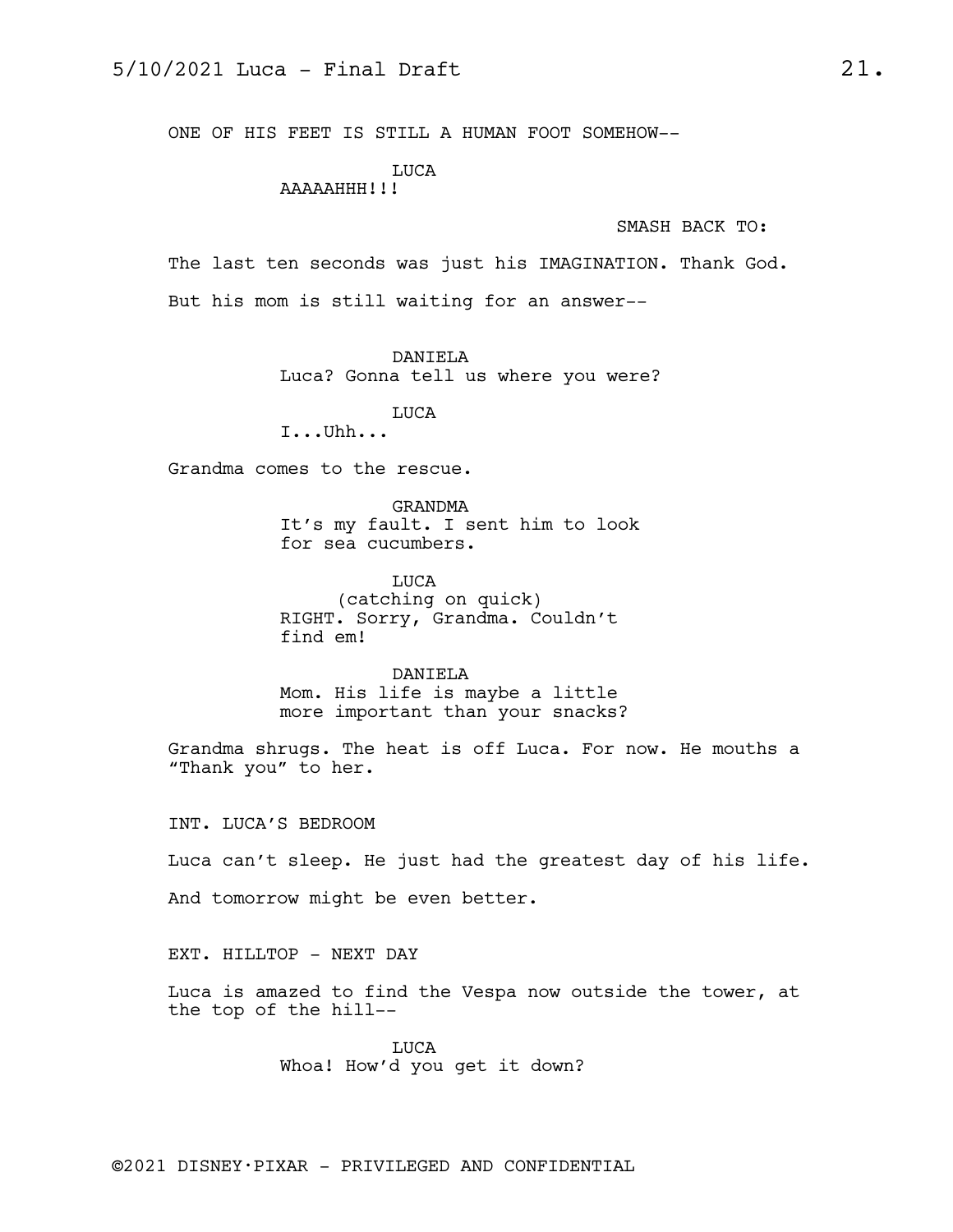ONE OF HIS FEET IS STILL A HUMAN FOOT SOMEHOW--

LUCA

AAAAAHHH!!!

SMASH BACK TO:

The last ten seconds was just his IMAGINATION. Thank God. But his mom is still waiting for an answer--

DANIELA

Luca? Gonna tell us where you were?

LUCA

I...Uhh...

Grandma comes to the rescue.

GRANDMA It's my fault. I sent him to look for sea cucumbers.

LUCA (catching on quick) RIGHT. Sorry, Grandma. Couldn't find em!

DANIELA Mom. His life is maybe a little more important than your snacks?

Grandma shrugs. The heat is off Luca. For now. He mouths a "Thank you" to her.

INT. LUCA'S BEDROOM

Luca can't sleep. He just had the greatest day of his life.

And tomorrow might be even better.

EXT. HILLTOP - NEXT DAY

Luca is amazed to find the Vespa now outside the tower, at the top of the hill--

> LUCA Whoa! How'd you get it down?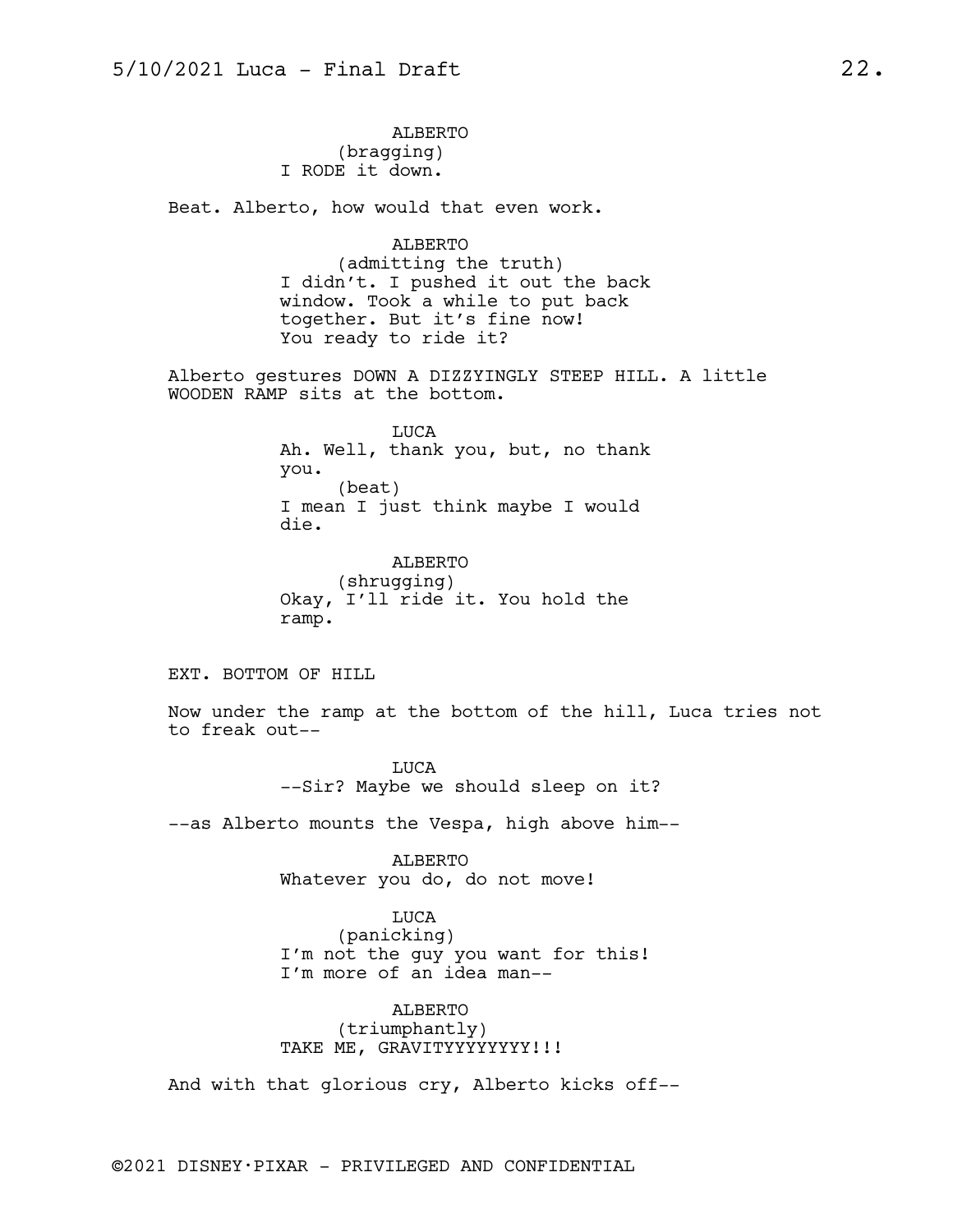ALBERTO (bragging) I RODE it down.

Beat. Alberto, how would that even work.

ALBERTO (admitting the truth) I didn't. I pushed it out the back window. Took a while to put back together. But it's fine now! You ready to ride it?

Alberto gestures DOWN A DIZZYINGLY STEEP HILL. A little WOODEN RAMP sits at the bottom.

> LUCA Ah. Well, thank you, but, no thank you. (beat) I mean I just think maybe I would die.

ALBERTO (shrugging) Okay, I'll ride it. You hold the ramp.

EXT. BOTTOM OF HILL

Now under the ramp at the bottom of the hill, Luca tries not to freak out--

> LUCA --Sir? Maybe we should sleep on it?

--as Alberto mounts the Vespa, high above him--

ALBERTO Whatever you do, do not move!

LUCA

(panicking) I'm not the guy you want for this! I'm more of an idea man--

ALBERTO (triumphantly) TAKE ME, GRAVITYYYYYYYY!!!

And with that glorious cry, Alberto kicks off--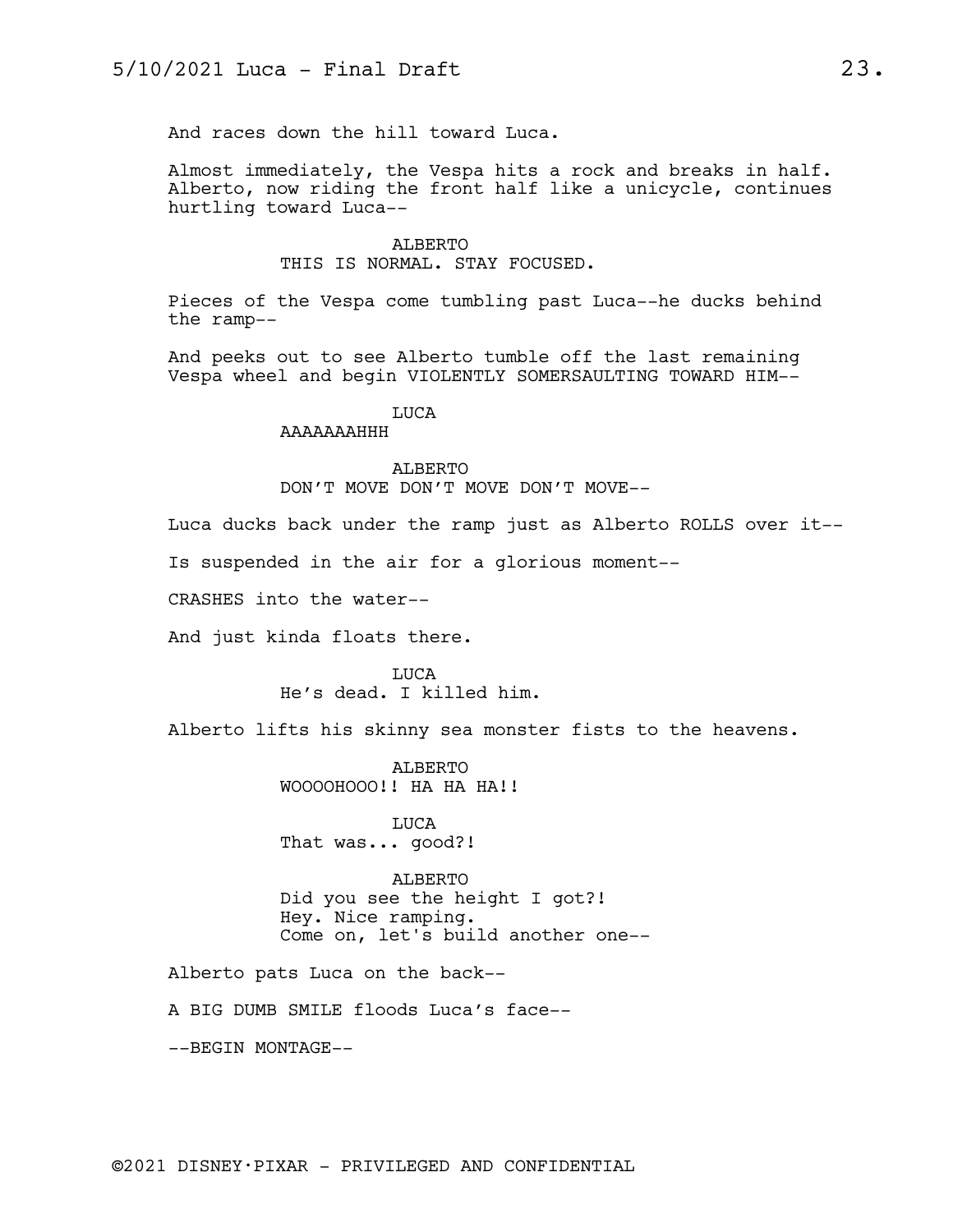And races down the hill toward Luca.

Almost immediately, the Vespa hits a rock and breaks in half. Alberto, now riding the front half like a unicycle, continues hurtling toward Luca--

#### ALBERTO THIS IS NORMAL. STAY FOCUSED.

Pieces of the Vespa come tumbling past Luca--he ducks behind the ramp--

And peeks out to see Alberto tumble off the last remaining Vespa wheel and begin VIOLENTLY SOMERSAULTING TOWARD HIM--

## LUCA

AAAAAAAHHH

## ALBERTO DON'T MOVE DON'T MOVE DON'T MOVE--

Luca ducks back under the ramp just as Alberto ROLLS over it--

Is suspended in the air for a glorious moment--

CRASHES into the water--

And just kinda floats there.

LUCA He's dead. I killed him.

Alberto lifts his skinny sea monster fists to the heavens.

ALBERTO WOOOOHOOO!! HA HA HA!!

LUCA That was... good?!

ALBERTO Did you see the height I got?! Hey. Nice ramping. Come on, let's build another one--

Alberto pats Luca on the back--

A BIG DUMB SMILE floods Luca's face--

--BEGIN MONTAGE--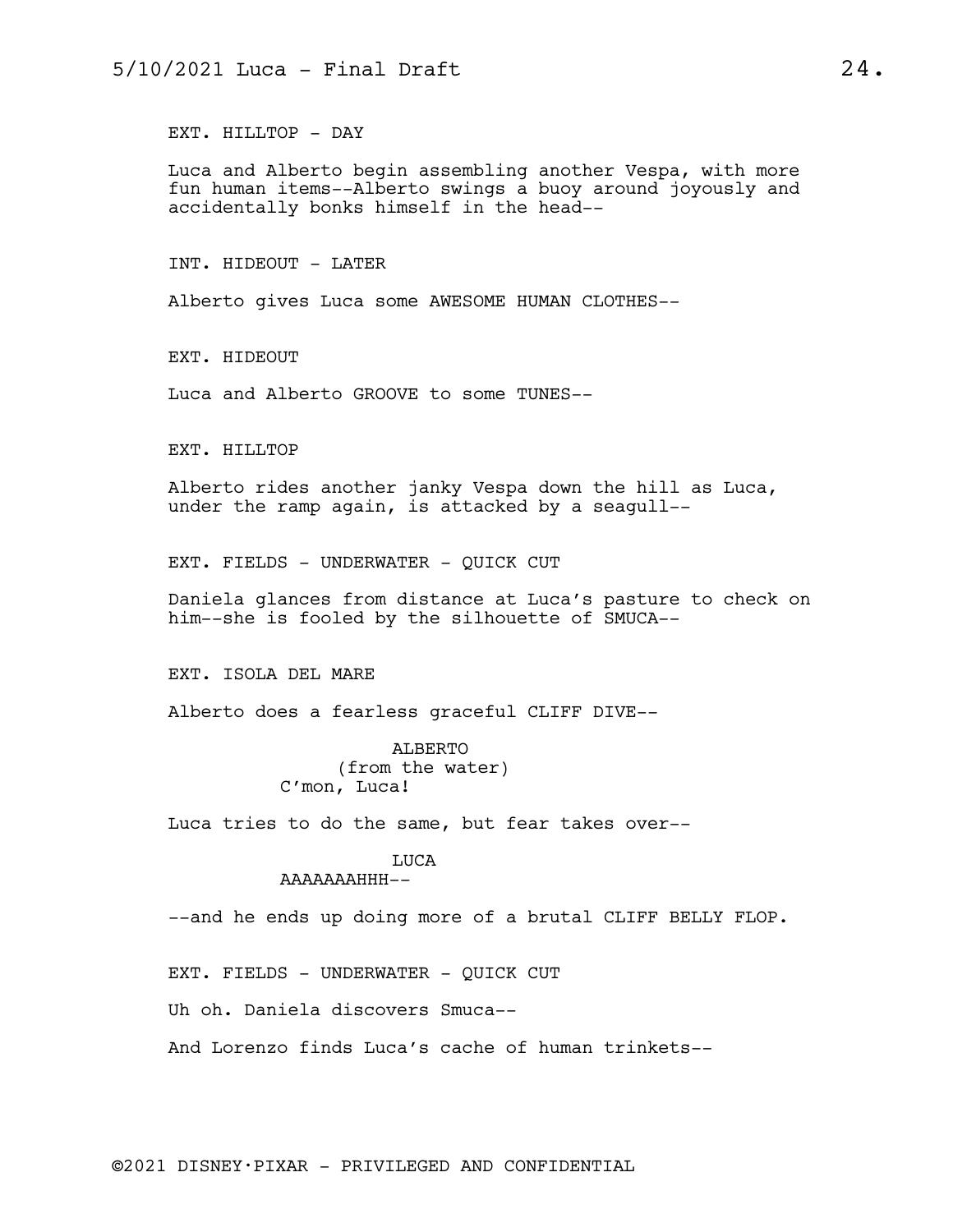EXT. HILLTOP - DAY

Luca and Alberto begin assembling another Vespa, with more fun human items--Alberto swings a buoy around joyously and accidentally bonks himself in the head--

INT. HIDEOUT - LATER

Alberto gives Luca some AWESOME HUMAN CLOTHES--

EXT. HIDEOUT

Luca and Alberto GROOVE to some TUNES--

EXT. HILLTOP

Alberto rides another janky Vespa down the hill as Luca, under the ramp again, is attacked by a seagull--

EXT. FIELDS - UNDERWATER - QUICK CUT

Daniela glances from distance at Luca's pasture to check on him--she is fooled by the silhouette of SMUCA--

EXT. ISOLA DEL MARE

Alberto does a fearless graceful CLIFF DIVE--

ALBERTO (from the water) C'mon, Luca!

Luca tries to do the same, but fear takes over--

## LUCA

## AAAAAAAHHH--

--and he ends up doing more of a brutal CLIFF BELLY FLOP.

EXT. FIELDS - UNDERWATER - QUICK CUT

Uh oh. Daniela discovers Smuca--

And Lorenzo finds Luca's cache of human trinkets--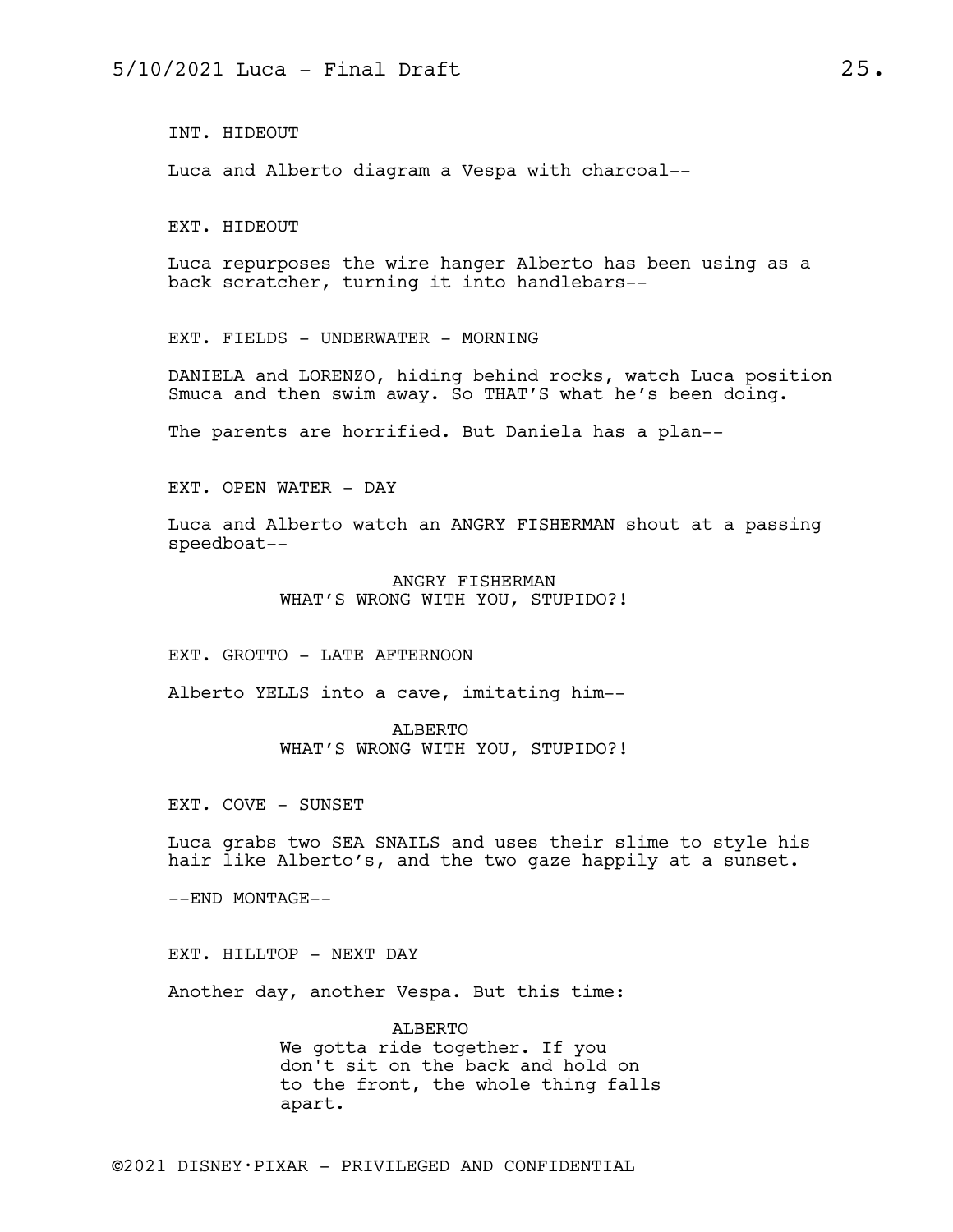INT. HIDEOUT

Luca and Alberto diagram a Vespa with charcoal--

EXT. HIDEOUT

Luca repurposes the wire hanger Alberto has been using as a back scratcher, turning it into handlebars--

EXT. FIELDS - UNDERWATER - MORNING

DANIELA and LORENZO, hiding behind rocks, watch Luca position Smuca and then swim away. So THAT'S what he's been doing.

The parents are horrified. But Daniela has a plan--

EXT. OPEN WATER - DAY

Luca and Alberto watch an ANGRY FISHERMAN shout at a passing speedboat--

> ANGRY FISHERMAN WHAT'S WRONG WITH YOU, STUPIDO?!

EXT. GROTTO - LATE AFTERNOON

Alberto YELLS into a cave, imitating him--

ALBERTO WHAT'S WRONG WITH YOU, STUPIDO?!

EXT. COVE - SUNSET

Luca grabs two SEA SNAILS and uses their slime to style his hair like Alberto's, and the two gaze happily at a sunset.

--END MONTAGE--

EXT. HILLTOP - NEXT DAY

Another day, another Vespa. But this time:

ALBERTO We gotta ride together. If you don't sit on the back and hold on to the front, the whole thing falls apart.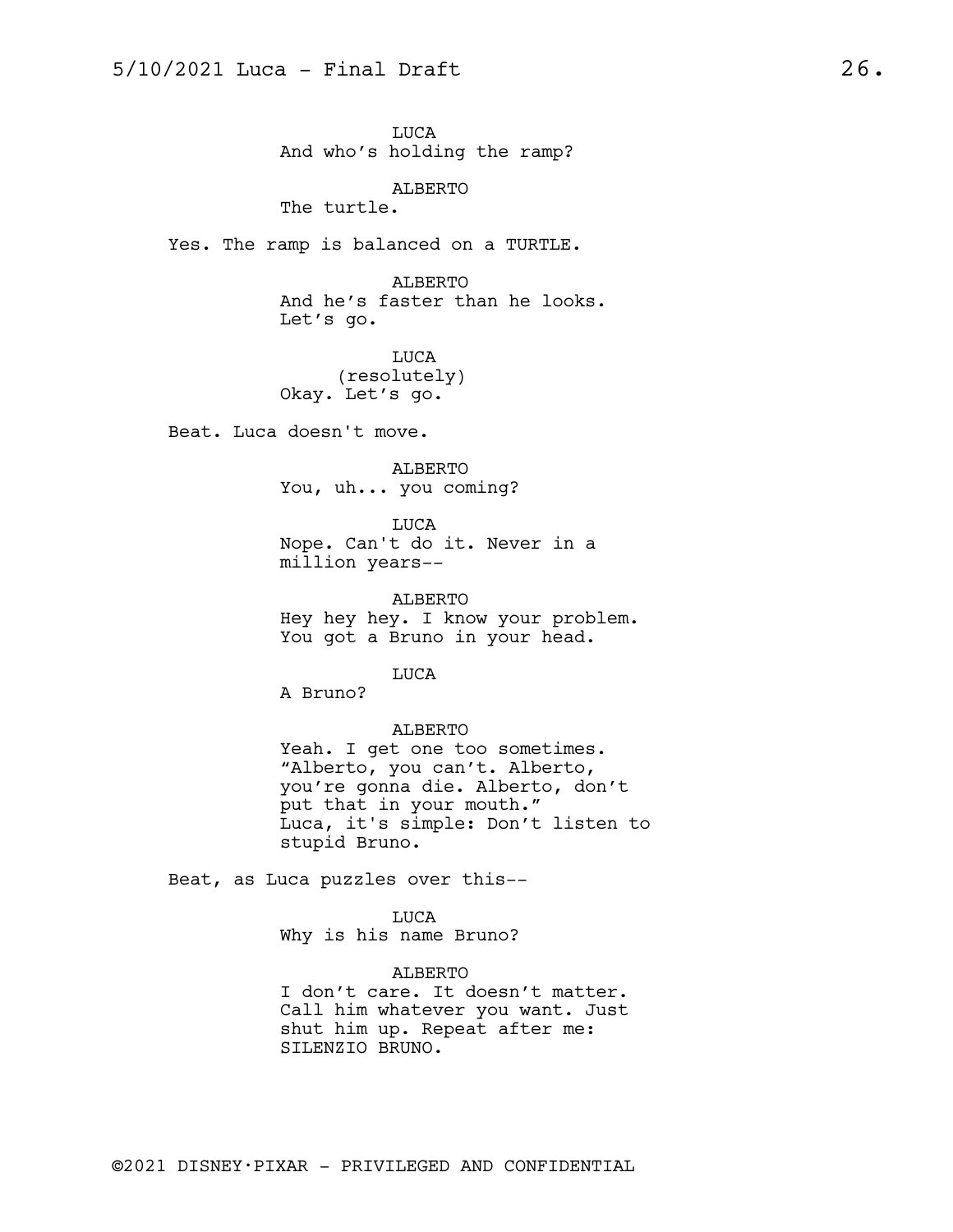LUCA And who's holding the ramp?

ALBERTO The turtle.

Yes. The ramp is balanced on a TURTLE.

ALBERTO And he's faster than he looks. Let's go.

LUCA (resolutely) Okay. Let's go.

Beat. Luca doesn't move.

ALBERTO You, uh... you coming?

LUCA Nope. Can't do it. Never in a million years--

ALBERTO Hey hey hey. I know your problem. You got a Bruno in your head.

LUCA

A Bruno?

#### ALBERTO

Yeah. I get one too sometimes. "Alberto, you can't. Alberto, you're gonna die. Alberto, don't put that in your mouth." Luca, it's simple: Don't listen to stupid Bruno.

Beat, as Luca puzzles over this--

LUCA

Why is his name Bruno?

#### ALBERTO

I don't care. It doesn't matter. Call him whatever you want. Just shut him up. Repeat after me: SILENZIO BRUNO.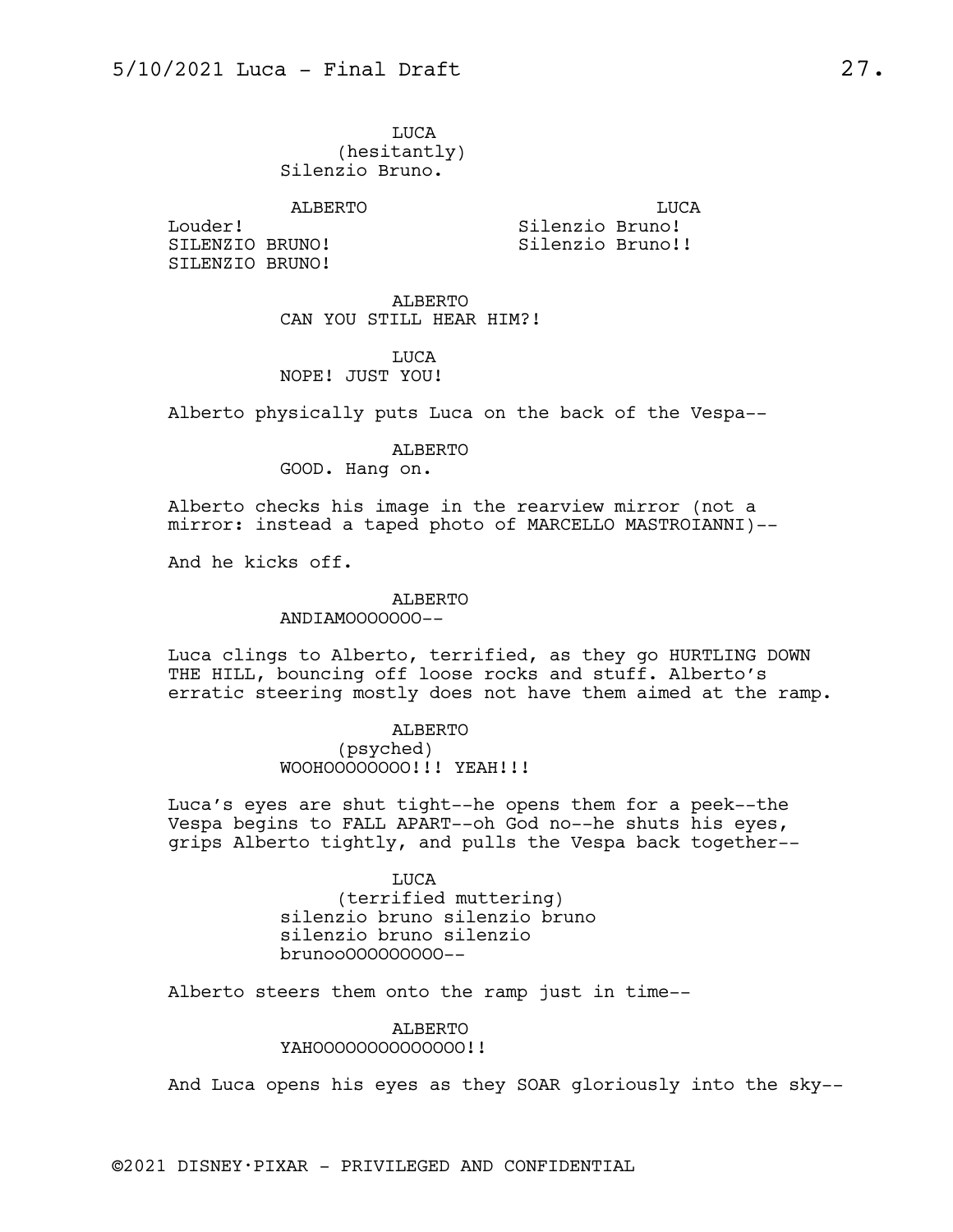LUCA (hesitantly) Silenzio Bruno.

### ALBERTO

Louder! SILENZIO BRUNO! SILENZIO BRUNO!

LUCA Silenzio Bruno! Silenzio Bruno!!

ALBERTO CAN YOU STILL HEAR HIM?!

## LUCA NOPE! JUST YOU!

Alberto physically puts Luca on the back of the Vespa--

#### ALBERTO

GOOD. Hang on.

Alberto checks his image in the rearview mirror (not a mirror: instead a taped photo of MARCELLO MASTROIANNI)--

And he kicks off.

# ALBERTO

## ANDIAMOOOOOOO--

Luca clings to Alberto, terrified, as they go HURTLING DOWN THE HILL, bouncing off loose rocks and stuff. Alberto's erratic steering mostly does not have them aimed at the ramp.

## ALBERTO (psyched) WOOHOOOOOOOO!!! YEAH!!!

Luca's eyes are shut tight--he opens them for a peek--the Vespa begins to FALL APART--oh God no--he shuts his eyes, grips Alberto tightly, and pulls the Vespa back together--

## LUCA (terrified muttering) silenzio bruno silenzio bruno silenzio bruno silenzio brunooOOOOOOOOO--

Alberto steers them onto the ramp just in time--

#### ALBERTO YAHOOOOOOOOOOOOOO!!

And Luca opens his eyes as they SOAR gloriously into the sky--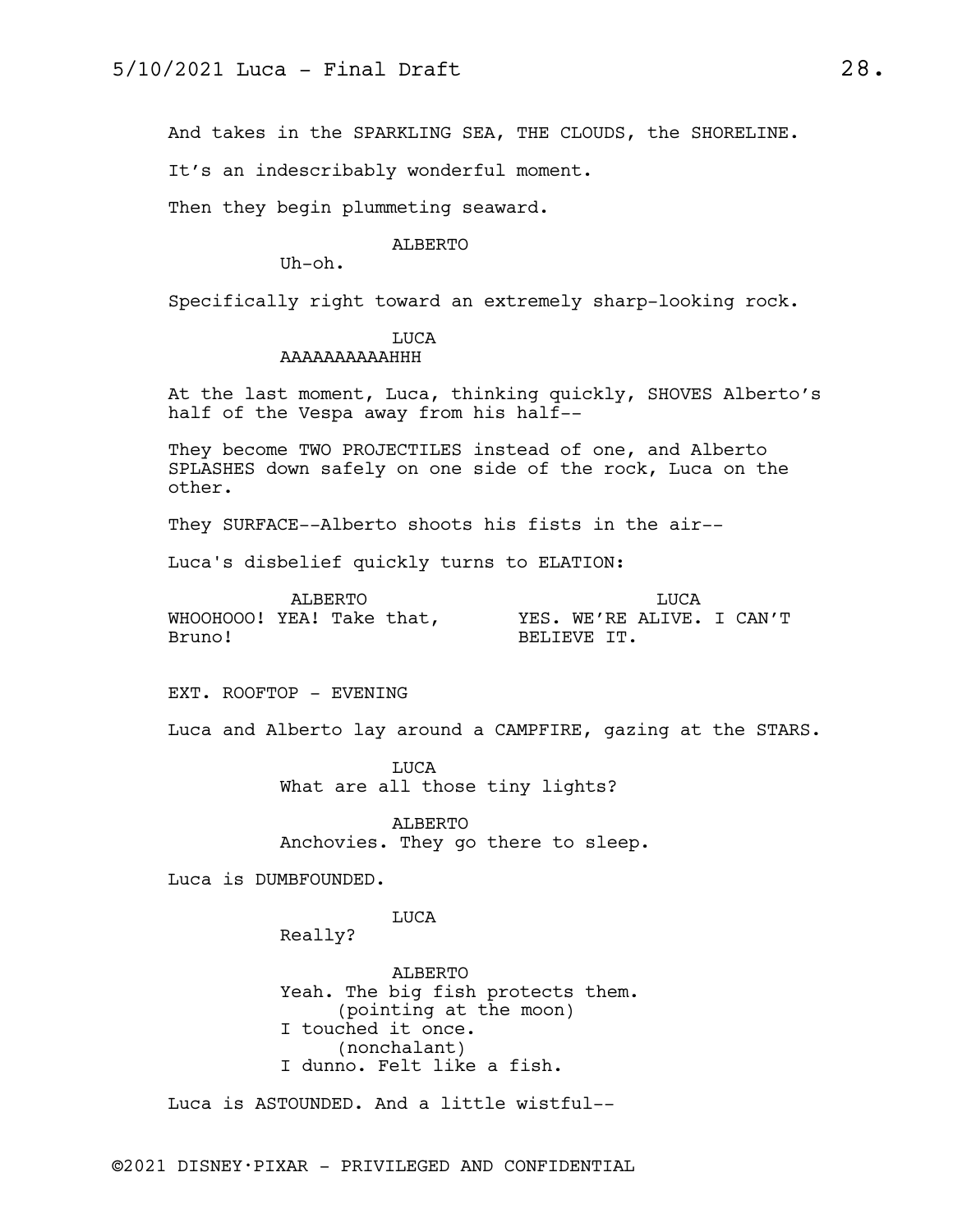And takes in the SPARKLING SEA, THE CLOUDS, the SHORELINE.

It's an indescribably wonderful moment.

Then they begin plummeting seaward.

#### ALBERTO

Uh-oh.

Specifically right toward an extremely sharp-looking rock.

# LUCA

## AAAAAAAAAAHHH

At the last moment, Luca, thinking quickly, SHOVES Alberto's half of the Vespa away from his half--

They become TWO PROJECTILES instead of one, and Alberto SPLASHES down safely on one side of the rock, Luca on the other.

They SURFACE--Alberto shoots his fists in the air--

Luca's disbelief quickly turns to ELATION:

| ALBERTO                   |  |  |  | TJUCA       |  |                           |  |  |  |
|---------------------------|--|--|--|-------------|--|---------------------------|--|--|--|
| WHOOHOOO! YEA! Take that, |  |  |  |             |  | YES. WE'RE ALIVE. I CAN'T |  |  |  |
| Bruno!                    |  |  |  | BELIEVE IT. |  |                           |  |  |  |

EXT. ROOFTOP - EVENING

Luca and Alberto lay around a CAMPFIRE, gazing at the STARS.

LUCA What are all those tiny lights?

ALBERTO Anchovies. They go there to sleep.

Luca is DUMBFOUNDED.

LUCA

Really?

ALBERTO Yeah. The big fish protects them. (pointing at the moon) I touched it once. (nonchalant) I dunno. Felt like a fish.

Luca is ASTOUNDED. And a little wistful--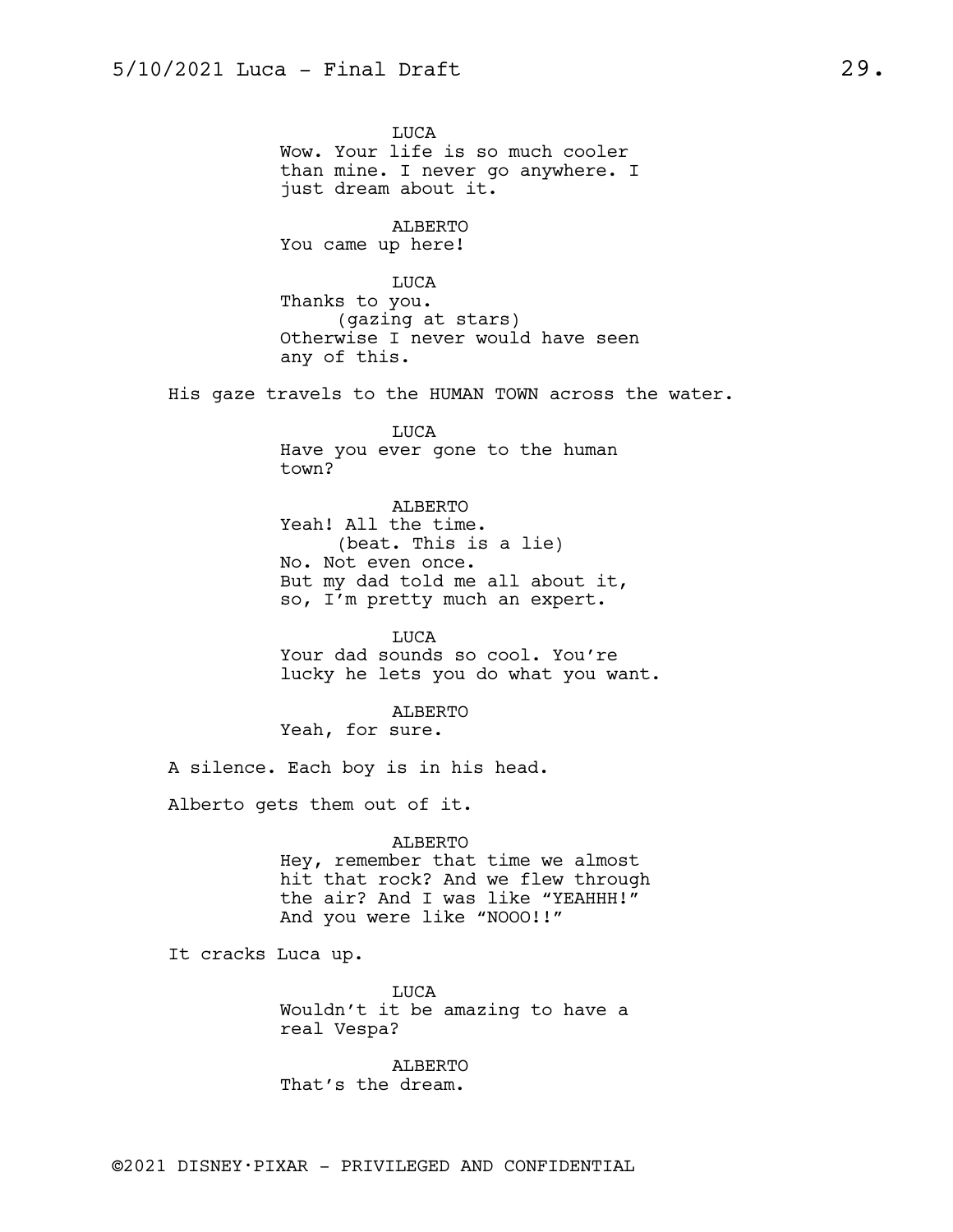LUCA Wow. Your life is so much cooler than mine. I never go anywhere. I just dream about it.

ALBERTO You came up here!

LUCA Thanks to you. (gazing at stars) Otherwise I never would have seen any of this.

His gaze travels to the HUMAN TOWN across the water.

LUCA Have you ever gone to the human town?

ALBERTO Yeah! All the time. (beat. This is a lie) No. Not even once. But my dad told me all about it, so, I'm pretty much an expert.

LUCA Your dad sounds so cool. You're lucky he lets you do what you want.

ALBERTO Yeah, for sure.

A silence. Each boy is in his head.

Alberto gets them out of it.

ALBERTO

Hey, remember that time we almost hit that rock? And we flew through the air? And I was like "YEAHHH!" And you were like "NOOO!!"

It cracks Luca up.

LUCA Wouldn't it be amazing to have a real Vespa?

ALBERTO That's the dream.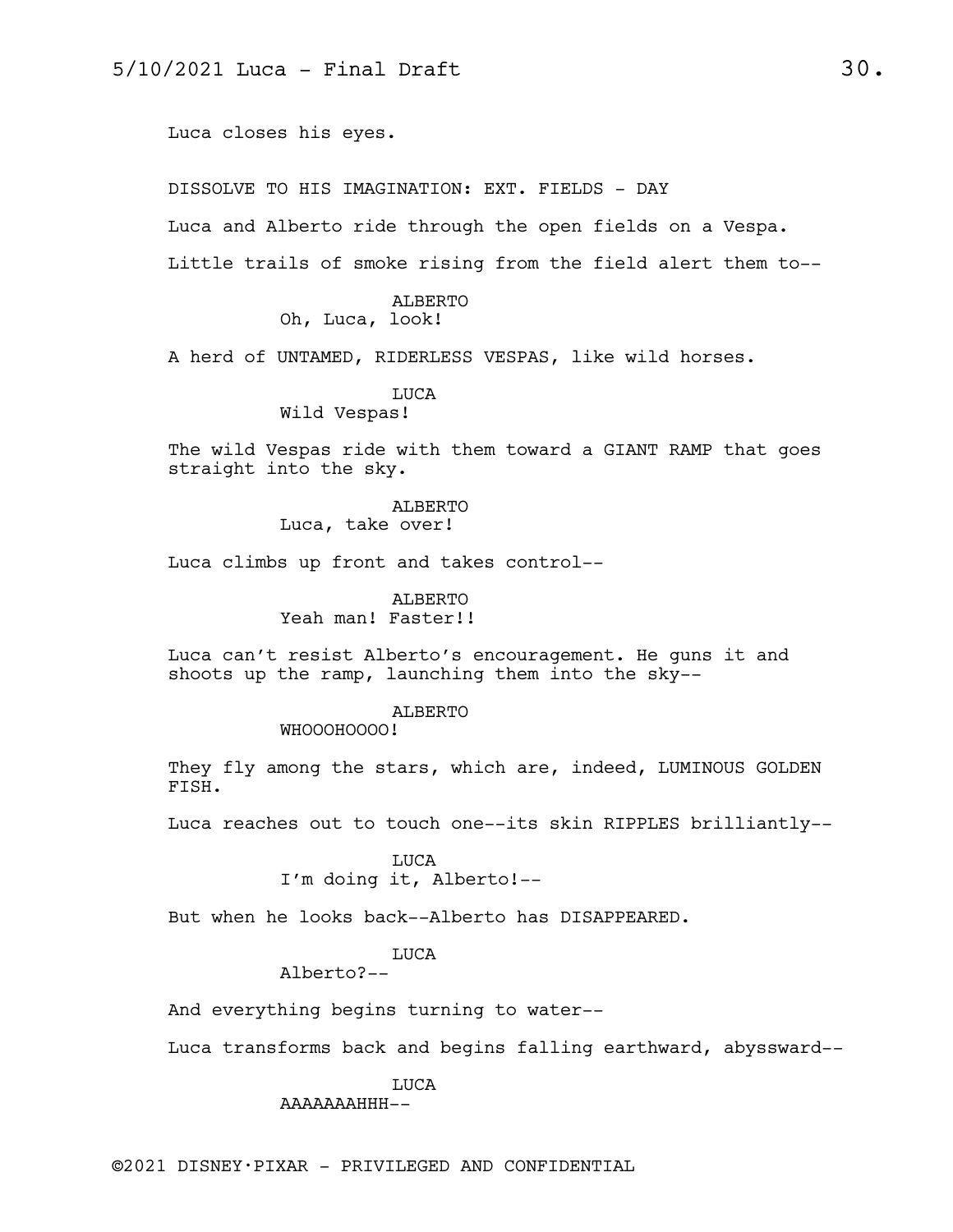Luca closes his eyes.

DISSOLVE TO HIS IMAGINATION: EXT. FIELDS - DAY

Luca and Alberto ride through the open fields on a Vespa.

Little trails of smoke rising from the field alert them to--

ALBERTO Oh, Luca, look!

A herd of UNTAMED, RIDERLESS VESPAS, like wild horses.

LUCA

Wild Vespas!

The wild Vespas ride with them toward a GIANT RAMP that goes straight into the sky.

> ALBERTO Luca, take over!

Luca climbs up front and takes control--

ALBERTO Yeah man! Faster!!

Luca can't resist Alberto's encouragement. He guns it and shoots up the ramp, launching them into the sky--

#### ALBERTO

WHOOOHOOOO!

They fly among the stars, which are, indeed, LUMINOUS GOLDEN FISH.

Luca reaches out to touch one--its skin RIPPLES brilliantly--

LUCA I'm doing it, Alberto!--

But when he looks back--Alberto has DISAPPEARED.

## LUCA

Alberto?--

And everything begins turning to water--

Luca transforms back and begins falling earthward, abyssward--

LUCA AAAAAAAHHH--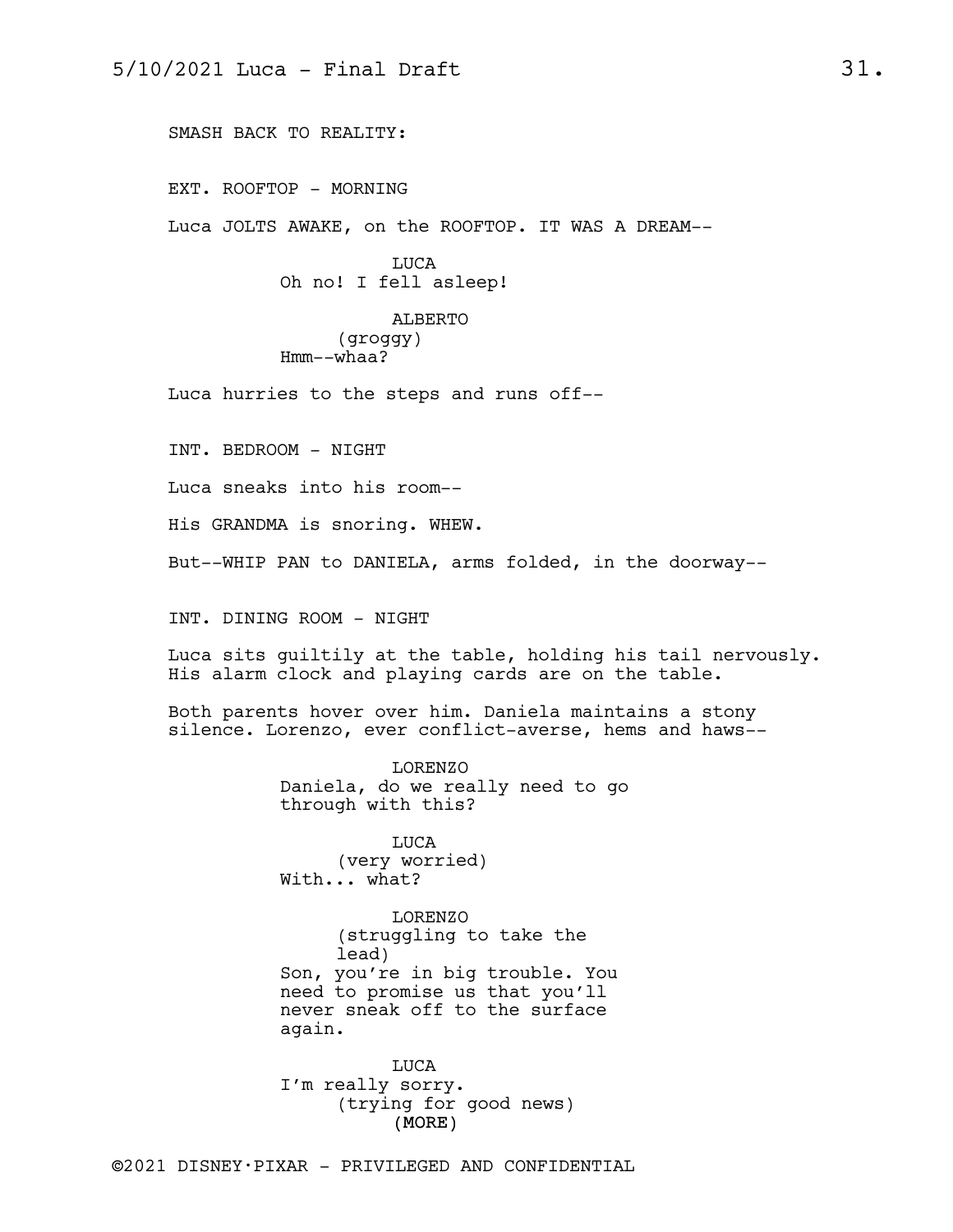SMASH BACK TO REALITY:

EXT. ROOFTOP - MORNING

Luca JOLTS AWAKE, on the ROOFTOP. IT WAS A DREAM--

LUCA Oh no! I fell asleep!

ALBERTO (groggy) Hmm--whaa?

Luca hurries to the steps and runs off--

INT. BEDROOM - NIGHT

Luca sneaks into his room--

His GRANDMA is snoring. WHEW.

But--WHIP PAN to DANIELA, arms folded, in the doorway--

INT. DINING ROOM - NIGHT

Luca sits guiltily at the table, holding his tail nervously. His alarm clock and playing cards are on the table.

Both parents hover over him. Daniela maintains a stony silence. Lorenzo, ever conflict-averse, hems and haws--

> LORENZO Daniela, do we really need to go through with this?

LUCA (very worried) With... what?

LORENZO (struggling to take the lead) Son, you're in big trouble. You need to promise us that you'll never sneak off to the surface again.

(MORE) LUCA I'm really sorry. (trying for good news)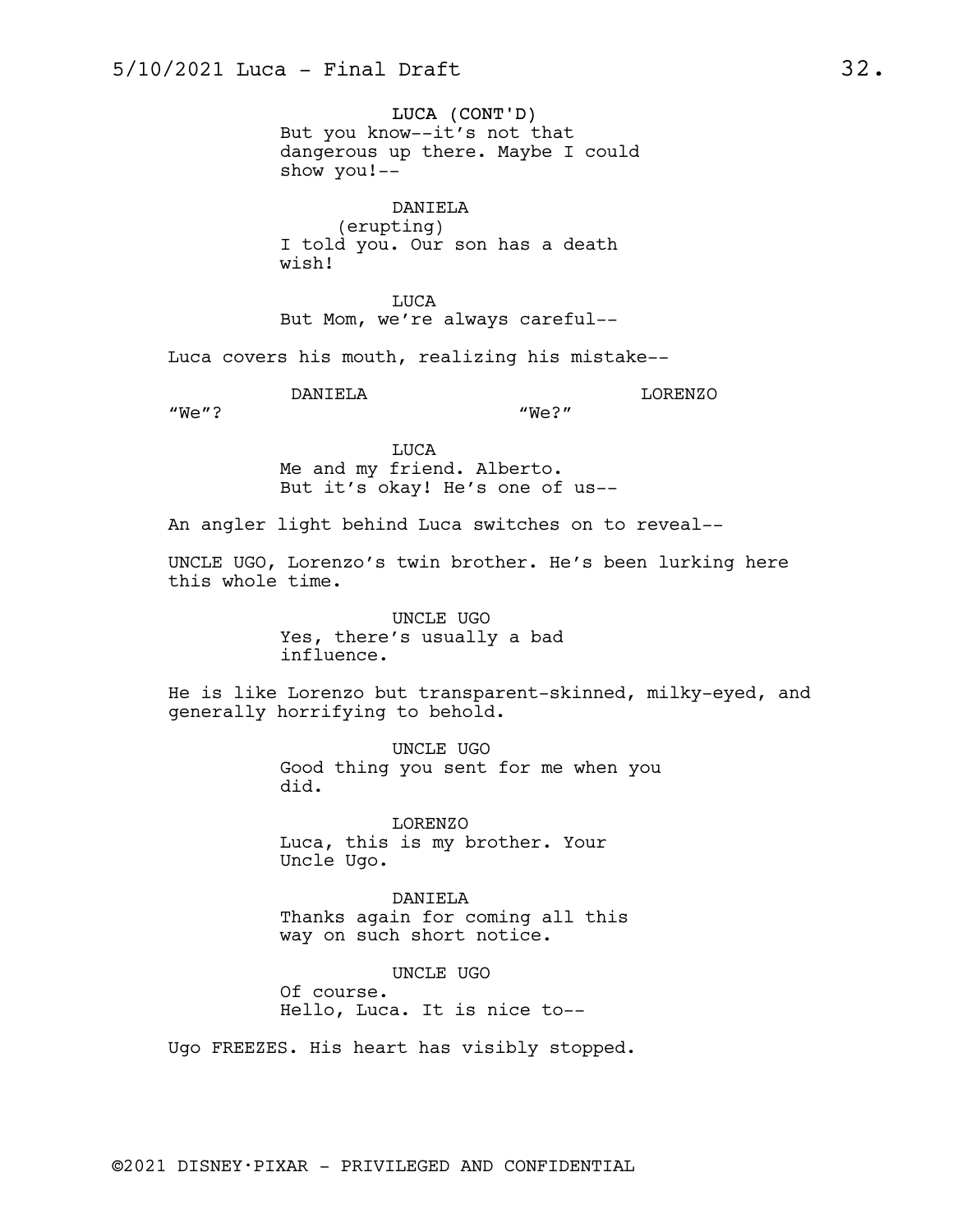LUCA (CONT'D) But you know--it's not that dangerous up there. Maybe I could show you!--

DANIELA (erupting) I told you. Our son has a death wish!

LUCA But Mom, we're always careful--

Luca covers his mouth, realizing his mistake--

DANIELA

LORENZO

"We"?

"We?"

LUCA Me and my friend. Alberto. But it's okay! He's one of us--

An angler light behind Luca switches on to reveal--

UNCLE UGO, Lorenzo's twin brother. He's been lurking here this whole time.

> UNCLE UGO Yes, there's usually a bad influence.

He is like Lorenzo but transparent-skinned, milky-eyed, and generally horrifying to behold.

> UNCLE UGO Good thing you sent for me when you did.

LORENZO Luca, this is my brother. Your Uncle Ugo.

DANIELA Thanks again for coming all this way on such short notice.

UNCLE UGO Of course. Hello, Luca. It is nice to--

Ugo FREEZES. His heart has visibly stopped.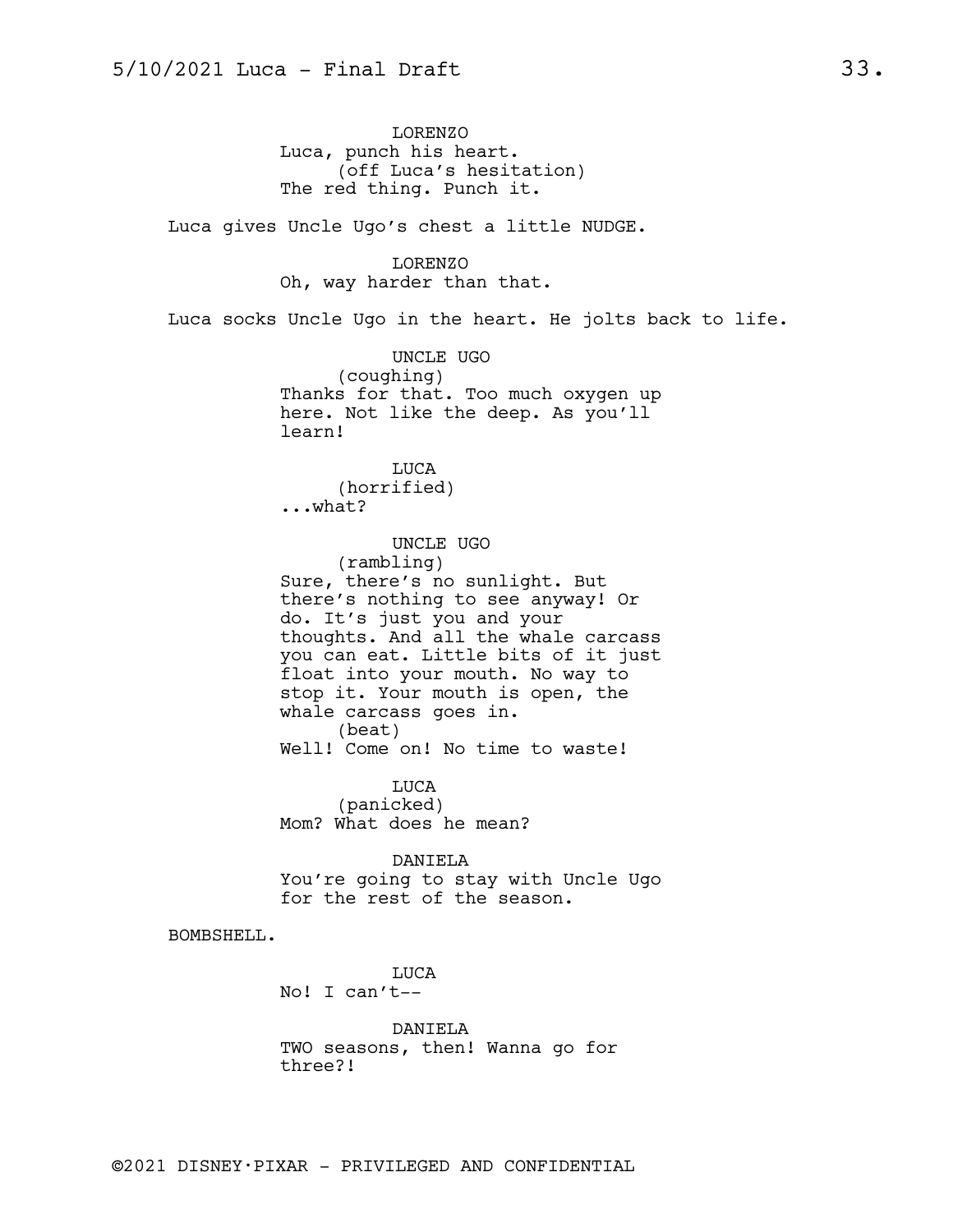LORENZO Luca, punch his heart. (off Luca's hesitation) The red thing. Punch it.

Luca gives Uncle Ugo's chest a little NUDGE.

LORENZO Oh, way harder than that.

Luca socks Uncle Ugo in the heart. He jolts back to life.

UNCLE UGO (coughing) Thanks for that. Too much oxygen up here. Not like the deep. As you'll learn!

LUCA (horrified) ...what?

UNCLE UGO

(rambling) Sure, there's no sunlight. But there's nothing to see anyway! Or do. It's just you and your thoughts. And all the whale carcass you can eat. Little bits of it just float into your mouth. No way to stop it. Your mouth is open, the whale carcass goes in. (beat) Well! Come on! No time to waste!

LUCA (panicked) Mom? What does he mean?

DANIELA You're going to stay with Uncle Ugo for the rest of the season.

BOMBSHELL.

LUCA No! I can't--

DANIELA TWO seasons, then! Wanna go for three?!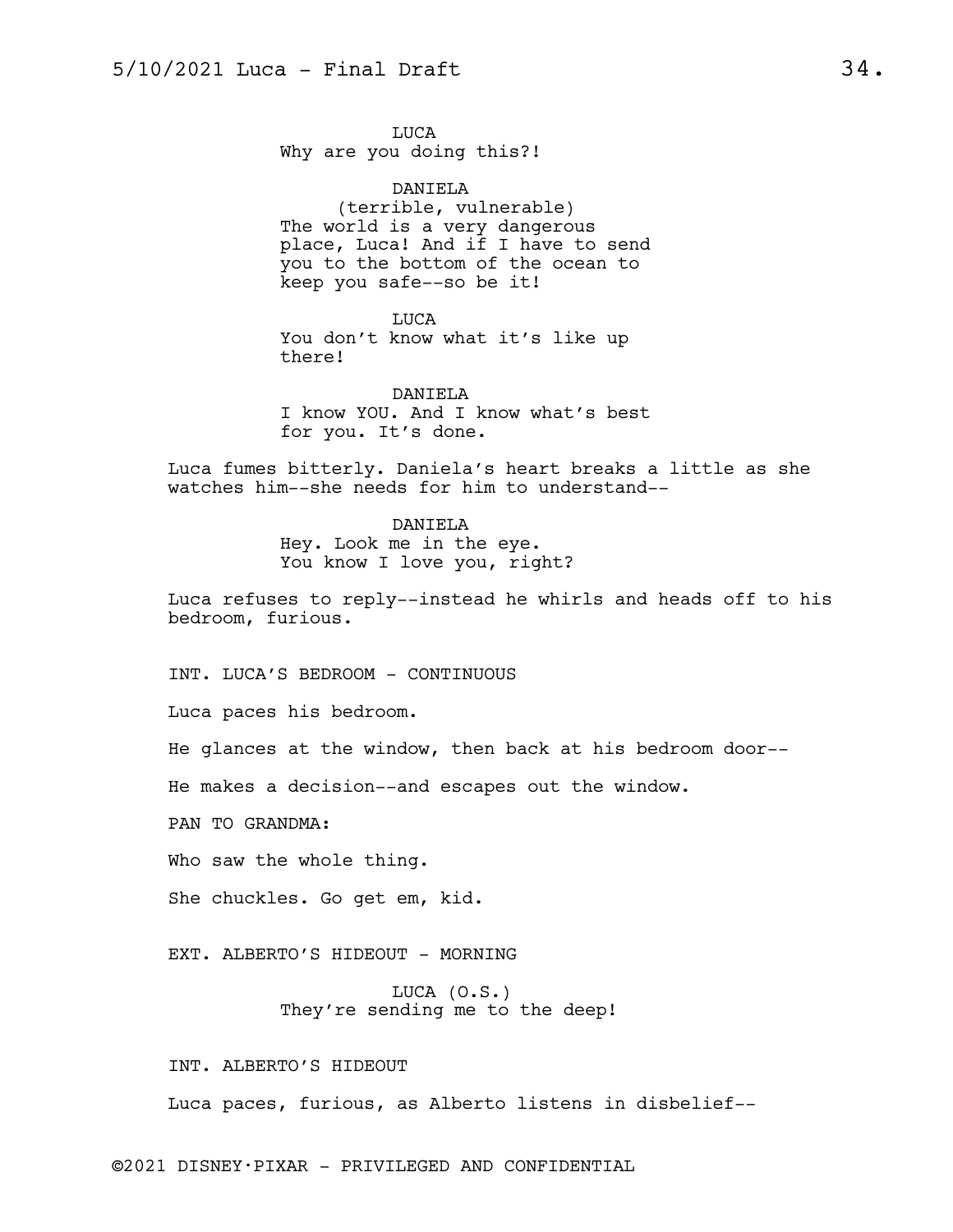LUCA Why are you doing this?!

DANIELA (terrible, vulnerable) The world is a very dangerous place, Luca! And if I have to send you to the bottom of the ocean to keep you safe--so be it!

LUCA You don't know what it's like up there!

DANIELA I know YOU. And I know what's best for you. It's done.

Luca fumes bitterly. Daniela's heart breaks a little as she watches him--she needs for him to understand--

> DANIELA Hey. Look me in the eye. You know I love you, right?

Luca refuses to reply--instead he whirls and heads off to his bedroom, furious.

INT. LUCA'S BEDROOM - CONTINUOUS

Luca paces his bedroom.

He glances at the window, then back at his bedroom door--

He makes a decision--and escapes out the window.

PAN TO GRANDMA:

Who saw the whole thing.

She chuckles. Go get em, kid.

EXT. ALBERTO'S HIDEOUT - MORNING

LUCA (O.S.) They're sending me to the deep!

INT. ALBERTO'S HIDEOUT

Luca paces, furious, as Alberto listens in disbelief--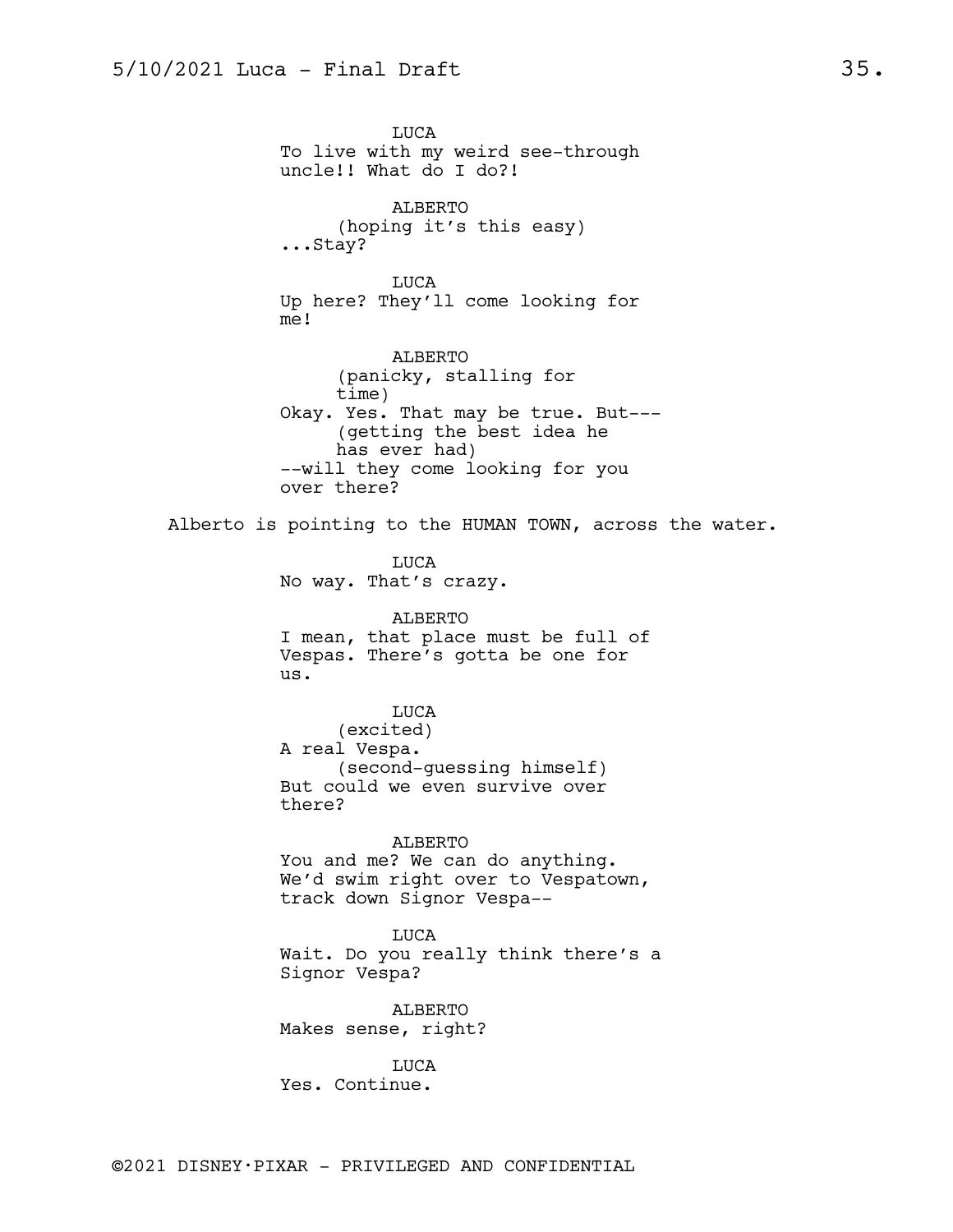LUCA To live with my weird see-through uncle!! What do I do?! ALBERTO (hoping it's this easy) ...Stay? LUCA Up here? They'll come looking for me! ALBERTO (panicky, stalling for time) Okay. Yes. That may be true. But--- (getting the best idea he has ever had) --will they come looking for you over there? Alberto is pointing to the HUMAN TOWN, across the water. LUCA No way. That's crazy. ALBERTO I mean, that place must be full of Vespas. There's gotta be one for us. LUCA (excited) A real Vespa. (second-guessing himself) But could we even survive over there? ALBERTO You and me? We can do anything. We'd swim right over to Vespatown, track down Signor Vespa-- LUCA Wait. Do you really think there's a Signor Vespa? ALBERTO Makes sense, right? LUCA Yes. Continue.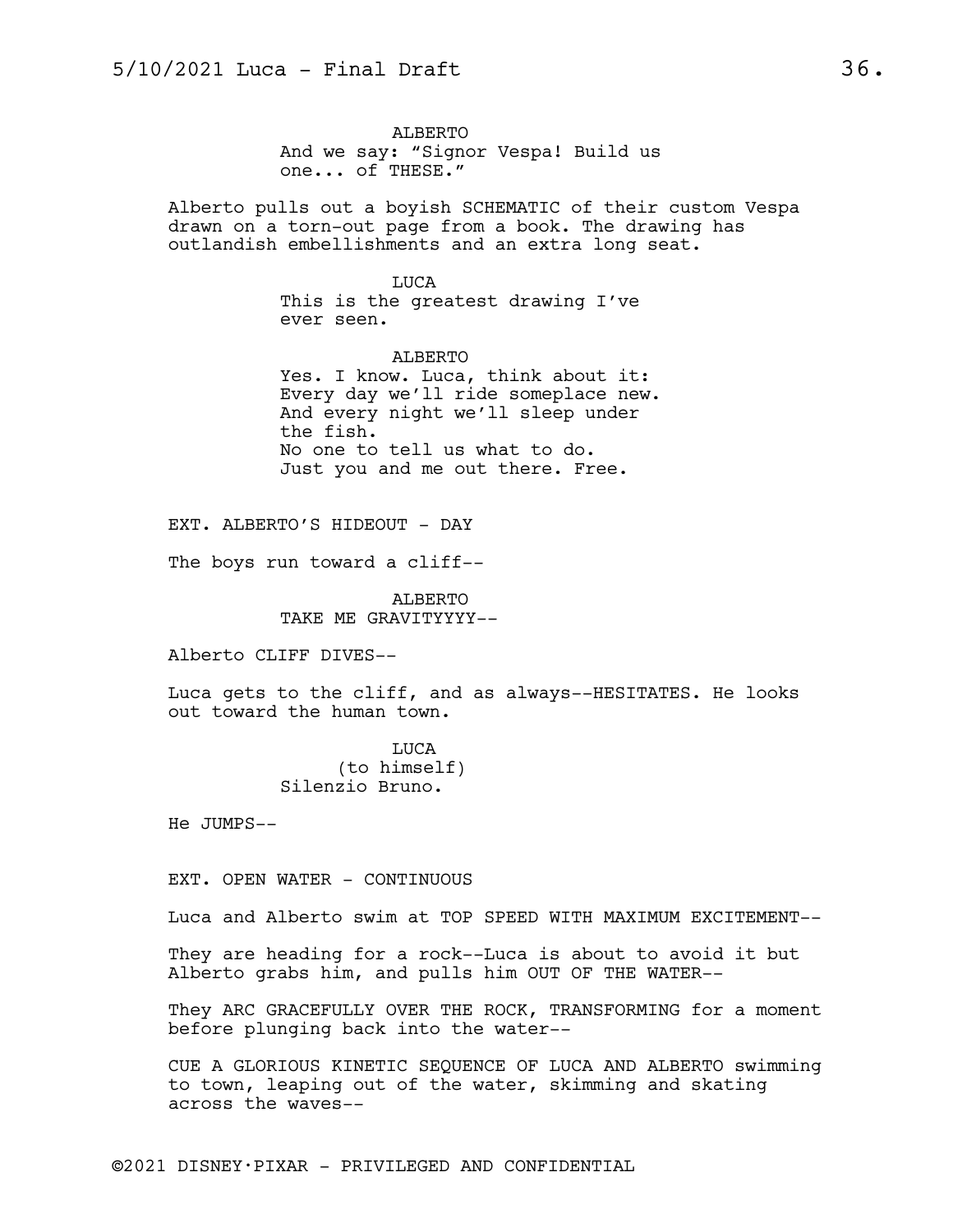ALBERTO And we say: "Signor Vespa! Build us one... of THESE."

Alberto pulls out a boyish SCHEMATIC of their custom Vespa drawn on a torn-out page from a book. The drawing has outlandish embellishments and an extra long seat.

> LUCA This is the greatest drawing I've ever seen.

ALBERTO Yes. I know. Luca, think about it: Every day we'll ride someplace new. And every night we'll sleep under the fish. No one to tell us what to do. Just you and me out there. Free.

EXT. ALBERTO'S HIDEOUT - DAY

The boys run toward a cliff--

ALBERTO TAKE ME GRAVITYYYY--

Alberto CLIFF DIVES--

Luca gets to the cliff, and as always--HESITATES. He looks out toward the human town.

> LUCA (to himself) Silenzio Bruno.

He JUMPS--

EXT. OPEN WATER - CONTINUOUS

Luca and Alberto swim at TOP SPEED WITH MAXIMUM EXCITEMENT--

They are heading for a rock--Luca is about to avoid it but Alberto grabs him, and pulls him OUT OF THE WATER--

They ARC GRACEFULLY OVER THE ROCK, TRANSFORMING for a moment before plunging back into the water--

CUE A GLORIOUS KINETIC SEQUENCE OF LUCA AND ALBERTO swimming to town, leaping out of the water, skimming and skating across the waves--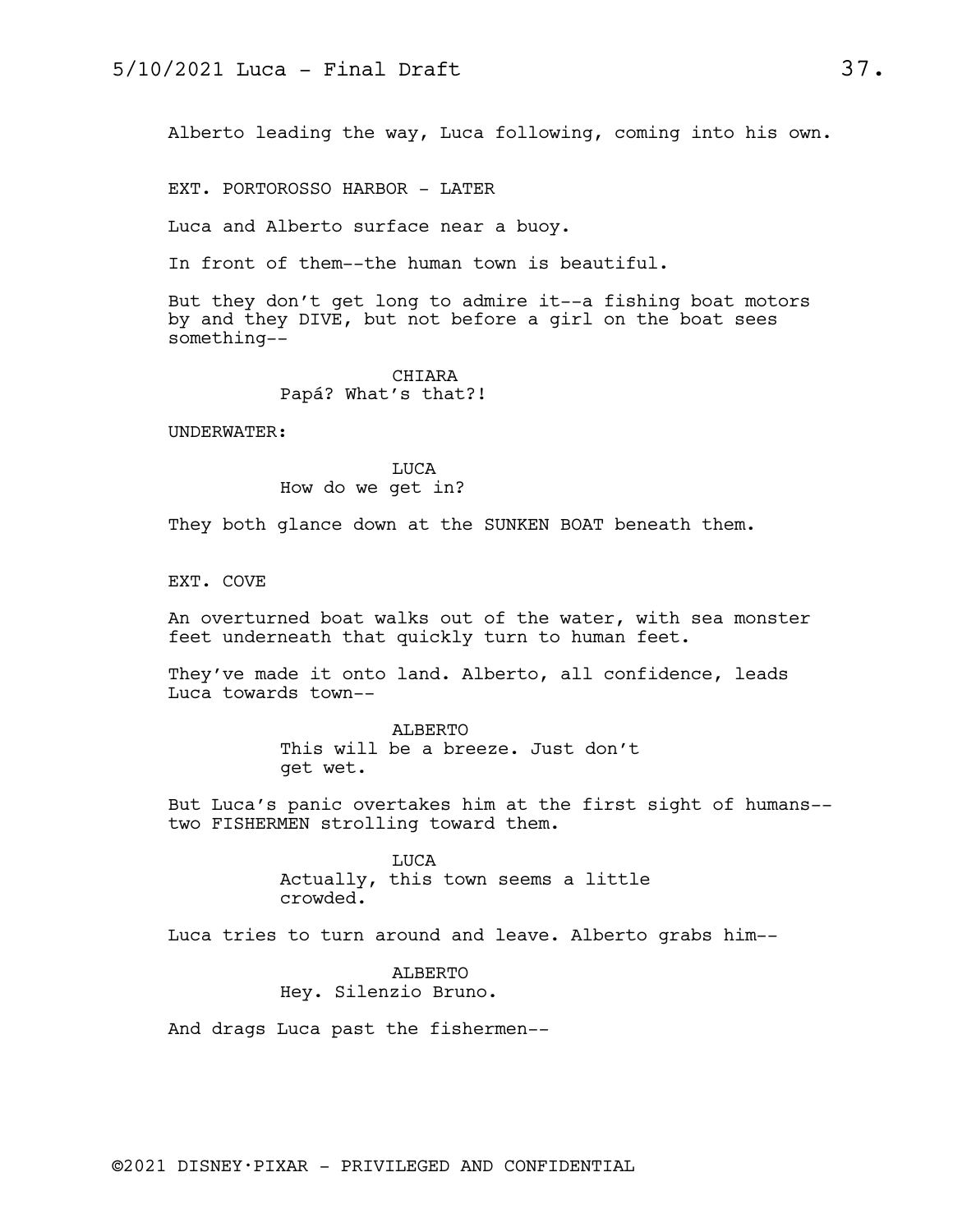Alberto leading the way, Luca following, coming into his own.

EXT. PORTOROSSO HARBOR - LATER

Luca and Alberto surface near a buoy.

In front of them--the human town is beautiful.

But they don't get long to admire it--a fishing boat motors by and they DIVE, but not before a girl on the boat sees something--

## CHIARA Papá? What's that?!

UNDERWATER:

LUCA How do we get in?

They both glance down at the SUNKEN BOAT beneath them.

EXT. COVE

An overturned boat walks out of the water, with sea monster feet underneath that quickly turn to human feet.

They've made it onto land. Alberto, all confidence, leads Luca towards town--

> ALBERTO This will be a breeze. Just don't get wet.

But Luca's panic overtakes him at the first sight of humans- two FISHERMEN strolling toward them.

> LUCA Actually, this town seems a little crowded.

Luca tries to turn around and leave. Alberto grabs him--

ALBERTO Hey. Silenzio Bruno.

And drags Luca past the fishermen--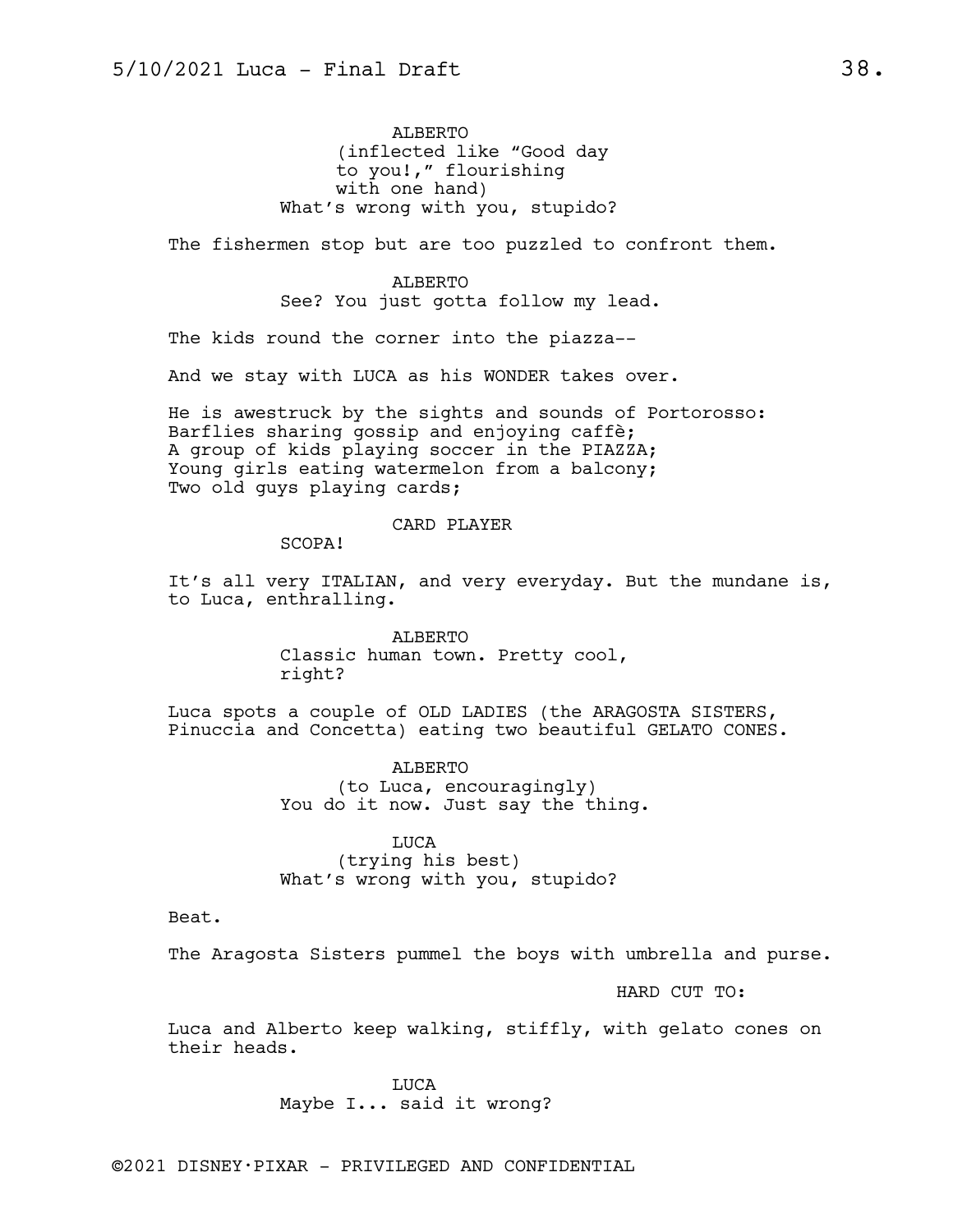ALBERTO (inflected like "Good day to you!," flourishing with one hand) What's wrong with you, stupido?

The fishermen stop but are too puzzled to confront them.

ALBERTO See? You just gotta follow my lead.

The kids round the corner into the piazza--

And we stay with LUCA as his WONDER takes over.

He is awestruck by the sights and sounds of Portorosso: Barflies sharing gossip and enjoying caffè; A group of kids playing soccer in the PIAZZA; Young girls eating watermelon from a balcony; Two old guys playing cards;

### CARD PLAYER

SCOPA!

It's all very ITALIAN, and very everyday. But the mundane is, to Luca, enthralling.

> ALBERTO Classic human town. Pretty cool, right?

Luca spots a couple of OLD LADIES (the ARAGOSTA SISTERS, Pinuccia and Concetta) eating two beautiful GELATO CONES.

> ALBERTO (to Luca, encouragingly) You do it now. Just say the thing.

LUCA (trying his best) What's wrong with you, stupido?

Beat.

The Aragosta Sisters pummel the boys with umbrella and purse.

HARD CUT TO:

Luca and Alberto keep walking, stiffly, with gelato cones on their heads.

> LUCA Maybe I... said it wrong?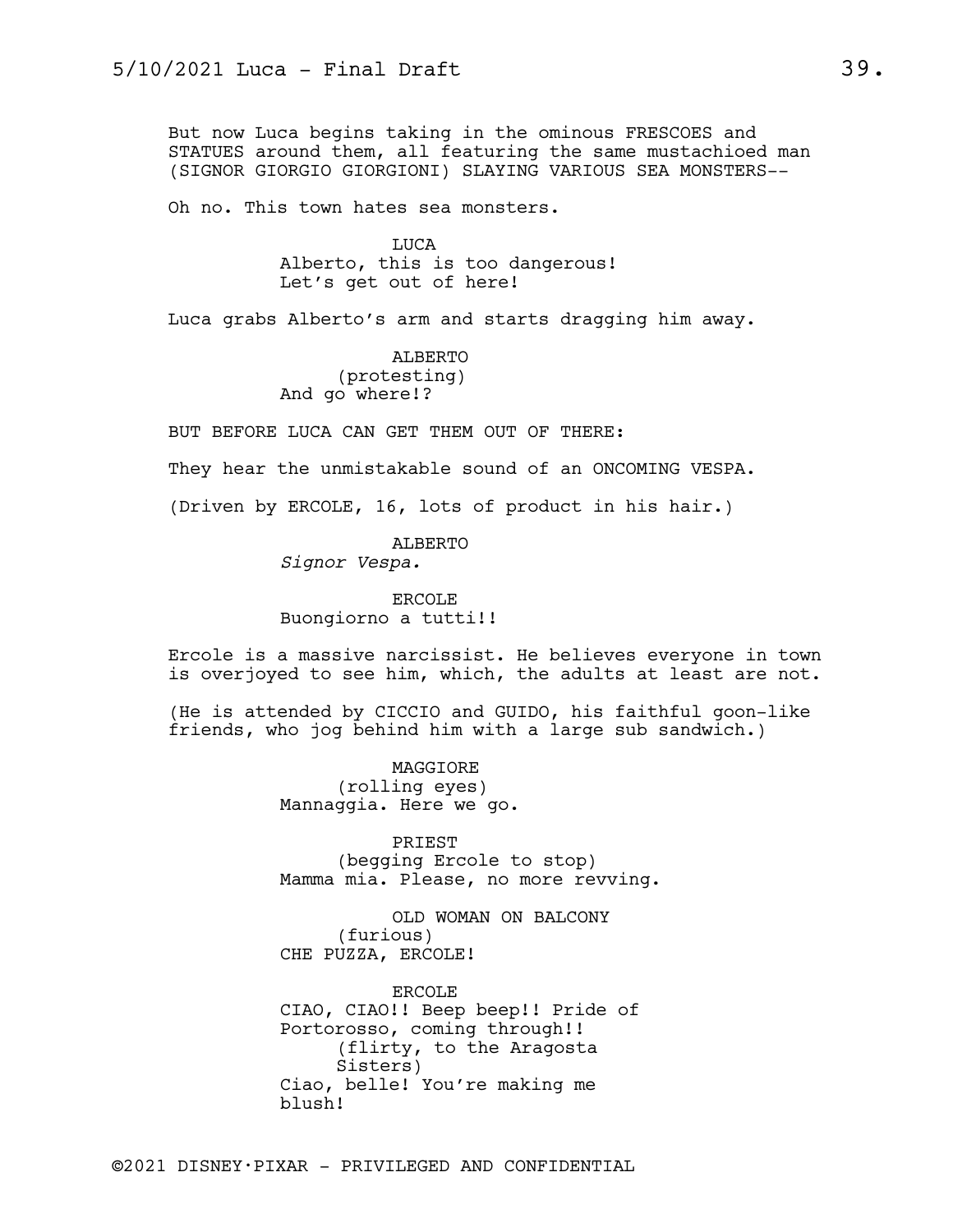But now Luca begins taking in the ominous FRESCOES and STATUES around them, all featuring the same mustachioed man (SIGNOR GIORGIO GIORGIONI) SLAYING VARIOUS SEA MONSTERS--

Oh no. This town hates sea monsters.

LUCA Alberto, this is too dangerous! Let's get out of here!

Luca grabs Alberto's arm and starts dragging him away.

ALBERTO (protesting) And go where!?

BUT BEFORE LUCA CAN GET THEM OUT OF THERE:

They hear the unmistakable sound of an ONCOMING VESPA.

(Driven by ERCOLE, 16, lots of product in his hair.)

ALBERTO *Signor Vespa.*

ERCOLE Buongiorno a tutti!!

Ercole is a massive narcissist. He believes everyone in town is overjoyed to see him, which, the adults at least are not.

(He is attended by CICCIO and GUIDO, his faithful goon-like friends, who jog behind him with a large sub sandwich.)

> MAGGIORE (rolling eyes) Mannaggia. Here we go.

PRIEST (begging Ercole to stop) Mamma mia. Please, no more revving.

OLD WOMAN ON BALCONY (furious) CHE PUZZA, ERCOLE!

ERCOLE CIAO, CIAO!! Beep beep!! Pride of Portorosso, coming through!! (flirty, to the Aragosta Sisters) Ciao, belle! You're making me blush!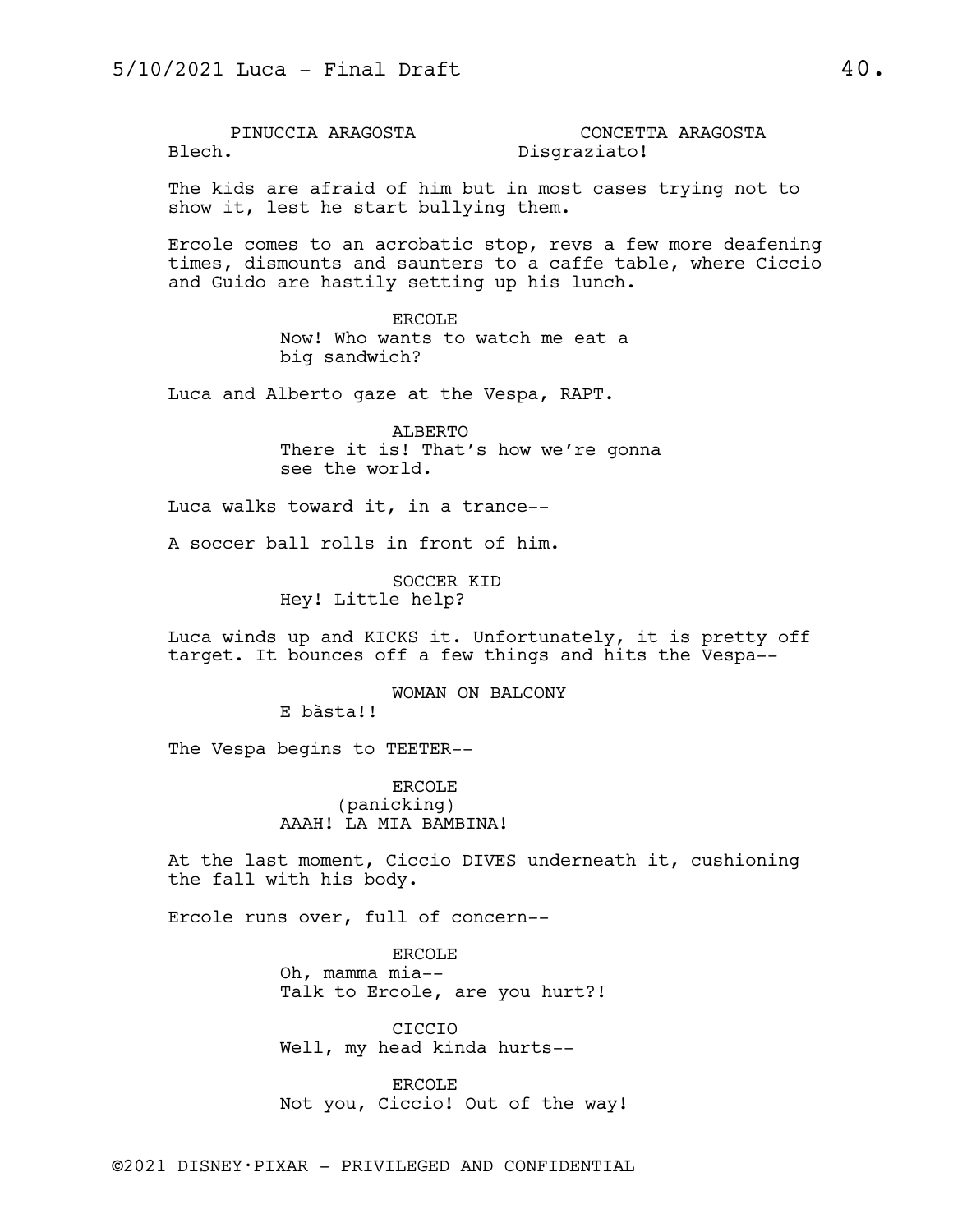PINUCCIA ARAGOSTA Blech. CONCETTA ARAGOSTA Disgraziato!

The kids are afraid of him but in most cases trying not to show it, lest he start bullying them.

Ercole comes to an acrobatic stop, revs a few more deafening times, dismounts and saunters to a caffe table, where Ciccio and Guido are hastily setting up his lunch.

> ERCOLE Now! Who wants to watch me eat a big sandwich?

Luca and Alberto gaze at the Vespa, RAPT.

ALBERTO There it is! That's how we're gonna see the world.

Luca walks toward it, in a trance--

A soccer ball rolls in front of him.

SOCCER KID Hey! Little help?

Luca winds up and KICKS it. Unfortunately, it is pretty off target. It bounces off a few things and hits the Vespa--

WOMAN ON BALCONY

E bàsta!!

The Vespa begins to TEETER--

ERCOLE (panicking) AAAH! LA MIA BAMBINA!

At the last moment, Ciccio DIVES underneath it, cushioning the fall with his body.

Ercole runs over, full of concern--

ERCOLE Oh, mamma mia-- Talk to Ercole, are you hurt?!

CICCIO Well, my head kinda hurts--

ERCOLE Not you, Ciccio! Out of the way!

©2021 DISNEY•PIXAR - PRIVILEGED AND CONFIDENTIAL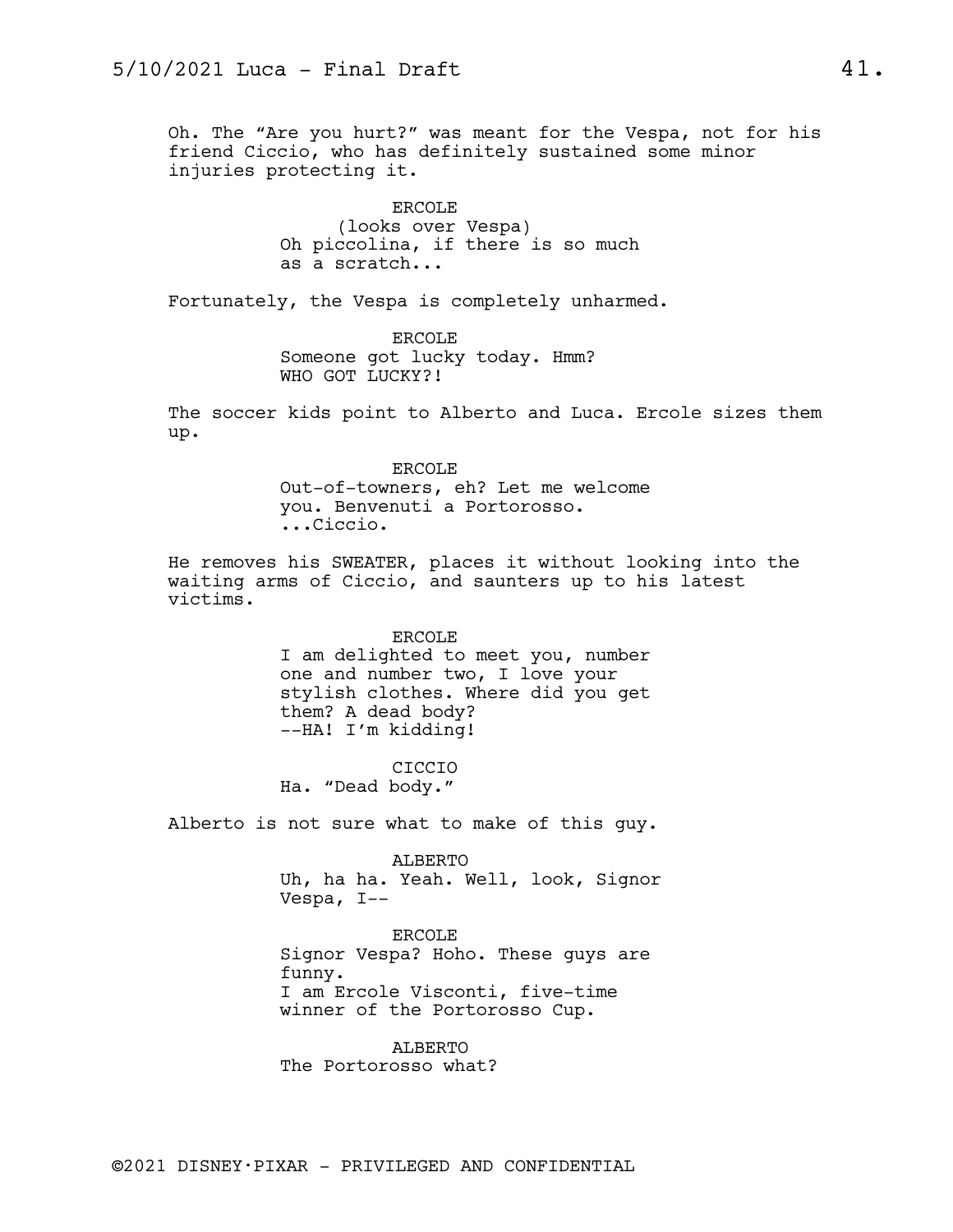Oh. The "Are you hurt?" was meant for the Vespa, not for his friend Ciccio, who has definitely sustained some minor injuries protecting it.

> ERCOLE (looks over Vespa) Oh piccolina, if there is so much as a scratch...

Fortunately, the Vespa is completely unharmed.

ERCOLE Someone got lucky today. Hmm? WHO GOT LUCKY?!

The soccer kids point to Alberto and Luca. Ercole sizes them up.

> ERCOLE Out-of-towners, eh? Let me welcome you. Benvenuti a Portorosso. ...Ciccio.

He removes his SWEATER, places it without looking into the waiting arms of Ciccio, and saunters up to his latest victims.

### ERCOLE

I am delighted to meet you, number one and number two, I love your stylish clothes. Where did you get them? A dead body? --HA! I'm kidding!

CICCIO Ha. "Dead body."

Alberto is not sure what to make of this guy.

ALBERTO Uh, ha ha. Yeah. Well, look, Signor Vespa, I--

ERCOLE Signor Vespa? Hoho. These guys are funny. I am Ercole Visconti, five-time winner of the Portorosso Cup.

ALBERTO The Portorosso what?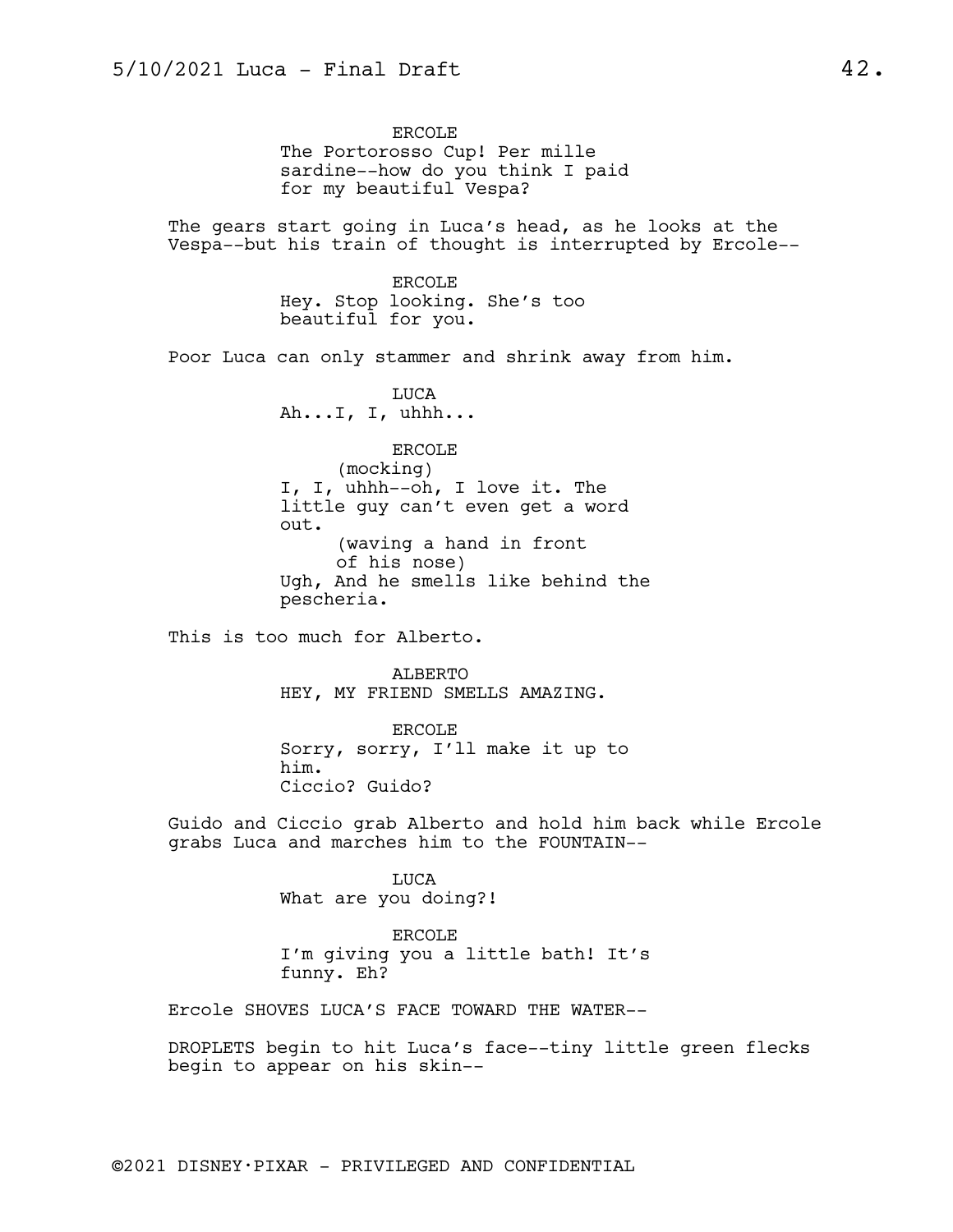ERCOLE The Portorosso Cup! Per mille sardine--how do you think I paid for my beautiful Vespa?

The gears start going in Luca's head, as he looks at the Vespa--but his train of thought is interrupted by Ercole--

> ERCOLE Hey. Stop looking. She's too beautiful for you.

Poor Luca can only stammer and shrink away from him.

LUCA Ah...I, I, uhhh...

ERCOLE (mocking) I, I, uhhh--oh, I love it. The little guy can't even get a word out. (waving a hand in front of his nose) Ugh, And he smells like behind the pescheria.

This is too much for Alberto.

ALBERTO HEY, MY FRIEND SMELLS AMAZING.

ERCOLE Sorry, sorry, I'll make it up to him. Ciccio? Guido?

Guido and Ciccio grab Alberto and hold him back while Ercole grabs Luca and marches him to the FOUNTAIN--

> LUCA What are you doing?!

ERCOLE I'm giving you a little bath! It's funny. Eh?

Ercole SHOVES LUCA'S FACE TOWARD THE WATER--

DROPLETS begin to hit Luca's face--tiny little green flecks begin to appear on his skin--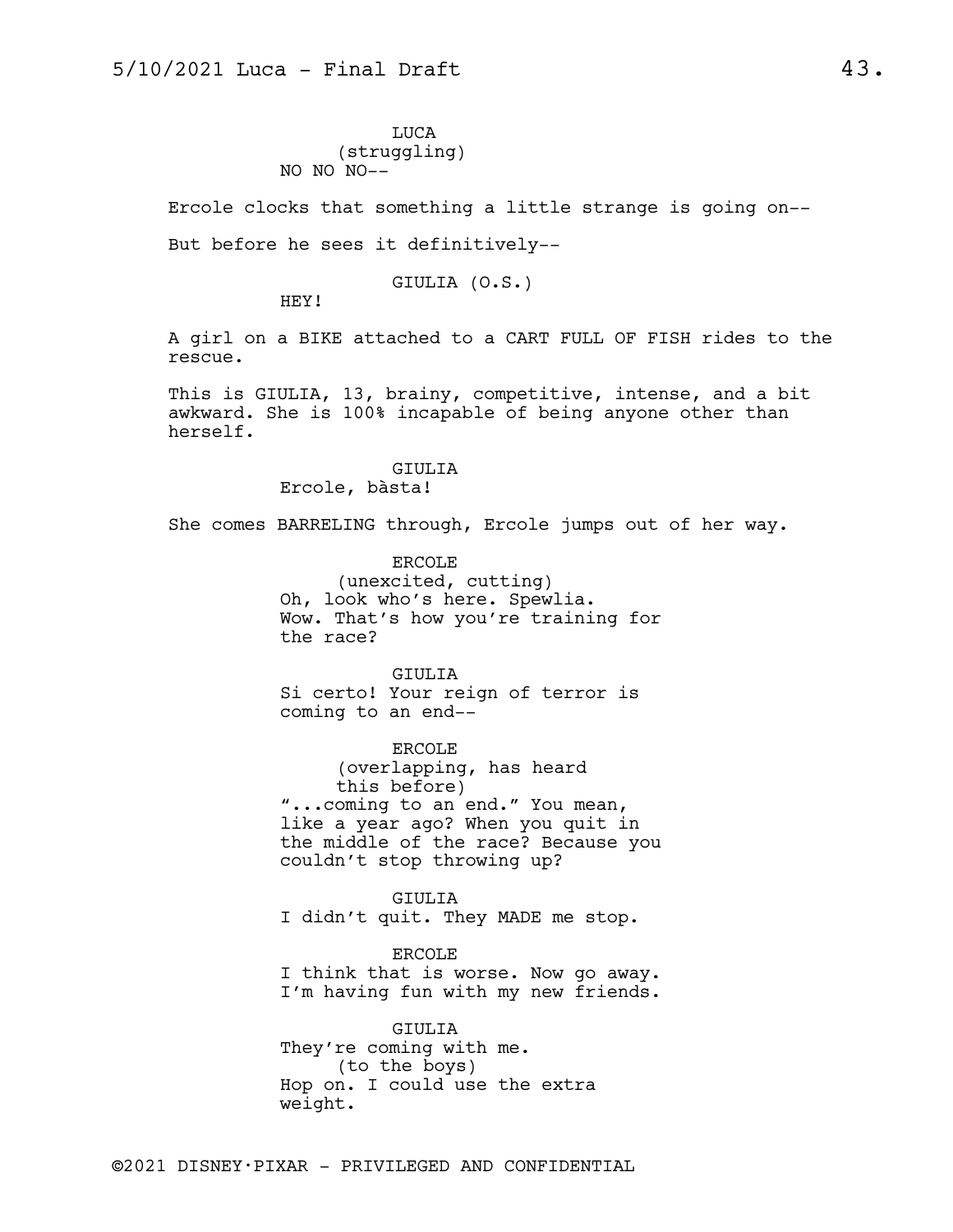LUCA (struggling) NO NO NO--

Ercole clocks that something a little strange is going on--

But before he sees it definitively--

GIULIA (O.S.)

HEY!

A girl on a BIKE attached to a CART FULL OF FISH rides to the rescue.

This is GIULIA, 13, brainy, competitive, intense, and a bit awkward. She is 100% incapable of being anyone other than herself.

## GIULIA Ercole, bàsta!

She comes BARRELING through, Ercole jumps out of her way.

ERCOLE (unexcited, cutting) Oh, look who's here. Spewlia. Wow. That's how you're training for the race?

GIULIA Si certo! Your reign of terror is coming to an end--

ERCOLE (overlapping, has heard this before) "...coming to an end." You mean, like a year ago? When you quit in the middle of the race? Because you couldn't stop throwing up?

GIULIA I didn't quit. They MADE me stop.

ERCOLE I think that is worse. Now go away. I'm having fun with my new friends.

GIULIA They're coming with me. (to the boys) Hop on. I could use the extra weight.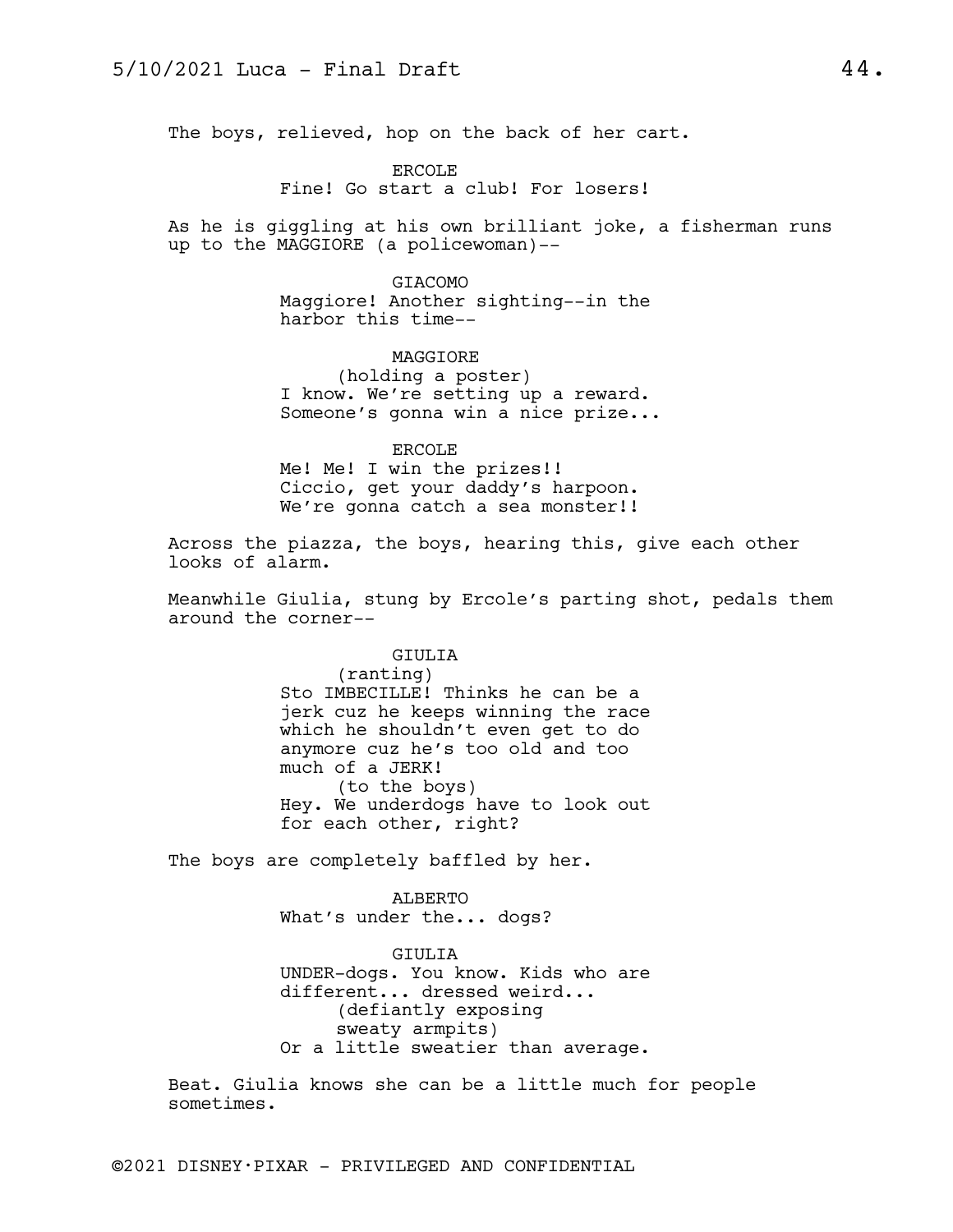The boys, relieved, hop on the back of her cart.

ERCOLE Fine! Go start a club! For losers!

As he is giggling at his own brilliant joke, a fisherman runs up to the MAGGIORE (a policewoman)--

> GIACOMO Maggiore! Another sighting--in the harbor this time--

> > MAGGIORE

(holding a poster) I know. We're setting up a reward. Someone's gonna win a nice prize...

ERCOLE Me! Me! I win the prizes!! Ciccio, get your daddy's harpoon. We're gonna catch a sea monster!!

Across the piazza, the boys, hearing this, give each other looks of alarm.

Meanwhile Giulia, stung by Ercole's parting shot, pedals them around the corner--

> GIULIA (ranting)

Sto IMBECILLE! Thinks he can be a jerk cuz he keeps winning the race which he shouldn't even get to do anymore cuz he's too old and too much of a JERK! (to the boys) Hey. We underdogs have to look out for each other, right?

The boys are completely baffled by her.

ALBERTO What's under the... dogs?

GIULIA UNDER-dogs. You know. Kids who are different... dressed weird... (defiantly exposing sweaty armpits) Or a little sweatier than average.

Beat. Giulia knows she can be a little much for people sometimes.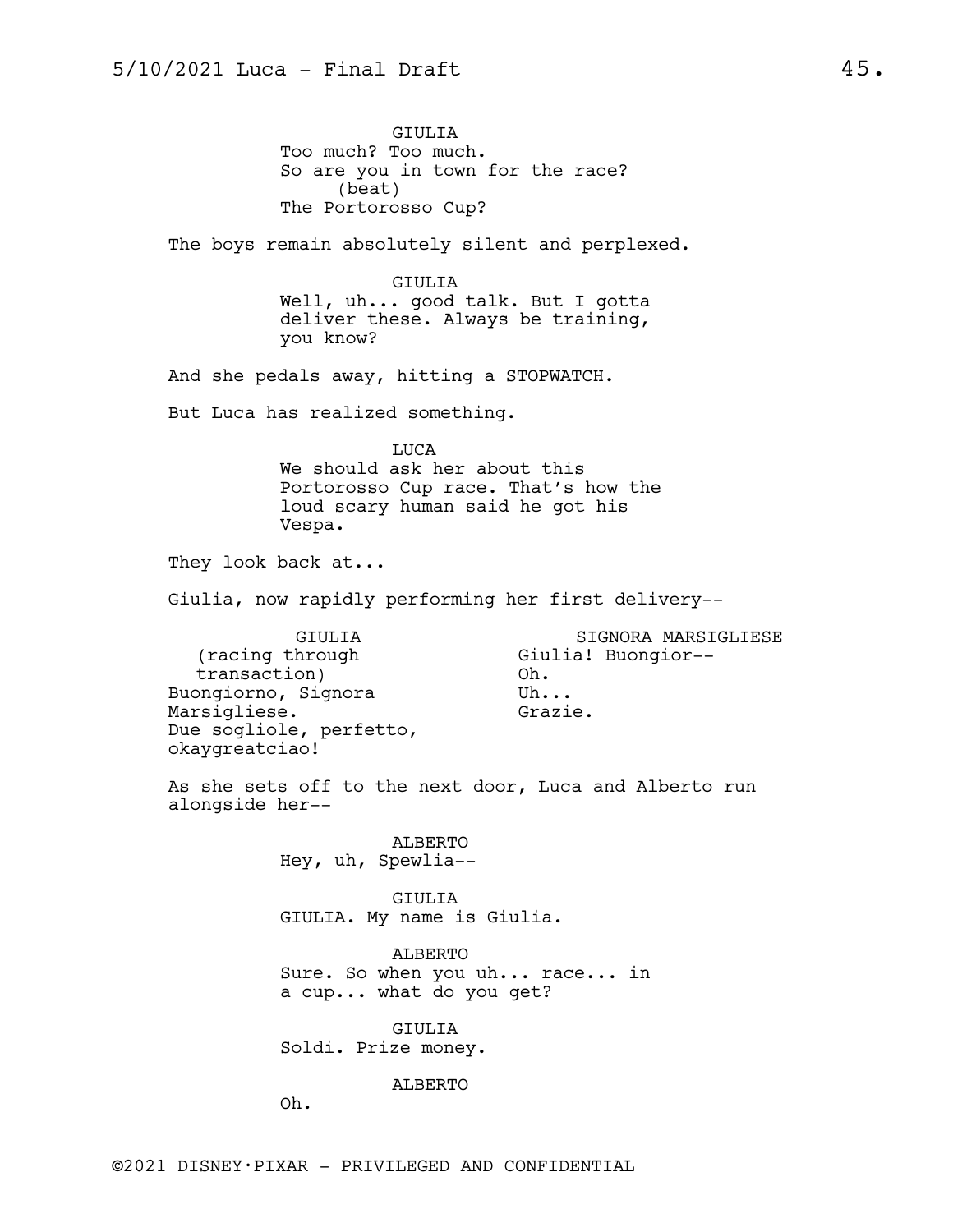GIULIA Too much? Too much. So are you in town for the race? (beat) The Portorosso Cup?

The boys remain absolutely silent and perplexed.

GIULIA Well, uh... good talk. But I gotta deliver these. Always be training, you know?

And she pedals away, hitting a STOPWATCH.

But Luca has realized something.

LUCA

We should ask her about this Portorosso Cup race. That's how the loud scary human said he got his Vespa.

They look back at...

Giulia, now rapidly performing her first delivery--

GIULIA (racing through transaction) Buongiorno, Signora Marsigliese. Due sogliole, perfetto, okaygreatciao! SIGNORA MARSIGLIESE Giulia! Buongior-- Oh. Uh... Grazie.

As she sets off to the next door, Luca and Alberto run alongside her--

> ALBERTO Hey, uh, Spewlia--

GIULIA GIULIA. My name is Giulia.

ALBERTO Sure. So when you uh... race... in a cup... what do you get?

GIULIA Soldi. Prize money.

ALBERTO

Oh.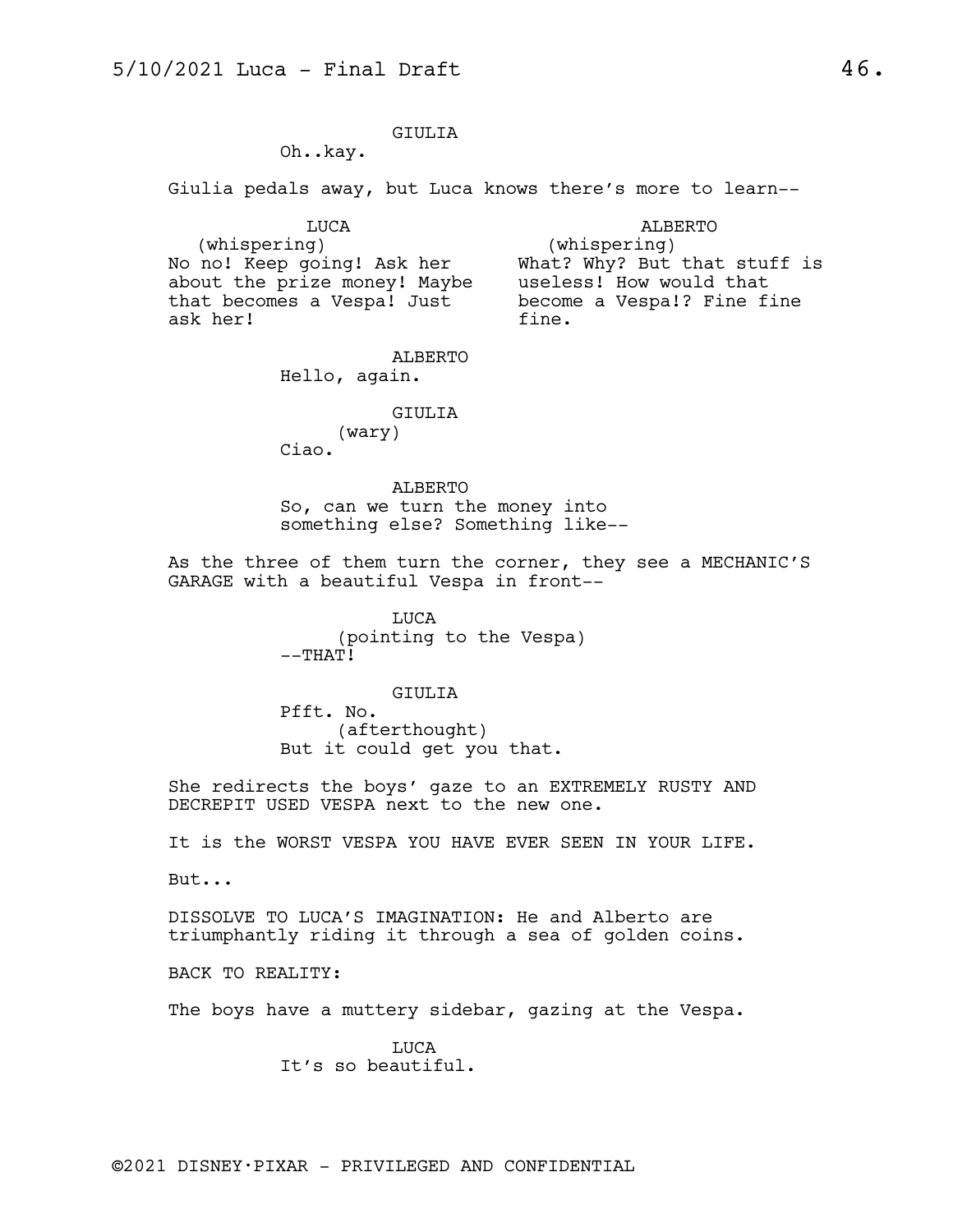## GIULIA

Oh..kay.

Giulia pedals away, but Luca knows there's more to learn--

LUCA

ALBERTO

(whispering) No no! Keep going! Ask her about the prize money! Maybe that becomes a Vespa! Just ask her!

(whispering) What? Why? But that stuff is useless! How would that become a Vespa!? Fine fine fine.

ALBERTO Hello, again.

GIULIA

(wary)

Ciao.

ALBERTO So, can we turn the money into something else? Something like--

As the three of them turn the corner, they see a MECHANIC'S GARAGE with a beautiful Vespa in front--

> LUCA (pointing to the Vespa)  $--THAT!$

> > GIULIA

Pfft. No. (afterthought) But it could get you that.

She redirects the boys' gaze to an EXTREMELY RUSTY AND DECREPIT USED VESPA next to the new one.

It is the WORST VESPA YOU HAVE EVER SEEN IN YOUR LIFE.

But...

DISSOLVE TO LUCA'S IMAGINATION: He and Alberto are triumphantly riding it through a sea of golden coins.

BACK TO REALITY:

The boys have a muttery sidebar, gazing at the Vespa.

LUCA It's so beautiful.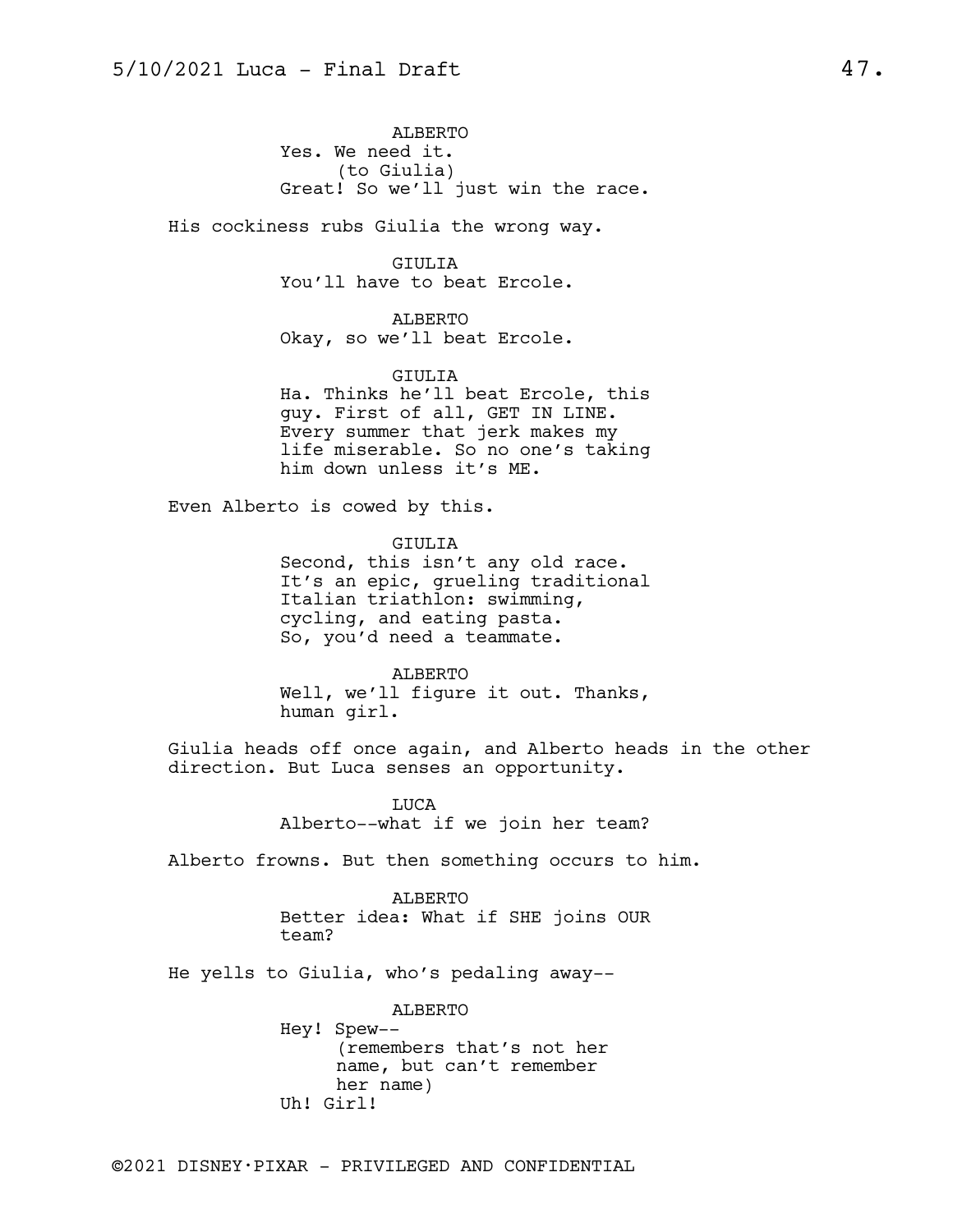ALBERTO Yes. We need it. (to Giulia) Great! So we'll just win the race.

His cockiness rubs Giulia the wrong way.

GIULIA You'll have to beat Ercole.

ALBERTO Okay, so we'll beat Ercole.

GIULIA Ha. Thinks he'll beat Ercole, this guy. First of all, GET IN LINE. Every summer that jerk makes my life miserable. So no one's taking him down unless it's ME.

Even Alberto is cowed by this.

GIULIA Second, this isn't any old race. It's an epic, grueling traditional Italian triathlon: swimming, cycling, and eating pasta. So, you'd need a teammate.

ALBERTO Well, we'll figure it out. Thanks, human girl.

Giulia heads off once again, and Alberto heads in the other direction. But Luca senses an opportunity.

> LUCA Alberto--what if we join her team?

Alberto frowns. But then something occurs to him.

ALBERTO Better idea: What if SHE joins OUR team?

He yells to Giulia, who's pedaling away--

ALBERTO Hey! Spew-- (remembers that's not her name, but can't remember her name) Uh! Girl!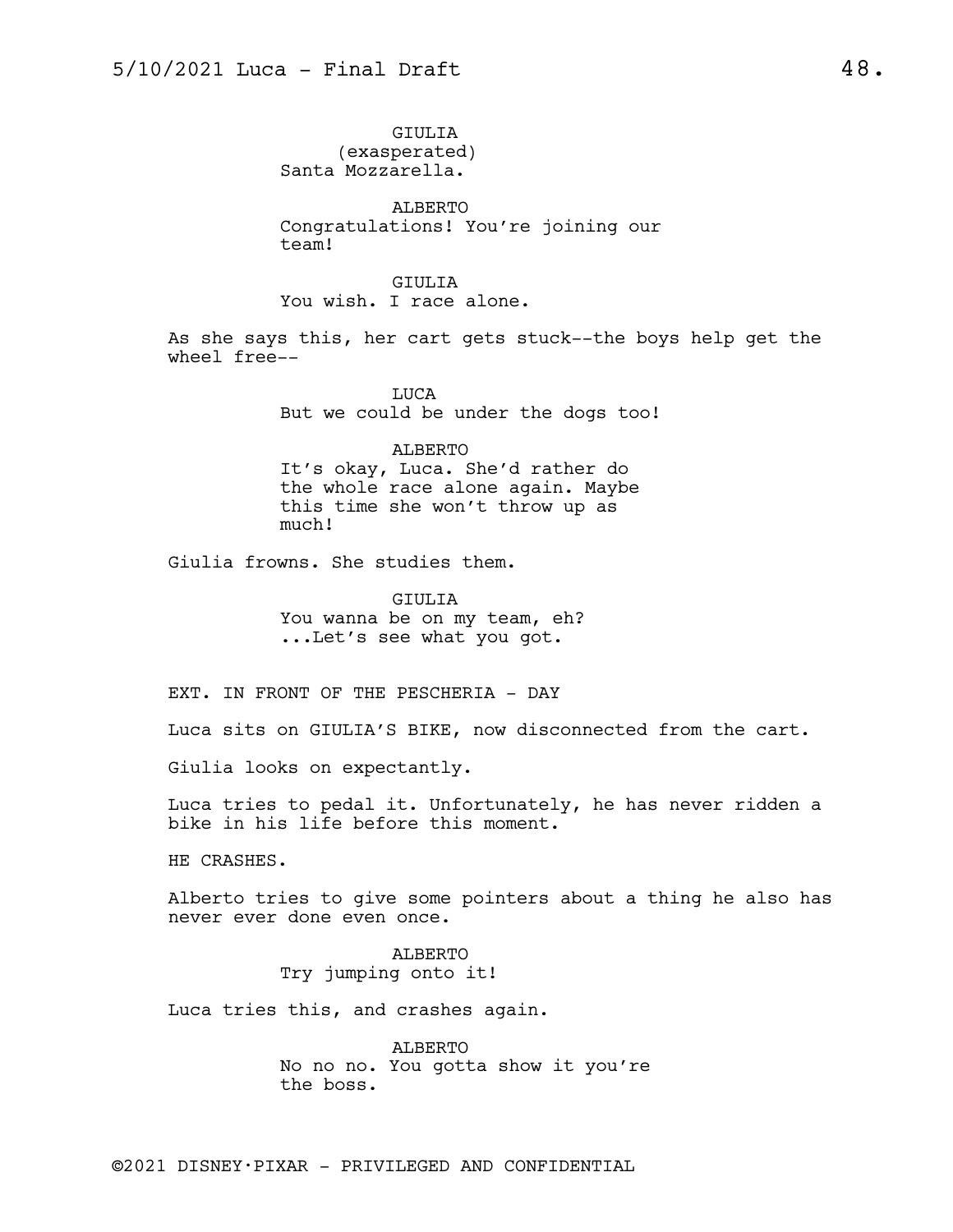GIULIA (exasperated) Santa Mozzarella.

ALBERTO Congratulations! You're joining our team!

GIULIA You wish. I race alone.

As she says this, her cart gets stuck--the boys help get the wheel free--

> LUCA But we could be under the dogs too!

> > ALBERTO

It's okay, Luca. She'd rather do the whole race alone again. Maybe this time she won't throw up as much!

Giulia frowns. She studies them.

GIULIA You wanna be on my team, eh? ...Let's see what you got.

EXT. IN FRONT OF THE PESCHERIA - DAY

Luca sits on GIULIA'S BIKE, now disconnected from the cart.

Giulia looks on expectantly.

Luca tries to pedal it. Unfortunately, he has never ridden a bike in his life before this moment.

HE CRASHES.

Alberto tries to give some pointers about a thing he also has never ever done even once.

> ALBERTO Try jumping onto it!

Luca tries this, and crashes again.

ALBERTO No no no. You gotta show it you're the boss.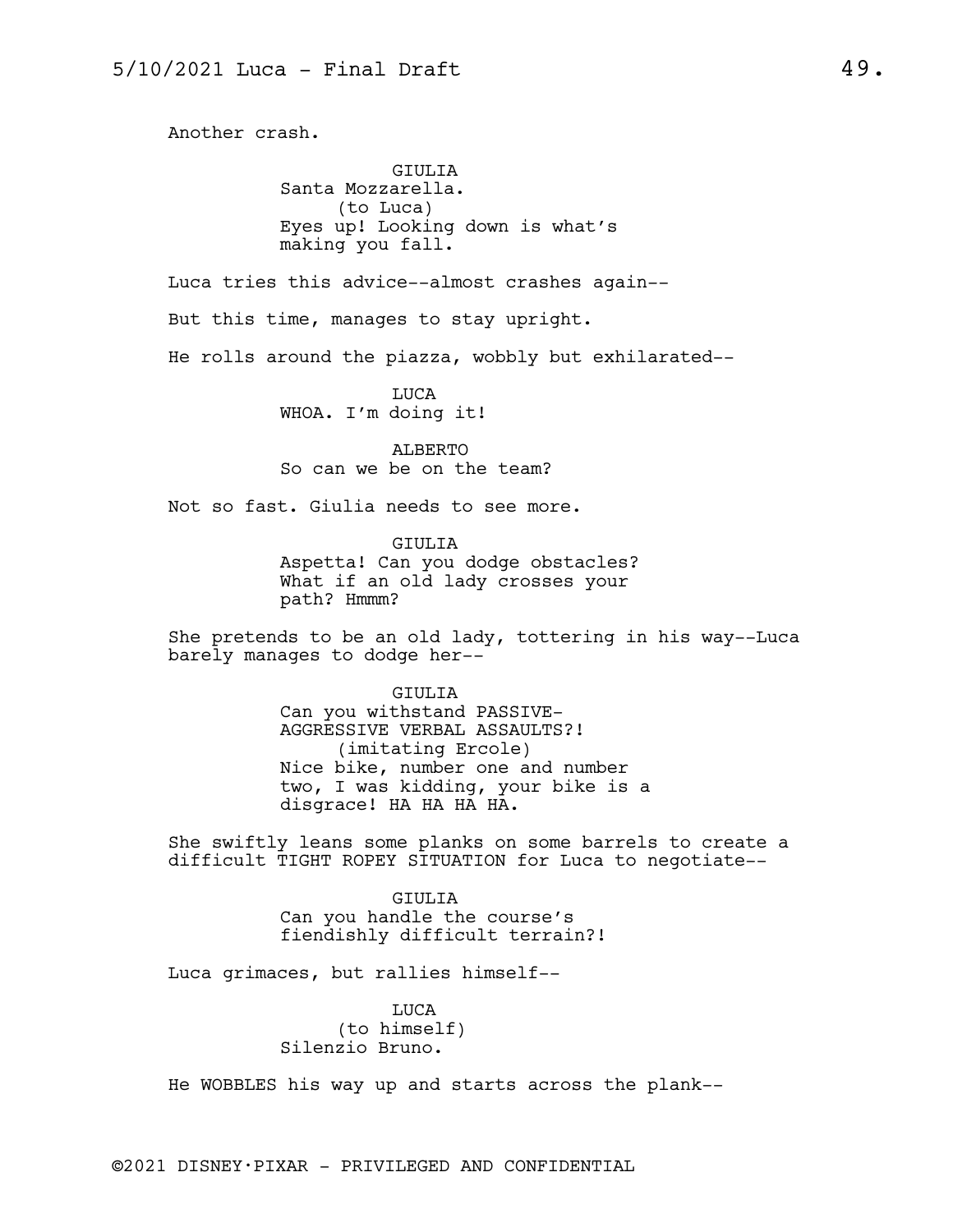Another crash.

GIULIA Santa Mozzarella. (to Luca) Eyes up! Looking down is what's making you fall.

Luca tries this advice--almost crashes again--

But this time, manages to stay upright.

He rolls around the piazza, wobbly but exhilarated--

LUCA WHOA. I'm doing it!

ALBERTO So can we be on the team?

Not so fast. Giulia needs to see more.

GIULIA Aspetta! Can you dodge obstacles? What if an old lady crosses your path? Hmmm?

She pretends to be an old lady, tottering in his way--Luca barely manages to dodge her--

> GIULIA Can you withstand PASSIVE-AGGRESSIVE VERBAL ASSAULTS?! (imitating Ercole) Nice bike, number one and number two, I was kidding, your bike is a disgrace! HA HA HA HA.

She swiftly leans some planks on some barrels to create a difficult TIGHT ROPEY SITUATION for Luca to negotiate--

> GIULIA Can you handle the course's fiendishly difficult terrain?!

Luca grimaces, but rallies himself--

LUCA (to himself) Silenzio Bruno.

He WOBBLES his way up and starts across the plank--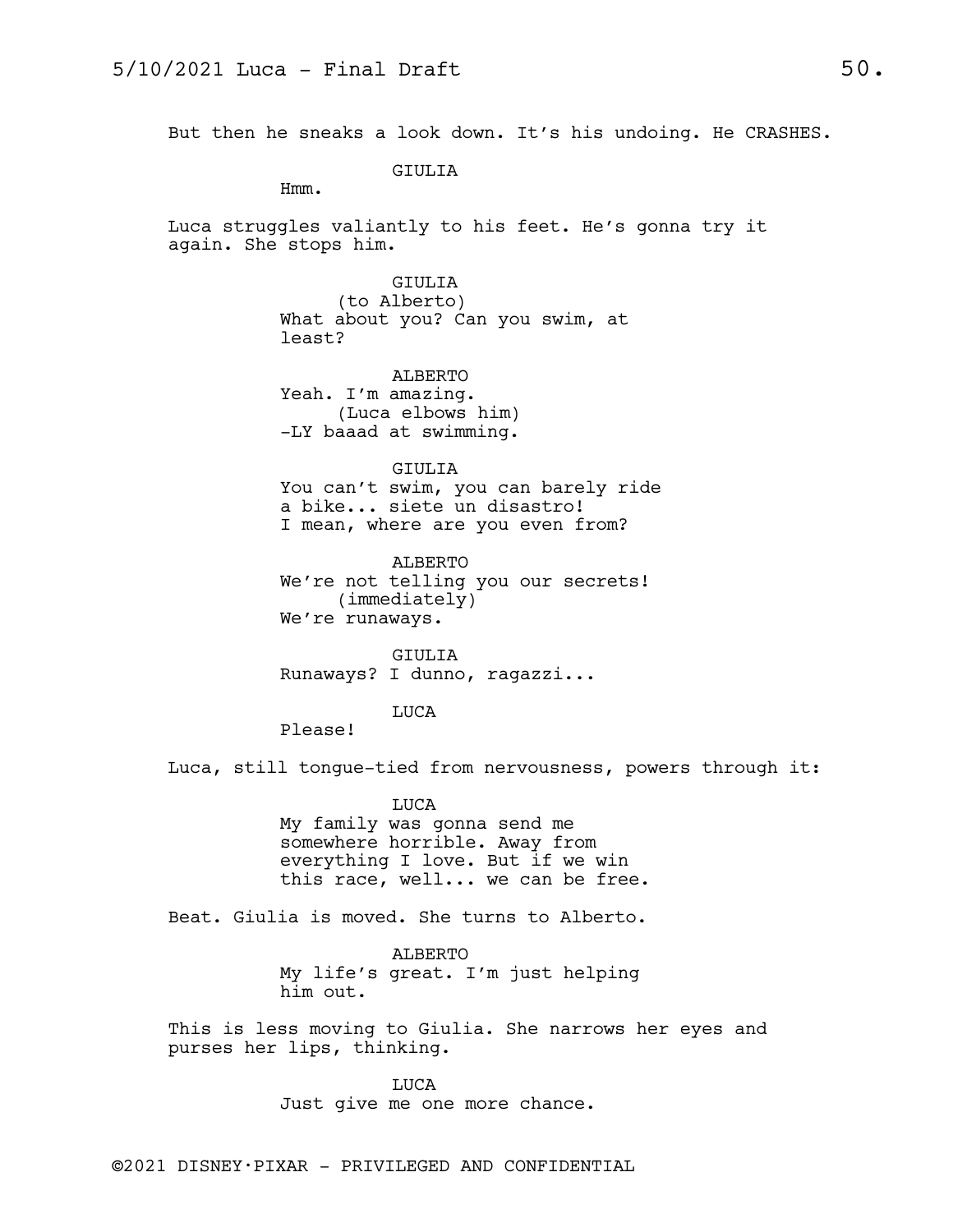But then he sneaks a look down. It's his undoing. He CRASHES.

GIULIA

Hmm.

Luca struggles valiantly to his feet. He's gonna try it again. She stops him.

GIULIA

(to Alberto) What about you? Can you swim, at least?

ALBERTO Yeah. I'm amazing. (Luca elbows him) -LY baaad at swimming.

GIULIA You can't swim, you can barely ride a bike... siete un disastro! I mean, where are you even from?

ALBERTO We're not telling you our secrets! (immediately) We're runaways.

GIULIA Runaways? I dunno, ragazzi...

### LUCA

Please!

Luca, still tongue-tied from nervousness, powers through it:

LUCA My family was gonna send me somewhere horrible. Away from everything I love. But if we win this race, well... we can be free.

Beat. Giulia is moved. She turns to Alberto.

ALBERTO My life's great. I'm just helping him out.

This is less moving to Giulia. She narrows her eyes and purses her lips, thinking.

> LUCA Just give me one more chance.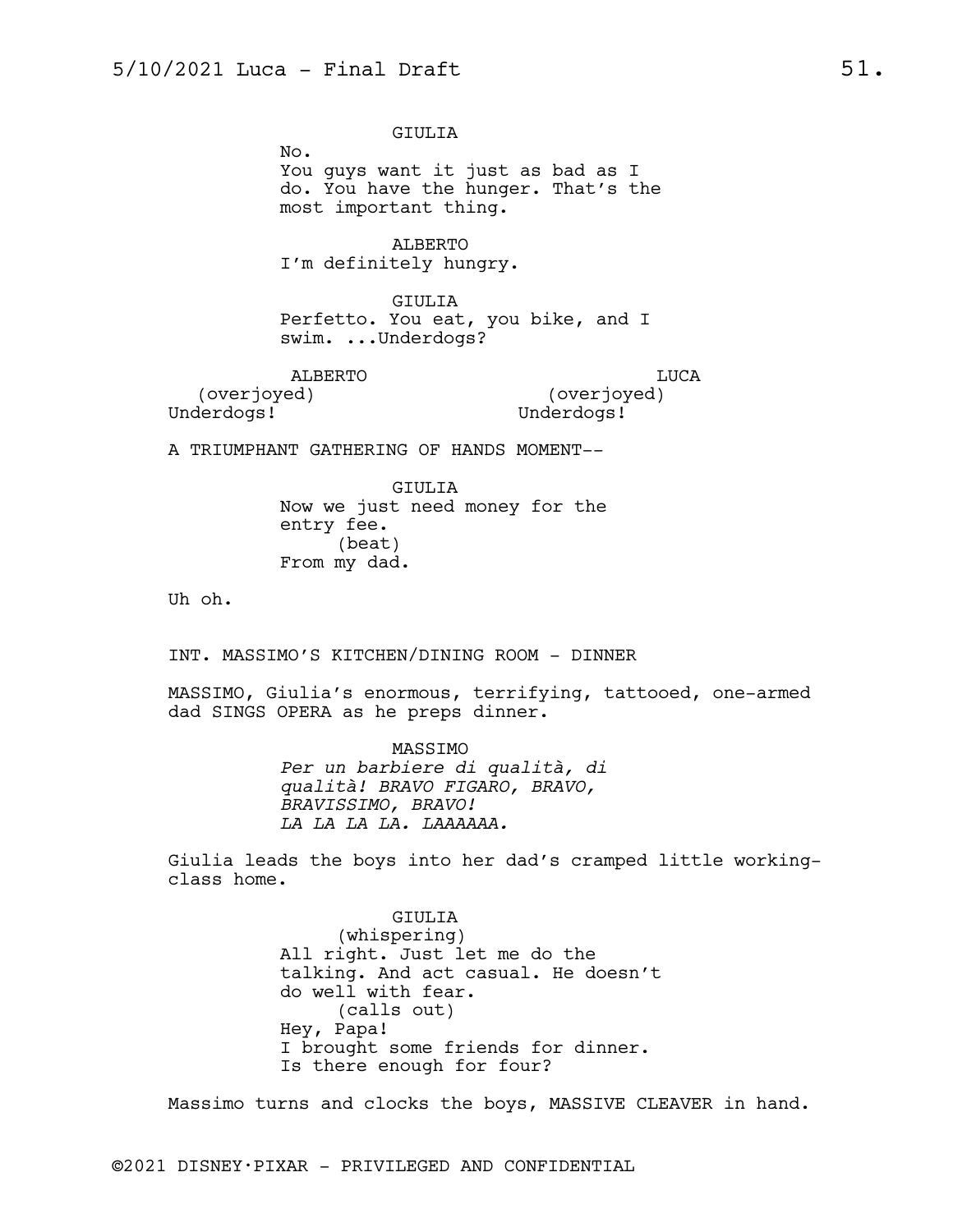GIULIA

No. You guys want it just as bad as I do. You have the hunger. That's the most important thing.

ALBERTO I'm definitely hungry.

GIULIA Perfetto. You eat, you bike, and I swim. ...Underdogs?

ALBERTO (overjoyed)

LUCA (overjoyed) Underdogs!

Underdogs!

A TRIUMPHANT GATHERING OF HANDS MOMENT--

GIULIA Now we just need money for the entry fee. (beat) From my dad.

Uh oh.

INT. MASSIMO'S KITCHEN/DINING ROOM - DINNER

MASSIMO, Giulia's enormous, terrifying, tattooed, one-armed dad SINGS OPERA as he preps dinner.

> MASSIMO *Per un barbiere di qualità, di qualità! BRAVO FIGARO, BRAVO, BRAVISSIMO, BRAVO! LA LA LA LA. LAAAAAA.*

Giulia leads the boys into her dad's cramped little workingclass home.

> GIULIA (whispering) All right. Just let me do the talking. And act casual. He doesn't do well with fear. (calls out) Hey, Papa! I brought some friends for dinner. Is there enough for four?

Massimo turns and clocks the boys, MASSIVE CLEAVER in hand.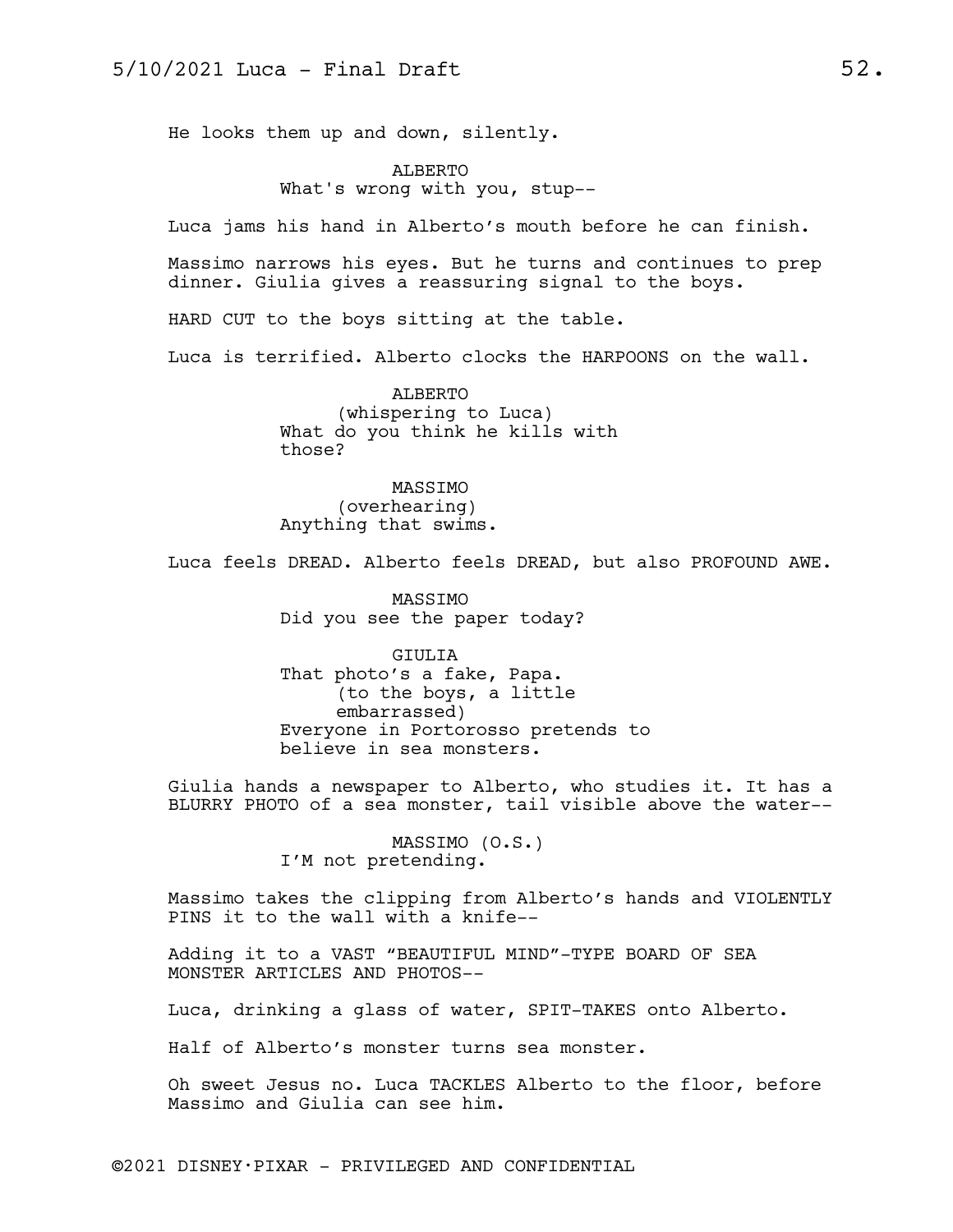He looks them up and down, silently.

ALBERTO What's wrong with you, stup--

Luca jams his hand in Alberto's mouth before he can finish.

Massimo narrows his eyes. But he turns and continues to prep dinner. Giulia gives a reassuring signal to the boys.

HARD CUT to the boys sitting at the table.

Luca is terrified. Alberto clocks the HARPOONS on the wall.

ALBERTO (whispering to Luca) What do you think he kills with those?

MASSIMO (overhearing) Anything that swims.

Luca feels DREAD. Alberto feels DREAD, but also PROFOUND AWE.

MASSIMO Did you see the paper today?

GIULIA That photo's a fake, Papa. (to the boys, a little embarrassed) Everyone in Portorosso pretends to believe in sea monsters.

Giulia hands a newspaper to Alberto, who studies it. It has a BLURRY PHOTO of a sea monster, tail visible above the water--

> MASSIMO (O.S.) I'M not pretending.

Massimo takes the clipping from Alberto's hands and VIOLENTLY PINS it to the wall with a knife--

Adding it to a VAST "BEAUTIFUL MIND"-TYPE BOARD OF SEA MONSTER ARTICLES AND PHOTOS--

Luca, drinking a glass of water, SPIT-TAKES onto Alberto.

Half of Alberto's monster turns sea monster.

Oh sweet Jesus no. Luca TACKLES Alberto to the floor, before Massimo and Giulia can see him.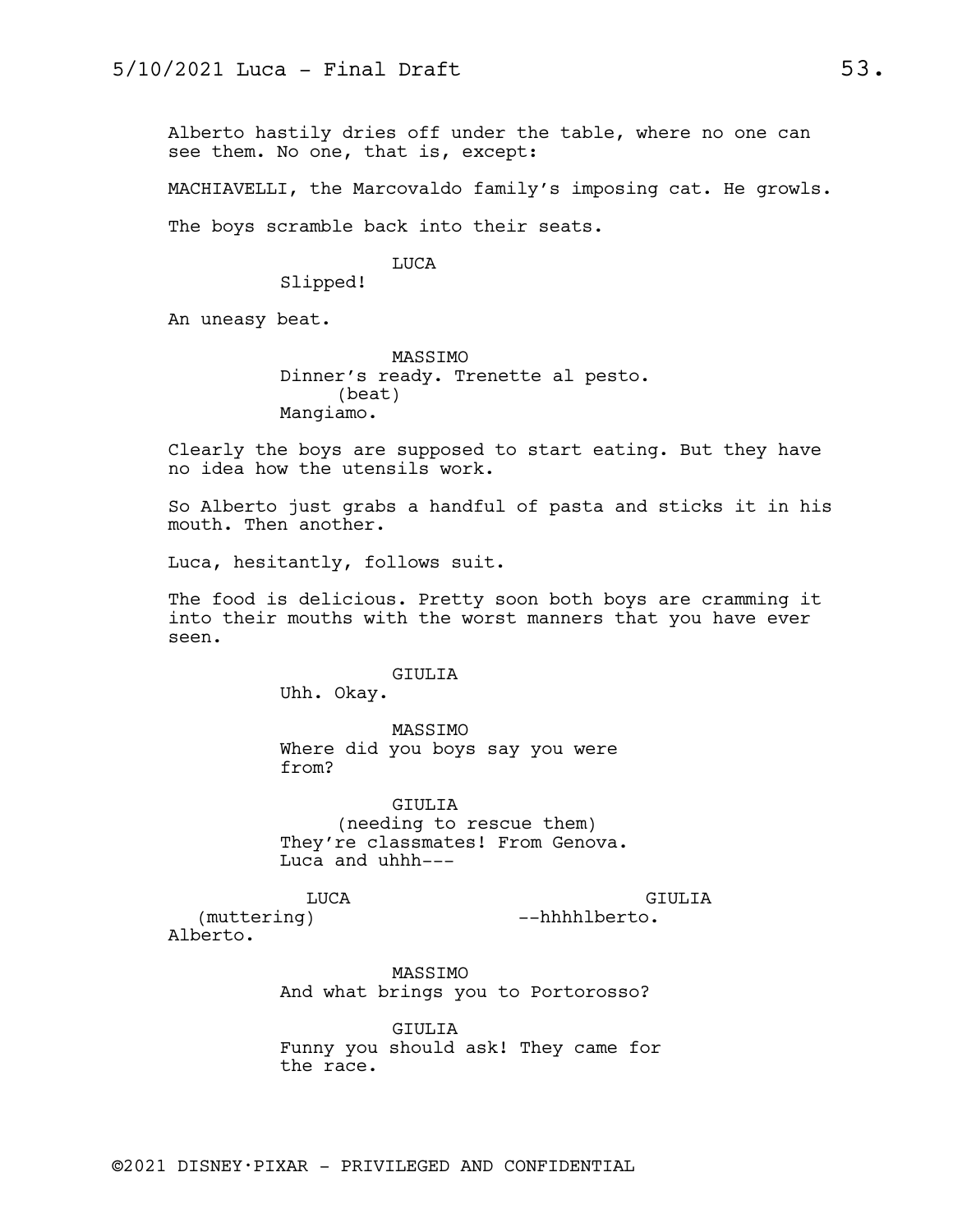Alberto hastily dries off under the table, where no one can see them. No one, that is, except:

MACHIAVELLI, the Marcovaldo family's imposing cat. He growls.

The boys scramble back into their seats.

## LUCA

Slipped!

An uneasy beat.

MASSIMO Dinner's ready. Trenette al pesto. (beat) Mangiamo.

Clearly the boys are supposed to start eating. But they have no idea how the utensils work.

So Alberto just grabs a handful of pasta and sticks it in his mouth. Then another.

Luca, hesitantly, follows suit.

The food is delicious. Pretty soon both boys are cramming it into their mouths with the worst manners that you have ever seen.

# GIULIA

Uhh. Okay.

MASSIMO Where did you boys say you were from?

GIULIA (needing to rescue them) They're classmates! From Genova. Luca and uhhh---

LUCA

GIULIA --hhhhlberto.

(muttering) Alberto.

> MASSIMO And what brings you to Portorosso?

GIULIA Funny you should ask! They came for the race.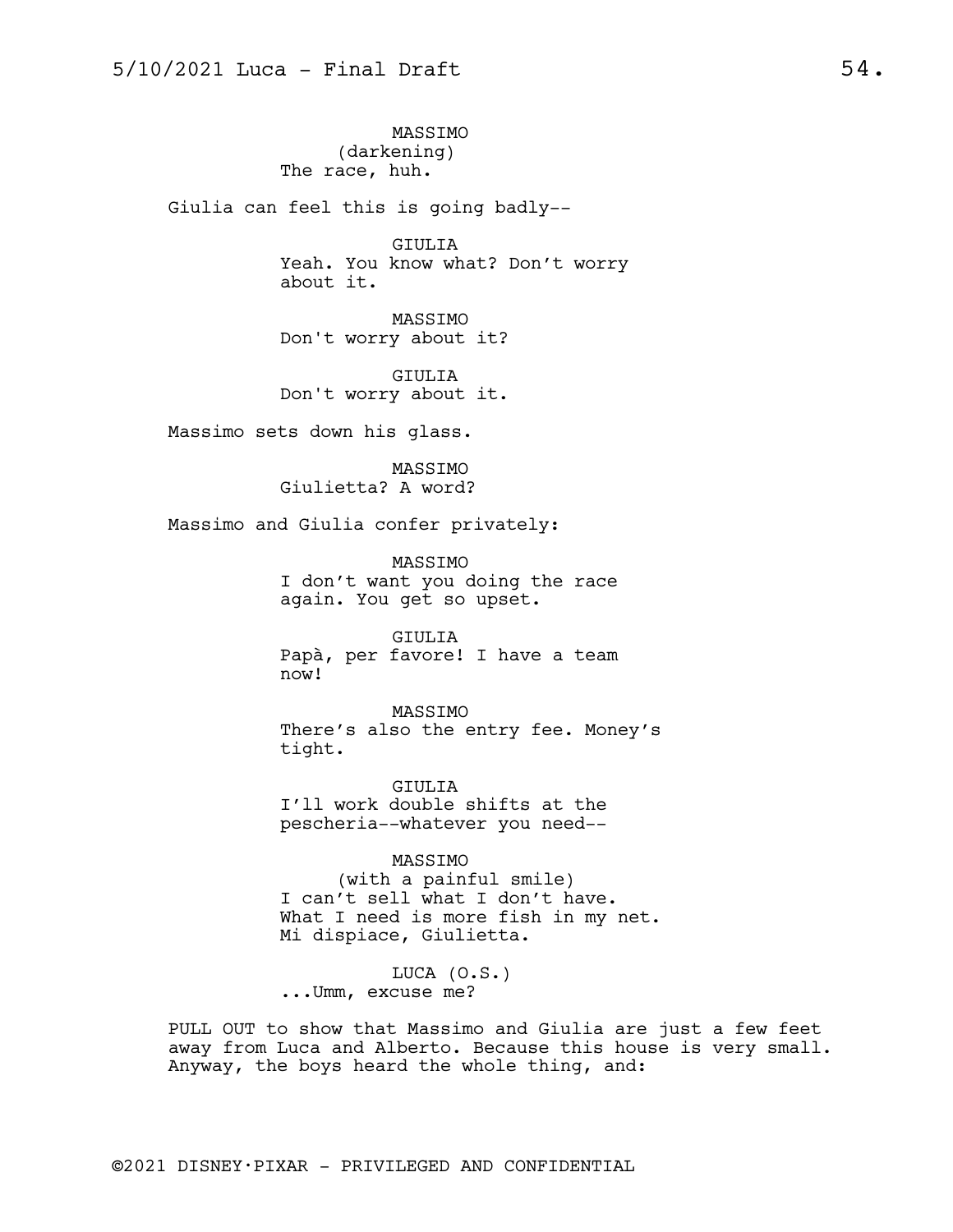MASSIMO (darkening) The race, huh.

Giulia can feel this is going badly--

GIULIA Yeah. You know what? Don't worry about it.

MASSIMO Don't worry about it?

GIULIA Don't worry about it.

Massimo sets down his glass.

MASSIMO Giulietta? A word?

Massimo and Giulia confer privately:

MASSIMO I don't want you doing the race again. You get so upset.

GIULIA Papà, per favore! I have a team now!

MASSIMO There's also the entry fee. Money's tight.

GIULIA I'll work double shifts at the pescheria--whatever you need--

MASSIMO (with a painful smile) I can't sell what I don't have. What I need is more fish in my net. Mi dispiace, Giulietta.

LUCA (O.S.) ...Umm, excuse me?

PULL OUT to show that Massimo and Giulia are just a few feet away from Luca and Alberto. Because this house is very small. Anyway, the boys heard the whole thing, and: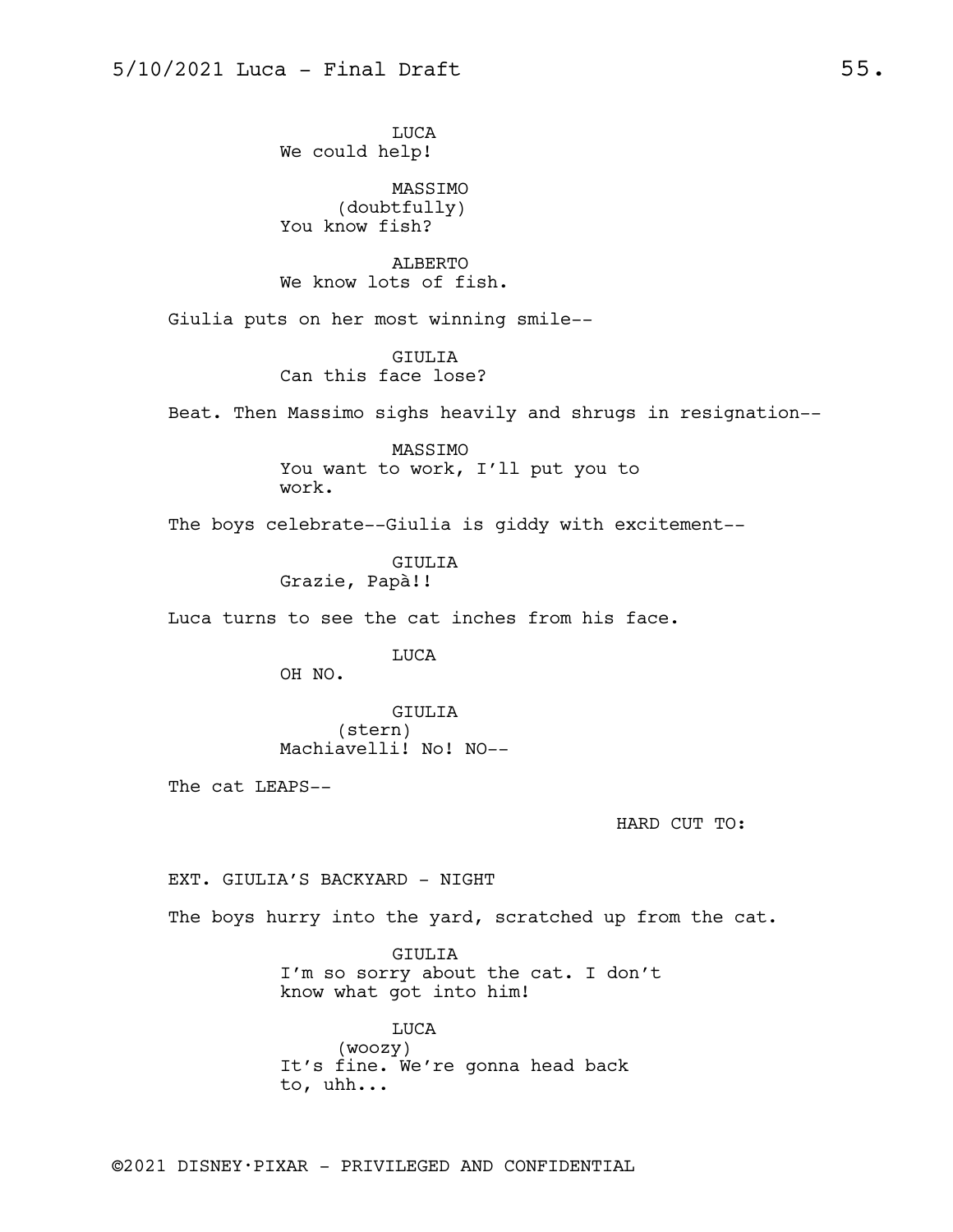LUCA We could help!

MASSIMO (doubtfully) You know fish?

ALBERTO We know lots of fish.

Giulia puts on her most winning smile--

GIULIA Can this face lose?

Beat. Then Massimo sighs heavily and shrugs in resignation--

MASSIMO You want to work, I'll put you to work.

The boys celebrate--Giulia is giddy with excitement--

GIULIA Grazie, Papà!!

Luca turns to see the cat inches from his face.

LUCA

OH NO.

GIULIA (stern) Machiavelli! No! NO--

The cat LEAPS--

HARD CUT TO:

EXT. GIULIA'S BACKYARD - NIGHT

The boys hurry into the yard, scratched up from the cat.

GIULIA I'm so sorry about the cat. I don't know what got into him!

LUCA (woozy) It's fine. We're gonna head back to, uhh...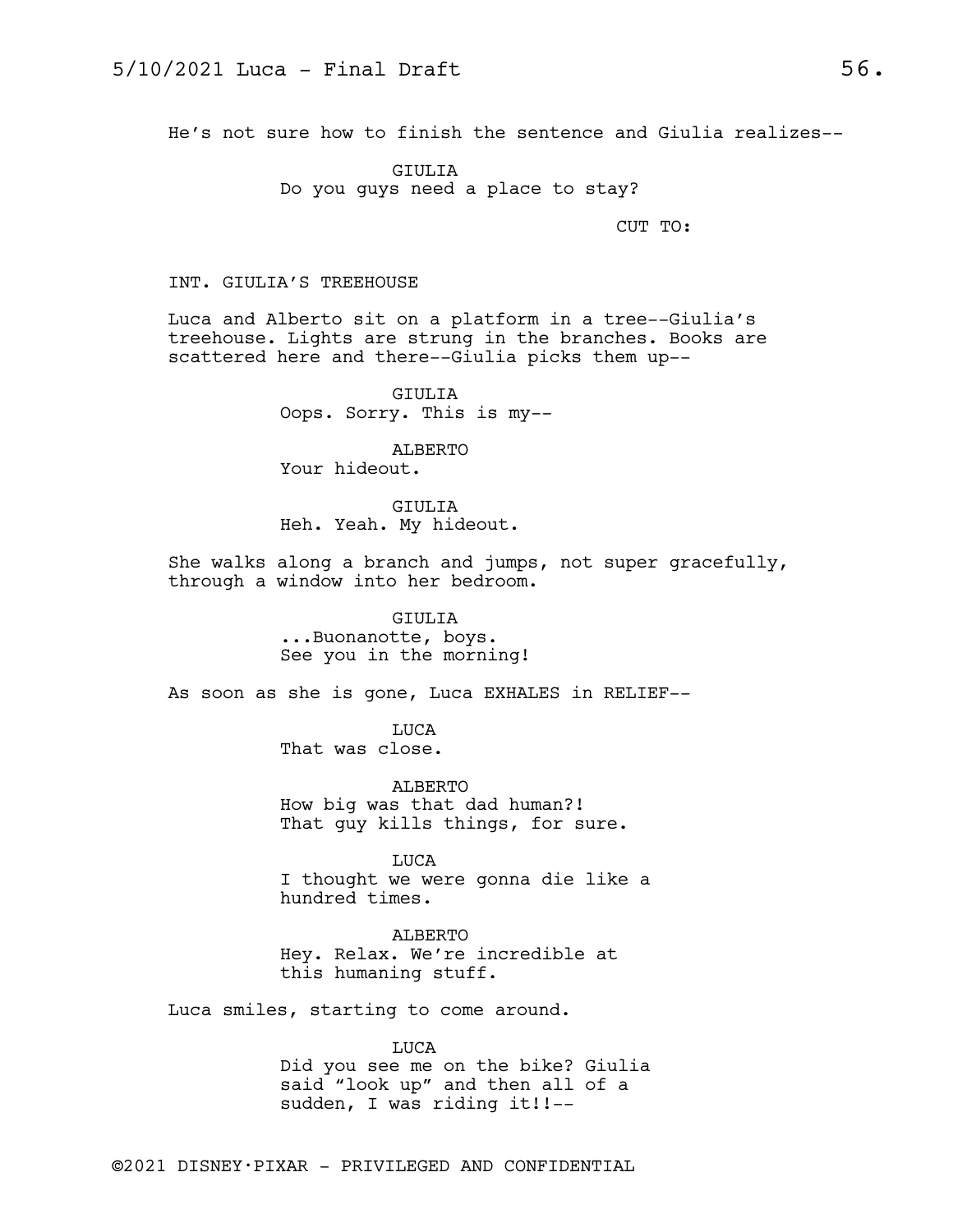He's not sure how to finish the sentence and Giulia realizes--

GIULIA Do you guys need a place to stay?

CUT TO:

## INT. GIULIA'S TREEHOUSE

Luca and Alberto sit on a platform in a tree--Giulia's treehouse. Lights are strung in the branches. Books are scattered here and there--Giulia picks them up--

> GIULIA Oops. Sorry. This is my--

ALBERTO Your hideout.

GIULIA Heh. Yeah. My hideout.

She walks along a branch and jumps, not super gracefully, through a window into her bedroom.

> GIULIA ...Buonanotte, boys. See you in the morning!

As soon as she is gone, Luca EXHALES in RELIEF--

LUCA That was close.

ALBERTO How big was that dad human?! That guy kills things, for sure.

LUCA I thought we were gonna die like a hundred times.

ALBERTO Hey. Relax. We're incredible at this humaning stuff.

Luca smiles, starting to come around.

LUCA

Did you see me on the bike? Giulia said "look up" and then all of a sudden, I was riding it!!--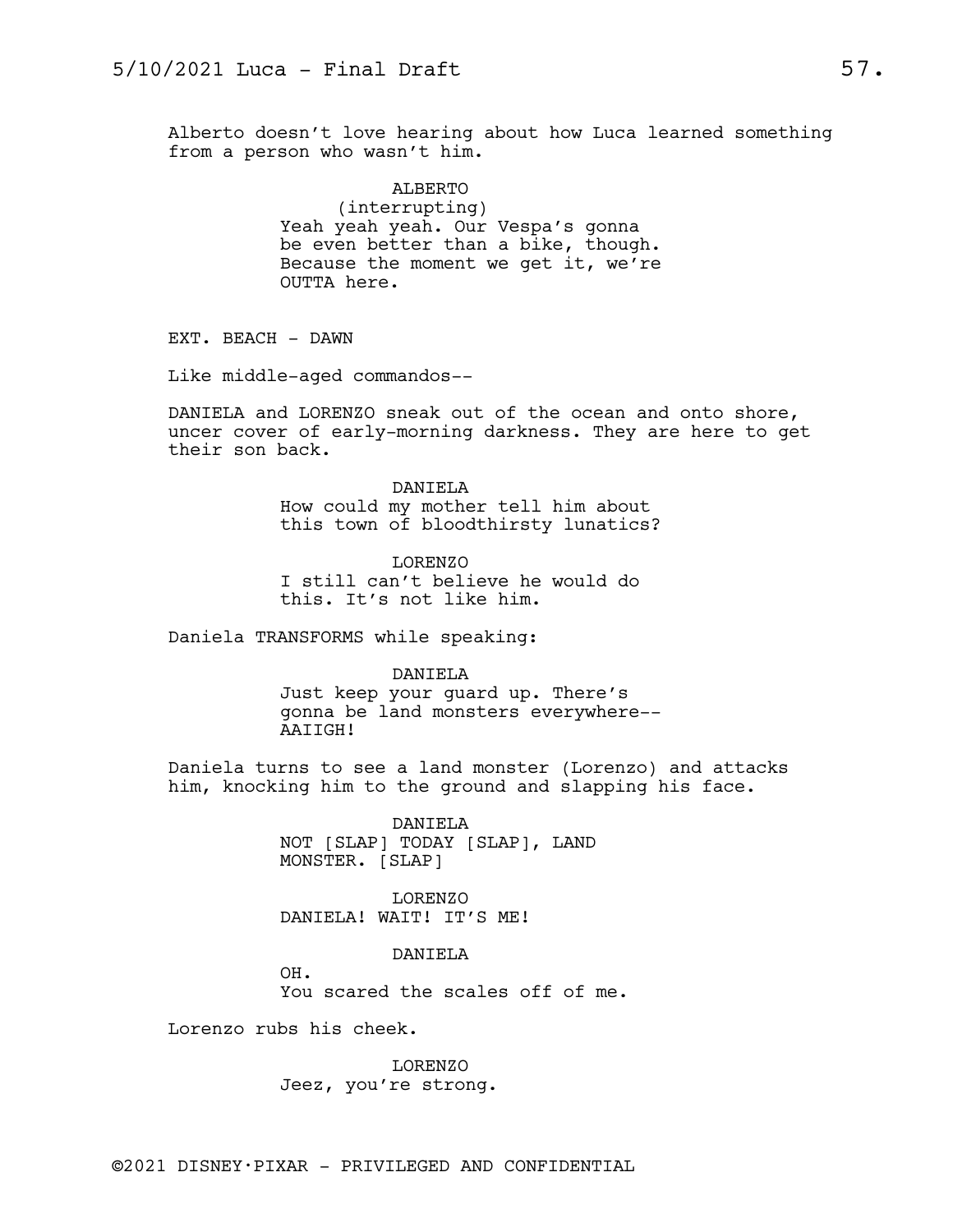Alberto doesn't love hearing about how Luca learned something from a person who wasn't him.

> ALBERTO (interrupting) Yeah yeah yeah. Our Vespa's gonna be even better than a bike, though. Because the moment we get it, we're OUTTA here.

EXT. BEACH - DAWN

Like middle-aged commandos--

DANIELA and LORENZO sneak out of the ocean and onto shore, uncer cover of early-morning darkness. They are here to get their son back.

> DANIELA How could my mother tell him about this town of bloodthirsty lunatics?

LORENZO I still can't believe he would do this. It's not like him.

Daniela TRANSFORMS while speaking:

DANIELA Just keep your guard up. There's gonna be land monsters everywhere-- AAIIGH!

Daniela turns to see a land monster (Lorenzo) and attacks him, knocking him to the ground and slapping his face.

> DANIELA NOT [SLAP] TODAY [SLAP], LAND MONSTER. [SLAP]

LORENZO DANIELA! WAIT! IT'S ME!

DANIELA

OH. You scared the scales off of me.

Lorenzo rubs his cheek.

LORENZO Jeez, you're strong.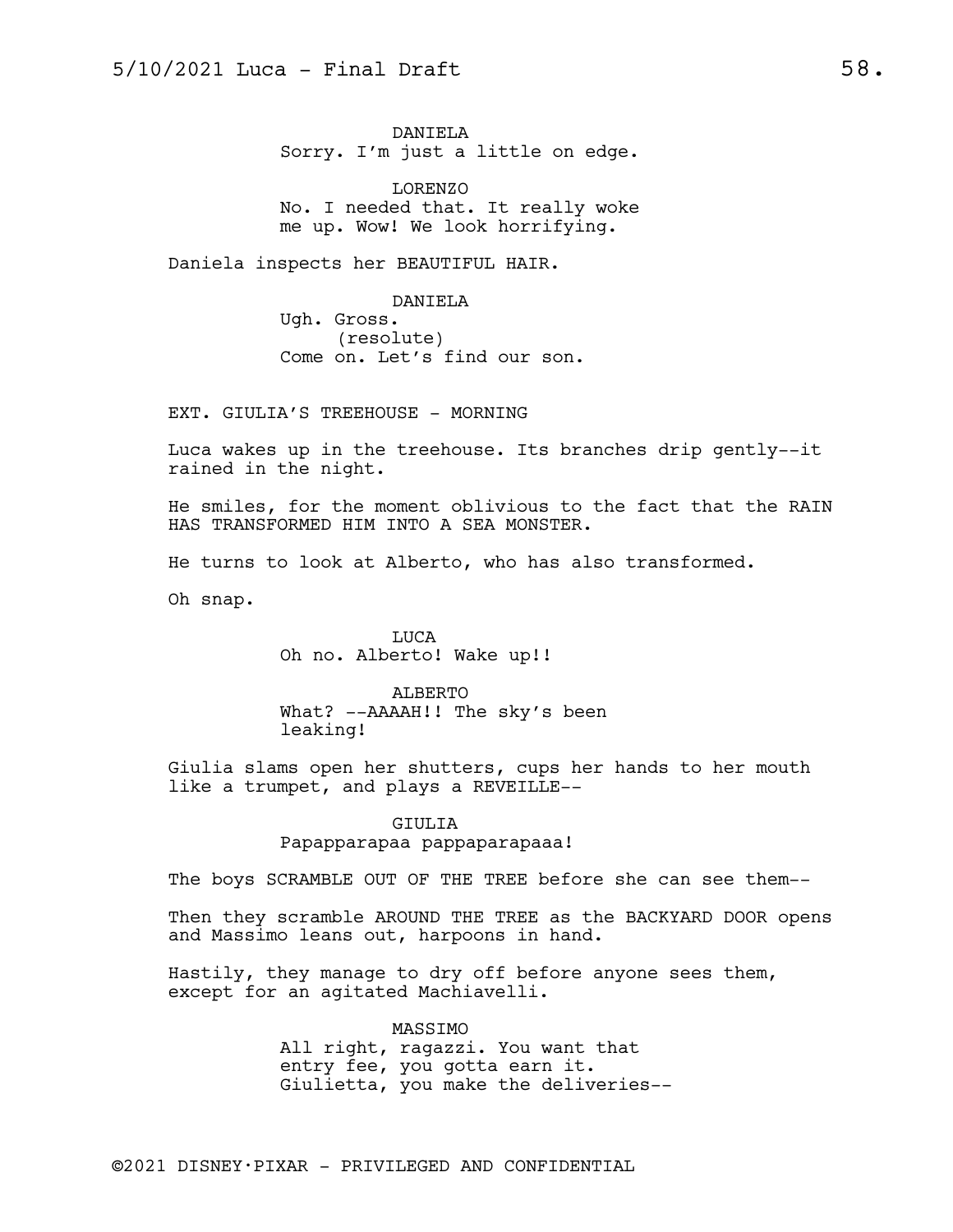DANIELA Sorry. I'm just a little on edge.

LORENZO No. I needed that. It really woke me up. Wow! We look horrifying.

Daniela inspects her BEAUTIFUL HAIR.

DANIELA Ugh. Gross. (resolute) Come on. Let's find our son.

EXT. GIULIA'S TREEHOUSE - MORNING

Luca wakes up in the treehouse. Its branches drip gently--it rained in the night.

He smiles, for the moment oblivious to the fact that the RAIN HAS TRANSFORMED HIM INTO A SEA MONSTER.

He turns to look at Alberto, who has also transformed.

Oh snap.

LUCA Oh no. Alberto! Wake up!!

ALBERTO What? --AAAAH!! The sky's been leaking!

Giulia slams open her shutters, cups her hands to her mouth like a trumpet, and plays a REVEILLE--

#### GIULIA

## Papapparapaa pappaparapaaa!

The boys SCRAMBLE OUT OF THE TREE before she can see them--

Then they scramble AROUND THE TREE as the BACKYARD DOOR opens and Massimo leans out, harpoons in hand.

Hastily, they manage to dry off before anyone sees them, except for an agitated Machiavelli.

> MASSIMO All right, ragazzi. You want that entry fee, you gotta earn it. Giulietta, you make the deliveries--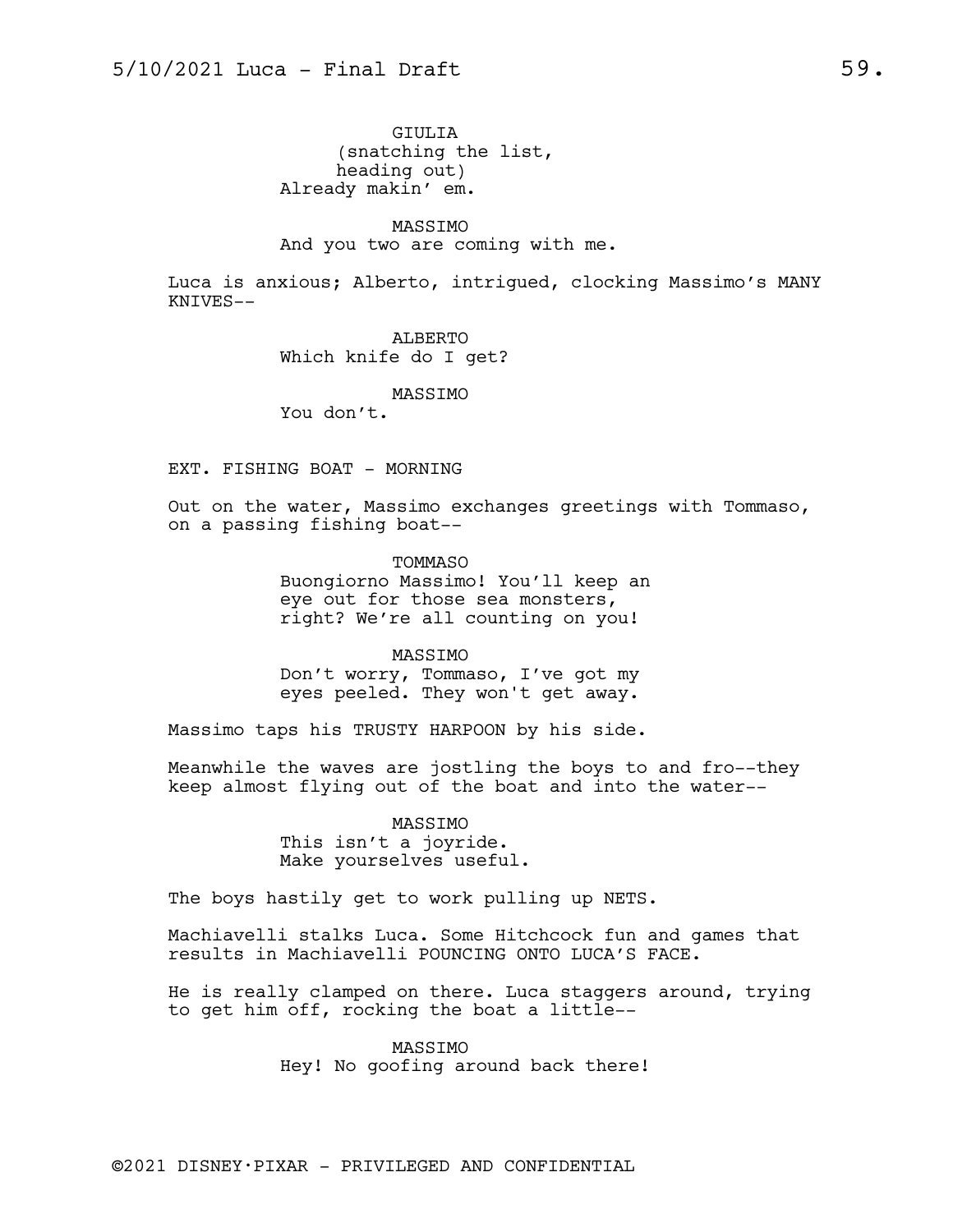GIULIA (snatching the list, heading out) Already makin' em.

MASSIMO And you two are coming with me.

Luca is anxious; Alberto, intrigued, clocking Massimo's MANY KNIVES--

> ALBERTO Which knife do I get?

> > MASSIMO

You don't.

EXT. FISHING BOAT - MORNING

Out on the water, Massimo exchanges greetings with Tommaso, on a passing fishing boat--

> TOMMASO Buongiorno Massimo! You'll keep an eye out for those sea monsters, right? We're all counting on you!

MASSIMO Don't worry, Tommaso, I've got my eyes peeled. They won't get away.

Massimo taps his TRUSTY HARPOON by his side.

Meanwhile the waves are jostling the boys to and fro--they keep almost flying out of the boat and into the water--

> MASSIMO This isn't a joyride. Make yourselves useful.

The boys hastily get to work pulling up NETS.

Machiavelli stalks Luca. Some Hitchcock fun and games that results in Machiavelli POUNCING ONTO LUCA'S FACE.

He is really clamped on there. Luca staggers around, trying to get him off, rocking the boat a little--

> MASSIMO Hey! No goofing around back there!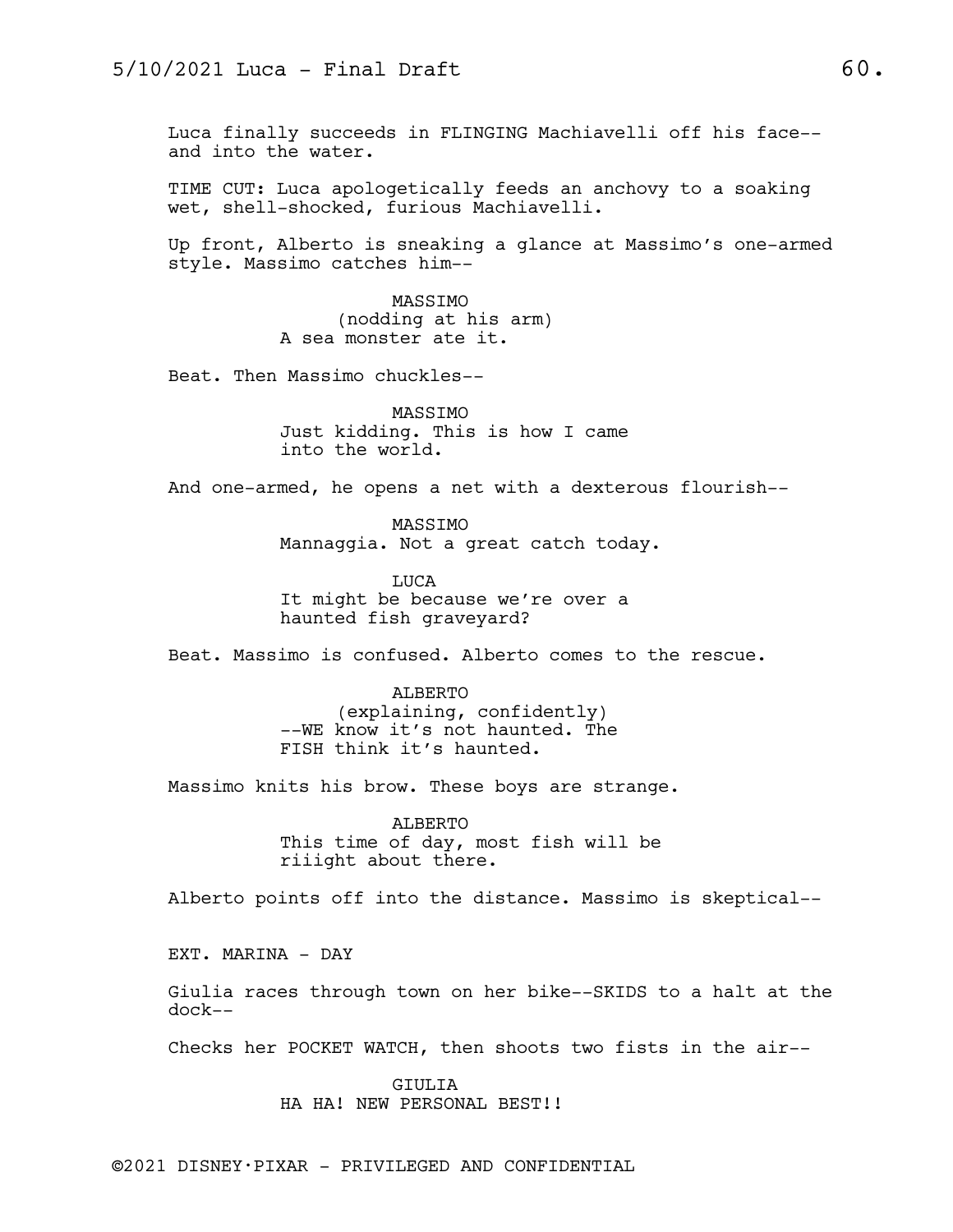Luca finally succeeds in FLINGING Machiavelli off his face- and into the water.

TIME CUT: Luca apologetically feeds an anchovy to a soaking wet, shell-shocked, furious Machiavelli.

Up front, Alberto is sneaking a glance at Massimo's one-armed style. Massimo catches him--

> MASSIMO (nodding at his arm) A sea monster ate it.

Beat. Then Massimo chuckles--

MASSIMO Just kidding. This is how I came into the world.

And one-armed, he opens a net with a dexterous flourish--

MASSIMO Mannaggia. Not a great catch today.

LUCA It might be because we're over a haunted fish graveyard?

Beat. Massimo is confused. Alberto comes to the rescue.

ALBERTO (explaining, confidently) --WE know it's not haunted. The FISH think it's haunted.

Massimo knits his brow. These boys are strange.

ALBERTO This time of day, most fish will be riiight about there.

Alberto points off into the distance. Massimo is skeptical--

EXT. MARINA - DAY

Giulia races through town on her bike--SKIDS to a halt at the dock--

Checks her POCKET WATCH, then shoots two fists in the air--

GIULIA

HA HA! NEW PERSONAL BEST!!

©2021 DISNEY•PIXAR - PRIVILEGED AND CONFIDENTIAL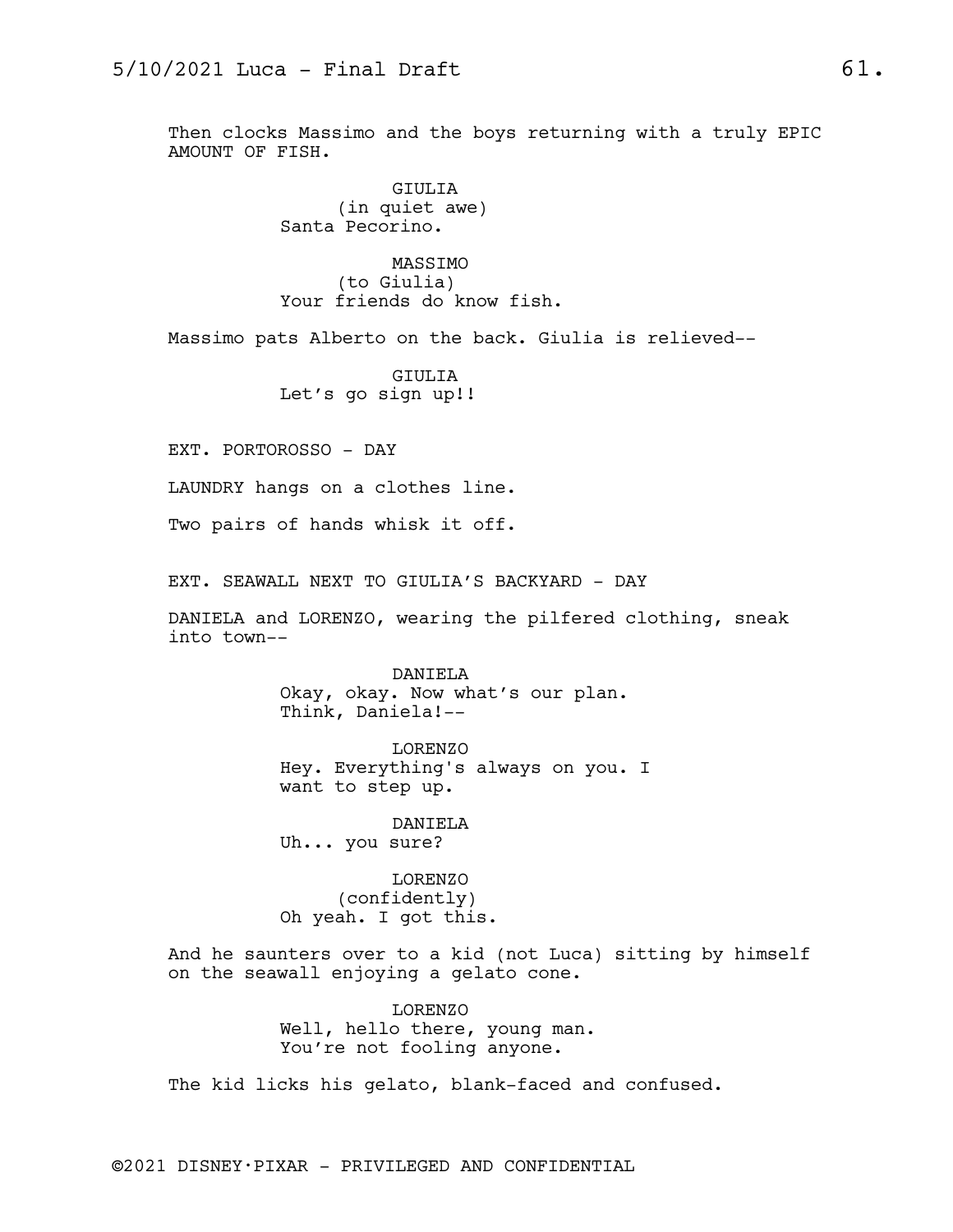Then clocks Massimo and the boys returning with a truly EPIC AMOUNT OF FISH.

> GIULIA (in quiet awe) Santa Pecorino.

MASSIMO (to Giulia) Your friends do know fish.

Massimo pats Alberto on the back. Giulia is relieved--

GIULIA Let's go sign up!!

EXT. PORTOROSSO - DAY

LAUNDRY hangs on a clothes line.

Two pairs of hands whisk it off.

EXT. SEAWALL NEXT TO GIULIA'S BACKYARD - DAY

DANIELA and LORENZO, wearing the pilfered clothing, sneak into town--

> DANIELA Okay, okay. Now what's our plan. Think, Daniela!--

LORENZO Hey. Everything's always on you. I want to step up.

DANIELA Uh... you sure?

LORENZO (confidently) Oh yeah. I got this.

And he saunters over to a kid (not Luca) sitting by himself on the seawall enjoying a gelato cone.

> LORENZO Well, hello there, young man. You're not fooling anyone.

The kid licks his gelato, blank-faced and confused.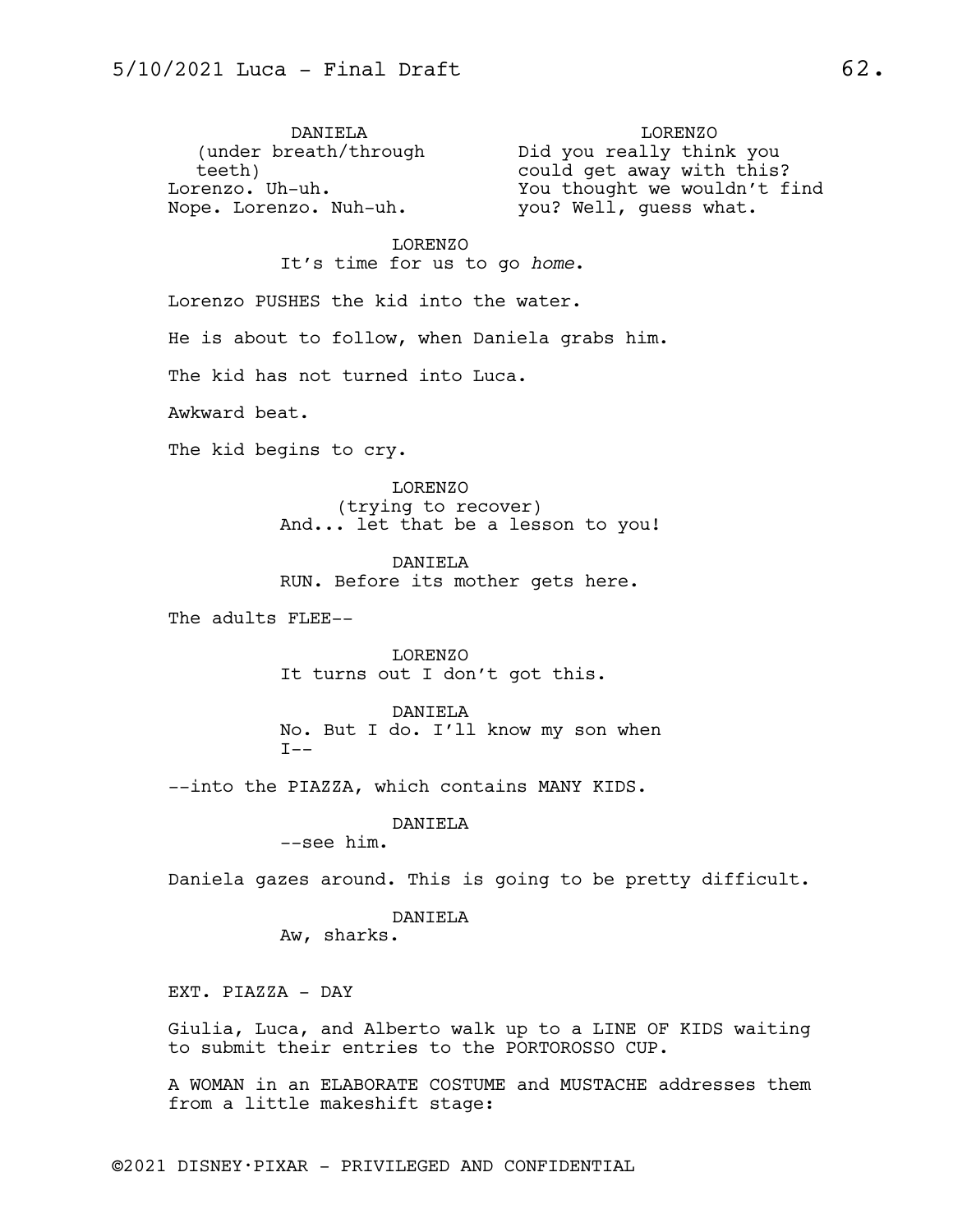DANIELA (under breath/through Did you really think you teeth) Lorenzo. Uh-uh. Nope. Lorenzo. Nuh-uh. LORENZO could get away with this? You thought we wouldn't find you? Well, guess what. LORENZO It's time for us to go *home*. Lorenzo PUSHES the kid into the water. He is about to follow, when Daniela grabs him.

The kid has not turned into Luca.

Awkward beat.

The kid begins to cry.

LORENZO (trying to recover) And... let that be a lesson to you!

DANIELA RUN. Before its mother gets here.

The adults FLEE--

LORENZO It turns out I don't got this.

DANIELA No. But I do. I'll know my son when  $T--$ 

--into the PIAZZA, which contains MANY KIDS.

DANIELA

--see him.

Daniela gazes around. This is going to be pretty difficult.

DANIELA

Aw, sharks.

EXT. PIAZZA - DAY

Giulia, Luca, and Alberto walk up to a LINE OF KIDS waiting to submit their entries to the PORTOROSSO CUP.

A WOMAN in an ELABORATE COSTUME and MUSTACHE addresses them from a little makeshift stage: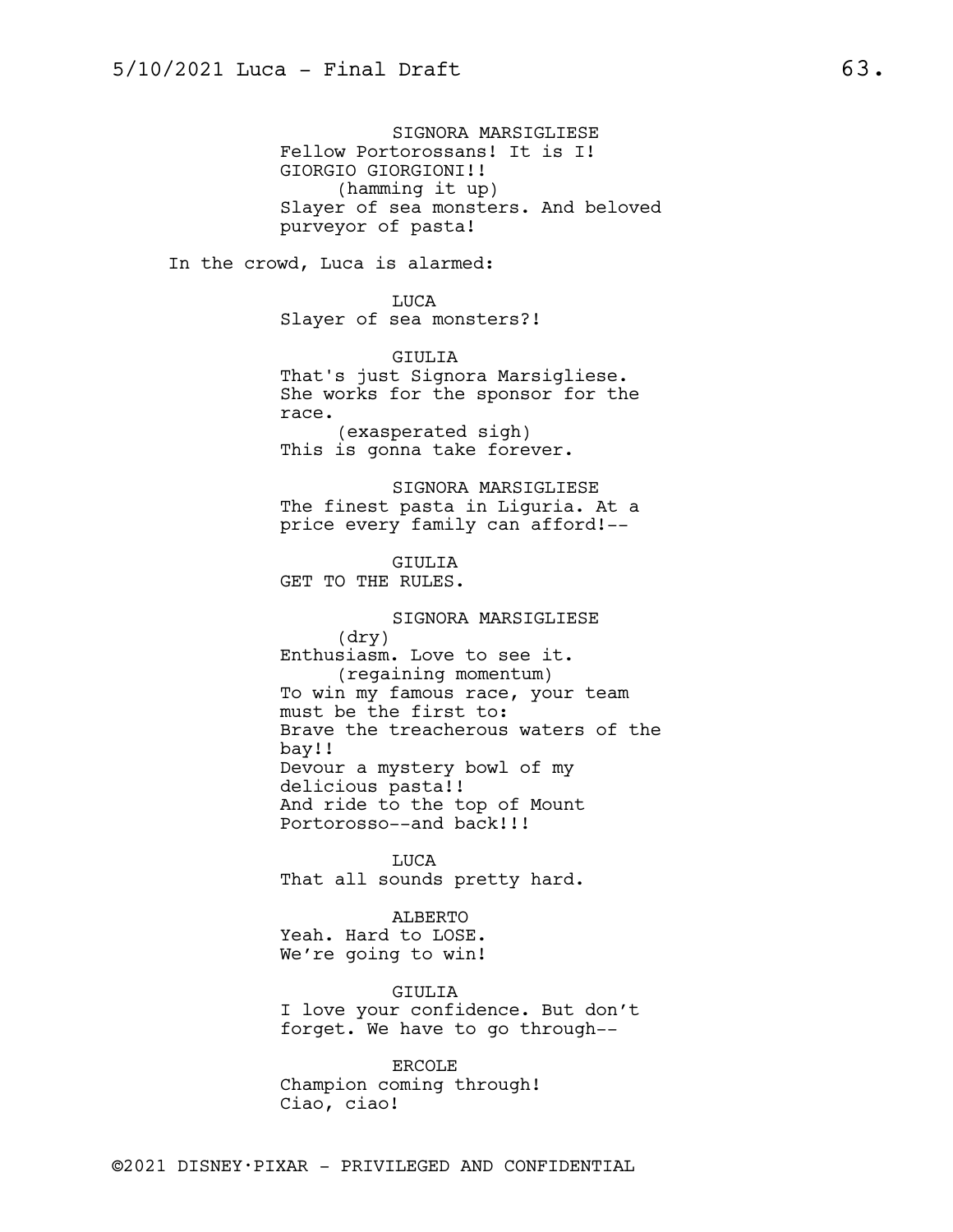SIGNORA MARSIGLIESE Fellow Portorossans! It is I! GIORGIO GIORGIONI!! (hamming it up) Slayer of sea monsters. And beloved purveyor of pasta! In the crowd, Luca is alarmed: LUCA Slayer of sea monsters?! GIULIA That's just Signora Marsigliese. She works for the sponsor for the race. (exasperated sigh) This is gonna take forever. SIGNORA MARSIGLIESE The finest pasta in Liguria. At a price every family can afford!-- GIULIA GET TO THE RULES. SIGNORA MARSIGLIESE (dry) Enthusiasm. Love to see it. (regaining momentum) To win my famous race, your team must be the first to: Brave the treacherous waters of the bay!! Devour a mystery bowl of my delicious pasta!! And ride to the top of Mount Portorosso--and back!!! LUCA That all sounds pretty hard. ALBERTO Yeah. Hard to LOSE. We're going to win! GIULIA I love your confidence. But don't forget. We have to go through--

> ERCOLE Champion coming through! Ciao, ciao!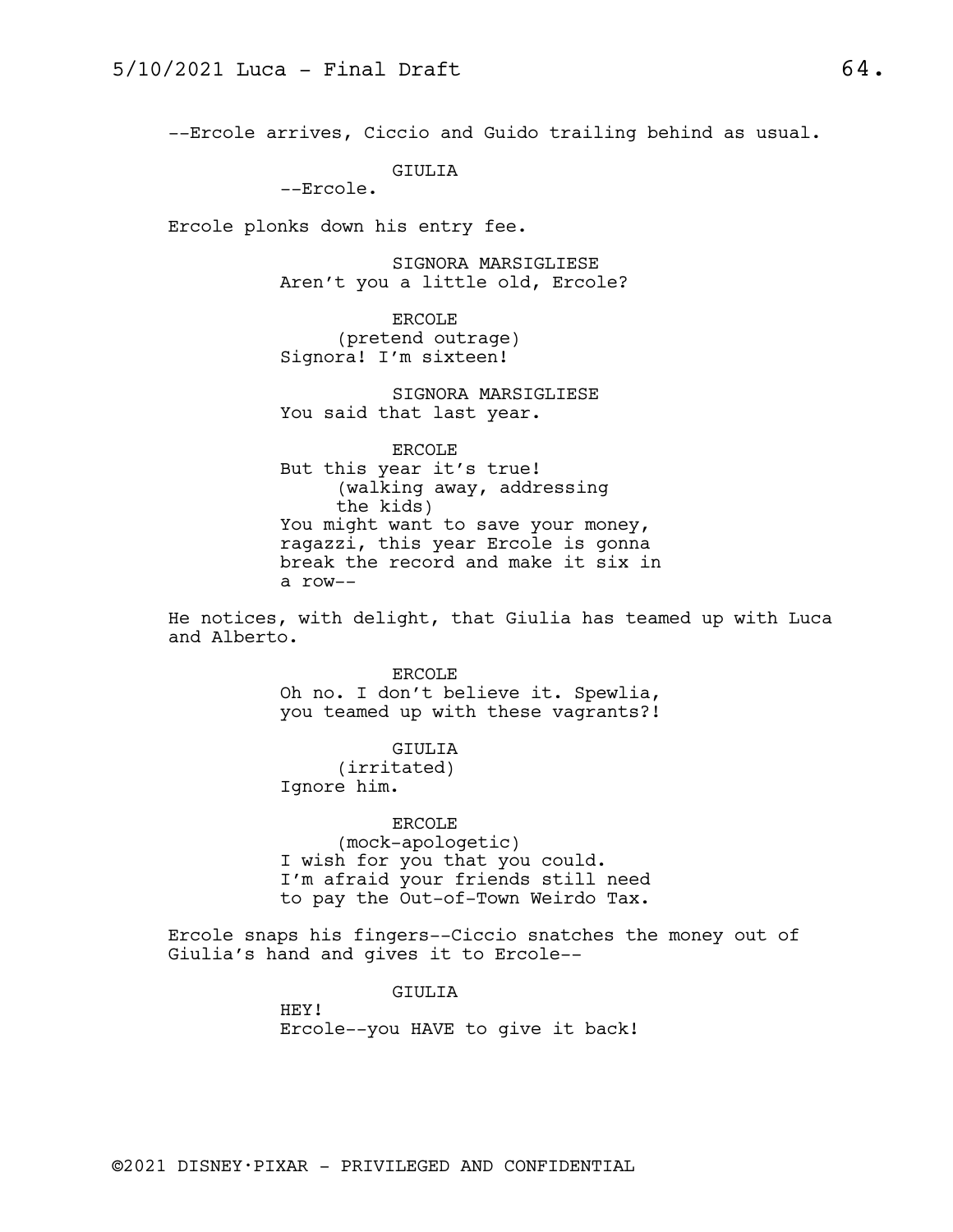--Ercole arrives, Ciccio and Guido trailing behind as usual.

GIULIA

--Ercole.

Ercole plonks down his entry fee.

SIGNORA MARSIGLIESE Aren't you a little old, Ercole?

ERCOLE (pretend outrage) Signora! I'm sixteen!

SIGNORA MARSIGLIESE You said that last year.

ERCOLE But this year it's true! (walking away, addressing the kids) You might want to save your money, ragazzi, this year Ercole is gonna break the record and make it six in a row--

He notices, with delight, that Giulia has teamed up with Luca and Alberto.

> ERCOLE Oh no. I don't believe it. Spewlia, you teamed up with these vagrants?!

#### GIULIA

(irritated) Ignore him.

#### ERCOLE

(mock-apologetic) I wish for you that you could. I'm afraid your friends still need to pay the Out-of-Town Weirdo Tax.

Ercole snaps his fingers--Ciccio snatches the money out of Giulia's hand and gives it to Ercole--

## GIULIA

HEY! Ercole--you HAVE to give it back!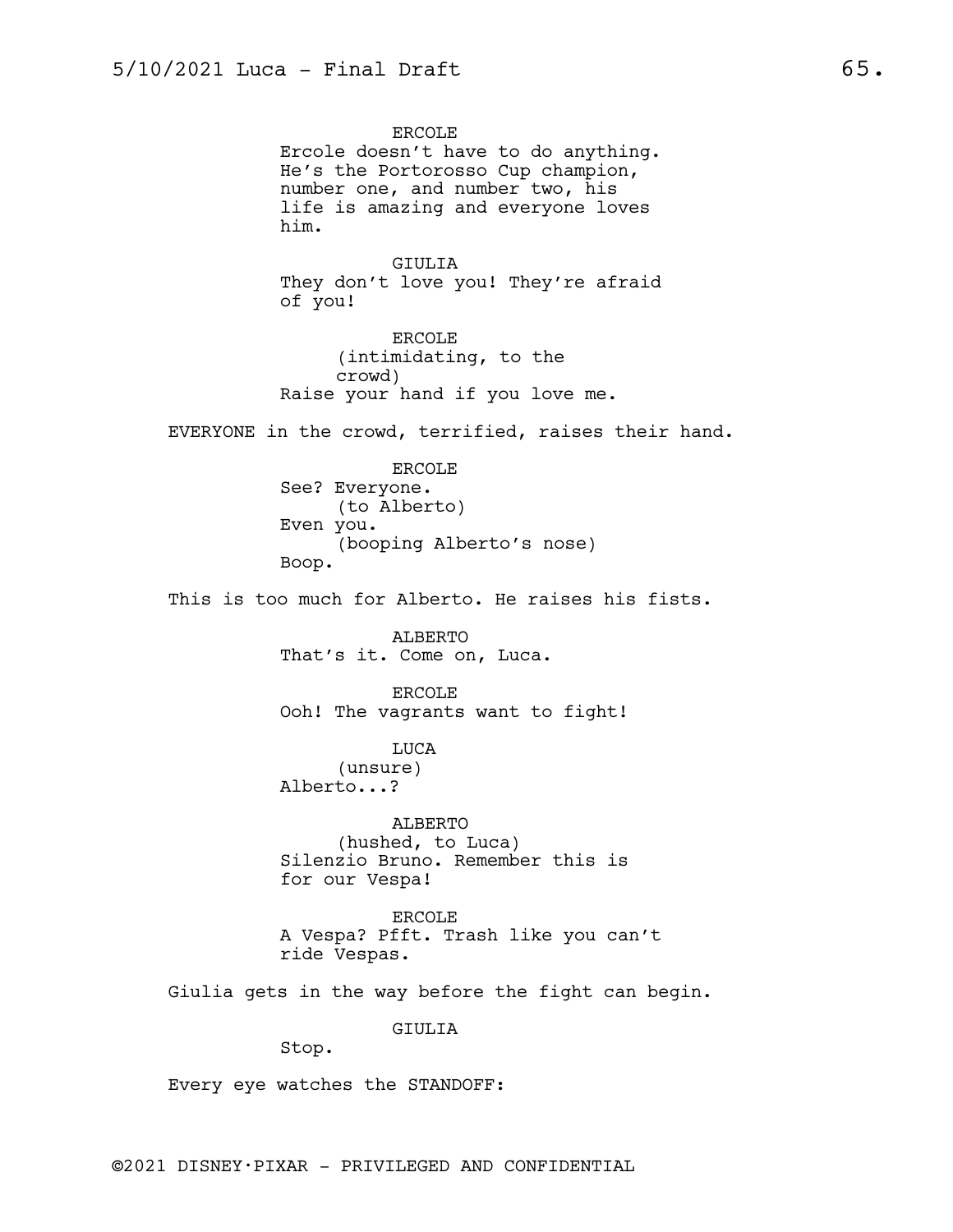ERCOLE Ercole doesn't have to do anything. He's the Portorosso Cup champion, number one, and number two, his life is amazing and everyone loves him. GIULIA They don't love you! They're afraid of you! ERCOLE (intimidating, to the crowd) Raise your hand if you love me. EVERYONE in the crowd, terrified, raises their hand. ERCOLE See? Everyone. (to Alberto) Even you. (booping Alberto's nose) Boop. This is too much for Alberto. He raises his fists. ALBERTO That's it. Come on, Luca. ERCOLE Ooh! The vagrants want to fight! LUCA (unsure) Alberto...? ALBERTO (hushed, to Luca) Silenzio Bruno. Remember this is for our Vespa! ERCOLE A Vespa? Pfft. Trash like you can't ride Vespas. Giulia gets in the way before the fight can begin. GIULIA Stop.

Every eye watches the STANDOFF: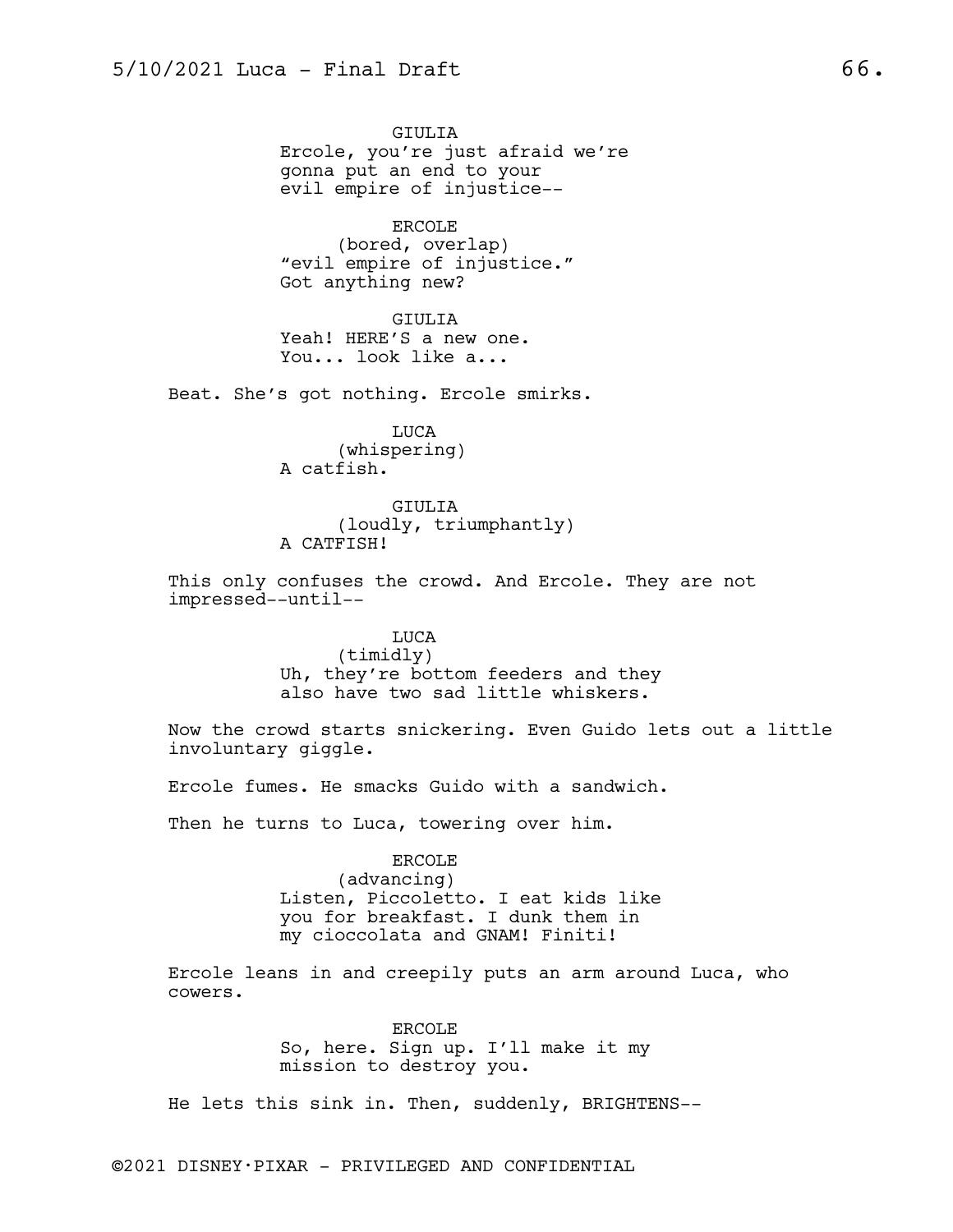GIULIA Ercole, you're just afraid we're gonna put an end to your evil empire of injustice--

ERCOLE (bored, overlap) "evil empire of injustice." Got anything new?

GIULIA Yeah! HERE'S a new one. You... look like a...

Beat. She's got nothing. Ercole smirks.

LUCA (whispering) A catfish.

GIULIA (loudly, triumphantly) A CATFISH!

This only confuses the crowd. And Ercole. They are not impressed--until--

> LUCA (timidly) Uh, they're bottom feeders and they also have two sad little whiskers.

Now the crowd starts snickering. Even Guido lets out a little involuntary giggle.

Ercole fumes. He smacks Guido with a sandwich.

Then he turns to Luca, towering over him.

ERCOLE (advancing) Listen, Piccoletto. I eat kids like you for breakfast. I dunk them in my cioccolata and GNAM! Finiti!

Ercole leans in and creepily puts an arm around Luca, who cowers.

> ERCOLE So, here. Sign up. I'll make it my mission to destroy you.

He lets this sink in. Then, suddenly, BRIGHTENS--

©2021 DISNEY•PIXAR - PRIVILEGED AND CONFIDENTIAL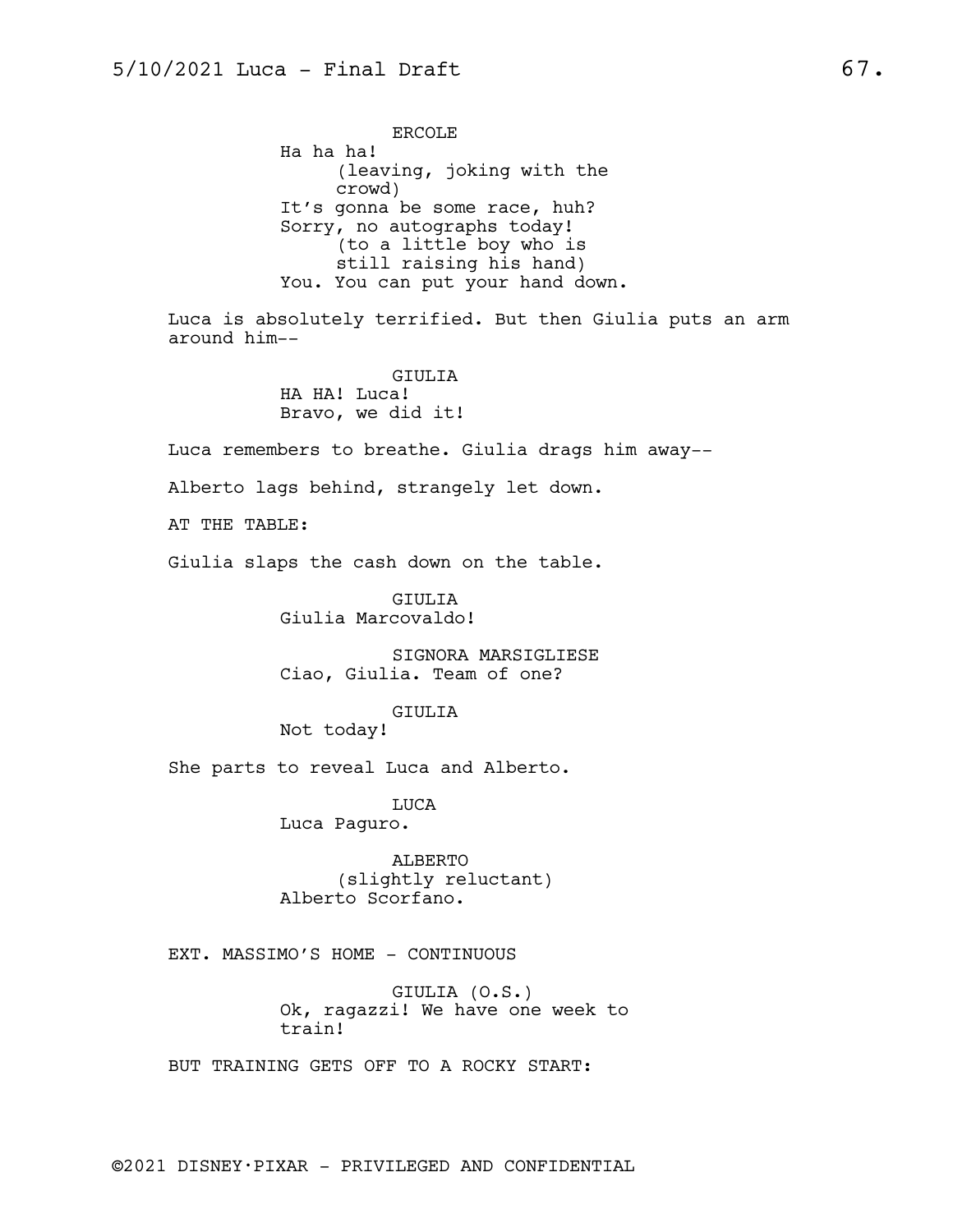ERCOLE Ha ha ha! (leaving, joking with the crowd) It's gonna be some race, huh? Sorry, no autographs today! (to a little boy who is still raising his hand) You. You can put your hand down.

Luca is absolutely terrified. But then Giulia puts an arm around him--

> GIULIA HA HA! Luca! Bravo, we did it!

Luca remembers to breathe. Giulia drags him away--

Alberto lags behind, strangely let down.

AT THE TABLE:

Giulia slaps the cash down on the table.

GIULIA Giulia Marcovaldo!

SIGNORA MARSIGLIESE Ciao, Giulia. Team of one?

GIULIA

Not today!

She parts to reveal Luca and Alberto.

LUCA Luca Paguro.

ALBERTO (slightly reluctant) Alberto Scorfano.

EXT. MASSIMO'S HOME - CONTINUOUS

GIULIA (O.S.) Ok, ragazzi! We have one week to train!

BUT TRAINING GETS OFF TO A ROCKY START: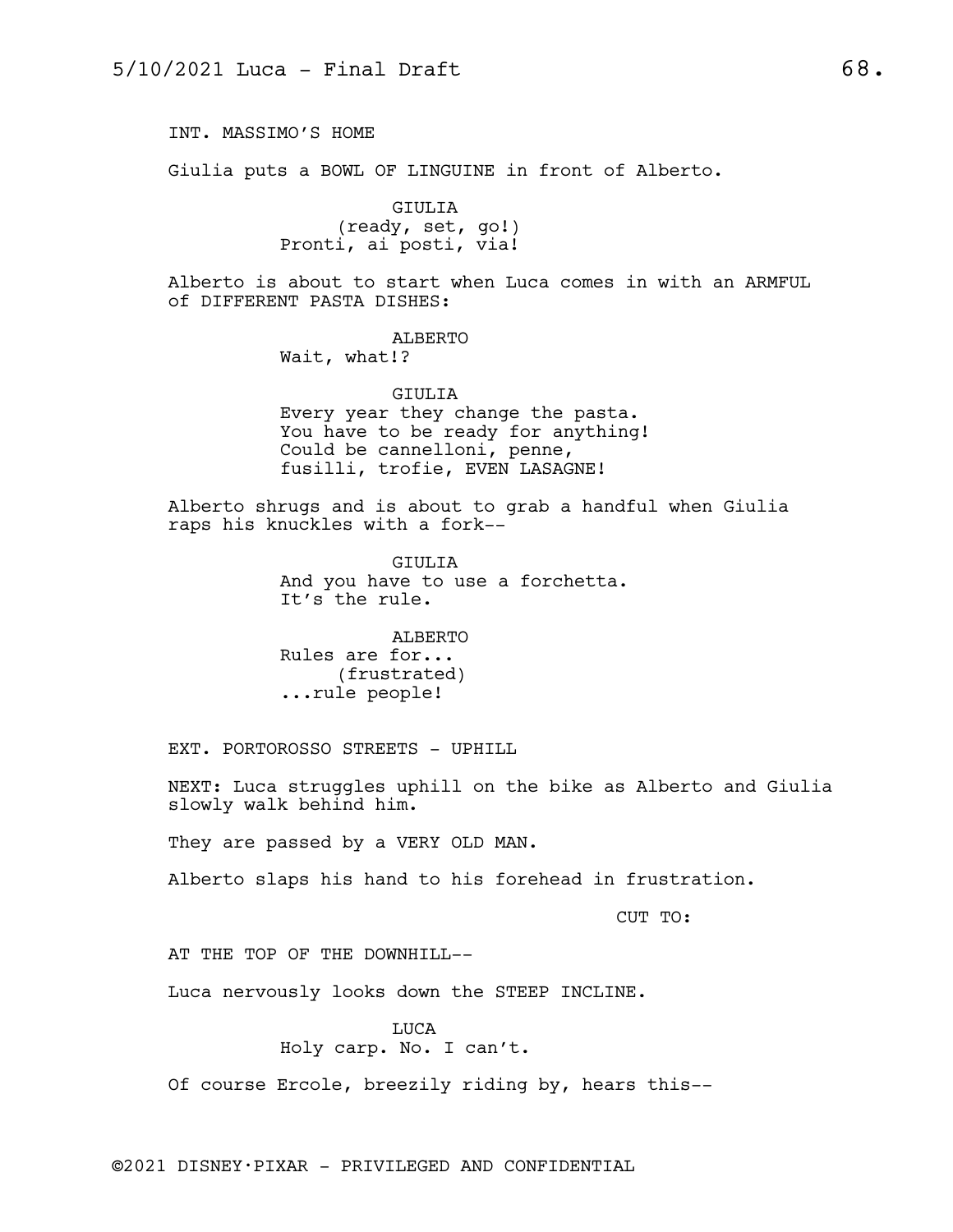INT. MASSIMO'S HOME

Giulia puts a BOWL OF LINGUINE in front of Alberto.

GIULIA (ready, set, go!) Pronti, ai posti, via!

Alberto is about to start when Luca comes in with an ARMFUL of DIFFERENT PASTA DISHES:

ALBERTO

Wait, what!?

GIULIA Every year they change the pasta. You have to be ready for anything! Could be cannelloni, penne, fusilli, trofie, EVEN LASAGNE!

Alberto shrugs and is about to grab a handful when Giulia raps his knuckles with a fork--

> GIULIA And you have to use a forchetta. It's the rule.

ALBERTO Rules are for... (frustrated) ...rule people!

EXT. PORTOROSSO STREETS - UPHILL

NEXT: Luca struggles uphill on the bike as Alberto and Giulia slowly walk behind him.

They are passed by a VERY OLD MAN.

Alberto slaps his hand to his forehead in frustration.

CUT TO:

AT THE TOP OF THE DOWNHILL--

Luca nervously looks down the STEEP INCLINE.

LUCA Holy carp. No. I can't.

Of course Ercole, breezily riding by, hears this--

©2021 DISNEY•PIXAR - PRIVILEGED AND CONFIDENTIAL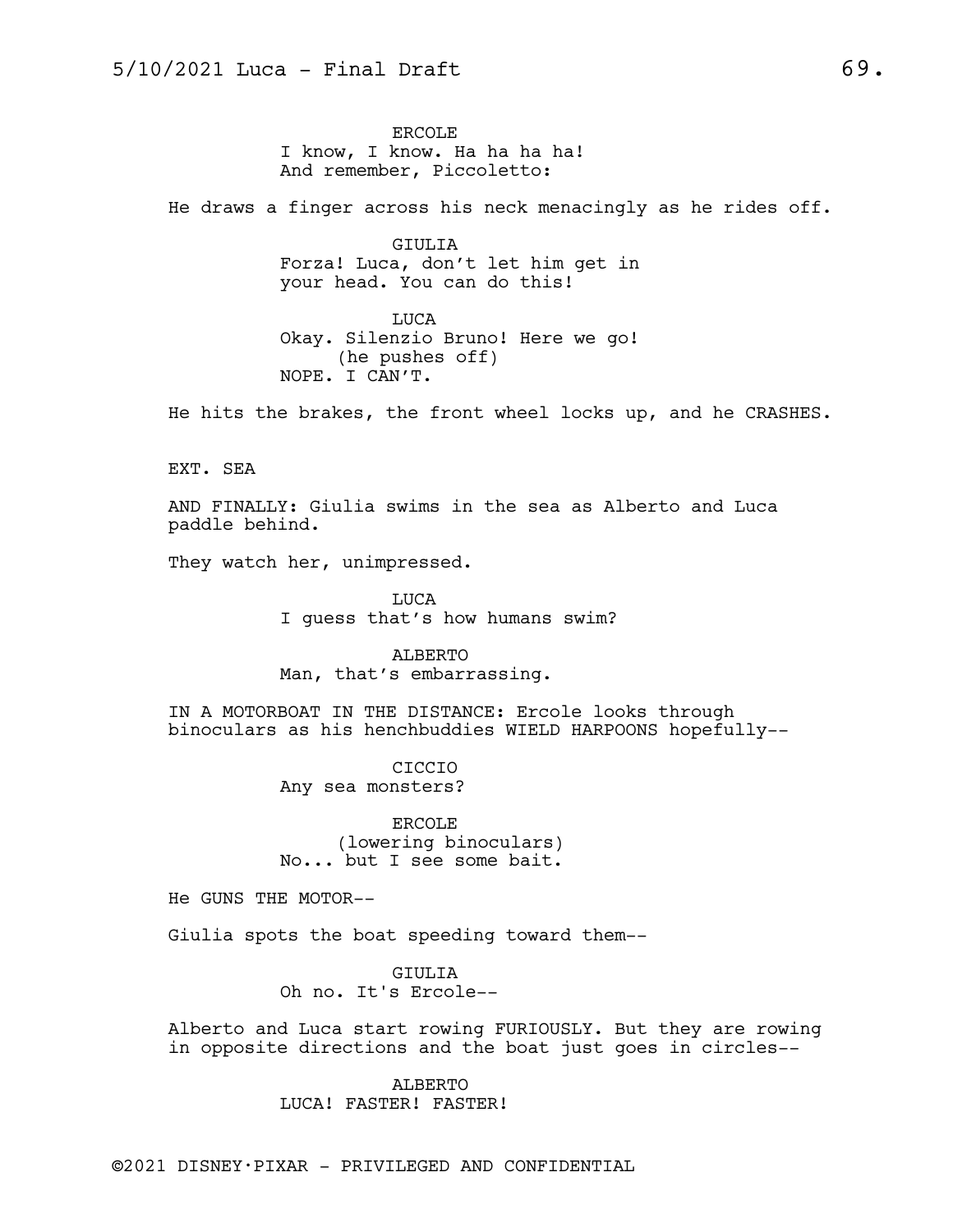ERCOLE I know, I know. Ha ha ha ha! And remember, Piccoletto:

He draws a finger across his neck menacingly as he rides off.

GIULIA Forza! Luca, don't let him get in your head. You can do this!

LUCA Okay. Silenzio Bruno! Here we go! (he pushes off) NOPE. I CAN'T.

He hits the brakes, the front wheel locks up, and he CRASHES.

EXT. SEA

AND FINALLY: Giulia swims in the sea as Alberto and Luca paddle behind.

They watch her, unimpressed.

LUCA I guess that's how humans swim?

ALBERTO Man, that's embarrassing.

IN A MOTORBOAT IN THE DISTANCE: Ercole looks through binoculars as his henchbuddies WIELD HARPOONS hopefully--

> CICCIO Any sea monsters?

ERCOLE (lowering binoculars) No... but I see some bait.

He GUNS THE MOTOR--

Giulia spots the boat speeding toward them--

GIULIA Oh no. It's Ercole--

Alberto and Luca start rowing FURIOUSLY. But they are rowing in opposite directions and the boat just goes in circles--

> ALBERTO LUCA! FASTER! FASTER!

©2021 DISNEY•PIXAR - PRIVILEGED AND CONFIDENTIAL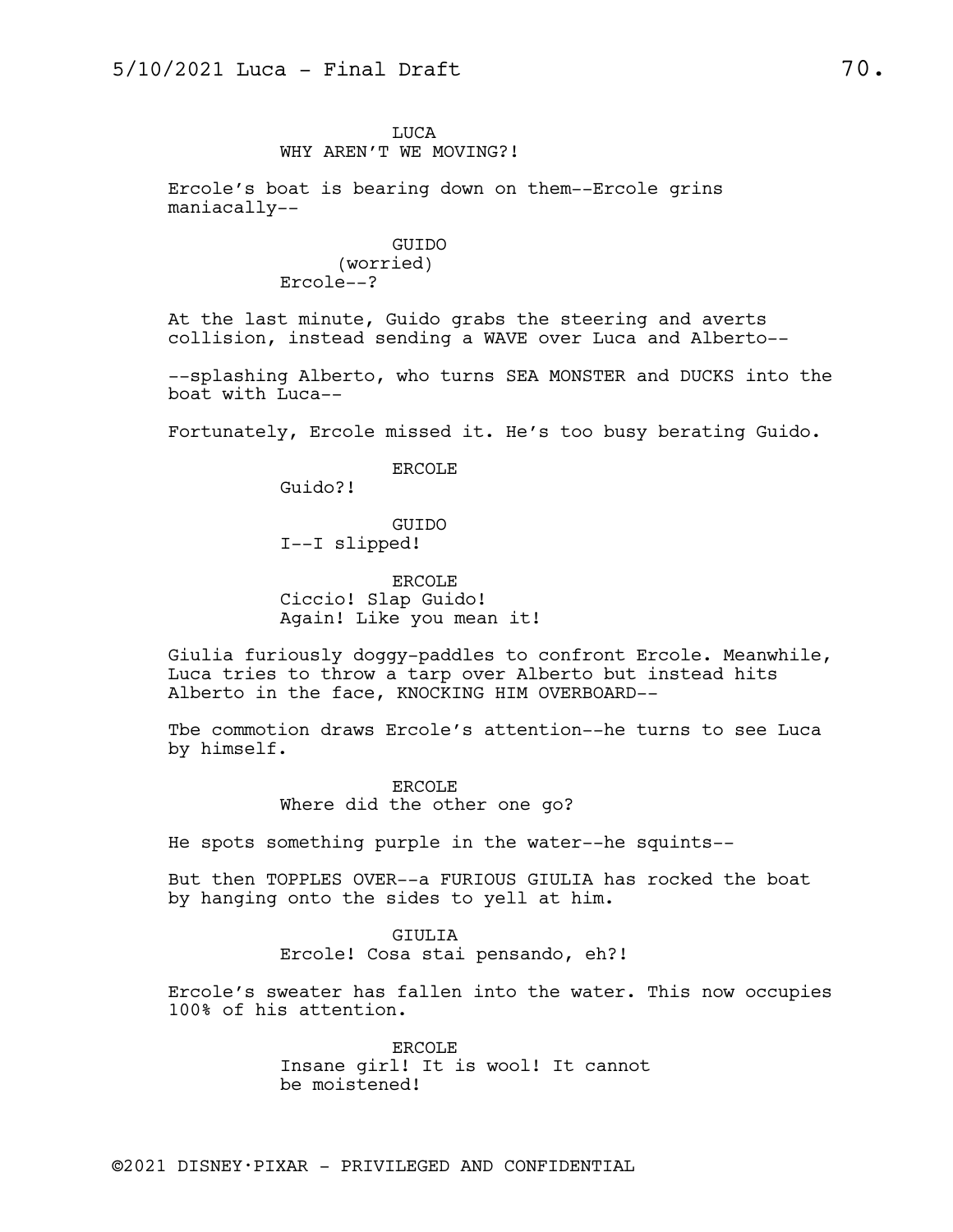LUCA WHY AREN'T WE MOVING?!

Ercole's boat is bearing down on them--Ercole grins maniacally--

> GUIDO (worried) Ercole--?

At the last minute, Guido grabs the steering and averts collision, instead sending a WAVE over Luca and Alberto--

--splashing Alberto, who turns SEA MONSTER and DUCKS into the boat with Luca--

Fortunately, Ercole missed it. He's too busy berating Guido.

ERCOLE

Guido?!

GUIDO I--I slipped!

ERCOLE Ciccio! Slap Guido! Again! Like you mean it!

Giulia furiously doggy-paddles to confront Ercole. Meanwhile, Luca tries to throw a tarp over Alberto but instead hits Alberto in the face, KNOCKING HIM OVERBOARD--

Tbe commotion draws Ercole's attention--he turns to see Luca by himself.

> ERCOLE Where did the other one go?

He spots something purple in the water--he squints--

But then TOPPLES OVER--a FURIOUS GIULIA has rocked the boat by hanging onto the sides to yell at him.

> GIULIA Ercole! Cosa stai pensando, eh?!

Ercole's sweater has fallen into the water. This now occupies 100% of his attention.

> ERCOLE Insane girl! It is wool! It cannot be moistened!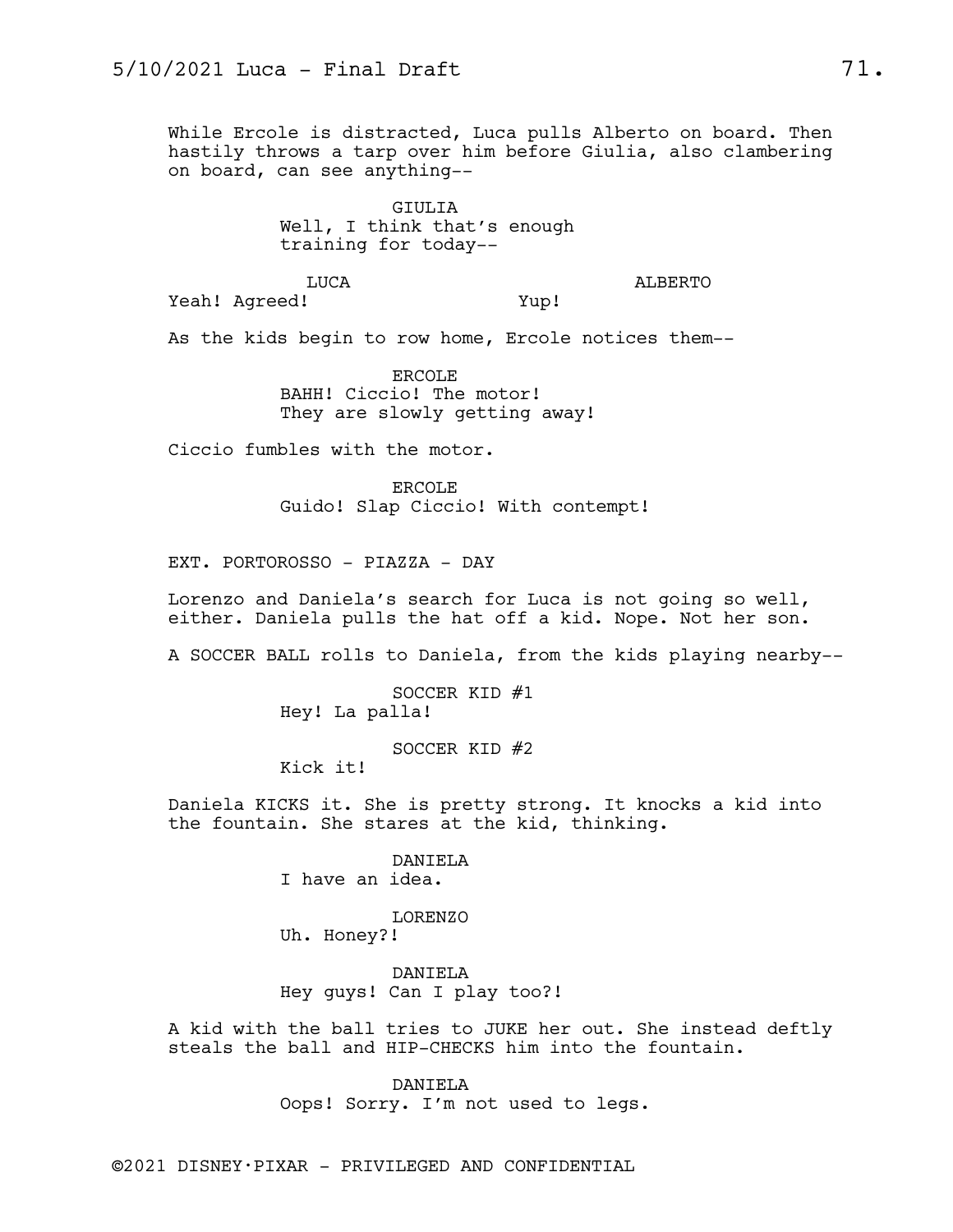While Ercole is distracted, Luca pulls Alberto on board. Then hastily throws a tarp over him before Giulia, also clambering on board, can see anything--

> GIULIA Well, I think that's enough training for today--

> > ALBERTO

Yeah! Agreed!

Yup!

As the kids begin to row home, Ercole notices them--

ERCOLE BAHH! Ciccio! The motor! They are slowly getting away!

Ciccio fumbles with the motor.

LUCA

ERCOLE Guido! Slap Ciccio! With contempt!

EXT. PORTOROSSO - PIAZZA - DAY

Lorenzo and Daniela's search for Luca is not going so well, either. Daniela pulls the hat off a kid. Nope. Not her son.

A SOCCER BALL rolls to Daniela, from the kids playing nearby--

SOCCER KID #1 Hey! La palla!

SOCCER KID #2

Kick it!

Daniela KICKS it. She is pretty strong. It knocks a kid into the fountain. She stares at the kid, thinking.

DANIELA

I have an idea.

LORENZO Uh. Honey?!

DANIELA Hey guys! Can I play too?!

A kid with the ball tries to JUKE her out. She instead deftly steals the ball and HIP-CHECKS him into the fountain.

> DANIELA Oops! Sorry. I'm not used to legs.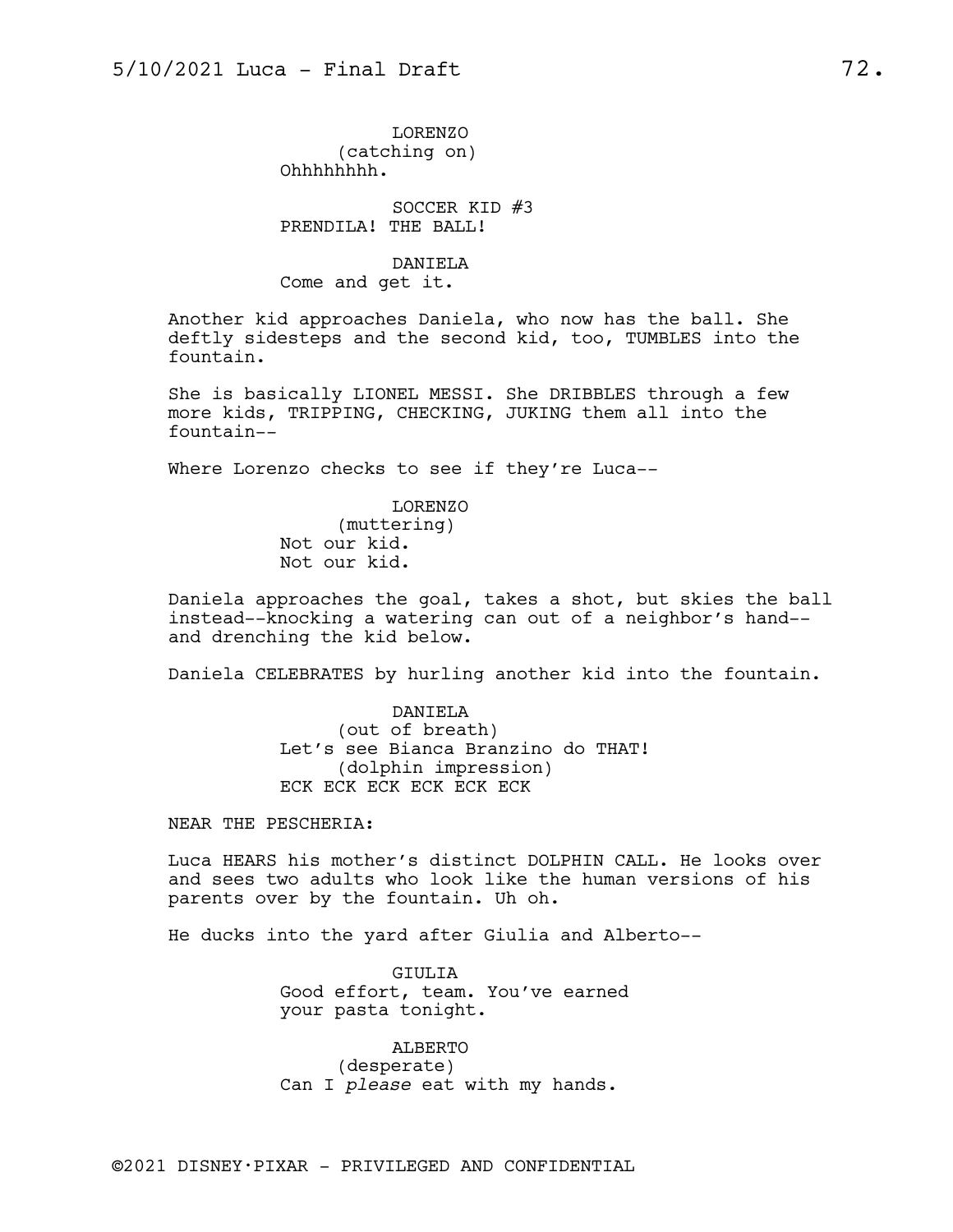LORENZO (catching on) Ohhhhhhhh.

SOCCER KID #3 PRENDILA! THE BALL!

DANIELA Come and get it.

Another kid approaches Daniela, who now has the ball. She deftly sidesteps and the second kid, too, TUMBLES into the fountain.

She is basically LIONEL MESSI. She DRIBBLES through a few more kids, TRIPPING, CHECKING, JUKING them all into the fountain--

Where Lorenzo checks to see if they're Luca--

LORENZO (muttering) Not our kid. Not our kid.

Daniela approaches the goal, takes a shot, but skies the ball instead--knocking a watering can out of a neighbor's hand- and drenching the kid below.

Daniela CELEBRATES by hurling another kid into the fountain.

DANIELA (out of breath) Let's see Bianca Branzino do THAT! (dolphin impression) ECK ECK ECK ECK ECK ECK

NEAR THE PESCHERIA:

Luca HEARS his mother's distinct DOLPHIN CALL. He looks over and sees two adults who look like the human versions of his parents over by the fountain. Uh oh.

He ducks into the yard after Giulia and Alberto--

GIULIA Good effort, team. You've earned your pasta tonight.

ALBERTO (desperate) Can I *please* eat with my hands.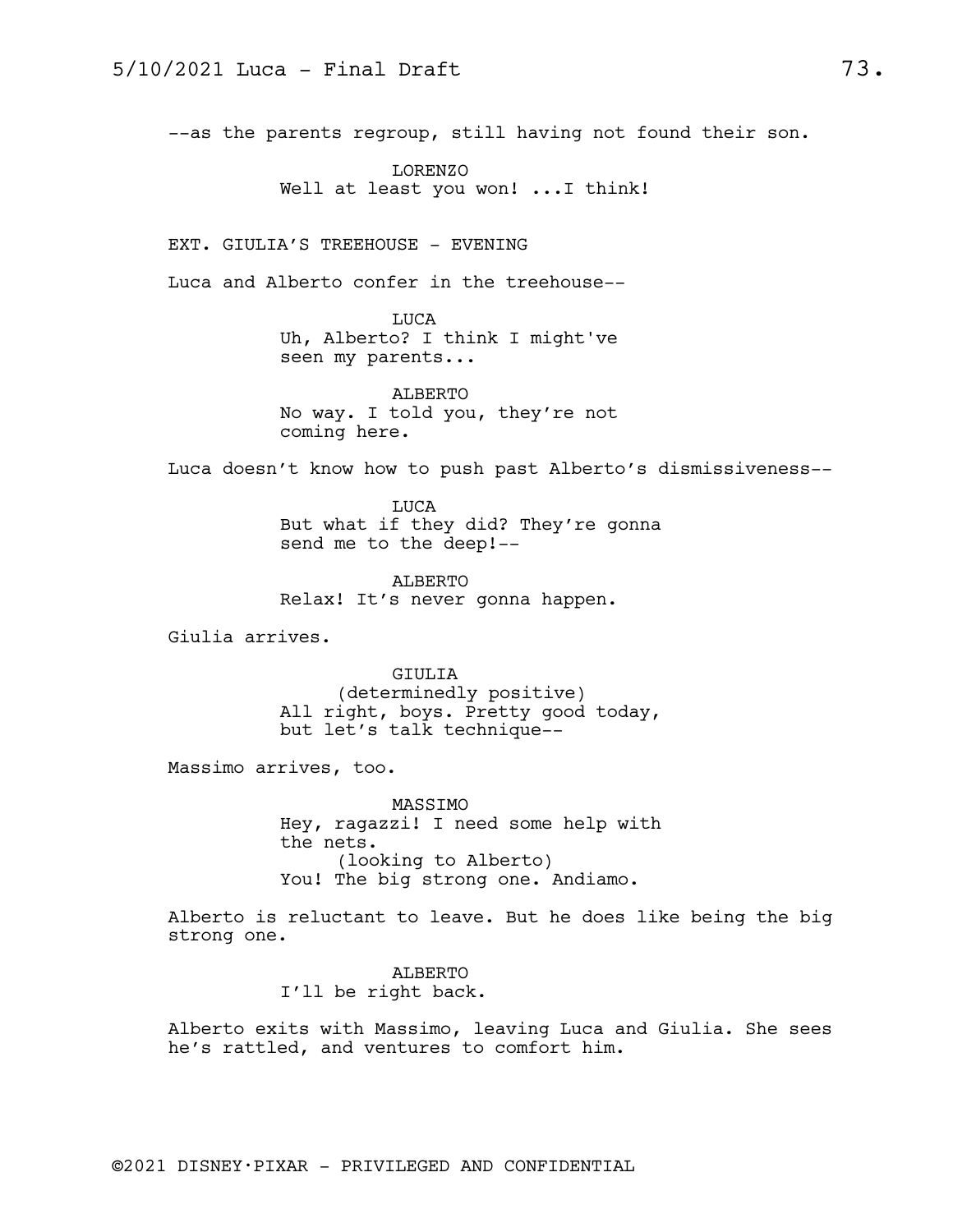--as the parents regroup, still having not found their son.

LORENZO Well at least you won! ... I think!

EXT. GIULIA'S TREEHOUSE - EVENING

Luca and Alberto confer in the treehouse--

LUCA Uh, Alberto? I think I might've seen my parents...

ALBERTO No way. I told you, they're not coming here.

Luca doesn't know how to push past Alberto's dismissiveness--

LUCA But what if they did? They're gonna send me to the deep!--

ALBERTO Relax! It's never gonna happen.

Giulia arrives.

GIULIA (determinedly positive) All right, boys. Pretty good today, but let's talk technique--

Massimo arrives, too.

MASSIMO Hey, ragazzi! I need some help with the nets. (looking to Alberto) You! The big strong one. Andiamo.

Alberto is reluctant to leave. But he does like being the big strong one.

> ALBERTO I'll be right back.

Alberto exits with Massimo, leaving Luca and Giulia. She sees he's rattled, and ventures to comfort him.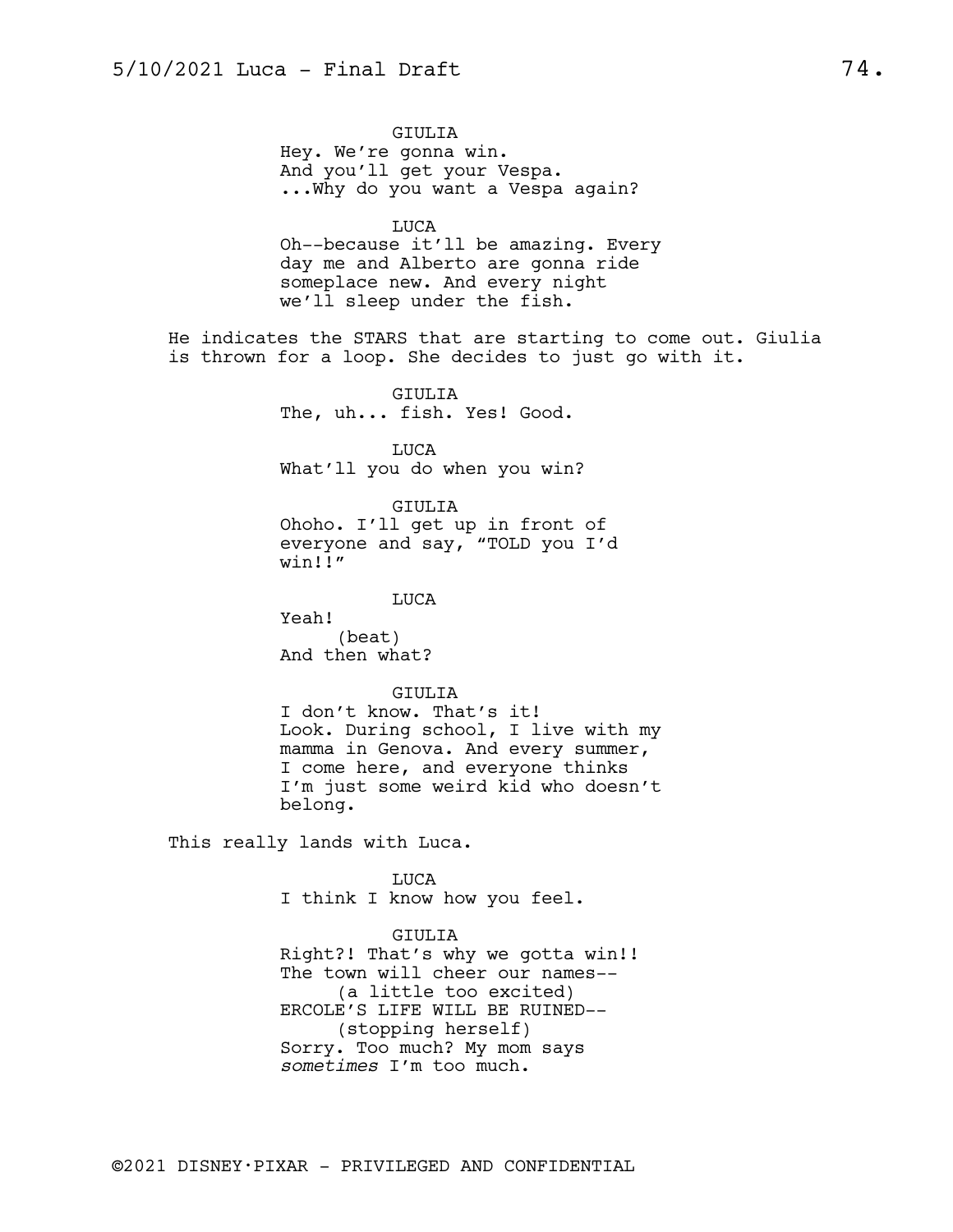GIULIA Hey. We're gonna win. And you'll get your Vespa. ...Why do you want a Vespa again?

LUCA

Oh--because it'll be amazing. Every day me and Alberto are gonna ride someplace new. And every night we'll sleep under the fish.

He indicates the STARS that are starting to come out. Giulia is thrown for a loop. She decides to just go with it.

> GIULIA The, uh... fish. Yes! Good.

LUCA What'll you do when you win?

GIULIA

Ohoho. I'll get up in front of everyone and say, "TOLD you I'd win!!"

LUCA

Yeah! (beat) And then what?

GIULIA

I don't know. That's it! Look. During school, I live with my mamma in Genova. And every summer, I come here, and everyone thinks I'm just some weird kid who doesn't belong.

This really lands with Luca.

LUCA I think I know how you feel.

GIULIA Right?! That's why we gotta win!! The town will cheer our names-- (a little too excited) ERCOLE'S LIFE WILL BE RUINED-- (stopping herself)

Sorry. Too much? My mom says *sometimes* I'm too much.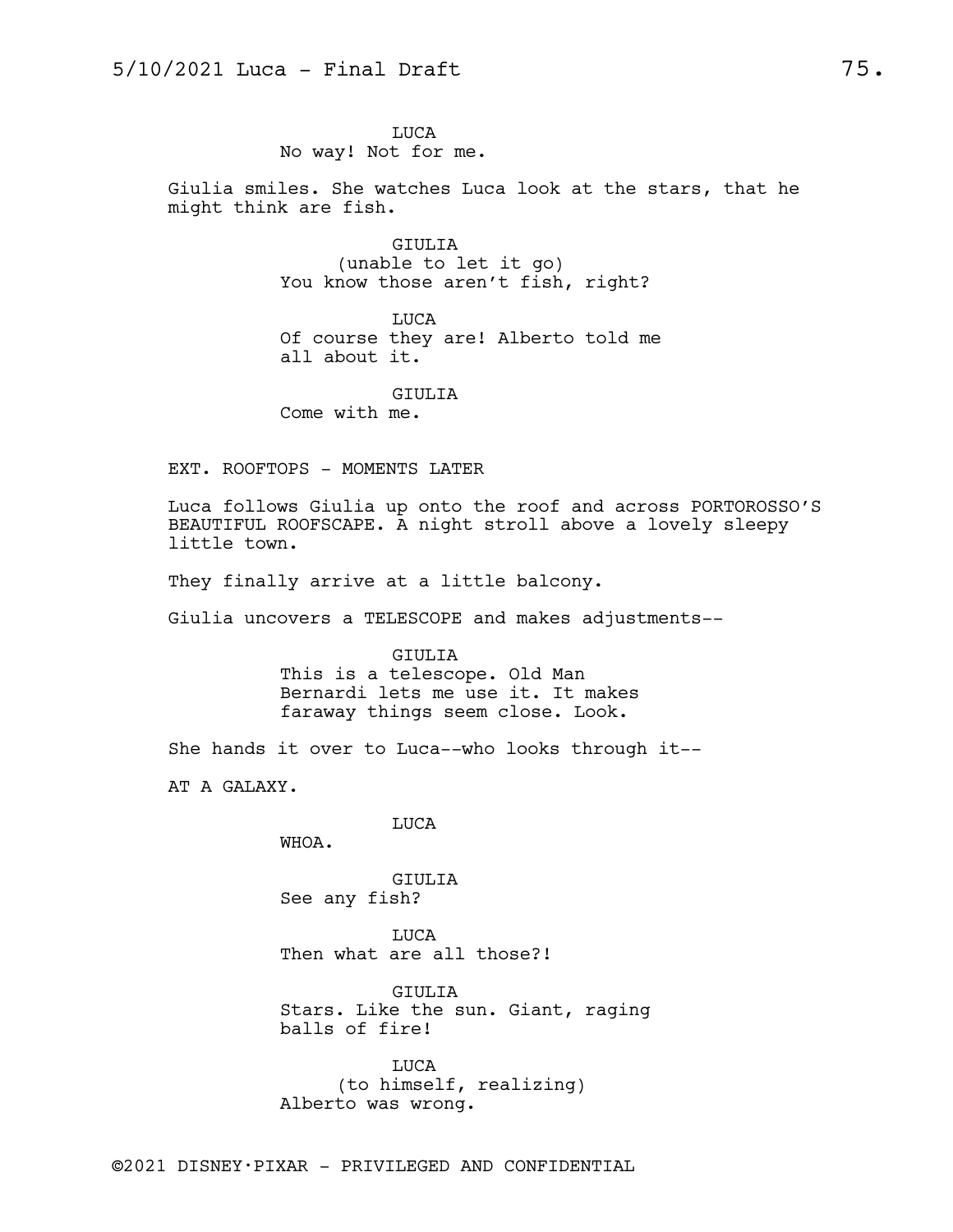LUCA No way! Not for me.

Giulia smiles. She watches Luca look at the stars, that he might think are fish.

> GIULIA (unable to let it go) You know those aren't fish, right?

LUCA Of course they are! Alberto told me all about it.

GIULIA Come with me.

EXT. ROOFTOPS - MOMENTS LATER

Luca follows Giulia up onto the roof and across PORTOROSSO'S BEAUTIFUL ROOFSCAPE. A night stroll above a lovely sleepy little town.

They finally arrive at a little balcony.

Giulia uncovers a TELESCOPE and makes adjustments--

GIULIA This is a telescope. Old Man Bernardi lets me use it. It makes faraway things seem close. Look.

She hands it over to Luca--who looks through it--

AT A GALAXY.

LUCA

WHOA.

GIULIA See any fish?

LUCA Then what are all those?!

GIULIA Stars. Like the sun. Giant, raging balls of fire!

LUCA (to himself, realizing) Alberto was wrong.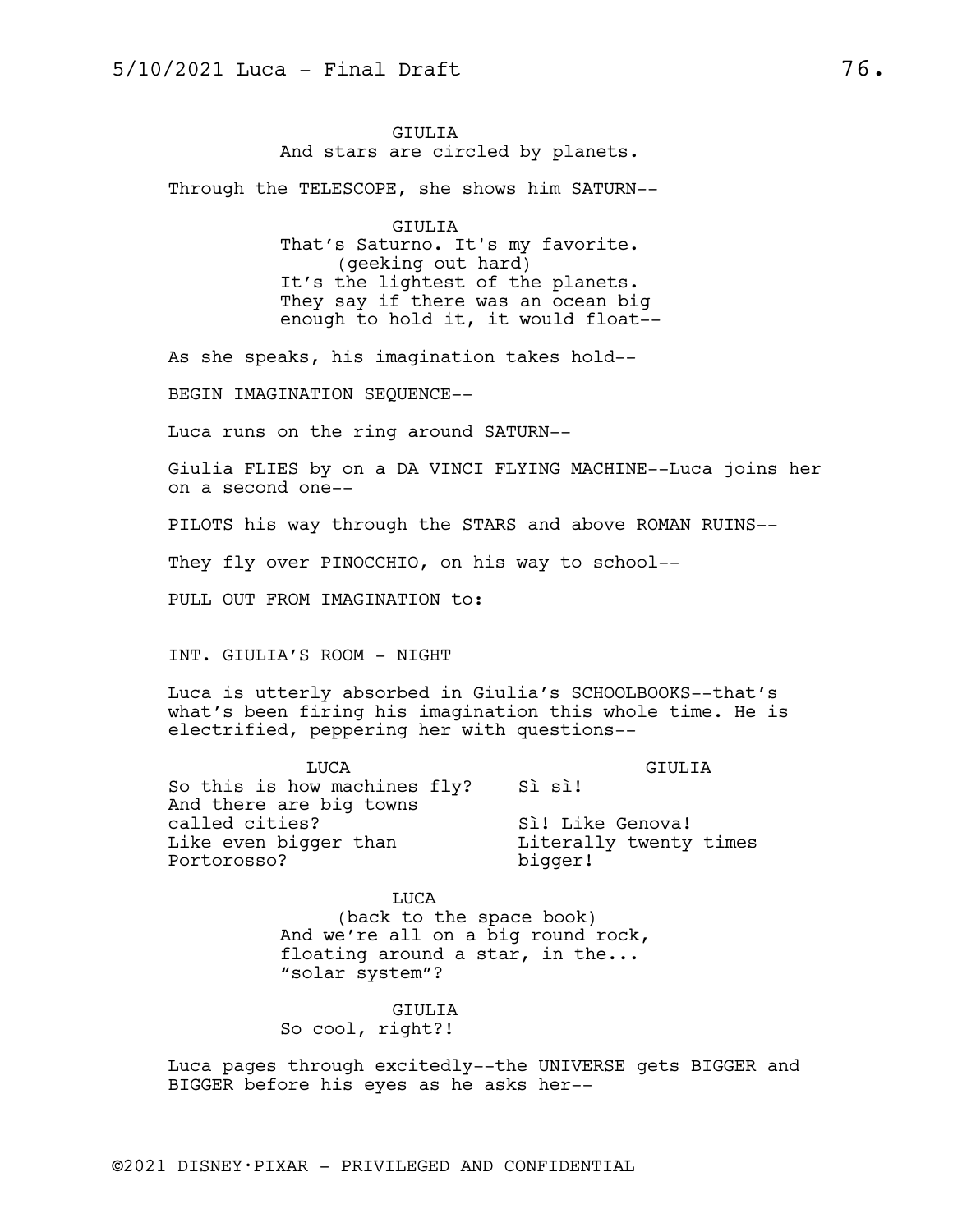GIULIA And stars are circled by planets.

Through the TELESCOPE, she shows him SATURN--

GIULIA That's Saturno. It's my favorite. (geeking out hard) It's the lightest of the planets. They say if there was an ocean big enough to hold it, it would float--

As she speaks, his imagination takes hold--

BEGIN IMAGINATION SEQUENCE--

Luca runs on the ring around SATURN--

Giulia FLIES by on a DA VINCI FLYING MACHINE--Luca joins her on a second one--

PILOTS his way through the STARS and above ROMAN RUINS--

They fly over PINOCCHIO, on his way to school--

PULL OUT FROM IMAGINATION to:

INT. GIULIA'S ROOM - NIGHT

Luca is utterly absorbed in Giulia's SCHOOLBOOKS--that's what's been firing his imagination this whole time. He is electrified, peppering her with questions--

LUCA So this is how machines fly? Sì sì! And there are big towns called cities? Like even bigger than Portorosso? GIULIA Sì! Like Genova! Literally twenty times bigger!

> LUCA (back to the space book) And we're all on a big round rock, floating around a star, in the... "solar system"?

GIULIA So cool, right?!

Luca pages through excitedly--the UNIVERSE gets BIGGER and BIGGER before his eyes as he asks her--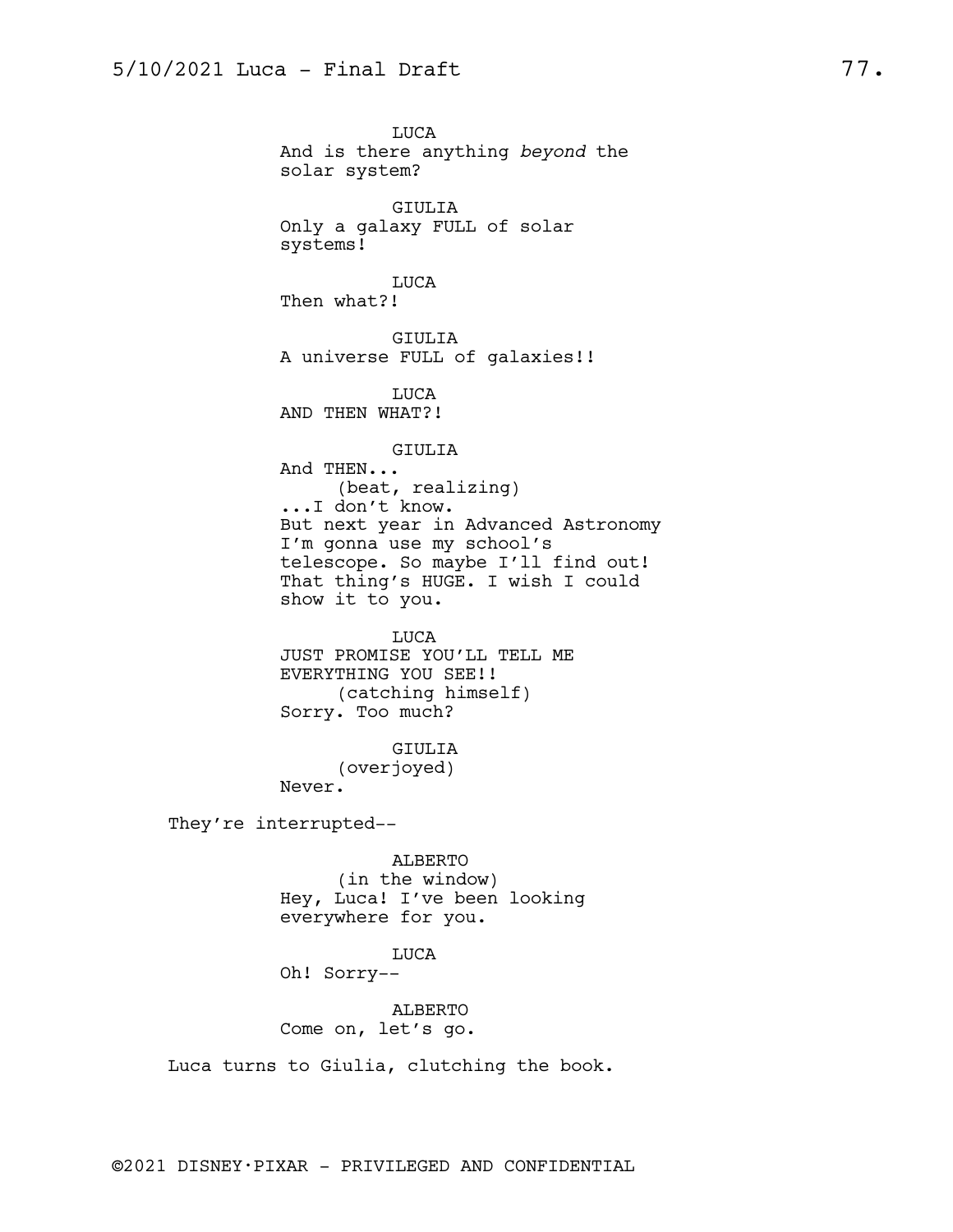LUCA And is there anything *beyond* the solar system? GIULIA Only a galaxy FULL of solar systems! LUCA Then what?! GIULIA A universe FULL of galaxies!! LUCA AND THEN WHAT?! GIULIA And THEN... (beat, realizing) ...I don't know. But next year in Advanced Astronomy I'm gonna use my school's telescope. So maybe I'll find out! That thing's HUGE. I wish I could show it to you. LUCA JUST PROMISE YOU'LL TELL ME EVERYTHING YOU SEE!! (catching himself) Sorry. Too much? GIULIA (overjoyed) Never. They're interrupted-- ALBERTO (in the window) Hey, Luca! I've been looking everywhere for you. LUCA Oh! Sorry-- ALBERTO Come on, let's go. Luca turns to Giulia, clutching the book.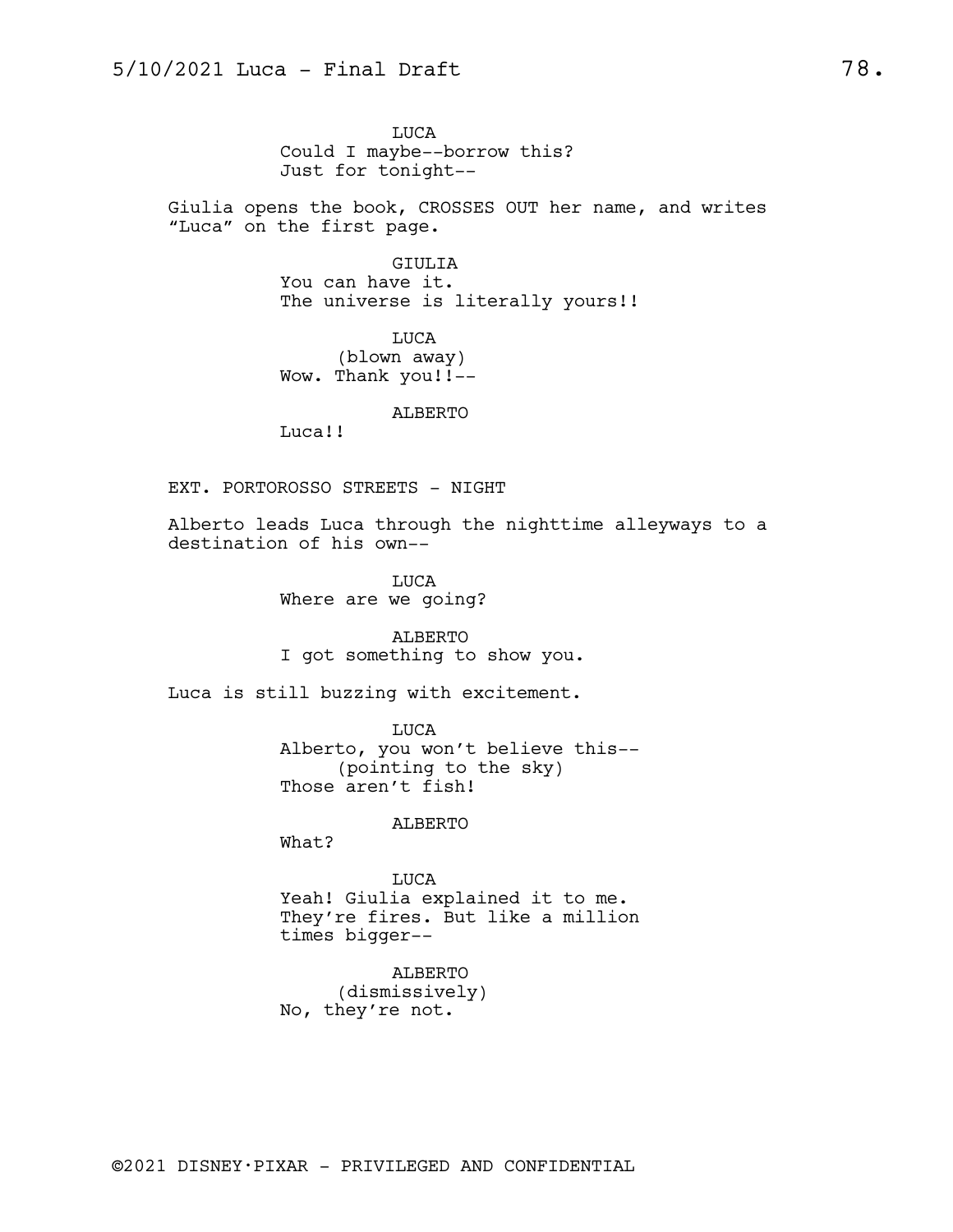LUCA Could I maybe--borrow this? Just for tonight--

Giulia opens the book, CROSSES OUT her name, and writes "Luca" on the first page.

> GIULIA You can have it. The universe is literally yours!!

LUCA (blown away) Wow. Thank you!!--

ALBERTO

Luca!!

EXT. PORTOROSSO STREETS - NIGHT

Alberto leads Luca through the nighttime alleyways to a destination of his own--

> LUCA Where are we going?

ALBERTO I got something to show you.

Luca is still buzzing with excitement.

LUCA Alberto, you won't believe this-- (pointing to the sky) Those aren't fish!

ALBERTO

What?

LUCA Yeah! Giulia explained it to me. They're fires. But like a million times bigger--

ALBERTO (dismissively) No, they're not.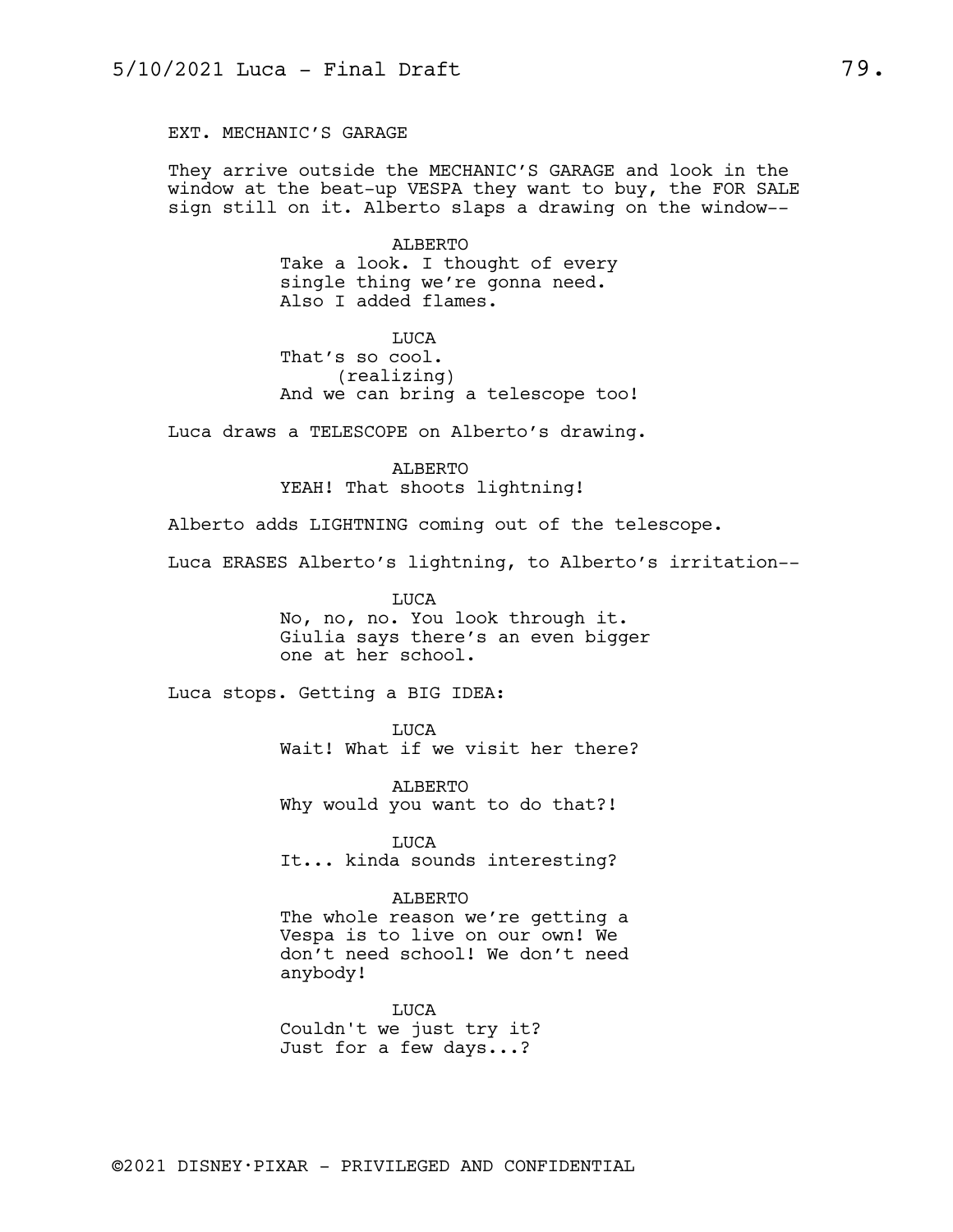EXT. MECHANIC'S GARAGE

They arrive outside the MECHANIC'S GARAGE and look in the window at the beat-up VESPA they want to buy, the FOR SALE sign still on it. Alberto slaps a drawing on the window--

> ALBERTO Take a look. I thought of every single thing we're gonna need. Also I added flames.

**TJICA** That's so cool. (realizing) And we can bring a telescope too!

Luca draws a TELESCOPE on Alberto's drawing.

ALBERTO YEAH! That shoots lightning!

Alberto adds LIGHTNING coming out of the telescope.

Luca ERASES Alberto's lightning, to Alberto's irritation--

LUCA No, no, no. You look through it. Giulia says there's an even bigger one at her school.

Luca stops. Getting a BIG IDEA:

LUCA Wait! What if we visit her there?

ALBERTO Why would you want to do that?!

LUCA It... kinda sounds interesting?

ALBERTO

The whole reason we're getting a Vespa is to live on our own! We don't need school! We don't need anybody!

LUCA Couldn't we just try it? Just for a few days...?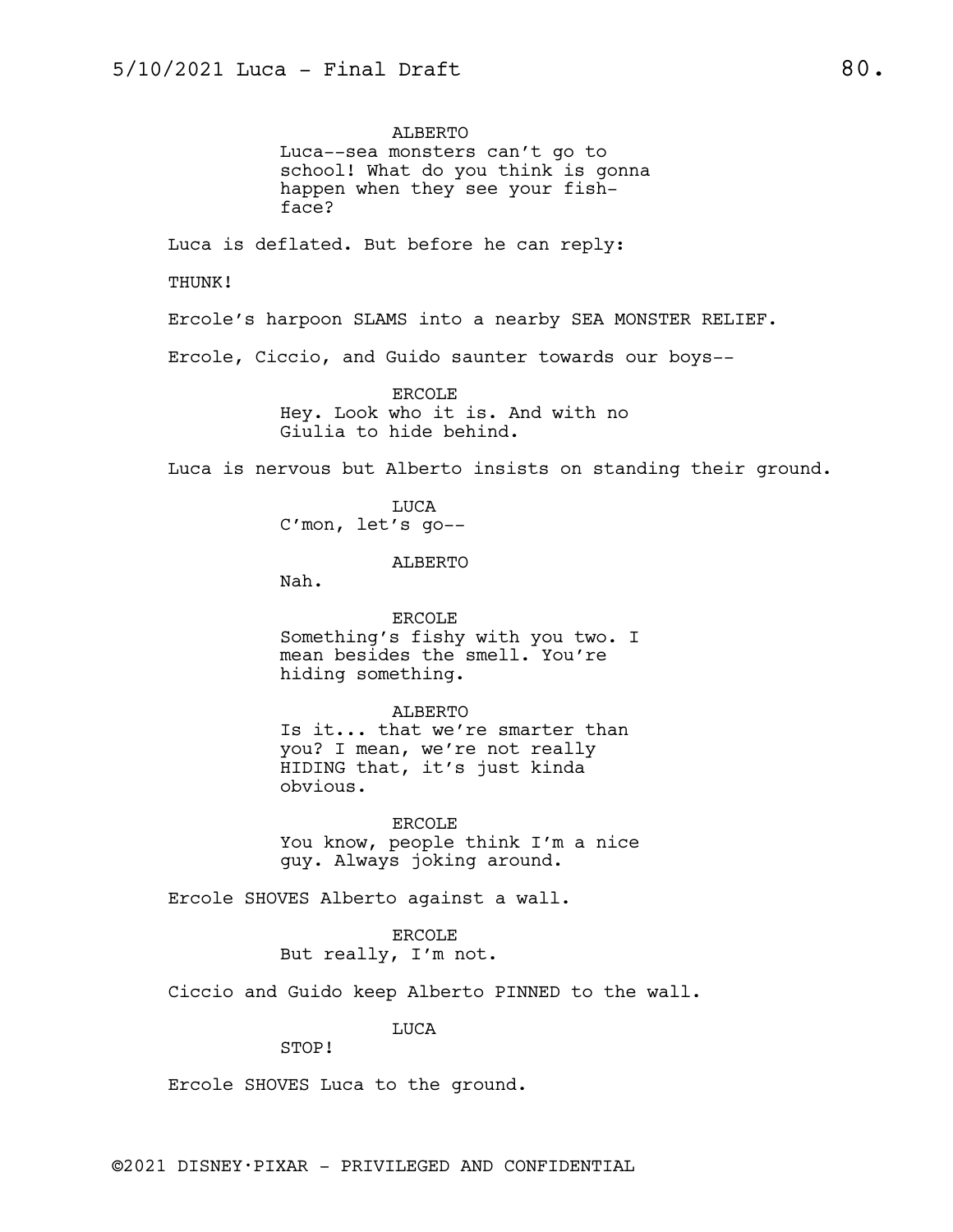ALBERTO Luca--sea monsters can't go to school! What do you think is gonna happen when they see your fishface? Luca is deflated. But before he can reply: THUNK! Ercole's harpoon SLAMS into a nearby SEA MONSTER RELIEF. Ercole, Ciccio, and Guido saunter towards our boys-- ERCOLE Hey. Look who it is. And with no Giulia to hide behind. Luca is nervous but Alberto insists on standing their ground. LUCA C'mon, let's go-- ALBERTO Nah. ERCOLE Something's fishy with you two. I mean besides the smell. You're hiding something. ALBERTO Is it... that we're smarter than you? I mean, we're not really HIDING that, it's just kinda obvious. ERCOLE You know, people think I'm a nice guy. Always joking around. Ercole SHOVES Alberto against a wall. ERCOLE But really, I'm not.

Ciccio and Guido keep Alberto PINNED to the wall.

LUCA

STOP!

Ercole SHOVES Luca to the ground.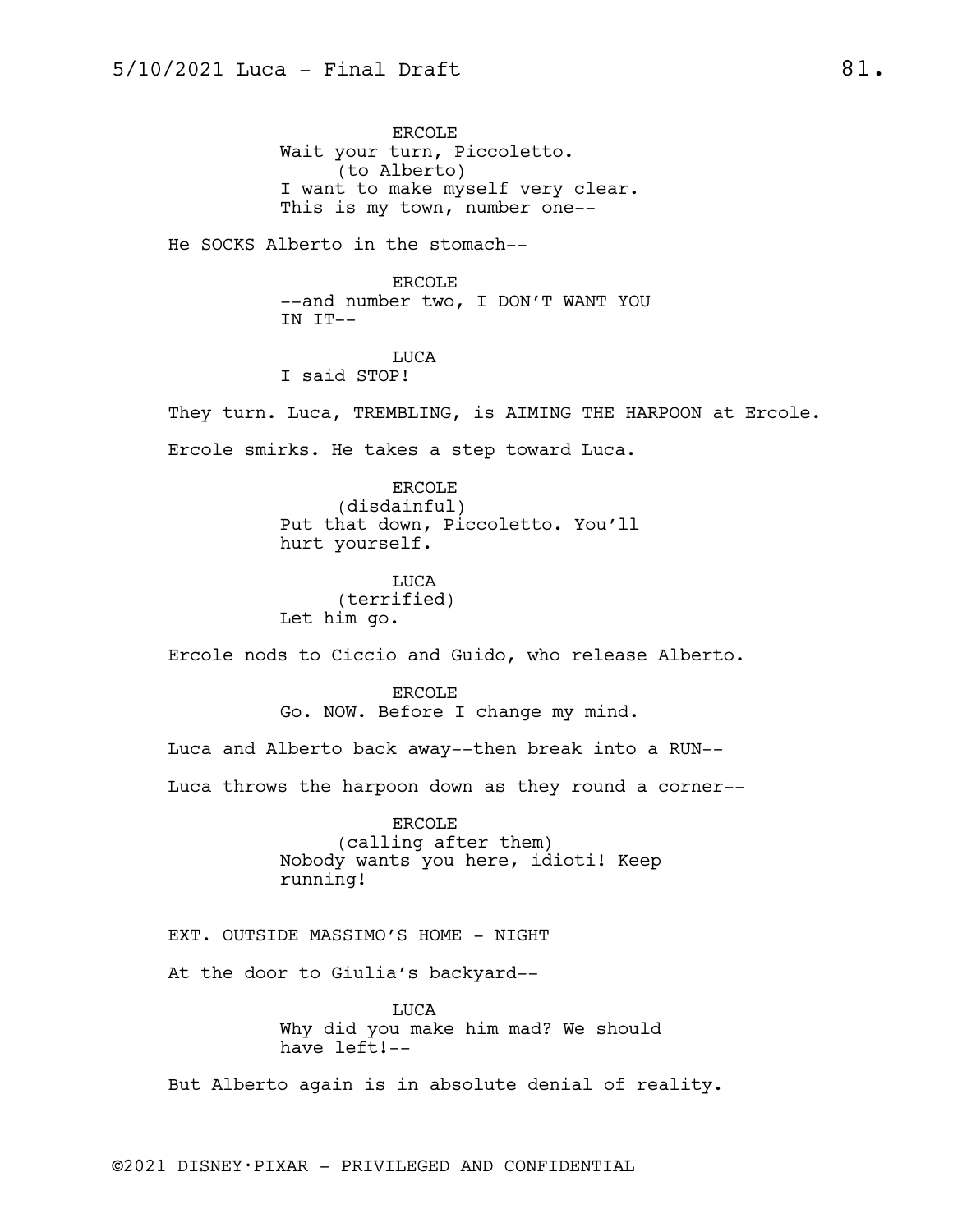ERCOLE Wait your turn, Piccoletto. (to Alberto) I want to make myself very clear. This is my town, number one--

He SOCKS Alberto in the stomach--

ERCOLE --and number two, I DON'T WANT YOU IN IT--

LUCA I said STOP!

They turn. Luca, TREMBLING, is AIMING THE HARPOON at Ercole. Ercole smirks. He takes a step toward Luca.

> ERCOLE (disdainful) Put that down, Piccoletto. You'll hurt yourself.

LUCA (terrified) Let him go.

Ercole nods to Ciccio and Guido, who release Alberto.

ERCOLE Go. NOW. Before I change my mind.

Luca and Alberto back away--then break into a RUN--

Luca throws the harpoon down as they round a corner--

ERCOLE (calling after them) Nobody wants you here, idioti! Keep running!

EXT. OUTSIDE MASSIMO'S HOME - NIGHT

At the door to Giulia's backyard--

LUCA Why did you make him mad? We should have left!--

But Alberto again is in absolute denial of reality.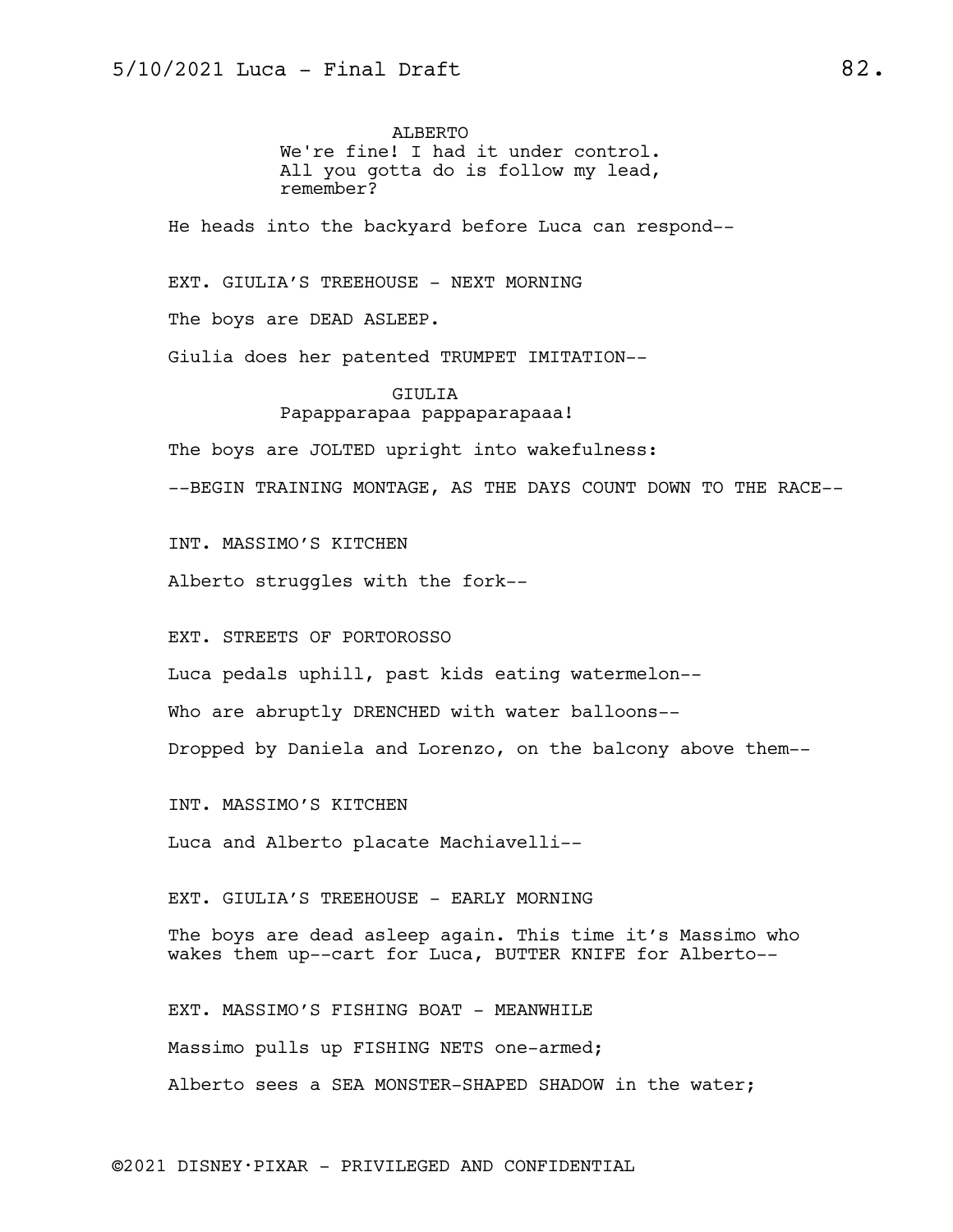ALBERTO We're fine! I had it under control. All you gotta do is follow my lead, remember?

He heads into the backyard before Luca can respond--

EXT. GIULIA'S TREEHOUSE - NEXT MORNING

The boys are DEAD ASLEEP.

Giulia does her patented TRUMPET IMITATION--

### GIULIA Papapparapaa pappaparapaaa!

The boys are JOLTED upright into wakefulness:

--BEGIN TRAINING MONTAGE, AS THE DAYS COUNT DOWN TO THE RACE--

INT. MASSIMO'S KITCHEN

Alberto struggles with the fork--

EXT. STREETS OF PORTOROSSO

Luca pedals uphill, past kids eating watermelon--

Who are abruptly DRENCHED with water balloons--

Dropped by Daniela and Lorenzo, on the balcony above them--

INT. MASSIMO'S KITCHEN

Luca and Alberto placate Machiavelli--

EXT. GIULIA'S TREEHOUSE - EARLY MORNING

The boys are dead asleep again. This time it's Massimo who wakes them up--cart for Luca, BUTTER KNIFE for Alberto--

EXT. MASSIMO'S FISHING BOAT - MEANWHILE Massimo pulls up FISHING NETS one-armed; Alberto sees a SEA MONSTER-SHAPED SHADOW in the water;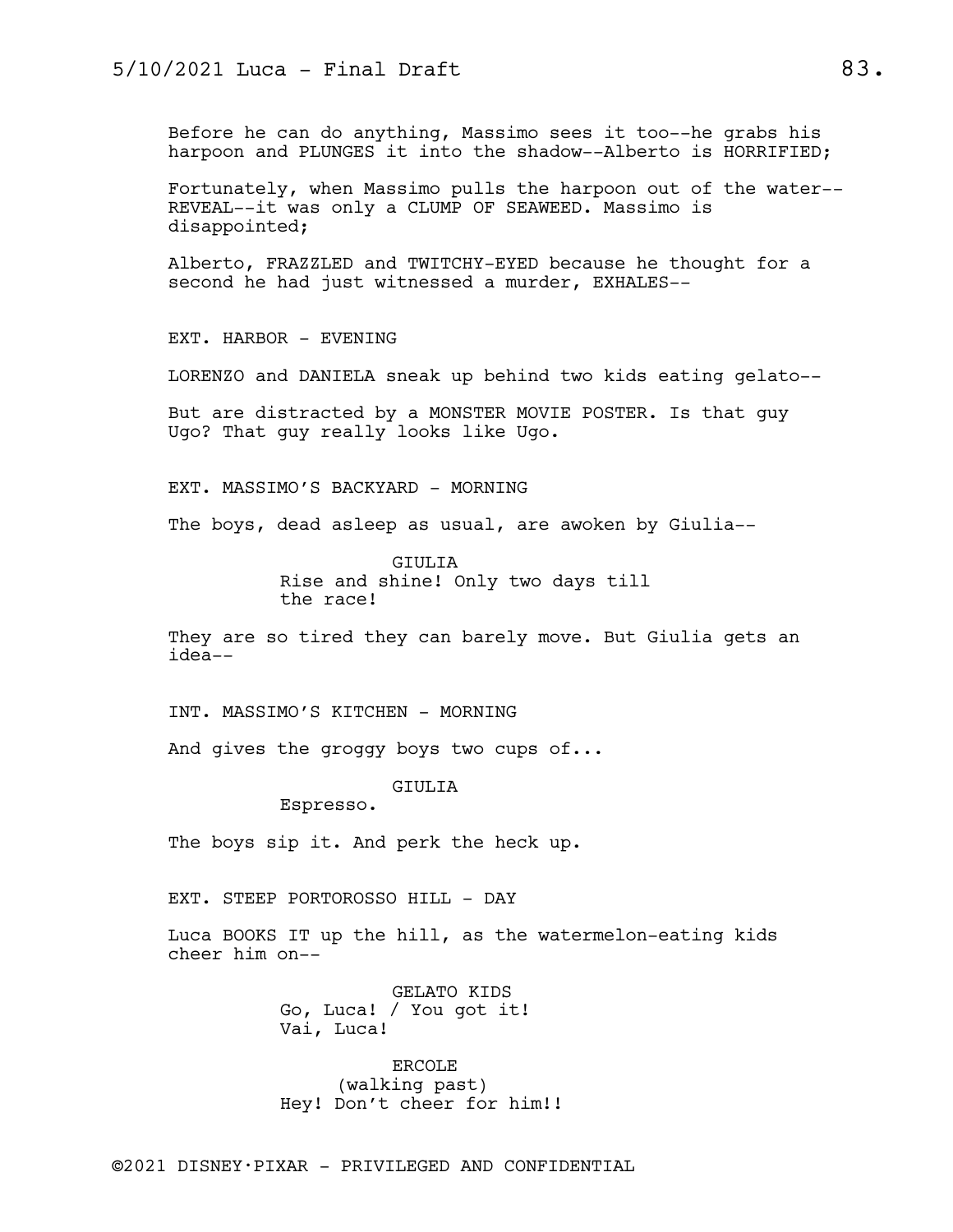Before he can do anything, Massimo sees it too--he grabs his harpoon and PLUNGES it into the shadow--Alberto is HORRIFIED;

Fortunately, when Massimo pulls the harpoon out of the water-- REVEAL--it was only a CLUMP OF SEAWEED. Massimo is disappointed;

Alberto, FRAZZLED and TWITCHY-EYED because he thought for a second he had just witnessed a murder, EXHALES--

EXT. HARBOR - EVENING

LORENZO and DANIELA sneak up behind two kids eating gelato--

But are distracted by a MONSTER MOVIE POSTER. Is that guy Ugo? That guy really looks like Ugo.

EXT. MASSIMO'S BACKYARD - MORNING

The boys, dead asleep as usual, are awoken by Giulia--

GIULIA Rise and shine! Only two days till the race!

They are so tired they can barely move. But Giulia gets an idea--

INT. MASSIMO'S KITCHEN - MORNING

And gives the groggy boys two cups of...

GIULIA

Espresso.

The boys sip it. And perk the heck up.

EXT. STEEP PORTOROSSO HILL - DAY

Luca BOOKS IT up the hill, as the watermelon-eating kids cheer him on--

> GELATO KIDS Go, Luca! / You got it! Vai, Luca!

ERCOLE (walking past) Hey! Don't cheer for him!!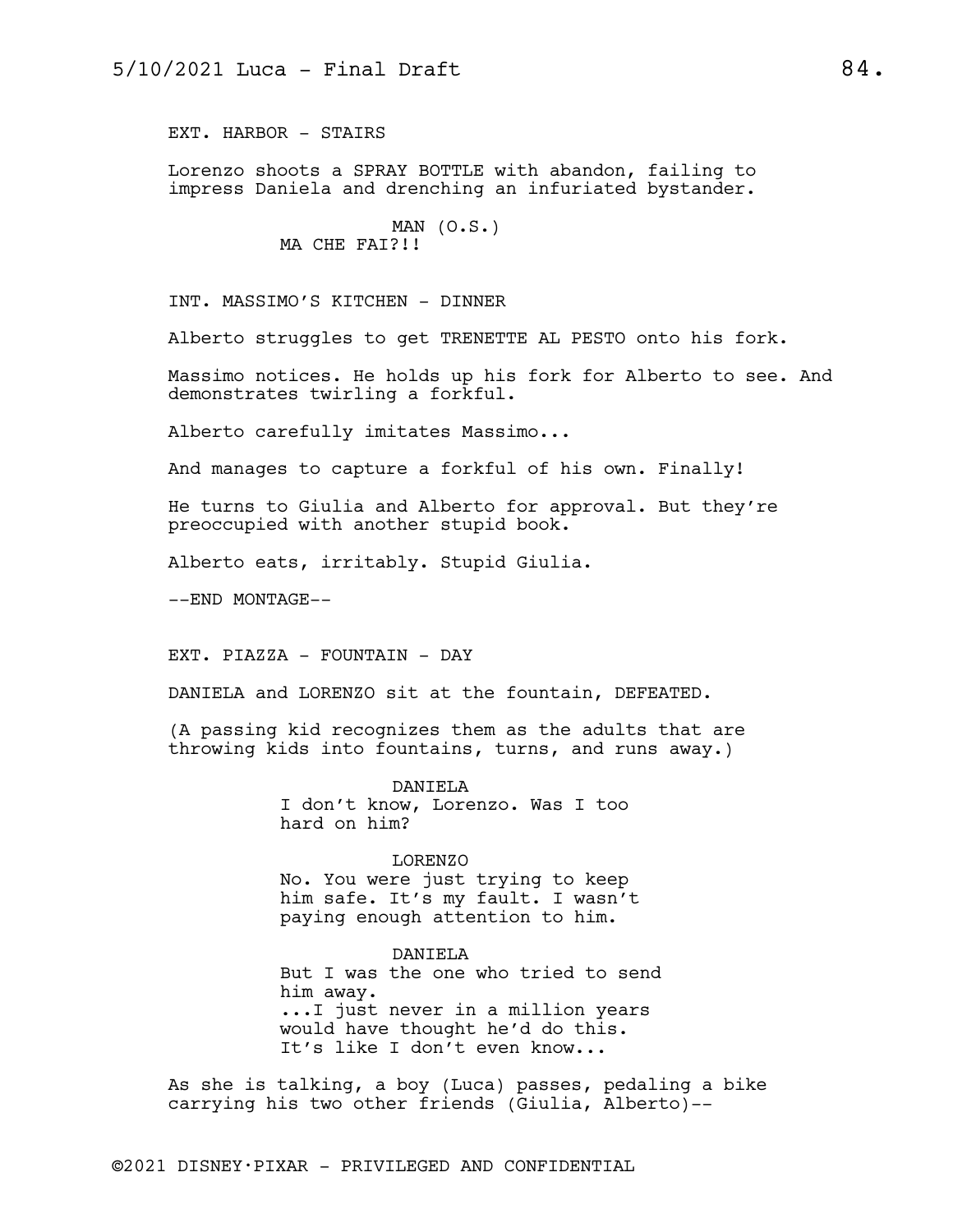EXT. HARBOR - STAIRS

Lorenzo shoots a SPRAY BOTTLE with abandon, failing to impress Daniela and drenching an infuriated bystander.

> MAN  $(0.S.)$ MA CHE FAI?!!

INT. MASSIMO'S KITCHEN - DINNER

Alberto struggles to get TRENETTE AL PESTO onto his fork.

Massimo notices. He holds up his fork for Alberto to see. And demonstrates twirling a forkful.

Alberto carefully imitates Massimo...

And manages to capture a forkful of his own. Finally!

He turns to Giulia and Alberto for approval. But they're preoccupied with another stupid book.

Alberto eats, irritably. Stupid Giulia.

--END MONTAGE--

EXT. PIAZZA - FOUNTAIN - DAY

DANIELA and LORENZO sit at the fountain, DEFEATED.

(A passing kid recognizes them as the adults that are throwing kids into fountains, turns, and runs away.)

> DANIELA I don't know, Lorenzo. Was I too hard on him?

LORENZO No. You were just trying to keep him safe. It's my fault. I wasn't paying enough attention to him.

DANIELA But I was the one who tried to send him away. ...I just never in a million years would have thought he'd do this. It's like I don't even know...

As she is talking, a boy (Luca) passes, pedaling a bike carrying his two other friends (Giulia, Alberto)--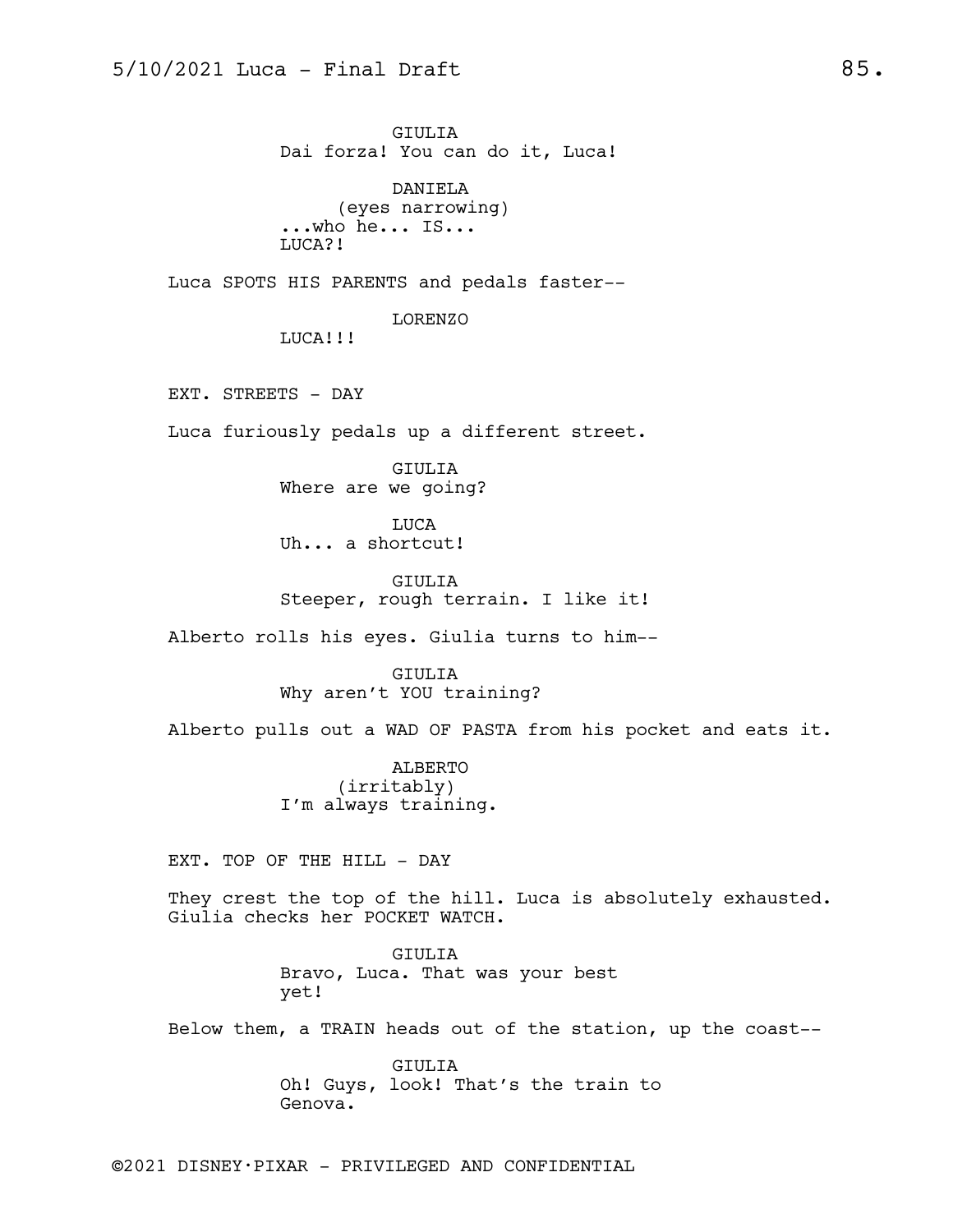GIULIA Dai forza! You can do it, Luca!

DANIELA (eyes narrowing) ...who he... IS... LUCA?!

Luca SPOTS HIS PARENTS and pedals faster--

LORENZO

LUCA!!!

EXT. STREETS - DAY

Luca furiously pedals up a different street.

GIULIA Where are we going?

LUCA Uh... a shortcut!

GIULIA Steeper, rough terrain. I like it!

Alberto rolls his eyes. Giulia turns to him--

GIULIA Why aren't YOU training?

Alberto pulls out a WAD OF PASTA from his pocket and eats it.

ALBERTO (irritably) I'm always training.

EXT. TOP OF THE HILL - DAY

They crest the top of the hill. Luca is absolutely exhausted. Giulia checks her POCKET WATCH.

> GIULIA Bravo, Luca. That was your best yet!

Below them, a TRAIN heads out of the station, up the coast--

GIULIA Oh! Guys, look! That's the train to Genova.

©2021 DISNEY•PIXAR - PRIVILEGED AND CONFIDENTIAL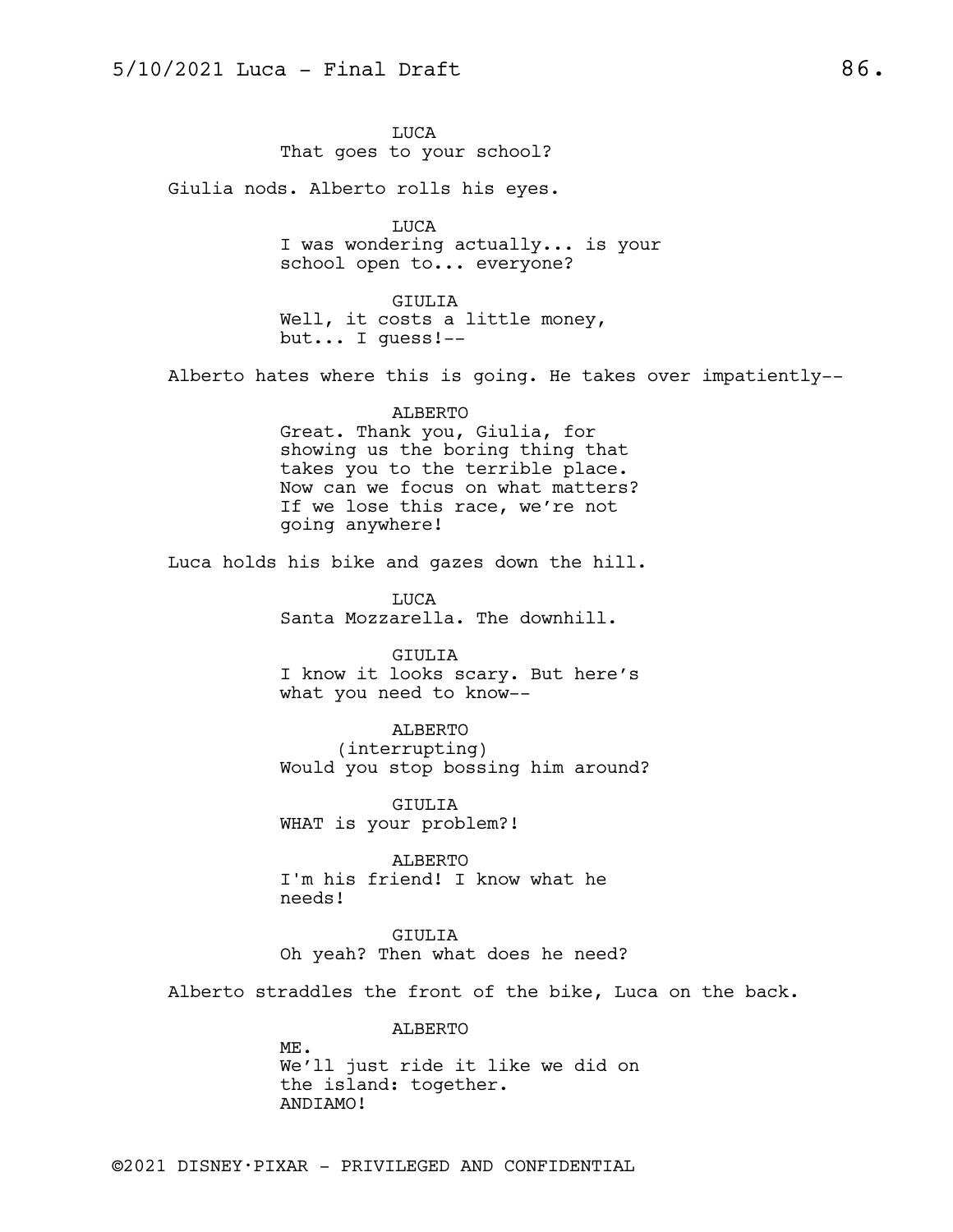LUCA That goes to your school?

Giulia nods. Alberto rolls his eyes.

LUCA I was wondering actually... is your school open to... everyone?

GIULIA Well, it costs a little money, but... I guess!--

Alberto hates where this is going. He takes over impatiently--

ALBERTO Great. Thank you, Giulia, for showing us the boring thing that takes you to the terrible place. Now can we focus on what matters? If we lose this race, we're not going anywhere!

Luca holds his bike and gazes down the hill.

LUCA Santa Mozzarella. The downhill.

GIULIA I know it looks scary. But here's what you need to know--

ALBERTO (interrupting) Would you stop bossing him around?

GIULIA WHAT is your problem?!

ALBERTO I'm his friend! I know what he needs!

GIULIA Oh yeah? Then what does he need?

Alberto straddles the front of the bike, Luca on the back.

ALBERTO

ME. We'll just ride it like we did on the island: together. ANDIAMO!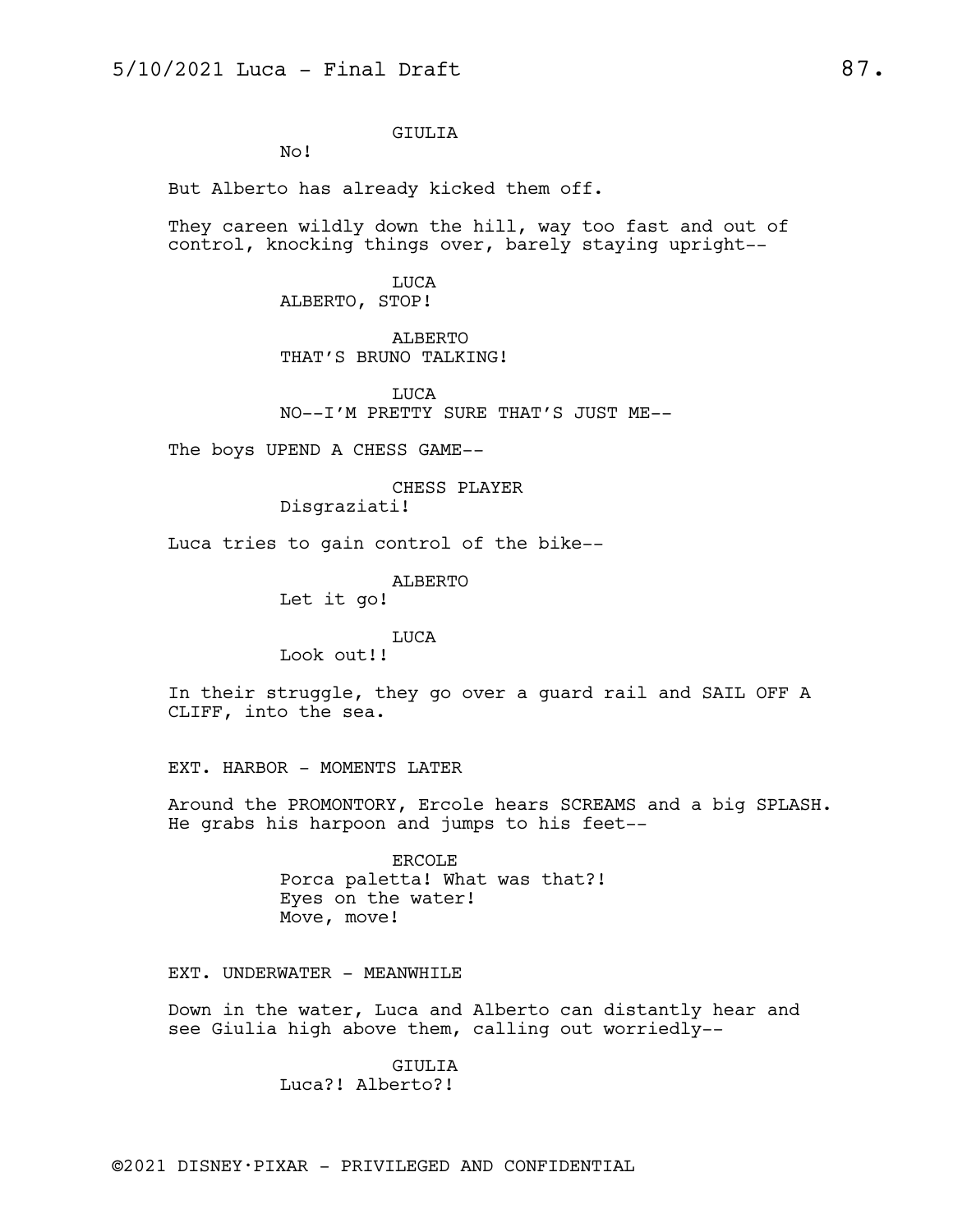### GIULIA

No!

But Alberto has already kicked them off.

They careen wildly down the hill, way too fast and out of control, knocking things over, barely staying upright--

> LUCA ALBERTO, STOP!

ALBERTO THAT'S BRUNO TALKING!

LUCA NO--I'M PRETTY SURE THAT'S JUST ME--

The boys UPEND A CHESS GAME--

# CHESS PLAYER

Disgraziati!

Luca tries to gain control of the bike--

ALBERTO

Let it go!

LUCA

Look out!!

In their struggle, they go over a guard rail and SAIL OFF A CLIFF, into the sea.

EXT. HARBOR - MOMENTS LATER

Around the PROMONTORY, Ercole hears SCREAMS and a big SPLASH. He grabs his harpoon and jumps to his feet--

> ERCOLE Porca paletta! What was that?! Eyes on the water! Move, move!

EXT. UNDERWATER - MEANWHILE

Down in the water, Luca and Alberto can distantly hear and see Giulia high above them, calling out worriedly--

> GIULIA Luca?! Alberto?!

©2021 DISNEY•PIXAR - PRIVILEGED AND CONFIDENTIAL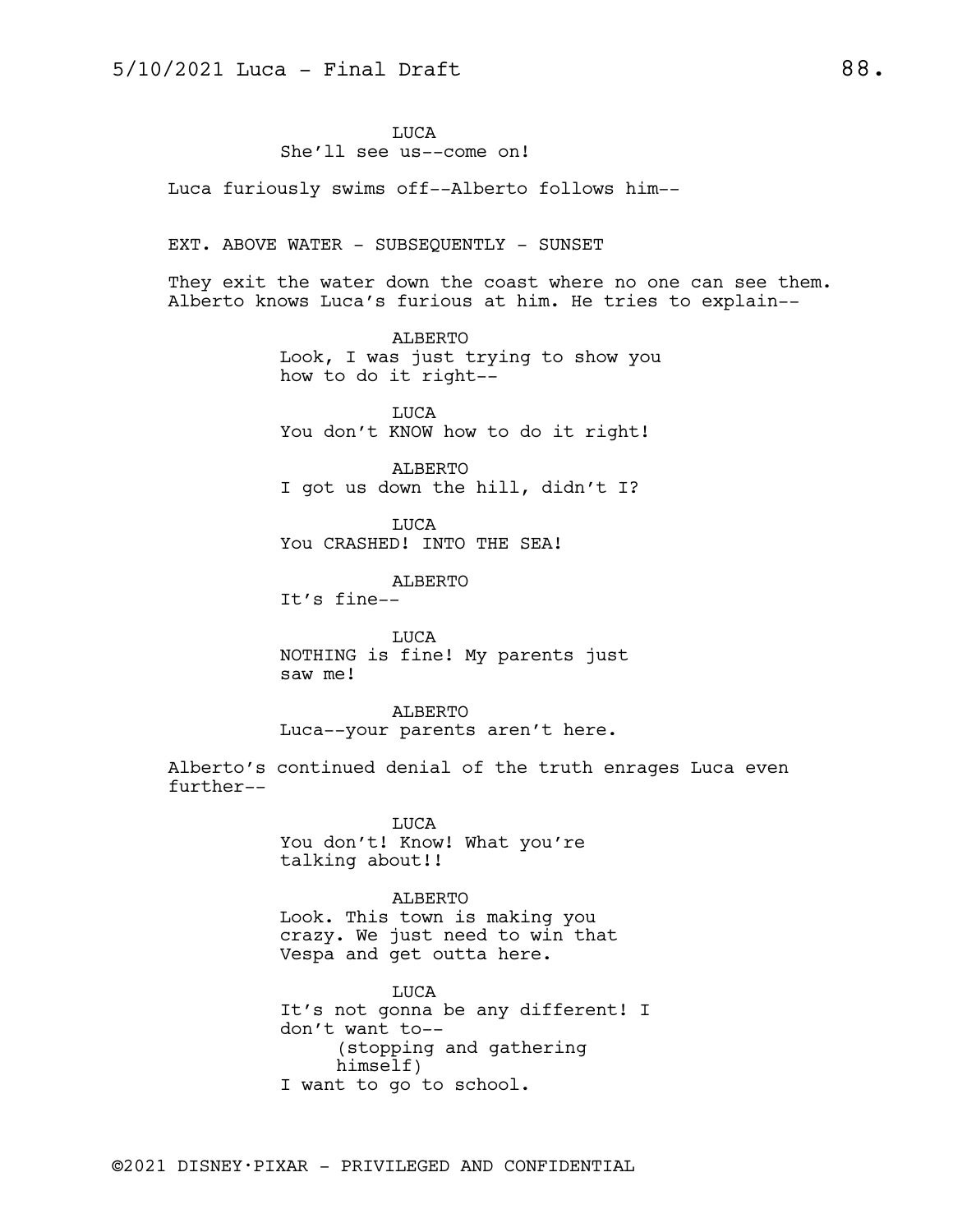LUCA She'll see us--come on!

Luca furiously swims off--Alberto follows him--

#### EXT. ABOVE WATER - SUBSEQUENTLY - SUNSET

They exit the water down the coast where no one can see them. Alberto knows Luca's furious at him. He tries to explain--

> ALBERTO Look, I was just trying to show you how to do it right--

LUCA You don't KNOW how to do it right!

ALBERTO I got us down the hill, didn't I?

LUCA You CRASHED! INTO THE SEA!

ALBERTO

It's fine--

LUCA NOTHING is fine! My parents just saw me!

ALBERTO Luca--your parents aren't here.

Alberto's continued denial of the truth enrages Luca even further--

> LUCA You don't! Know! What you're talking about!!

#### ALBERTO

Look. This town is making you crazy. We just need to win that Vespa and get outta here.

LUCA It's not gonna be any different! I don't want to-- (stopping and gathering himself) I want to go to school.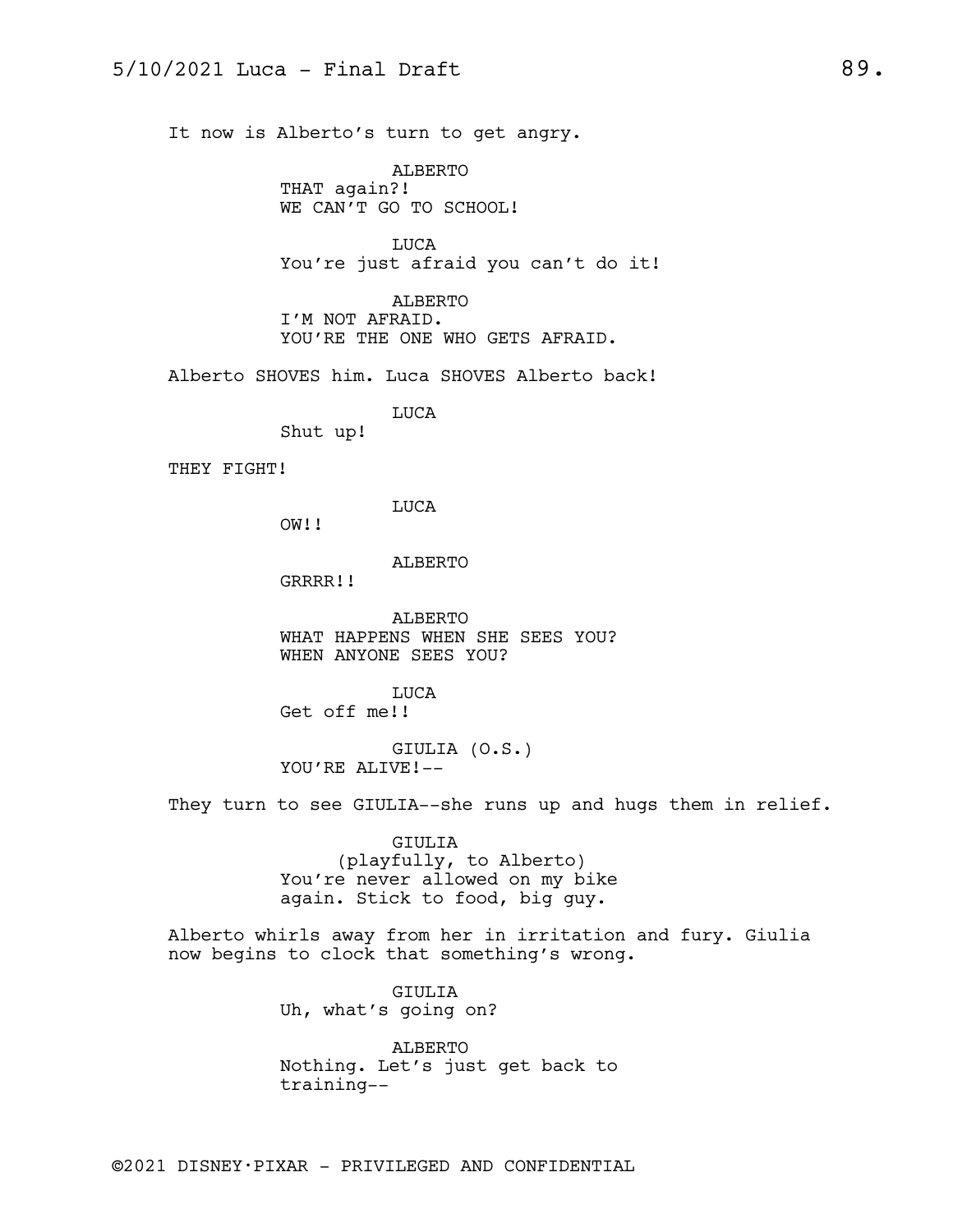It now is Alberto's turn to get angry.

ALBERTO THAT again?! WE CAN'T GO TO SCHOOL!

LUCA You're just afraid you can't do it!

ALBERTO I'M NOT AFRAID. YOU'RE THE ONE WHO GETS AFRAID.

Alberto SHOVES him. Luca SHOVES Alberto back!

LUCA

Shut up!

THEY FIGHT!

LUCA

OW!!

ALBERTO

GRRRR!!

ALBERTO WHAT HAPPENS WHEN SHE SEES YOU? WHEN ANYONE SEES YOU?

LUCA Get off me!!

GIULIA (O.S.) YOU'RE ALIVE!--

They turn to see GIULIA--she runs up and hugs them in relief.

GIULIA (playfully, to Alberto) You're never allowed on my bike again. Stick to food, big guy.

Alberto whirls away from her in irritation and fury. Giulia now begins to clock that something's wrong.

> GIULIA Uh, what's going on?

ALBERTO Nothing. Let's just get back to training--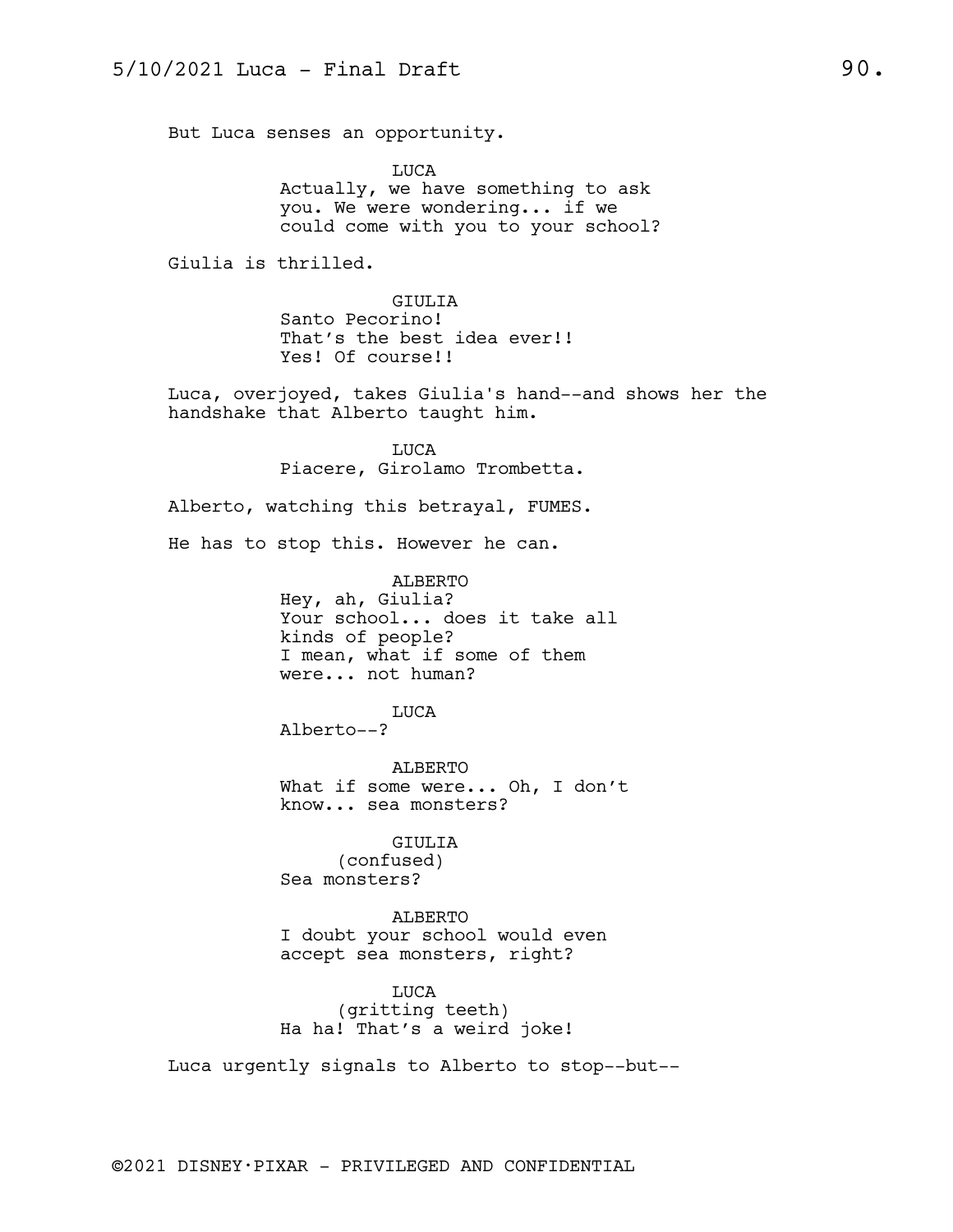But Luca senses an opportunity.

LUCA Actually, we have something to ask you. We were wondering... if we could come with you to your school?

Giulia is thrilled.

GIULIA Santo Pecorino! That's the best idea ever!! Yes! Of course!!

Luca, overjoyed, takes Giulia's hand--and shows her the handshake that Alberto taught him.

> LUCA Piacere, Girolamo Trombetta.

Alberto, watching this betrayal, FUMES.

He has to stop this. However he can.

ALBERTO Hey, ah, Giulia? Your school... does it take all kinds of people? I mean, what if some of them were... not human?

LUCA

Alberto--?

ALBERTO What if some were... Oh, I don't know... sea monsters?

GIULIA (confused) Sea monsters?

ALBERTO I doubt your school would even accept sea monsters, right?

LUCA (gritting teeth) Ha ha! That's a weird joke!

Luca urgently signals to Alberto to stop--but--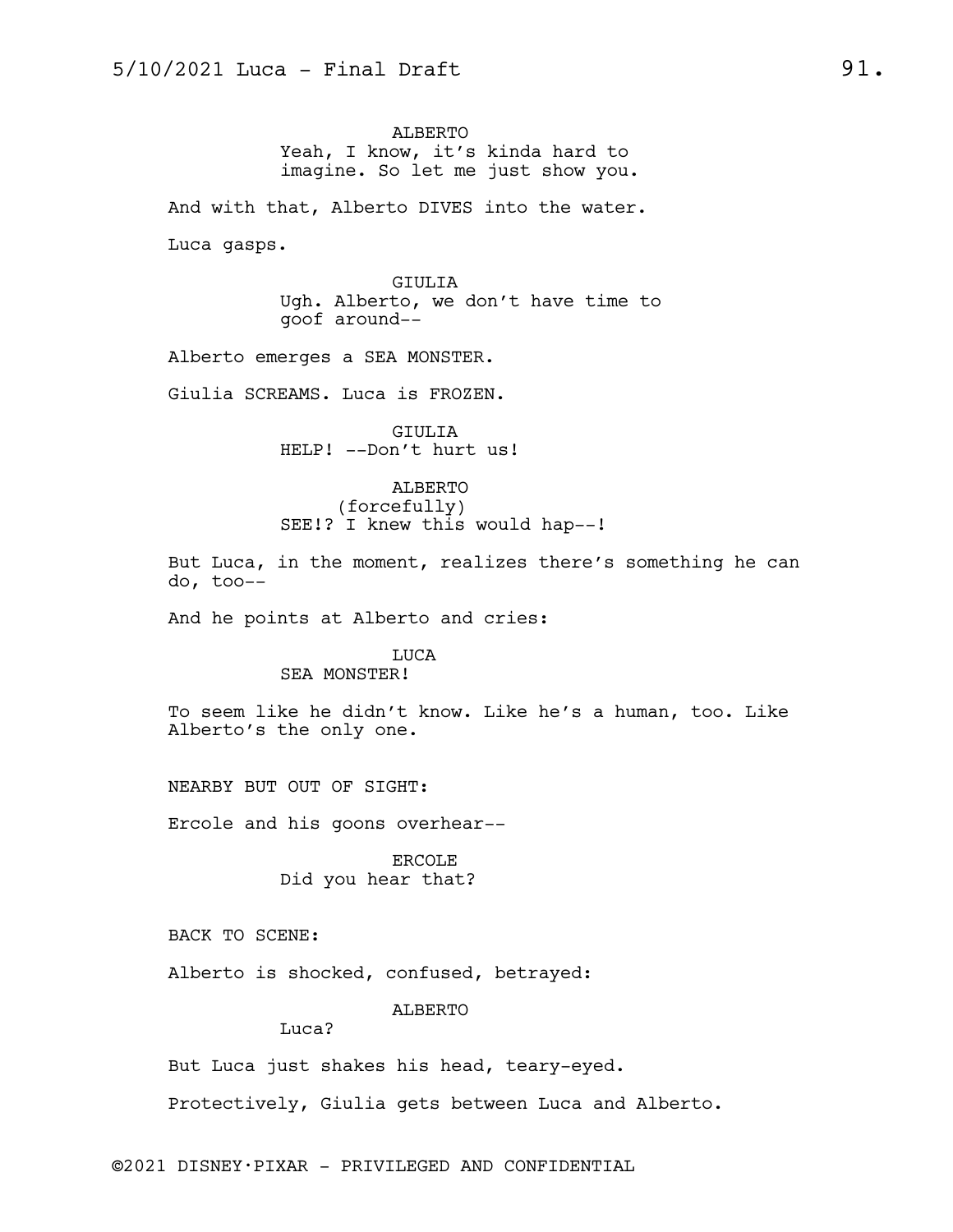ALBERTO Yeah, I know, it's kinda hard to imagine. So let me just show you.

And with that, Alberto DIVES into the water.

Luca gasps.

GIULIA Ugh. Alberto, we don't have time to goof around--

Alberto emerges a SEA MONSTER.

Giulia SCREAMS. Luca is FROZEN.

GIULIA HELP! --Don't hurt us!

ALBERTO (forcefully) SEE!? I knew this would hap--!

But Luca, in the moment, realizes there's something he can do, too--

And he points at Alberto and cries:

# LUCA

#### SEA MONSTER!

To seem like he didn't know. Like he's a human, too. Like Alberto's the only one.

NEARBY BUT OUT OF SIGHT:

Ercole and his goons overhear--

ERCOLE Did you hear that?

BACK TO SCENE:

Alberto is shocked, confused, betrayed:

ALBERTO

Luca?

But Luca just shakes his head, teary-eyed.

Protectively, Giulia gets between Luca and Alberto.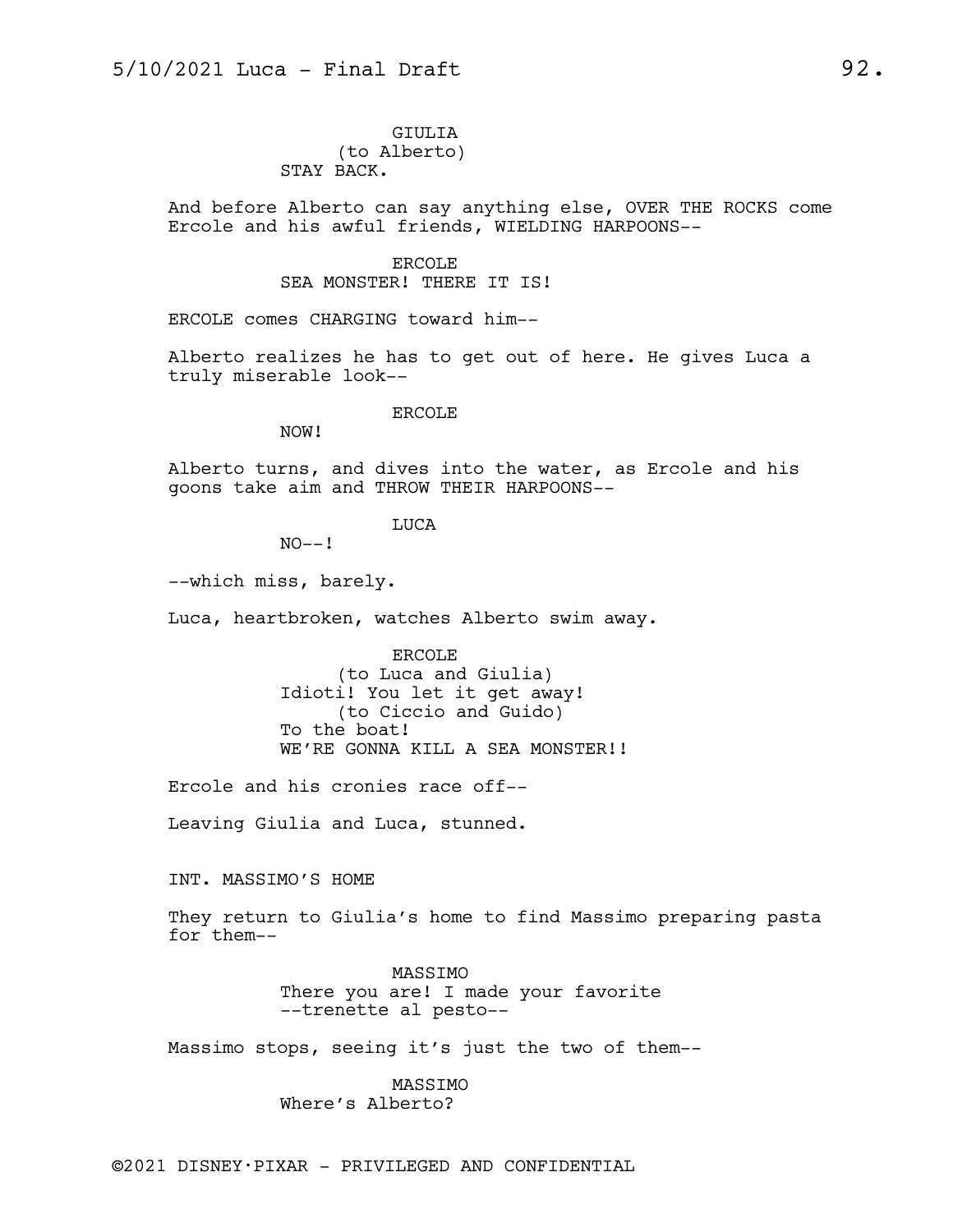### GIULIA (to Alberto) STAY BACK.

And before Alberto can say anything else, OVER THE ROCKS come Ercole and his awful friends, WIELDING HARPOONS--

### ERCOLE SEA MONSTER! THERE IT IS!

ERCOLE comes CHARGING toward him--

Alberto realizes he has to get out of here. He gives Luca a truly miserable look--

#### ERCOLE

NOW!

Alberto turns, and dives into the water, as Ercole and his goons take aim and THROW THEIR HARPOONS--

LUCA

 $NO--!$ 

--which miss, barely.

Luca, heartbroken, watches Alberto swim away.

ERCOLE (to Luca and Giulia) Idioti! You let it get away! (to Ciccio and Guido) To the boat! WE'RE GONNA KILL A SEA MONSTER!!

Ercole and his cronies race off--

Leaving Giulia and Luca, stunned.

INT. MASSIMO'S HOME

They return to Giulia's home to find Massimo preparing pasta for them--

> MASSIMO There you are! I made your favorite --trenette al pesto--

Massimo stops, seeing it's just the two of them--

MASSIMO Where's Alberto?

©2021 DISNEY•PIXAR - PRIVILEGED AND CONFIDENTIAL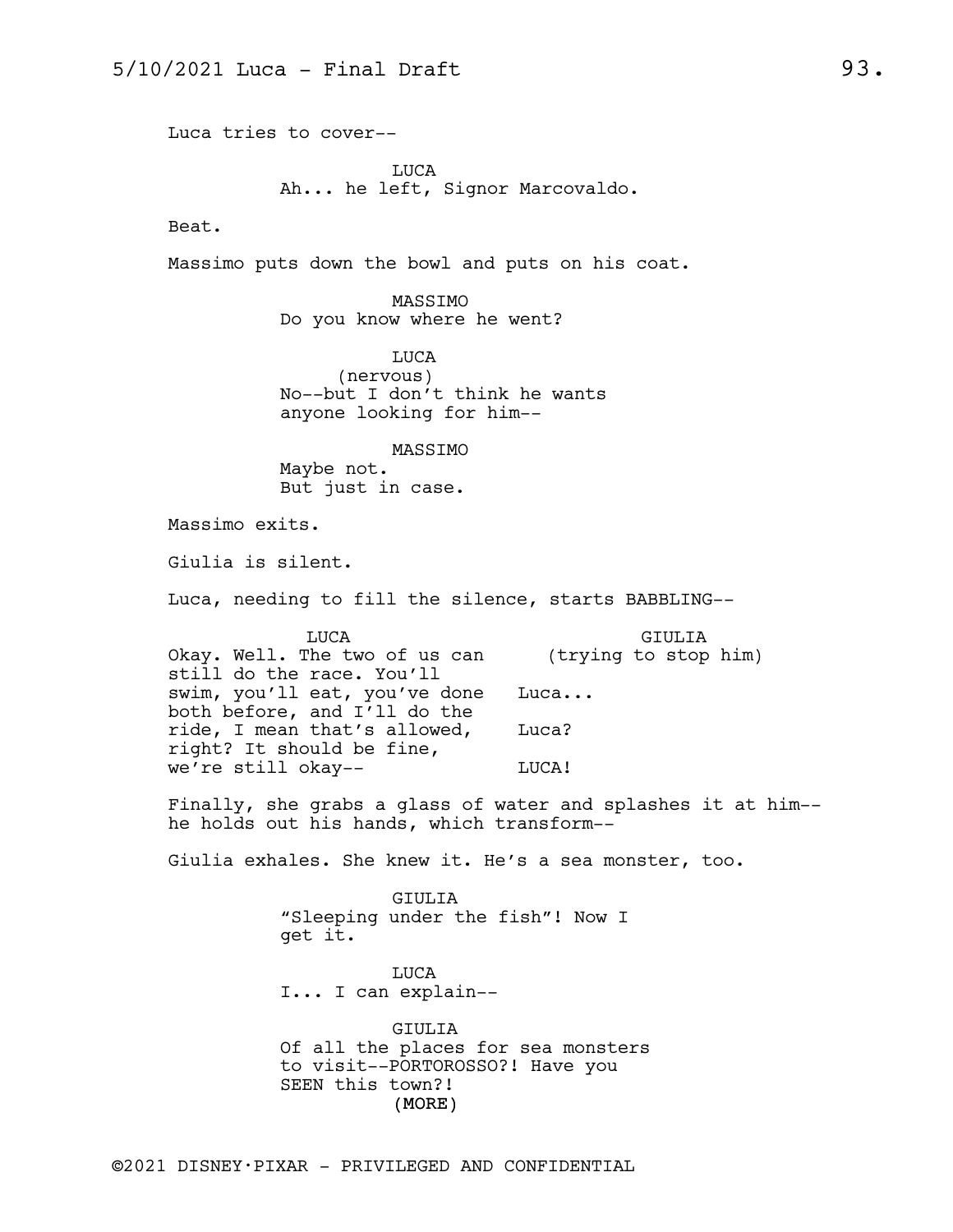Luca tries to cover--

LUCA Ah... he left, Signor Marcovaldo.

Beat.

Massimo puts down the bowl and puts on his coat.

MASSIMO Do you know where he went?

LUCA (nervous) No--but I don't think he wants anyone looking for him--

MASSIMO Maybe not. But just in case.

Massimo exits.

Giulia is silent.

Luca, needing to fill the silence, starts BABBLING--

| <b>TJUCA</b>                  | GTULTA               |
|-------------------------------|----------------------|
| Okay. Well. The two of us can | (trying to stop him) |
| still do the race. You'll     |                      |
| swim, you'll eat, you've done | Luca                 |
| both before, and I'll do the  |                      |
| ride, I mean that's allowed,  | Luca?                |
| right? It should be fine,     |                      |
| we're still okay--            | LUCA!                |

Finally, she grabs a glass of water and splashes it at him- he holds out his hands, which transform--

Giulia exhales. She knew it. He's a sea monster, too.

GIULIA "Sleeping under the fish"! Now I get it.

LUCA I... I can explain--

(MORE) GIULIA Of all the places for sea monsters to visit--PORTOROSSO?! Have you SEEN this town?!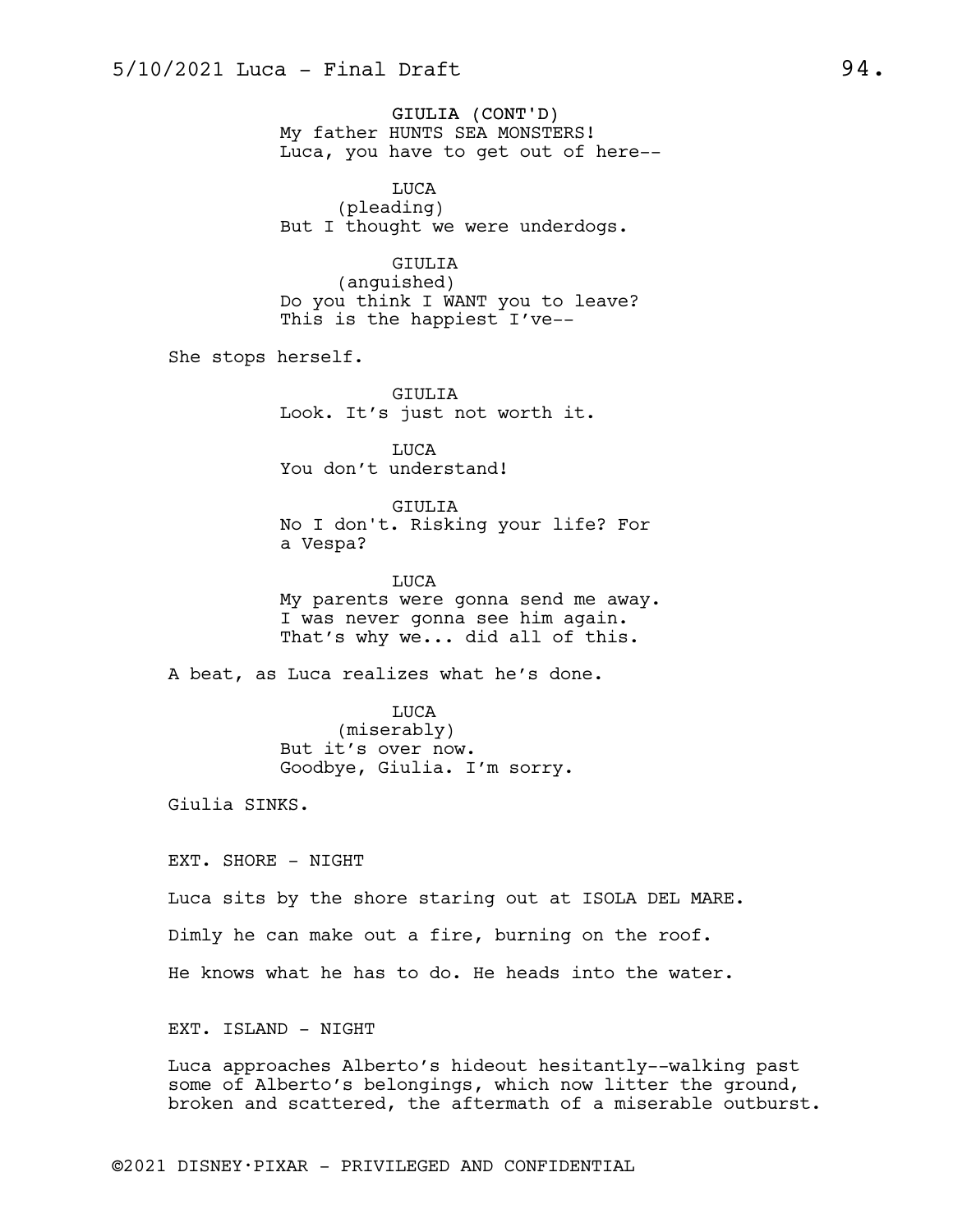GIULIA (CONT'D) My father HUNTS SEA MONSTERS! Luca, you have to get out of here--

LUCA (pleading) But I thought we were underdogs.

### GIULIA

(anguished) Do you think I WANT you to leave? This is the happiest I've--

She stops herself.

GIULIA Look. It's just not worth it.

LUCA You don't understand!

GIULIA

No I don't. Risking your life? For a Vespa?

LUCA My parents were gonna send me away. I was never gonna see him again. That's why we... did all of this.

A beat, as Luca realizes what he's done.

LUCA (miserably) But it's over now. Goodbye, Giulia. I'm sorry.

Giulia SINKS.

EXT. SHORE - NIGHT

Luca sits by the shore staring out at ISOLA DEL MARE.

Dimly he can make out a fire, burning on the roof.

He knows what he has to do. He heads into the water.

EXT. ISLAND - NIGHT

Luca approaches Alberto's hideout hesitantly--walking past some of Alberto's belongings, which now litter the ground, broken and scattered, the aftermath of a miserable outburst.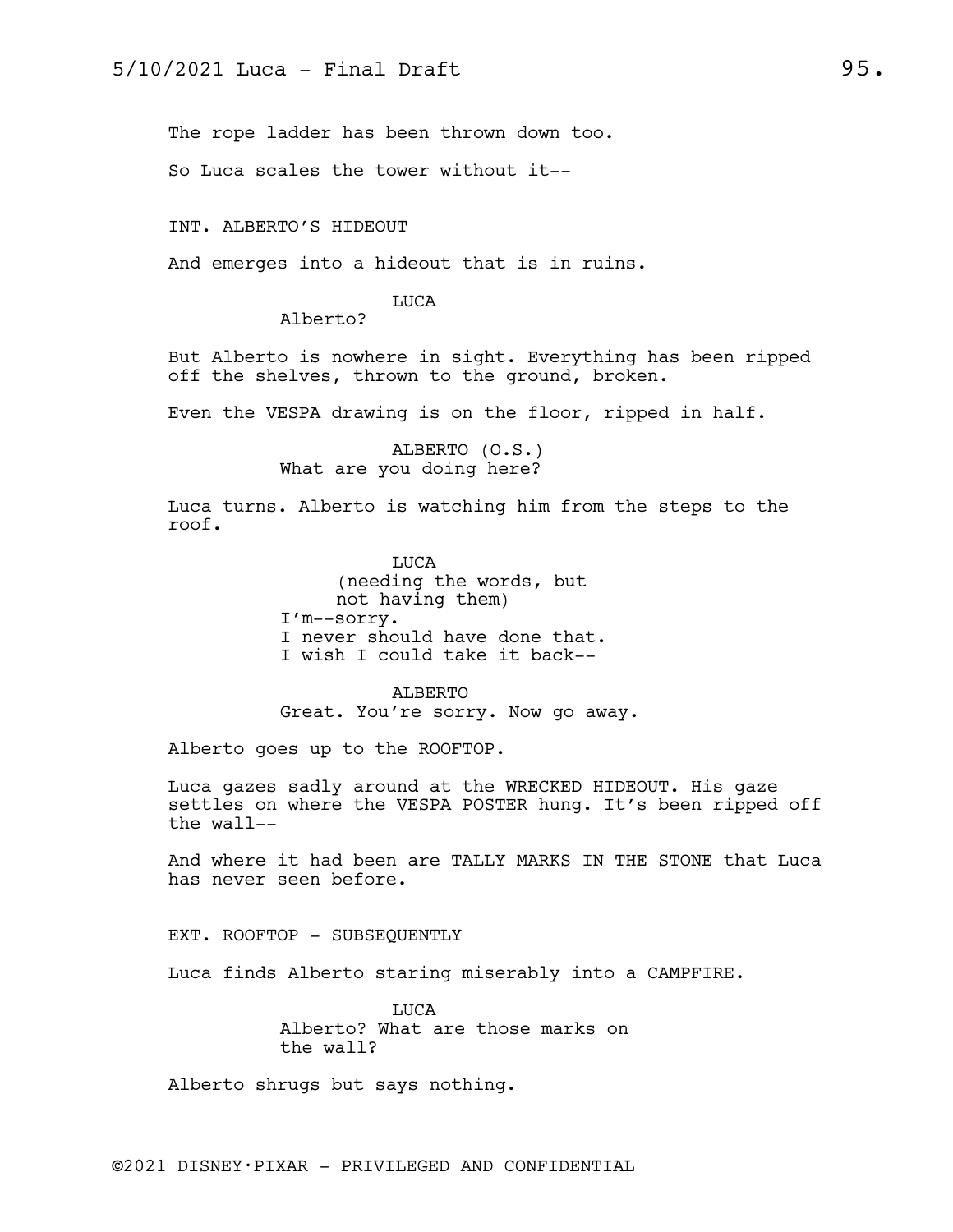The rope ladder has been thrown down too.

So Luca scales the tower without it--

INT. ALBERTO'S HIDEOUT

And emerges into a hideout that is in ruins.

#### LUCA

Alberto?

But Alberto is nowhere in sight. Everything has been ripped off the shelves, thrown to the ground, broken.

Even the VESPA drawing is on the floor, ripped in half.

ALBERTO (O.S.) What are you doing here?

Luca turns. Alberto is watching him from the steps to the roof.

> LUCA (needing the words, but not having them) I'm--sorry. I never should have done that. I wish I could take it back--

ALBERTO Great. You're sorry. Now go away.

Alberto goes up to the ROOFTOP.

Luca gazes sadly around at the WRECKED HIDEOUT. His gaze settles on where the VESPA POSTER hung. It's been ripped off the wall--

And where it had been are TALLY MARKS IN THE STONE that Luca has never seen before.

EXT. ROOFTOP - SUBSEQUENTLY

Luca finds Alberto staring miserably into a CAMPFIRE.

**TJICA** Alberto? What are those marks on the wall?

Alberto shrugs but says nothing.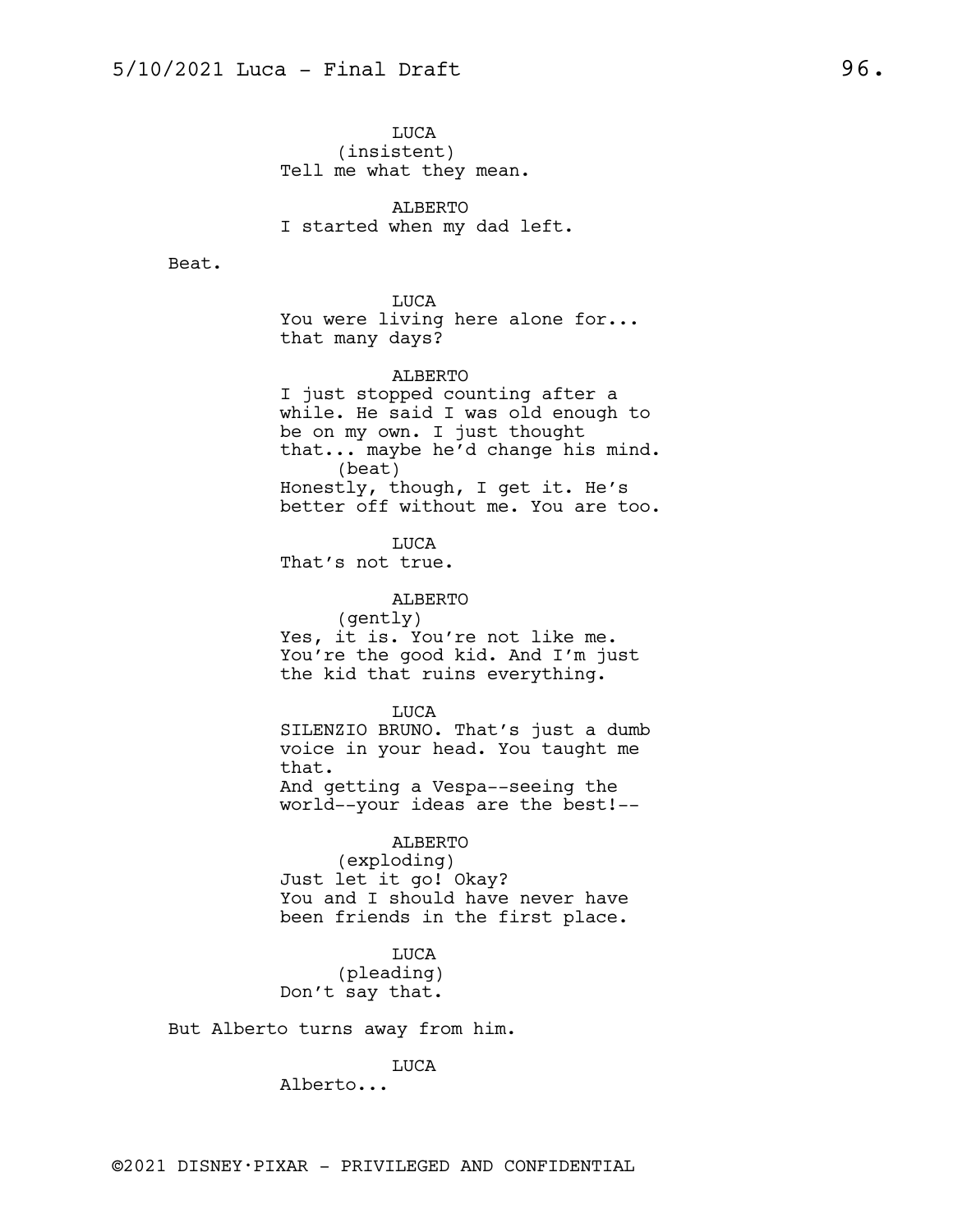LUCA (insistent) Tell me what they mean.

ALBERTO I started when my dad left.

Beat.

LUCA You were living here alone for... that many days?

ALBERTO I just stopped counting after a while. He said I was old enough to be on my own. I just thought that... maybe he'd change his mind. (beat) Honestly, though, I get it. He's better off without me. You are too.

LUCA That's not true.

ALBERTO (gently) Yes, it is. You're not like me. You're the good kid. And I'm just the kid that ruins everything.

LUCA SILENZIO BRUNO. That's just a dumb voice in your head. You taught me that. And getting a Vespa--seeing the world--your ideas are the best!--

ALBERTO (exploding) Just let it go! Okay? You and I should have never have been friends in the first place.

LUCA (pleading) Don't say that.

But Alberto turns away from him.

LUCA

Alberto...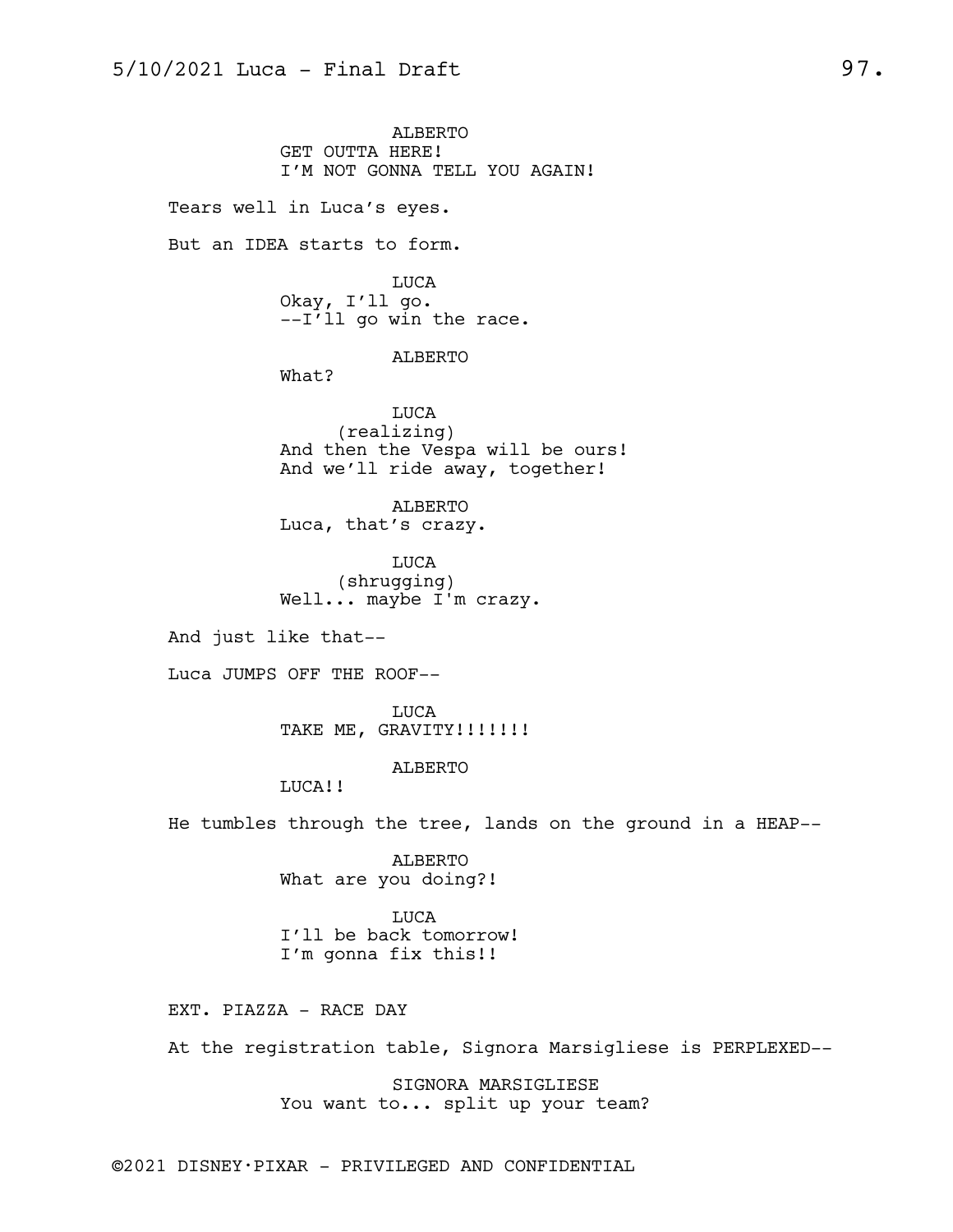ALBERTO GET OUTTA HERE! I'M NOT GONNA TELL YOU AGAIN! Tears well in Luca's eyes. But an IDEA starts to form. LUCA Okay, I'll go. --I'll go win the race. ALBERTO What? LUCA (realizing) And then the Vespa will be ours! And we'll ride away, together! ALBERTO Luca, that's crazy. LUCA (shrugging) Well... maybe I'm crazy. And just like that-- Luca JUMPS OFF THE ROOF-- LUCA TAKE ME, GRAVITY!!!!!!! ALBERTO LUCA!! He tumbles through the tree, lands on the ground in a HEAP-- ALBERTO What are you doing?! LUCA

I'll be back tomorrow! I'm gonna fix this!!

EXT. PIAZZA - RACE DAY

At the registration table, Signora Marsigliese is PERPLEXED--

SIGNORA MARSIGLIESE You want to... split up your team?

©2021 DISNEY•PIXAR - PRIVILEGED AND CONFIDENTIAL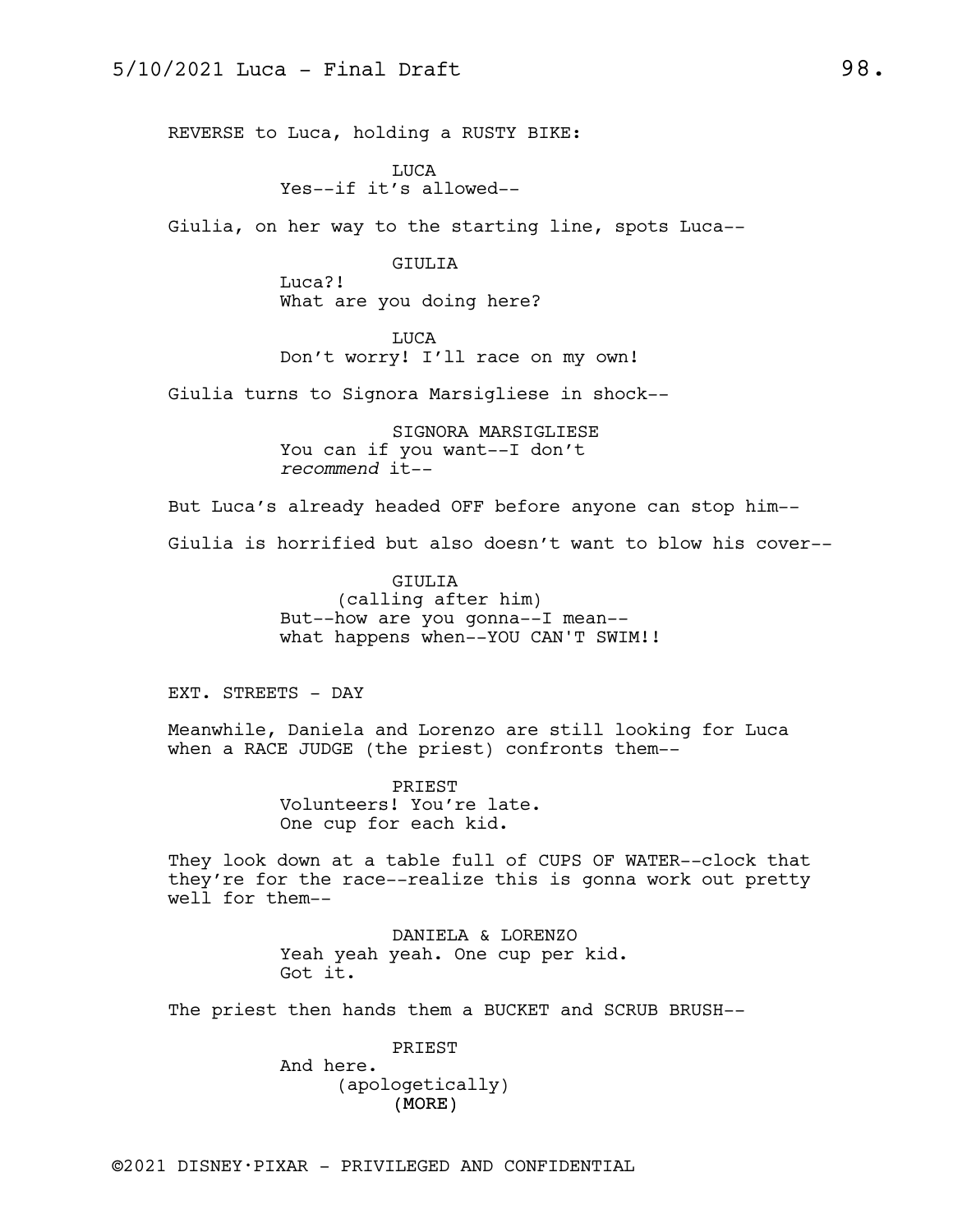REVERSE to Luca, holding a RUSTY BIKE:

LUCA Yes--if it's allowed--

Giulia, on her way to the starting line, spots Luca--

GIULIA Luca?! What are you doing here?

LUCA Don't worry! I'll race on my own!

Giulia turns to Signora Marsigliese in shock--

SIGNORA MARSIGLIESE You can if you want--I don't *recommend* it--

But Luca's already headed OFF before anyone can stop him--

Giulia is horrified but also doesn't want to blow his cover--

GIULIA (calling after him) But--how are you gonna--I mean- what happens when--YOU CAN'T SWIM!!

EXT. STREETS - DAY

Meanwhile, Daniela and Lorenzo are still looking for Luca when a RACE JUDGE (the priest) confronts them--

> PRIEST Volunteers! You're late. One cup for each kid.

They look down at a table full of CUPS OF WATER--clock that they're for the race--realize this is gonna work out pretty well for them--

> DANIELA & LORENZO Yeah yeah yeah. One cup per kid. Got it.

The priest then hands them a BUCKET and SCRUB BRUSH--

(MORE) PRIEST And here. (apologetically)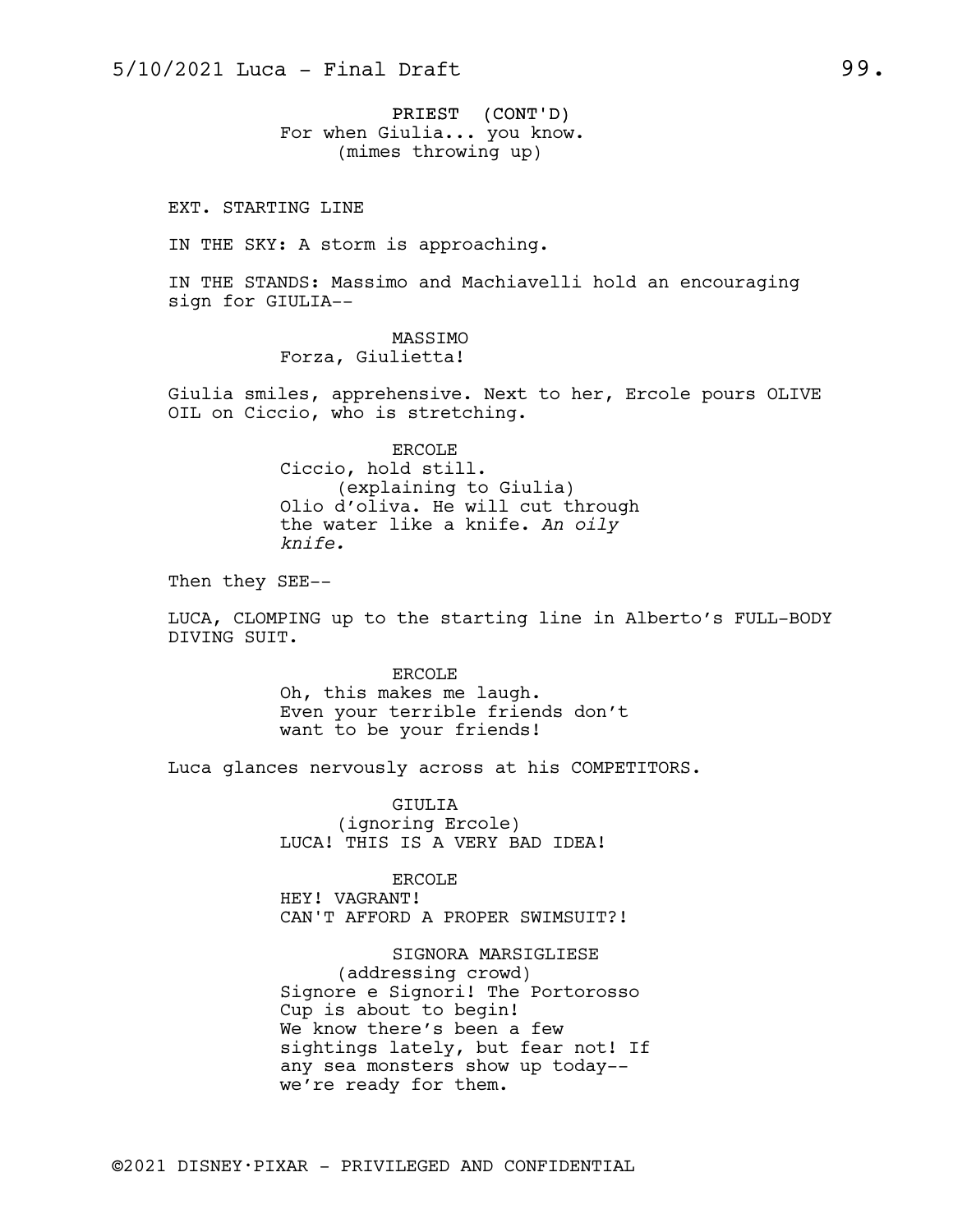PRIEST (CONT'D) For when Giulia... you know. (mimes throwing up)

EXT. STARTING LINE

IN THE SKY: A storm is approaching.

IN THE STANDS: Massimo and Machiavelli hold an encouraging sign for GIULIA--

> MASSIMO Forza, Giulietta!

Giulia smiles, apprehensive. Next to her, Ercole pours OLIVE OIL on Ciccio, who is stretching.

> ERCOLE Ciccio, hold still. (explaining to Giulia) Olio d'oliva. He will cut through the water like a knife. *An oily knife.*

Then they SEE--

LUCA, CLOMPING up to the starting line in Alberto's FULL-BODY DIVING SUIT.

> ERCOLE Oh, this makes me laugh. Even your terrible friends don't want to be your friends!

Luca glances nervously across at his COMPETITORS.

GIULIA (ignoring Ercole) LUCA! THIS IS A VERY BAD IDEA!

ERCOLE HEY! VAGRANT! CAN'T AFFORD A PROPER SWIMSUIT?!

SIGNORA MARSIGLIESE (addressing crowd) Signore e Signori! The Portorosso Cup is about to begin! We know there's been a few sightings lately, but fear not! If any sea monsters show up today- we're ready for them.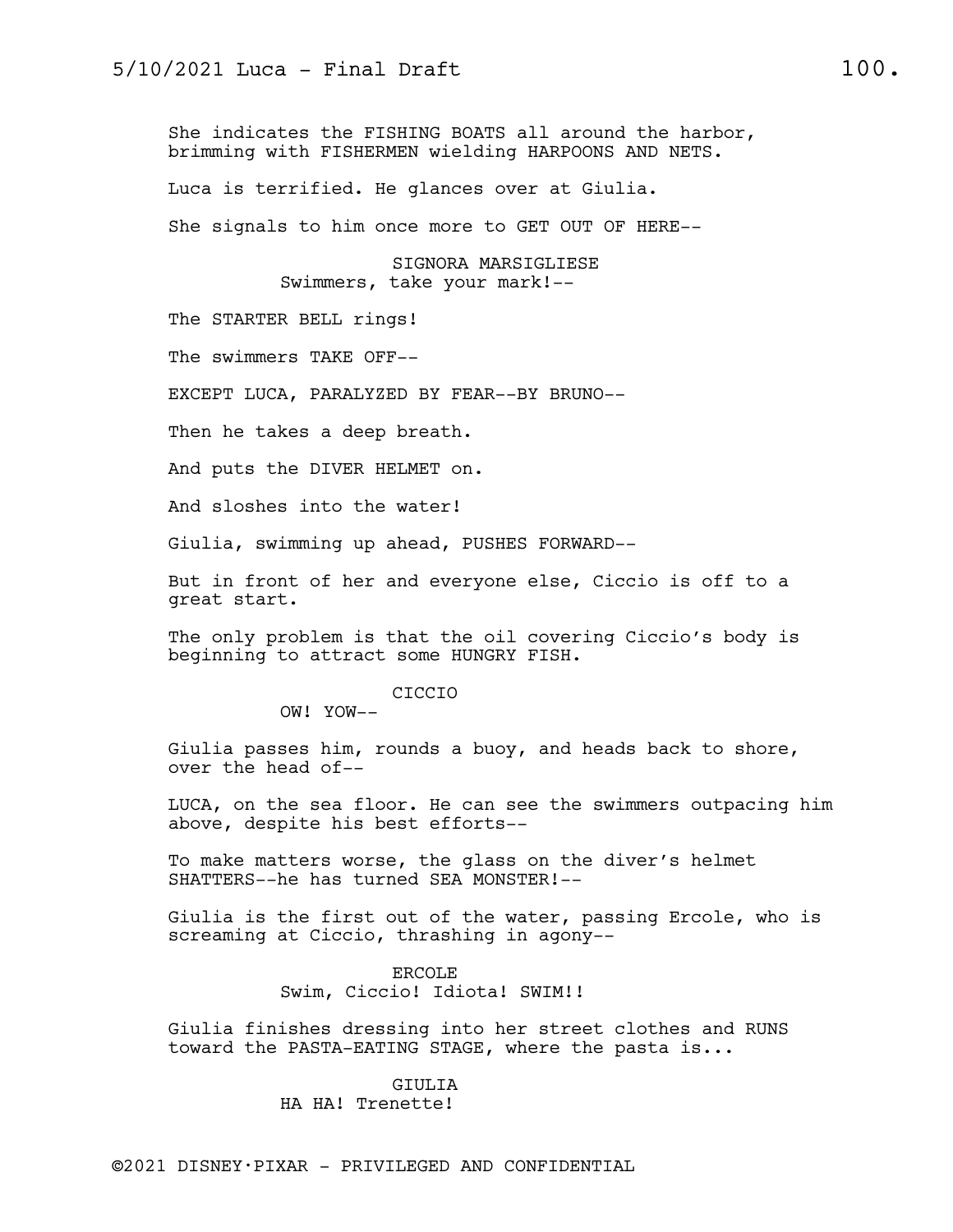She indicates the FISHING BOATS all around the harbor, brimming with FISHERMEN wielding HARPOONS AND NETS.

Luca is terrified. He glances over at Giulia.

She signals to him once more to GET OUT OF HERE--

SIGNORA MARSIGLIESE Swimmers, take your mark!--

The STARTER BELL rings!

The swimmers TAKE OFF--

EXCEPT LUCA, PARALYZED BY FEAR--BY BRUNO--

Then he takes a deep breath.

And puts the DIVER HELMET on.

And sloshes into the water!

Giulia, swimming up ahead, PUSHES FORWARD--

But in front of her and everyone else, Ciccio is off to a great start.

The only problem is that the oil covering Ciccio's body is beginning to attract some HUNGRY FISH.

CICCIO

OW! YOW--

Giulia passes him, rounds a buoy, and heads back to shore, over the head of--

LUCA, on the sea floor. He can see the swimmers outpacing him above, despite his best efforts--

To make matters worse, the glass on the diver's helmet SHATTERS--he has turned SEA MONSTER!--

Giulia is the first out of the water, passing Ercole, who is screaming at Ciccio, thrashing in agony--

> ERCOLE Swim, Ciccio! Idiota! SWIM!!

Giulia finishes dressing into her street clothes and RUNS toward the PASTA-EATING STAGE, where the pasta is...

# GIULIA

HA HA! Trenette!

©2021 DISNEY•PIXAR - PRIVILEGED AND CONFIDENTIAL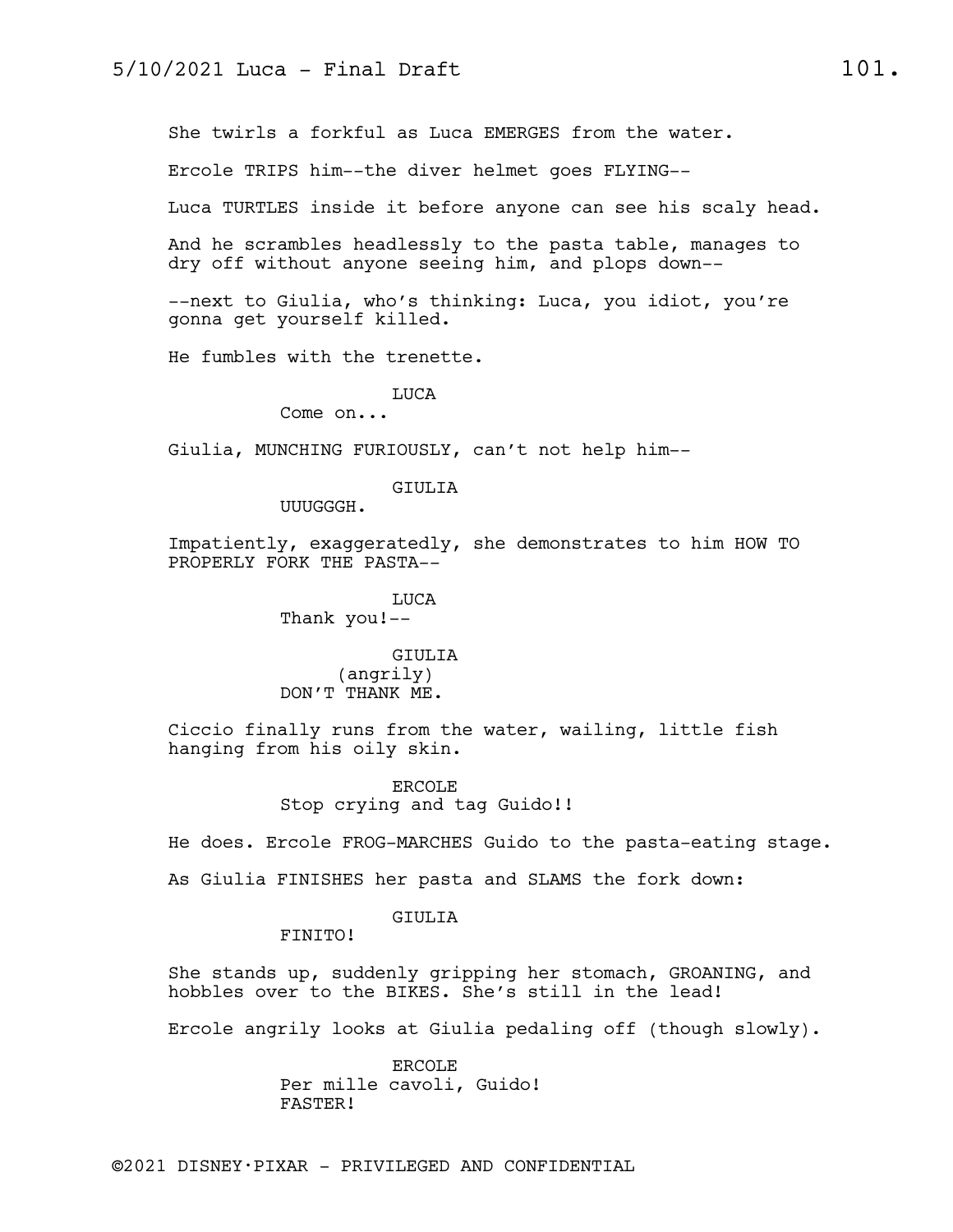She twirls a forkful as Luca EMERGES from the water.

Ercole TRIPS him--the diver helmet goes FLYING--

Luca TURTLES inside it before anyone can see his scaly head.

And he scrambles headlessly to the pasta table, manages to dry off without anyone seeing him, and plops down--

--next to Giulia, who's thinking: Luca, you idiot, you're gonna get yourself killed.

He fumbles with the trenette.

LUCA

Come on...

Giulia, MUNCHING FURIOUSLY, can't not help him--

GIULIA

UUUGGGH.

Impatiently, exaggeratedly, she demonstrates to him HOW TO PROPERLY FORK THE PASTA--

> LUCA Thank you!--

GIULIA (angrily) DON'T THANK ME.

Ciccio finally runs from the water, wailing, little fish hanging from his oily skin.

> ERCOLE Stop crying and tag Guido!!

He does. Ercole FROG-MARCHES Guido to the pasta-eating stage.

As Giulia FINISHES her pasta and SLAMS the fork down:

#### GIULIA

FINITO!

She stands up, suddenly gripping her stomach, GROANING, and hobbles over to the BIKES. She's still in the lead!

Ercole angrily looks at Giulia pedaling off (though slowly).

ERCOLE Per mille cavoli, Guido! FASTER!

©2021 DISNEY•PIXAR - PRIVILEGED AND CONFIDENTIAL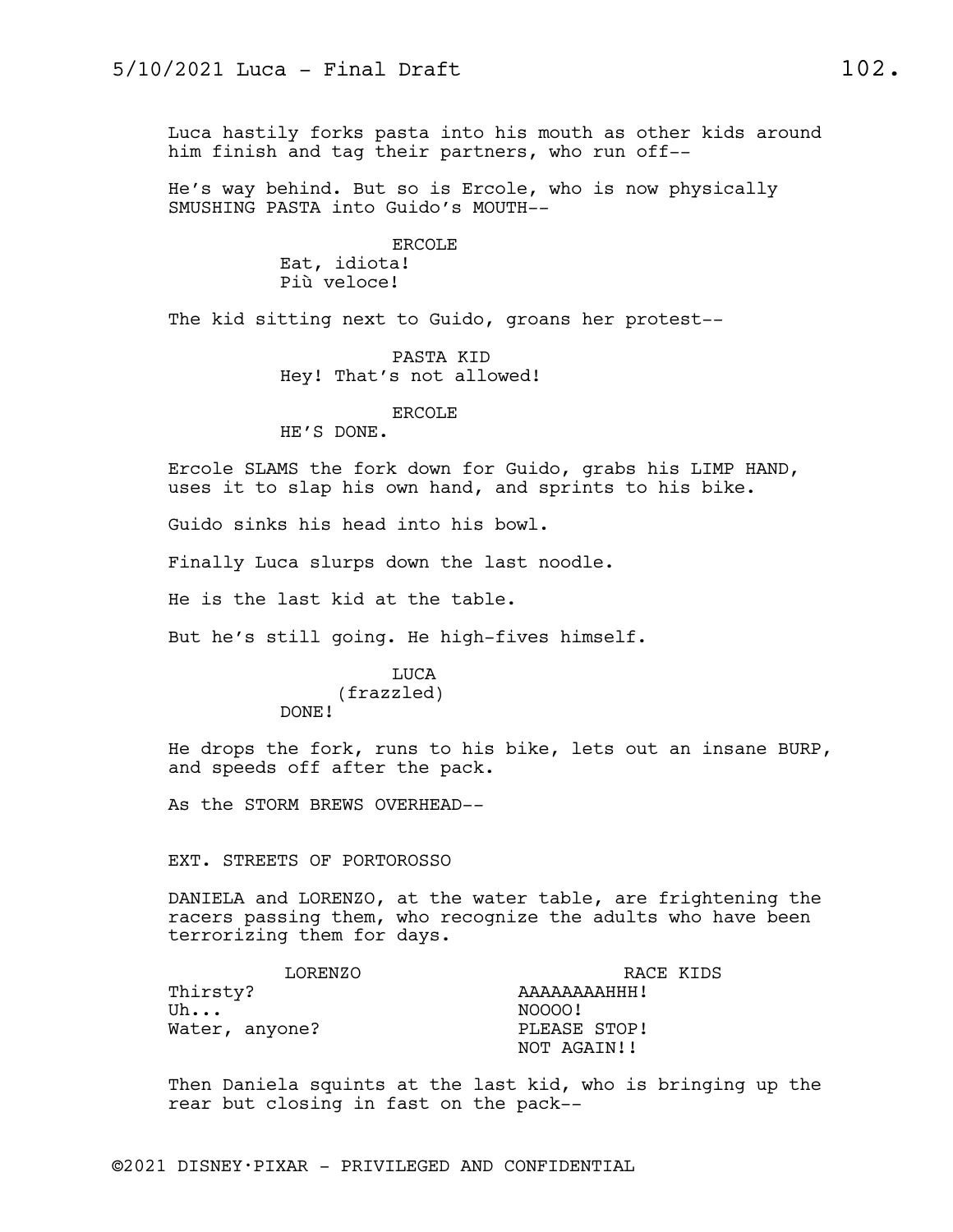Luca hastily forks pasta into his mouth as other kids around him finish and tag their partners, who run off--

He's way behind. But so is Ercole, who is now physically SMUSHING PASTA into Guido's MOUTH--

> ERCOLE Eat, idiota! Più veloce!

The kid sitting next to Guido, groans her protest--

PASTA KID Hey! That's not allowed!

#### ERCOLE

HE'S DONE.

Ercole SLAMS the fork down for Guido, grabs his LIMP HAND, uses it to slap his own hand, and sprints to his bike.

Guido sinks his head into his bowl.

Finally Luca slurps down the last noodle.

He is the last kid at the table.

But he's still going. He high-fives himself.

# LUCA (frazzled)

DONE!

He drops the fork, runs to his bike, lets out an insane BURP, and speeds off after the pack.

As the STORM BREWS OVERHEAD--

#### EXT. STREETS OF PORTOROSSO

DANIELA and LORENZO, at the water table, are frightening the racers passing them, who recognize the adults who have been terrorizing them for days.

| LORENZO        | RACE KIDS    |
|----------------|--------------|
| Thirsty?       | AAAAAAAAHHH! |
| Uh             | NOOOO!       |
| Water, anyone? | PLEASE STOP! |
|                | NOT AGAIN!!  |

Then Daniela squints at the last kid, who is bringing up the rear but closing in fast on the pack--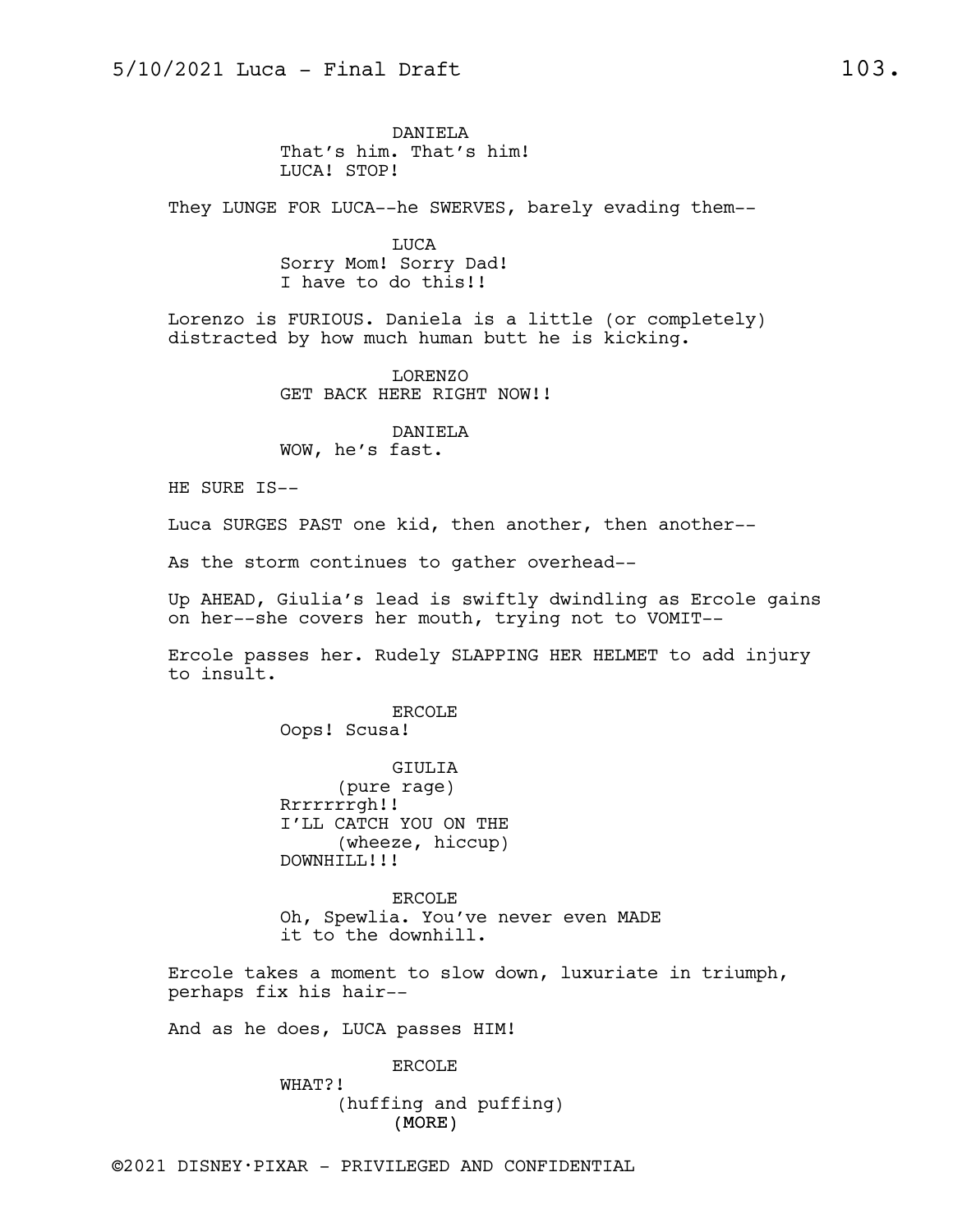DANIELA That's him. That's him! LUCA! STOP!

They LUNGE FOR LUCA--he SWERVES, barely evading them--

LUCA Sorry Mom! Sorry Dad! I have to do this!!

Lorenzo is FURIOUS. Daniela is a little (or completely) distracted by how much human butt he is kicking.

> LORENZO GET BACK HERE RIGHT NOW!!

DANIELA WOW, he's fast.

HE SURE IS--

Luca SURGES PAST one kid, then another, then another--

As the storm continues to gather overhead--

Up AHEAD, Giulia's lead is swiftly dwindling as Ercole gains on her--she covers her mouth, trying not to VOMIT--

Ercole passes her. Rudely SLAPPING HER HELMET to add injury to insult.

> ERCOLE Oops! Scusa!

GIULIA (pure rage) Rrrrrrrgh!! I'LL CATCH YOU ON THE (wheeze, hiccup) DOWNHILL!!!

ERCOLE Oh, Spewlia. You've never even MADE it to the downhill.

Ercole takes a moment to slow down, luxuriate in triumph, perhaps fix his hair--

And as he does, LUCA passes HIM!

ERCOLE

(MORE) WHAT?! (huffing and puffing)

©2021 DISNEY•PIXAR - PRIVILEGED AND CONFIDENTIAL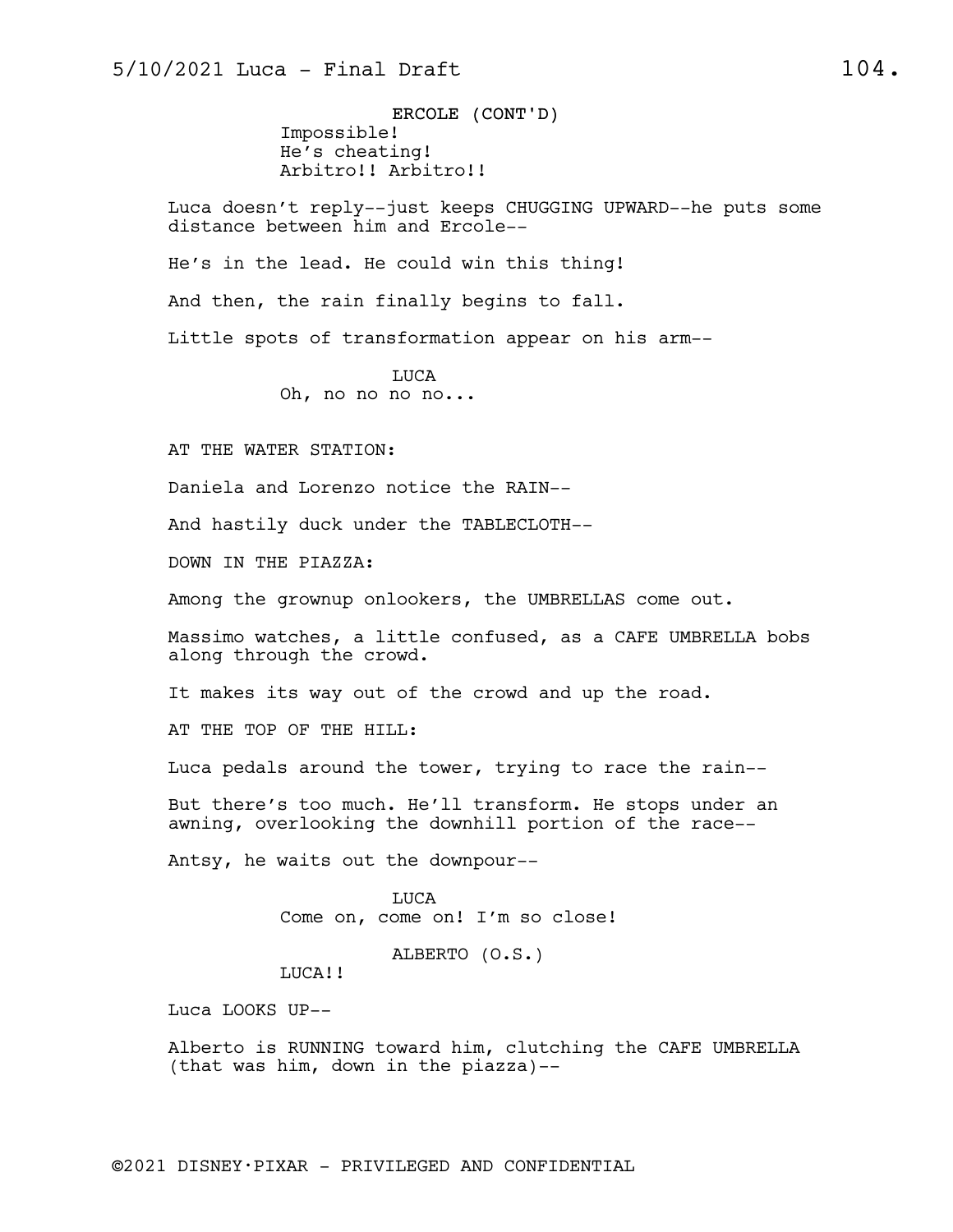ERCOLE (CONT'D) Impossible! He's cheating! Arbitro!! Arbitro!!

Luca doesn't reply--just keeps CHUGGING UPWARD--he puts some distance between him and Ercole--

He's in the lead. He could win this thing!

And then, the rain finally begins to fall.

Little spots of transformation appear on his arm--

LUCA Oh, no no no no...

AT THE WATER STATION:

Daniela and Lorenzo notice the RAIN--

And hastily duck under the TABLECLOTH--

DOWN IN THE PIAZZA:

Among the grownup onlookers, the UMBRELLAS come out.

Massimo watches, a little confused, as a CAFE UMBRELLA bobs along through the crowd.

It makes its way out of the crowd and up the road.

AT THE TOP OF THE HILL:

Luca pedals around the tower, trying to race the rain--

But there's too much. He'll transform. He stops under an awning, overlooking the downhill portion of the race--

Antsy, he waits out the downpour--

LUCA Come on, come on! I'm so close!

ALBERTO (O.S.)

LUCA!!

Luca LOOKS UP--

Alberto is RUNNING toward him, clutching the CAFE UMBRELLA (that was him, down in the piazza)--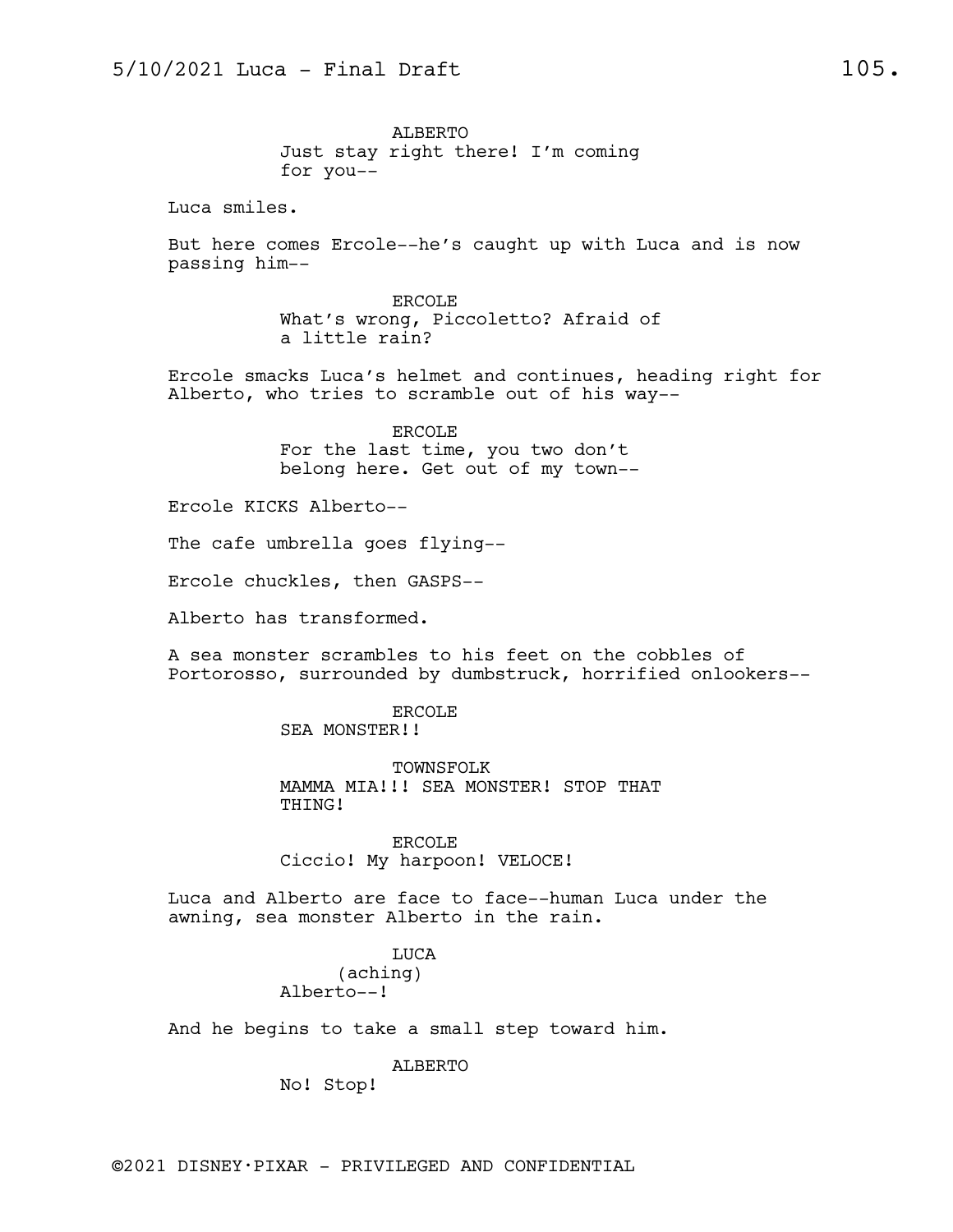ALBERTO Just stay right there! I'm coming for you--

Luca smiles.

But here comes Ercole--he's caught up with Luca and is now passing him--

> ERCOLE What's wrong, Piccoletto? Afraid of a little rain?

Ercole smacks Luca's helmet and continues, heading right for Alberto, who tries to scramble out of his way--

> ERCOLE For the last time, you two don't belong here. Get out of my town--

Ercole KICKS Alberto--

The cafe umbrella goes flying--

Ercole chuckles, then GASPS--

Alberto has transformed.

A sea monster scrambles to his feet on the cobbles of Portorosso, surrounded by dumbstruck, horrified onlookers--

ERCOLE

SEA MONSTER!!

TOWNSFOLK MAMMA MIA!!! SEA MONSTER! STOP THAT THING!

ERCOLE Ciccio! My harpoon! VELOCE!

Luca and Alberto are face to face--human Luca under the awning, sea monster Alberto in the rain.

> LUCA (aching) Alberto--!

And he begins to take a small step toward him.

ALBERTO

No! Stop!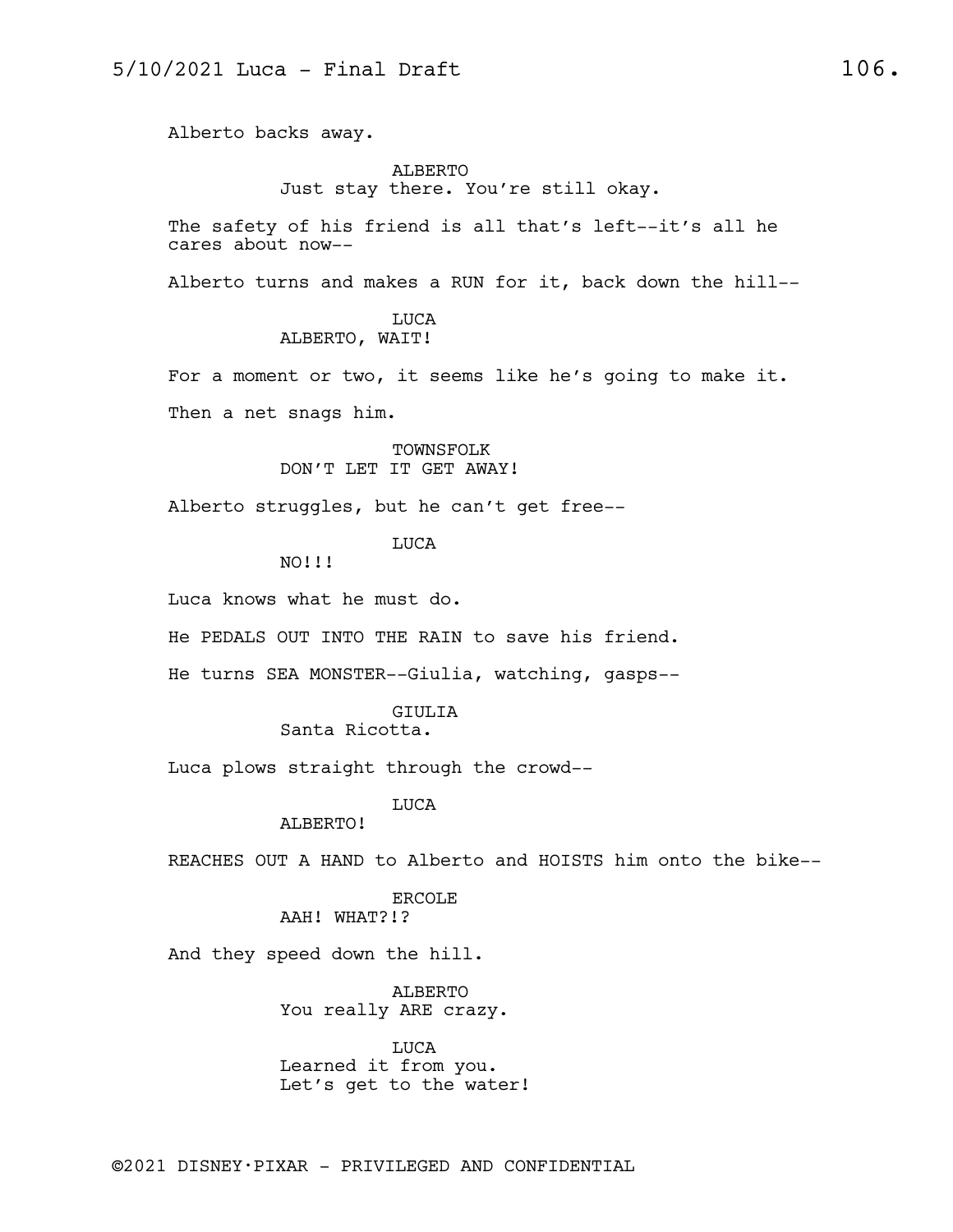Alberto backs away.

## ALBERTO Just stay there. You're still okay.

The safety of his friend is all that's left--it's all he cares about now--

Alberto turns and makes a RUN for it, back down the hill--

#### LUCA ALBERTO, WAIT!

For a moment or two, it seems like he's going to make it. Then a net snags him.

#### TOWNSFOLK DON'T LET IT GET AWAY!

Alberto struggles, but he can't get free--

# LUCA

NO!!!

Luca knows what he must do.

He PEDALS OUT INTO THE RAIN to save his friend.

He turns SEA MONSTER--Giulia, watching, gasps--

### GIULIA

# Santa Ricotta.

Luca plows straight through the crowd--

# LUCA

ALBERTO!

REACHES OUT A HAND to Alberto and HOISTS him onto the bike--

#### ERCOLE AAH! WHAT?!?

And they speed down the hill.

ALBERTO You really ARE crazy.

LUCA Learned it from you. Let's get to the water!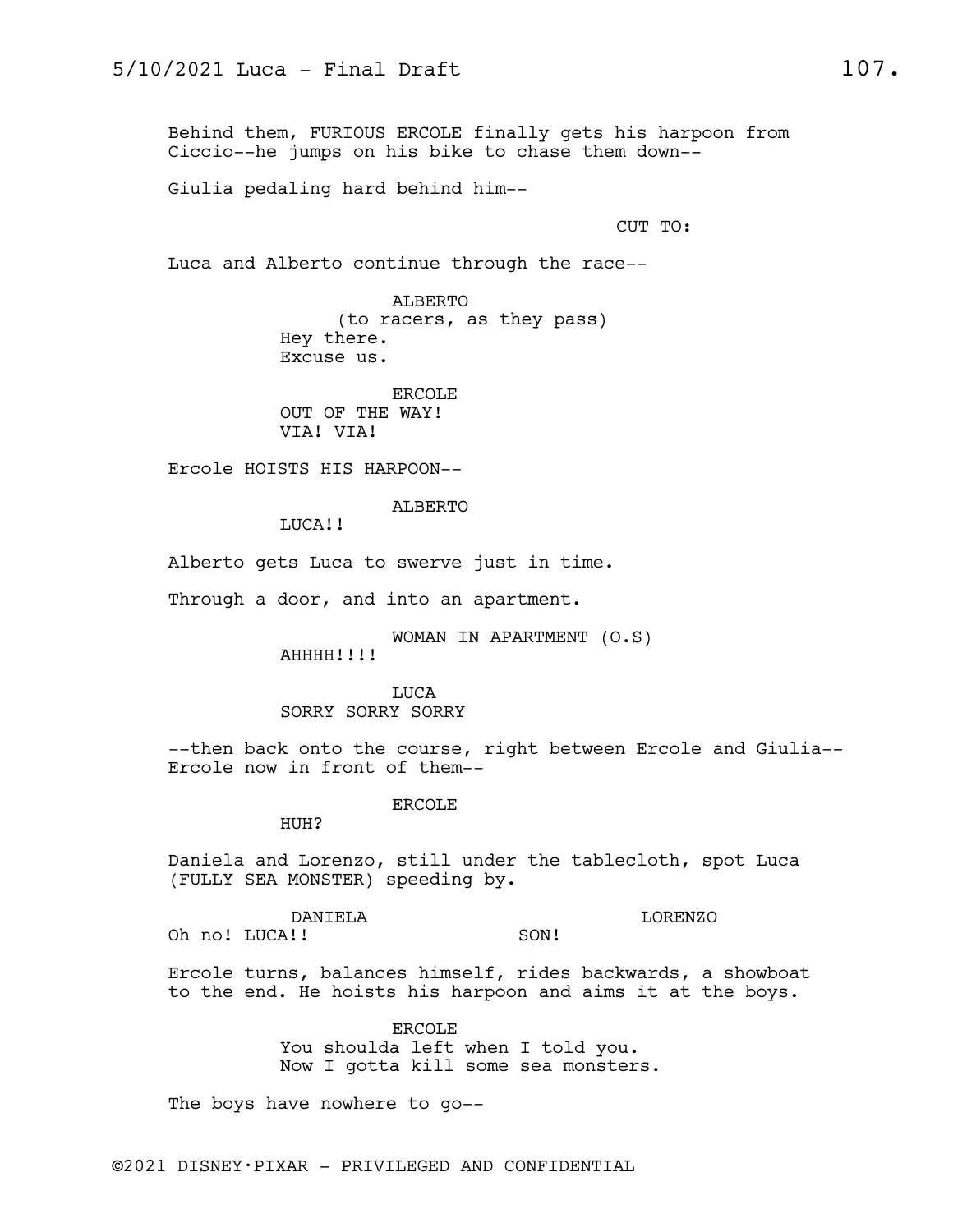Behind them, FURIOUS ERCOLE finally gets his harpoon from Ciccio--he jumps on his bike to chase them down--

Giulia pedaling hard behind him--

CUT TO:

Luca and Alberto continue through the race--

ALBERTO (to racers, as they pass) Hey there. Excuse us.

ERCOLE OUT OF THE WAY! VIA! VIA!

Ercole HOISTS HIS HARPOON--

ALBERTO

LUCA!!

Alberto gets Luca to swerve just in time.

Through a door, and into an apartment.

WOMAN IN APARTMENT (O.S)

AHHHH!!!!

LUCA SORRY SORRY SORRY

--then back onto the course, right between Ercole and Giulia-- Ercole now in front of them--

ERCOLE

HUH?

Daniela and Lorenzo, still under the tablecloth, spot Luca (FULLY SEA MONSTER) speeding by.

DANIELA

LORENZO

Oh no! LUCA!! SON!

Ercole turns, balances himself, rides backwards, a showboat to the end. He hoists his harpoon and aims it at the boys.

> ERCOLE You shoulda left when I told you. Now I gotta kill some sea monsters.

The boys have nowhere to go--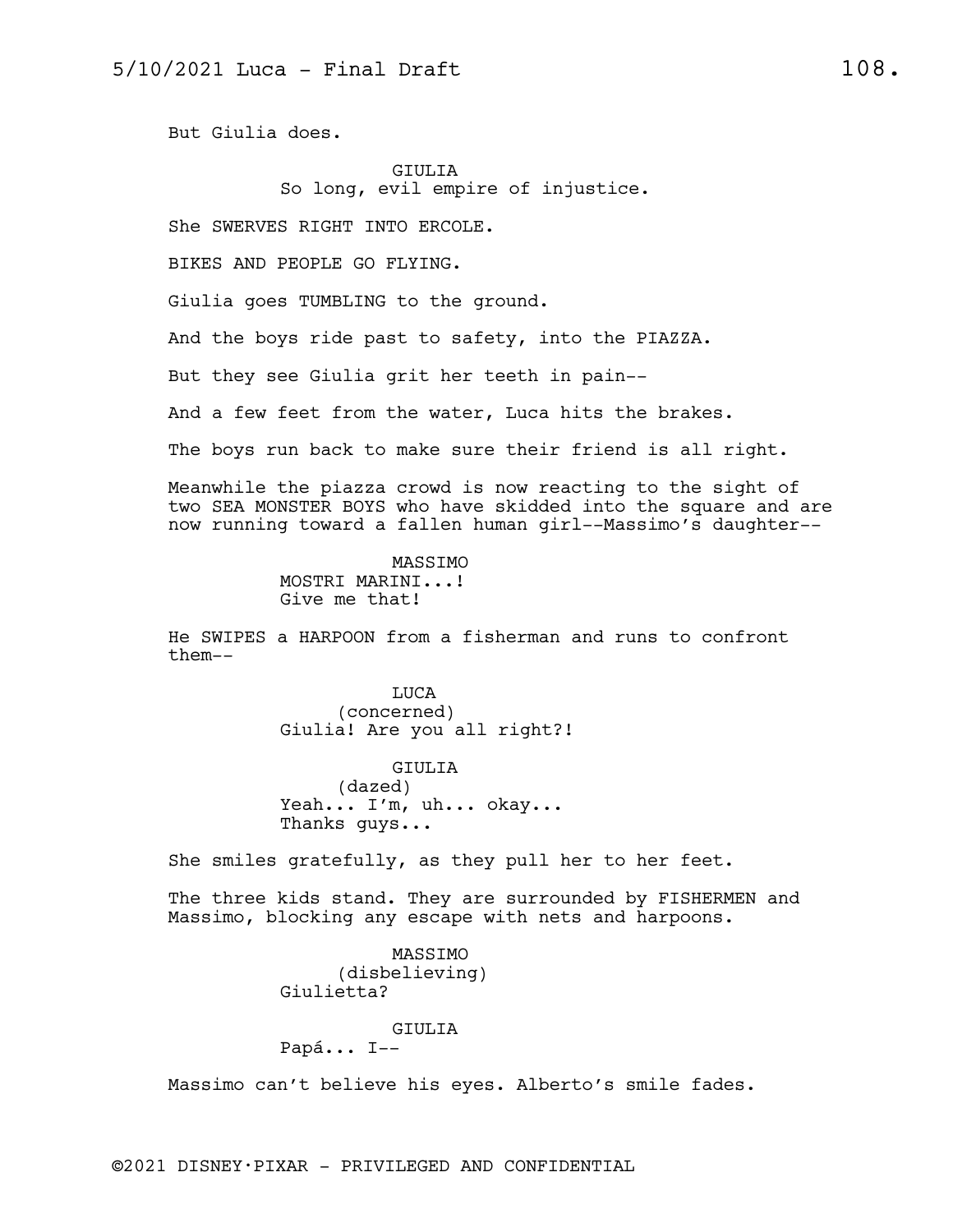But Giulia does.

## GIULIA So long, evil empire of injustice.

She SWERVES RIGHT INTO ERCOLE.

BIKES AND PEOPLE GO FLYING.

Giulia goes TUMBLING to the ground.

And the boys ride past to safety, into the PIAZZA.

But they see Giulia grit her teeth in pain--

And a few feet from the water, Luca hits the brakes.

The boys run back to make sure their friend is all right.

Meanwhile the piazza crowd is now reacting to the sight of two SEA MONSTER BOYS who have skidded into the square and are now running toward a fallen human girl--Massimo's daughter--

> MASSIMO MOSTRI MARINI...! Give me that!

He SWIPES a HARPOON from a fisherman and runs to confront them--

> LUCA (concerned) Giulia! Are you all right?!

GIULIA (dazed) Yeah... I'm, uh... okay... Thanks guys...

She smiles gratefully, as they pull her to her feet.

The three kids stand. They are surrounded by FISHERMEN and Massimo, blocking any escape with nets and harpoons.

> MASSIMO (disbelieving) Giulietta?

## GIULIA

Papá... I--

Massimo can't believe his eyes. Alberto's smile fades.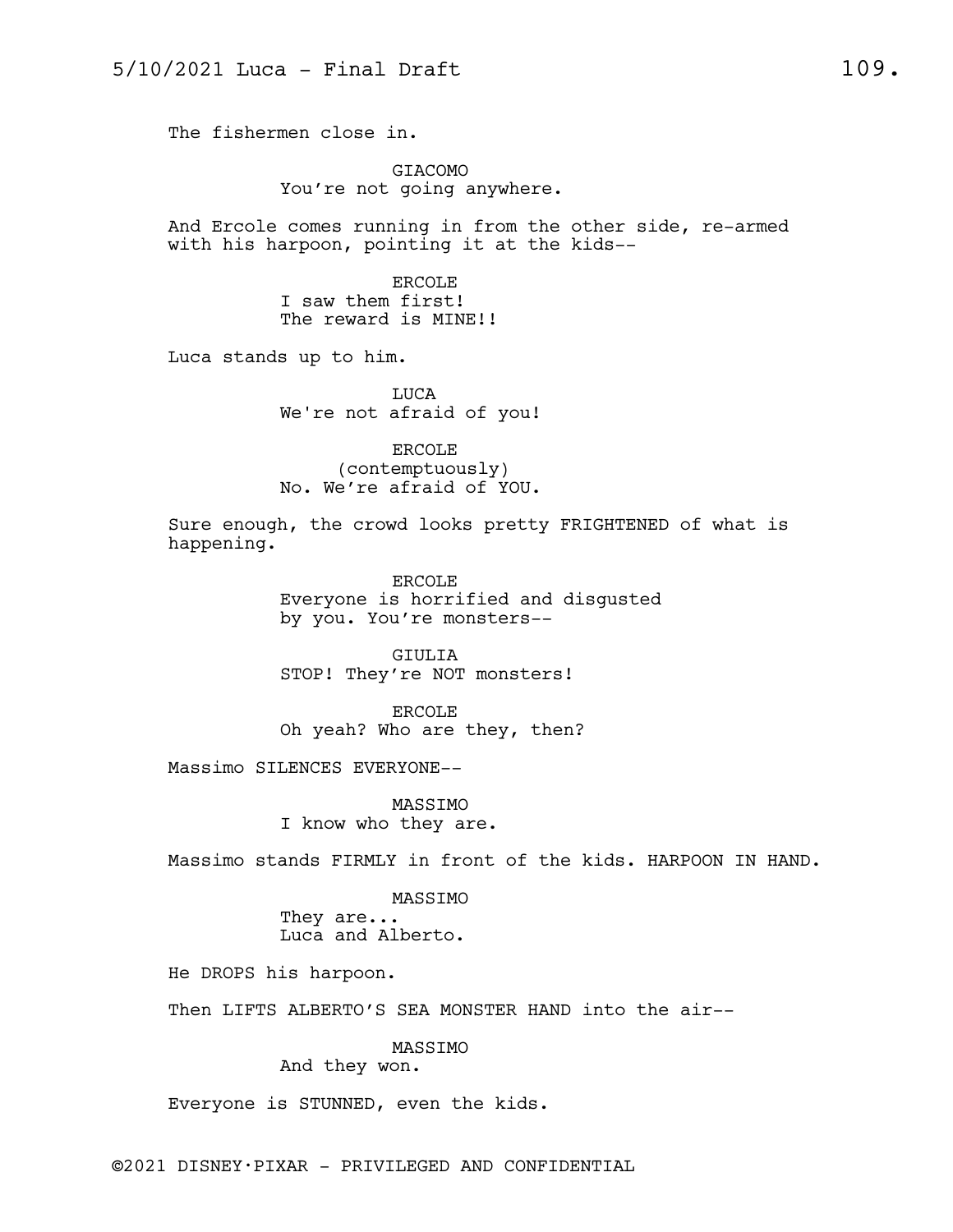The fishermen close in.

GIACOMO You're not going anywhere.

And Ercole comes running in from the other side, re-armed with his harpoon, pointing it at the kids--

> ERCOLE I saw them first! The reward is MINE!!

Luca stands up to him.

LUCA We're not afraid of you!

ERCOLE (contemptuously) No. We're afraid of YOU.

Sure enough, the crowd looks pretty FRIGHTENED of what is happening.

> ERCOLE Everyone is horrified and disgusted by you. You're monsters--

GIULIA STOP! They're NOT monsters!

ERCOLE Oh yeah? Who are they, then?

Massimo SILENCES EVERYONE--

MASSIMO I know who they are.

Massimo stands FIRMLY in front of the kids. HARPOON IN HAND.

MASSIMO They are... Luca and Alberto.

He DROPS his harpoon.

Then LIFTS ALBERTO'S SEA MONSTER HAND into the air--

MASSIMO

And they won.

Everyone is STUNNED, even the kids.

©2021 DISNEY•PIXAR - PRIVILEGED AND CONFIDENTIAL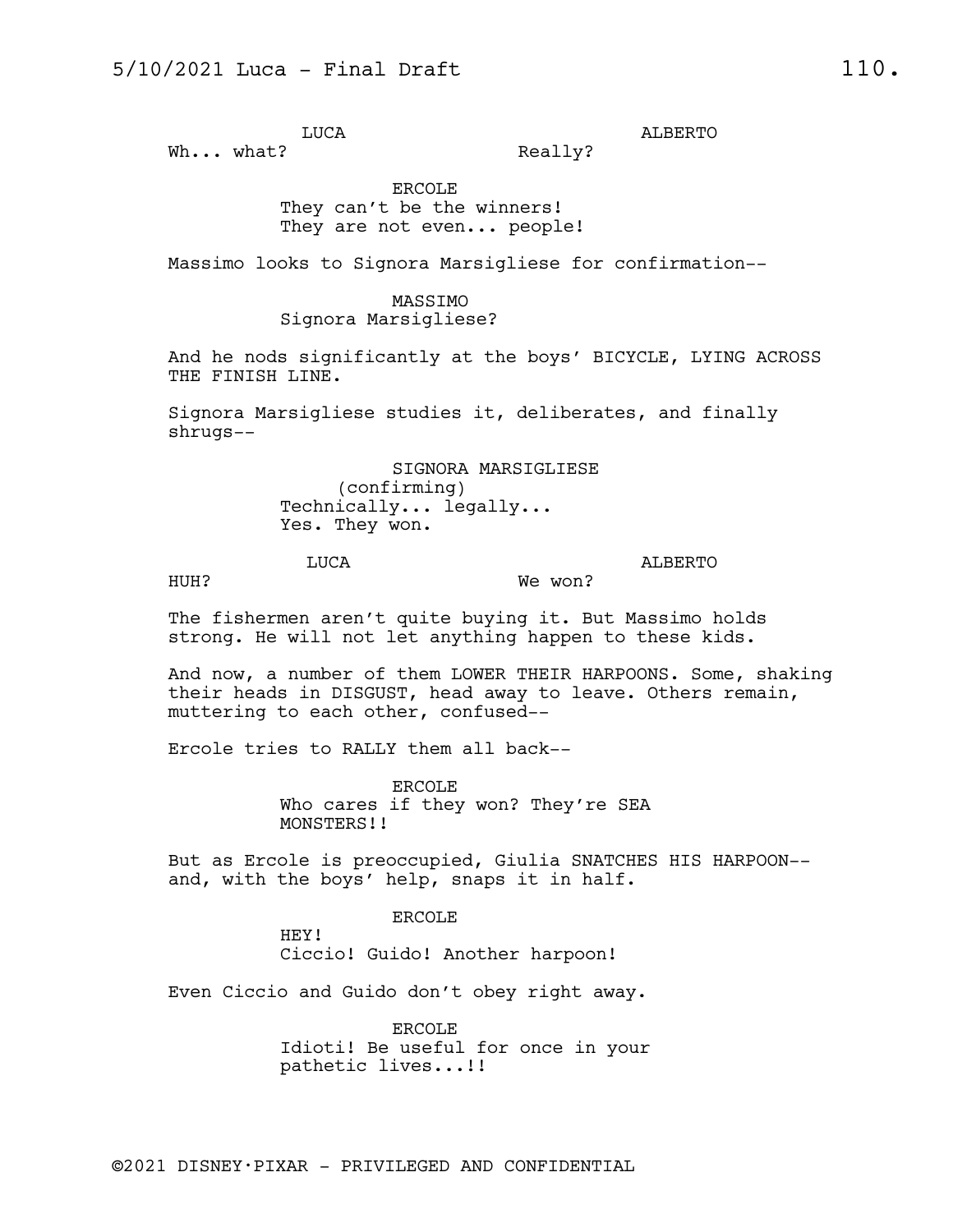LUCA

Wh... what?

Really?

ALBERTO

ERCOLE They can't be the winners! They are not even... people!

Massimo looks to Signora Marsigliese for confirmation--

## MASSIMO

Signora Marsigliese?

And he nods significantly at the boys' BICYCLE, LYING ACROSS THE FINISH LINE.

Signora Marsigliese studies it, deliberates, and finally shrugs--

> SIGNORA MARSIGLIESE (confirming) Technically... legally... Yes. They won.

HUH?

ALBERTO

The fishermen aren't quite buying it. But Massimo holds strong. He will not let anything happen to these kids.

And now, a number of them LOWER THEIR HARPOONS. Some, shaking their heads in DISGUST, head away to leave. Others remain, muttering to each other, confused--

We won?

Ercole tries to RALLY them all back--

LUCA

ERCOLE Who cares if they won? They're SEA MONSTERS!!

But as Ercole is preoccupied, Giulia SNATCHES HIS HARPOON- and, with the boys' help, snaps it in half.

ERCOLE

HEY! Ciccio! Guido! Another harpoon!

Even Ciccio and Guido don't obey right away.

ERCOLE Idioti! Be useful for once in your pathetic lives...!!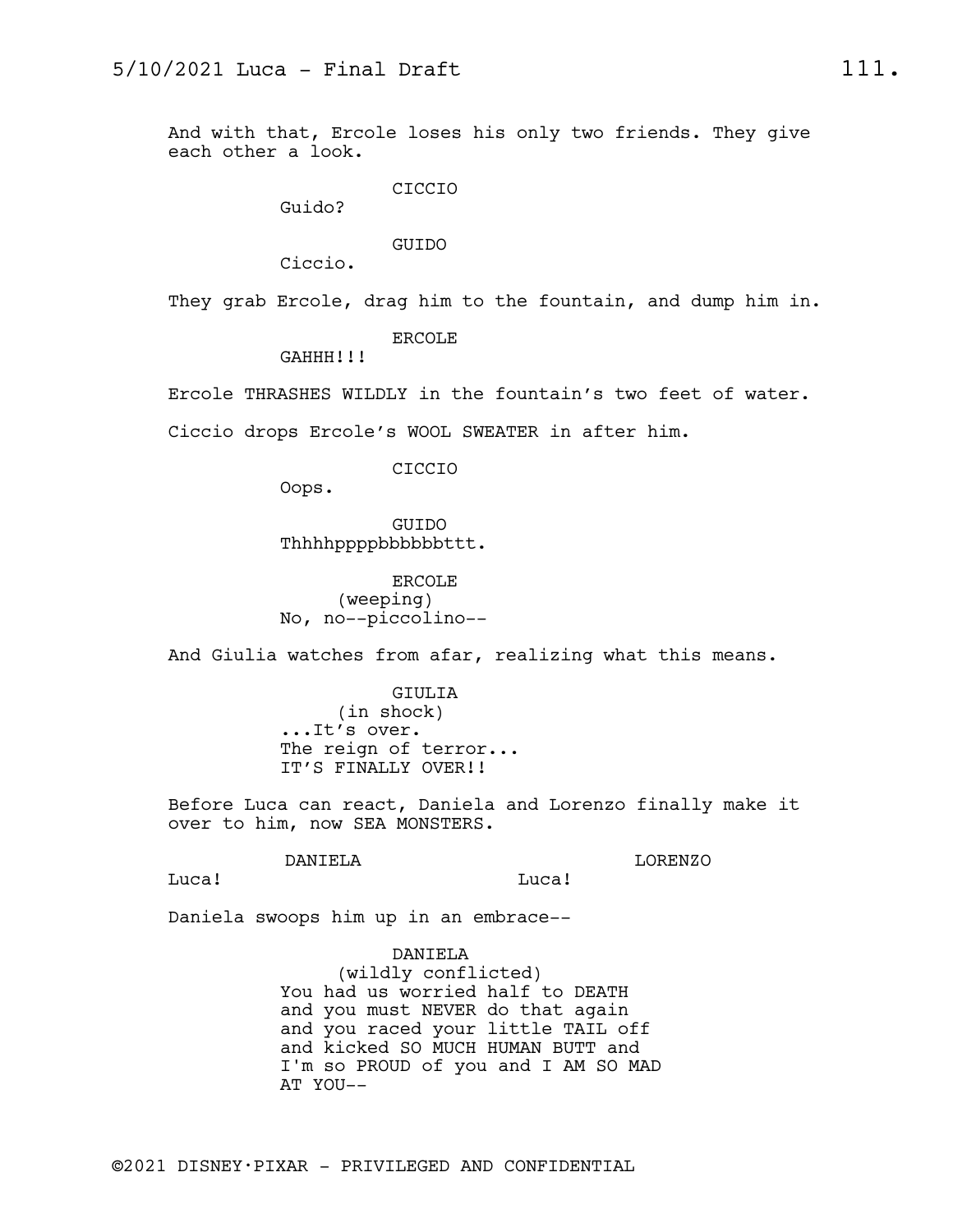And with that, Ercole loses his only two friends. They give each other a look.

CICCIO

Guido?

GUIDO

Ciccio.

They grab Ercole, drag him to the fountain, and dump him in.

ERCOLE

GAHHH!!!

Ercole THRASHES WILDLY in the fountain's two feet of water.

Ciccio drops Ercole's WOOL SWEATER in after him.

CICCIO

Oops.

GUIDO Thhhhppppbbbbbbttt.

ERCOLE (weeping) No, no--piccolino--

And Giulia watches from afar, realizing what this means.

GIULIA (in shock) ...It's over. The reign of terror... IT'S FINALLY OVER!!

Before Luca can react, Daniela and Lorenzo finally make it over to him, now SEA MONSTERS.

DANIELA

LORENZO

Luca!

Luca!

Daniela swoops him up in an embrace--

DANIELA

(wildly conflicted) You had us worried half to DEATH and you must NEVER do that again and you raced your little TAIL off and kicked SO MUCH HUMAN BUTT and I'm so PROUD of you and I AM SO MAD AT YOU--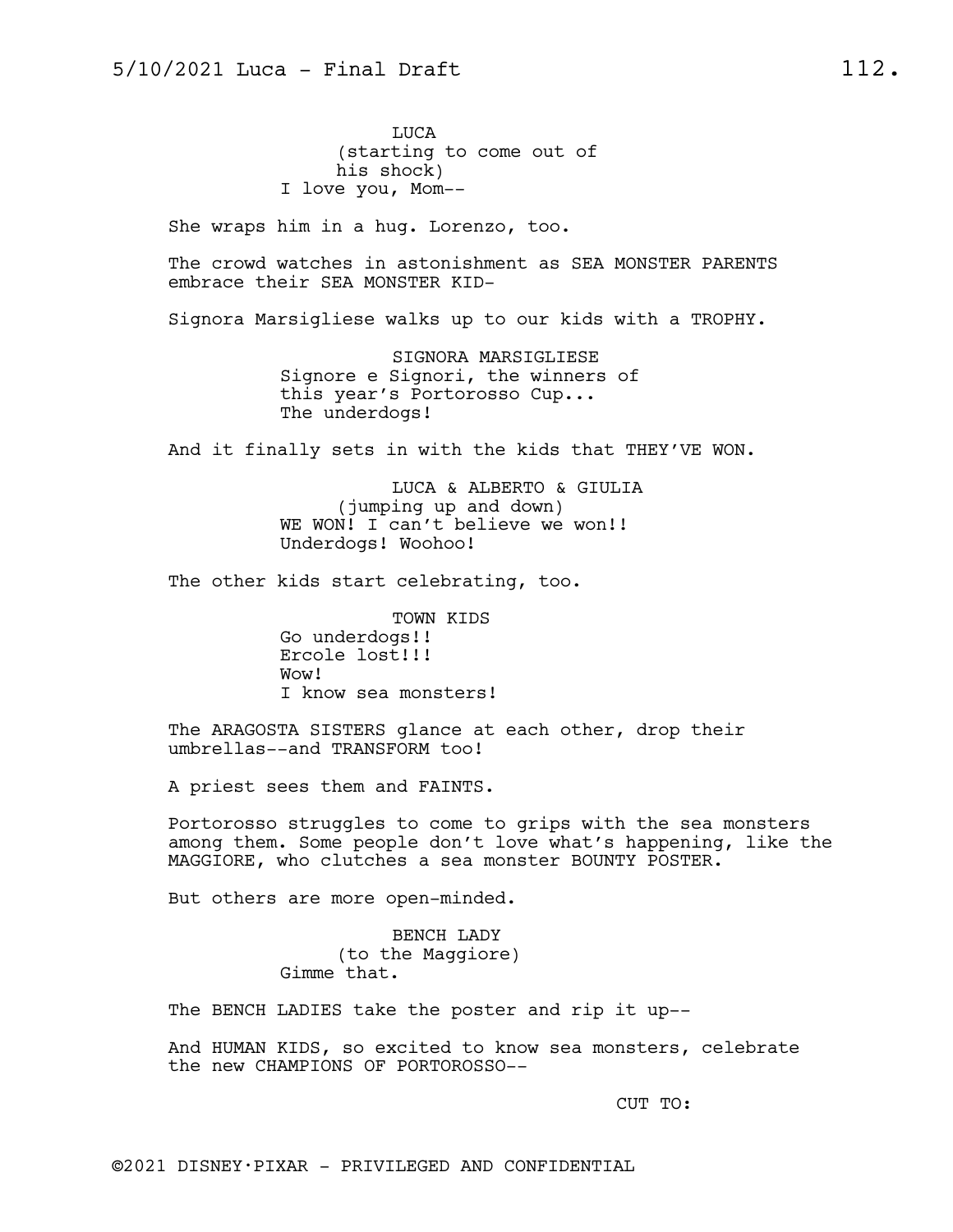LUCA (starting to come out of his shock) I love you, Mom--

She wraps him in a hug. Lorenzo, too.

The crowd watches in astonishment as SEA MONSTER PARENTS embrace their SEA MONSTER KID-

Signora Marsigliese walks up to our kids with a TROPHY.

SIGNORA MARSIGLIESE Signore e Signori, the winners of this year's Portorosso Cup... The underdogs!

And it finally sets in with the kids that THEY'VE WON.

LUCA & ALBERTO & GIULIA (jumping up and down) WE WON! I can't believe we won!! Underdogs! Woohoo!

The other kids start celebrating, too.

TOWN KIDS Go underdogs!! Ercole lost!!! Wow! I know sea monsters!

The ARAGOSTA SISTERS glance at each other, drop their umbrellas--and TRANSFORM too!

A priest sees them and FAINTS.

Portorosso struggles to come to grips with the sea monsters among them. Some people don't love what's happening, like the MAGGIORE, who clutches a sea monster BOUNTY POSTER.

But others are more open-minded.

BENCH LADY (to the Maggiore) Gimme that.

The BENCH LADIES take the poster and rip it up--

And HUMAN KIDS, so excited to know sea monsters, celebrate the new CHAMPIONS OF PORTOROSSO--

CUT TO: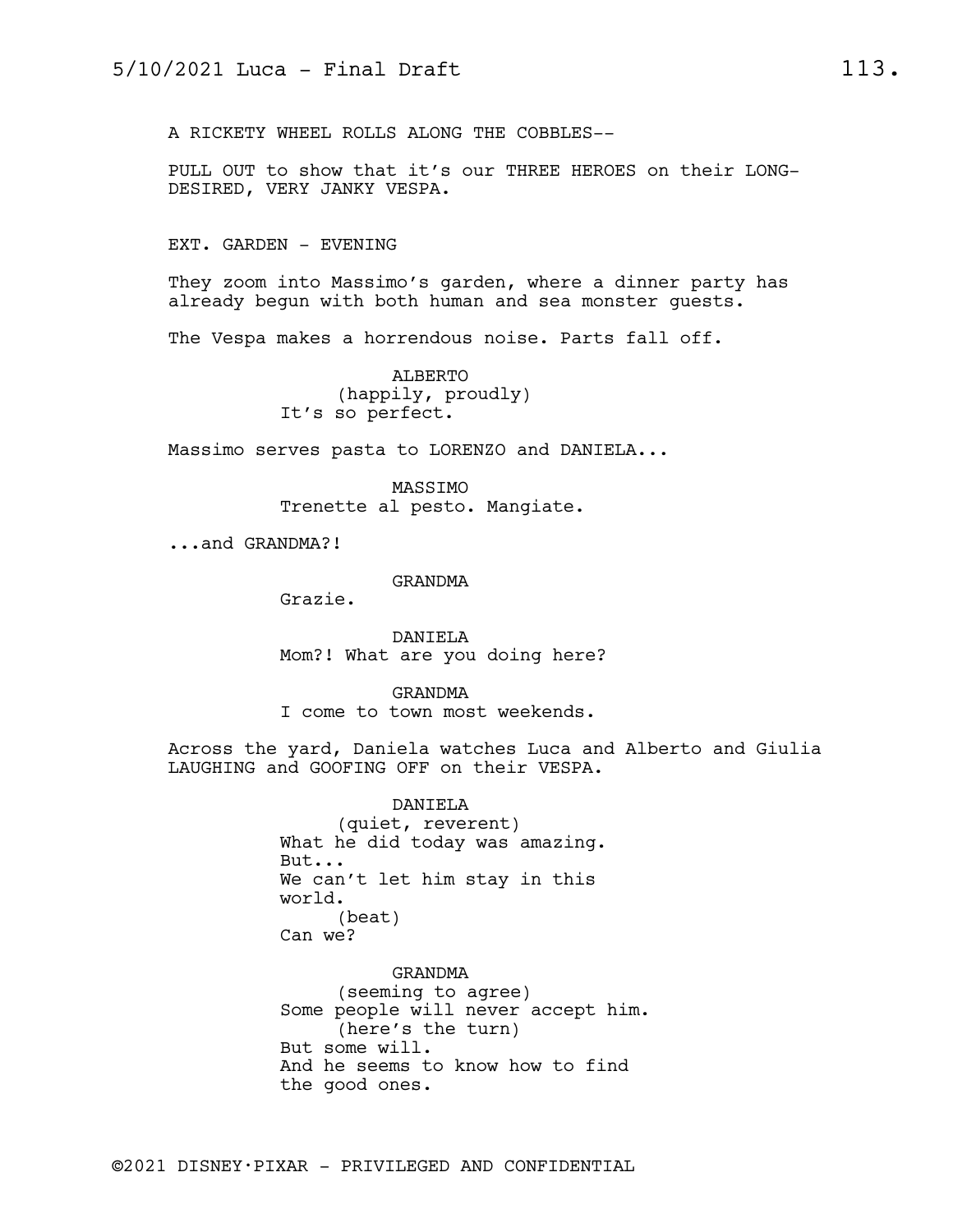A RICKETY WHEEL ROLLS ALONG THE COBBLES--

PULL OUT to show that it's our THREE HEROES on their LONG-DESIRED, VERY JANKY VESPA.

EXT. GARDEN - EVENING

They zoom into Massimo's garden, where a dinner party has already begun with both human and sea monster guests.

The Vespa makes a horrendous noise. Parts fall off.

ALBERTO (happily, proudly) It's so perfect.

Massimo serves pasta to LORENZO and DANIELA...

MASSIMO Trenette al pesto. Mangiate.

...and GRANDMA?!

GRANDMA

Grazie.

DANIELA Mom?! What are you doing here?

GRANDMA I come to town most weekends.

Across the yard, Daniela watches Luca and Alberto and Giulia LAUGHING and GOOFING OFF on their VESPA.

> DANIELA (quiet, reverent) What he did today was amazing. But... We can't let him stay in this world. (beat) Can we?

GRANDMA (seeming to agree) Some people will never accept him. (here's the turn) But some will. And he seems to know how to find the good ones.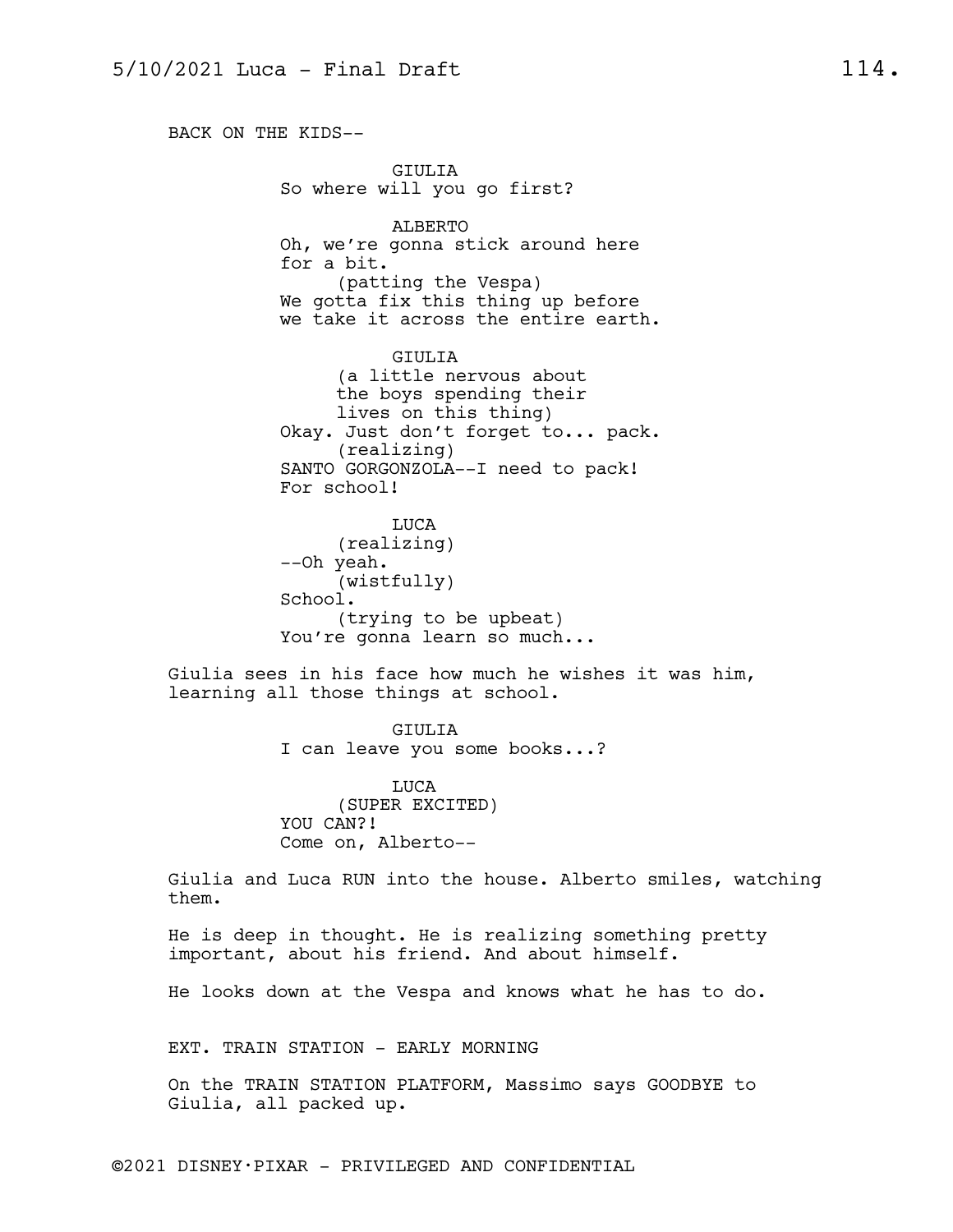BACK ON THE KIDS-- GIULIA So where will you go first? ALBERTO Oh, we're gonna stick around here for a bit. (patting the Vespa) We gotta fix this thing up before we take it across the entire earth. GIULIA (a little nervous about the boys spending their lives on this thing) Okay. Just don't forget to... pack. (realizing) SANTO GORGONZOLA--I need to pack! For school! LUCA (realizing) --Oh yeah. (wistfully) School. (trying to be upbeat) You're gonna learn so much... Giulia sees in his face how much he wishes it was him, learning all those things at school. GIULIA I can leave you some books...? LUCA (SUPER EXCITED) YOU CAN?! Come on, Alberto-- Giulia and Luca RUN into the house. Alberto smiles, watching them.

He is deep in thought. He is realizing something pretty important, about his friend. And about himself.

He looks down at the Vespa and knows what he has to do.

EXT. TRAIN STATION - EARLY MORNING

On the TRAIN STATION PLATFORM, Massimo says GOODBYE to Giulia, all packed up.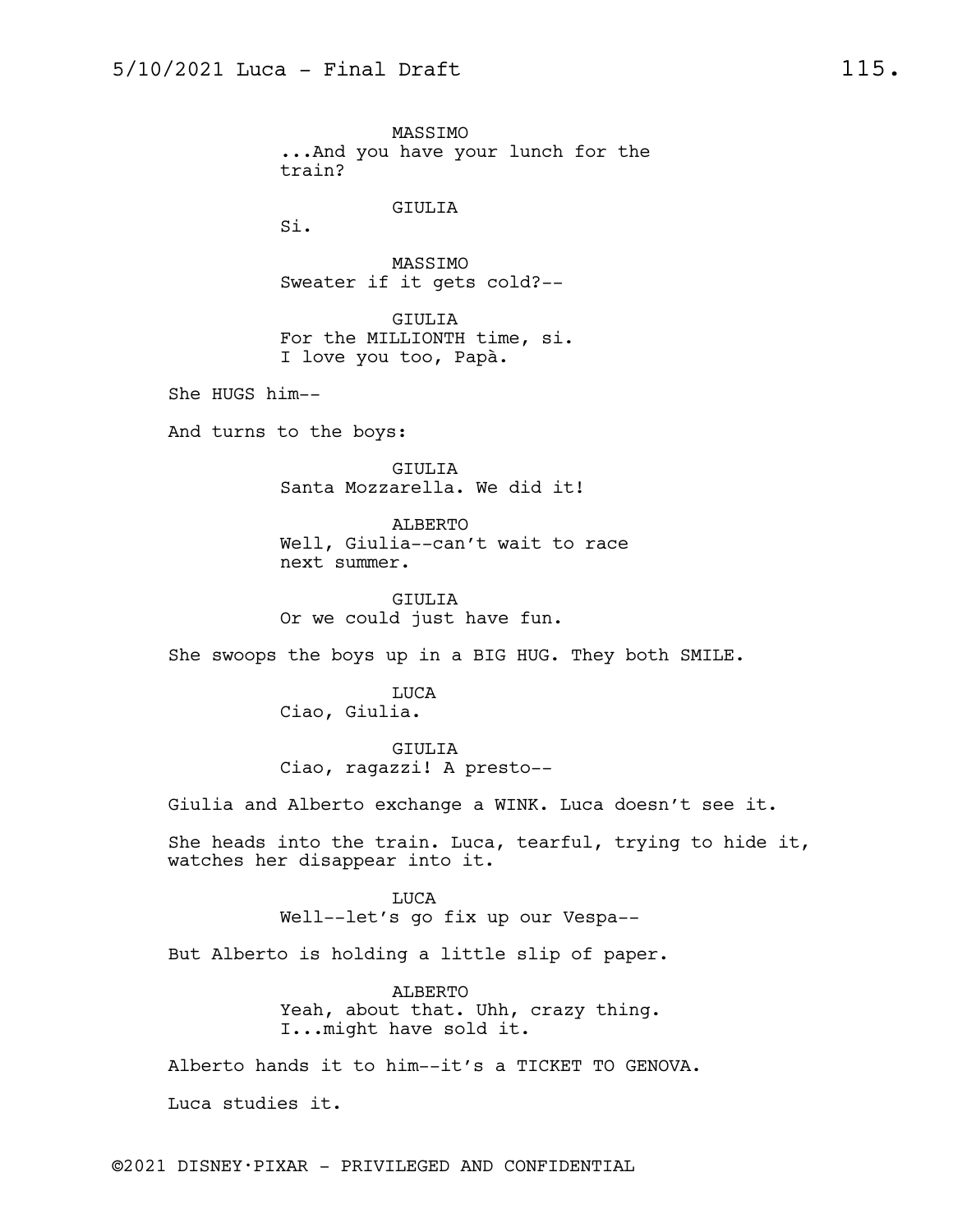MASSIMO ...And you have your lunch for the train? GIULIA Si. MASSIMO Sweater if it gets cold?-- GIULIA For the MILLIONTH time, si. I love you too, Papà. She HUGS him-- And turns to the boys: GIULIA Santa Mozzarella. We did it! ALBERTO Well, Giulia--can't wait to race next summer. GIULIA Or we could just have fun. She swoops the boys up in a BIG HUG. They both SMILE. LUCA Ciao, Giulia. GIULIA Ciao, ragazzi! A presto-- Giulia and Alberto exchange a WINK. Luca doesn't see it. She heads into the train. Luca, tearful, trying to hide it, watches her disappear into it. LUCA Well--let's go fix up our Vespa-- But Alberto is holding a little slip of paper. ALBERTO Yeah, about that. Uhh, crazy thing. I...might have sold it. Alberto hands it to him--it's a TICKET TO GENOVA. Luca studies it.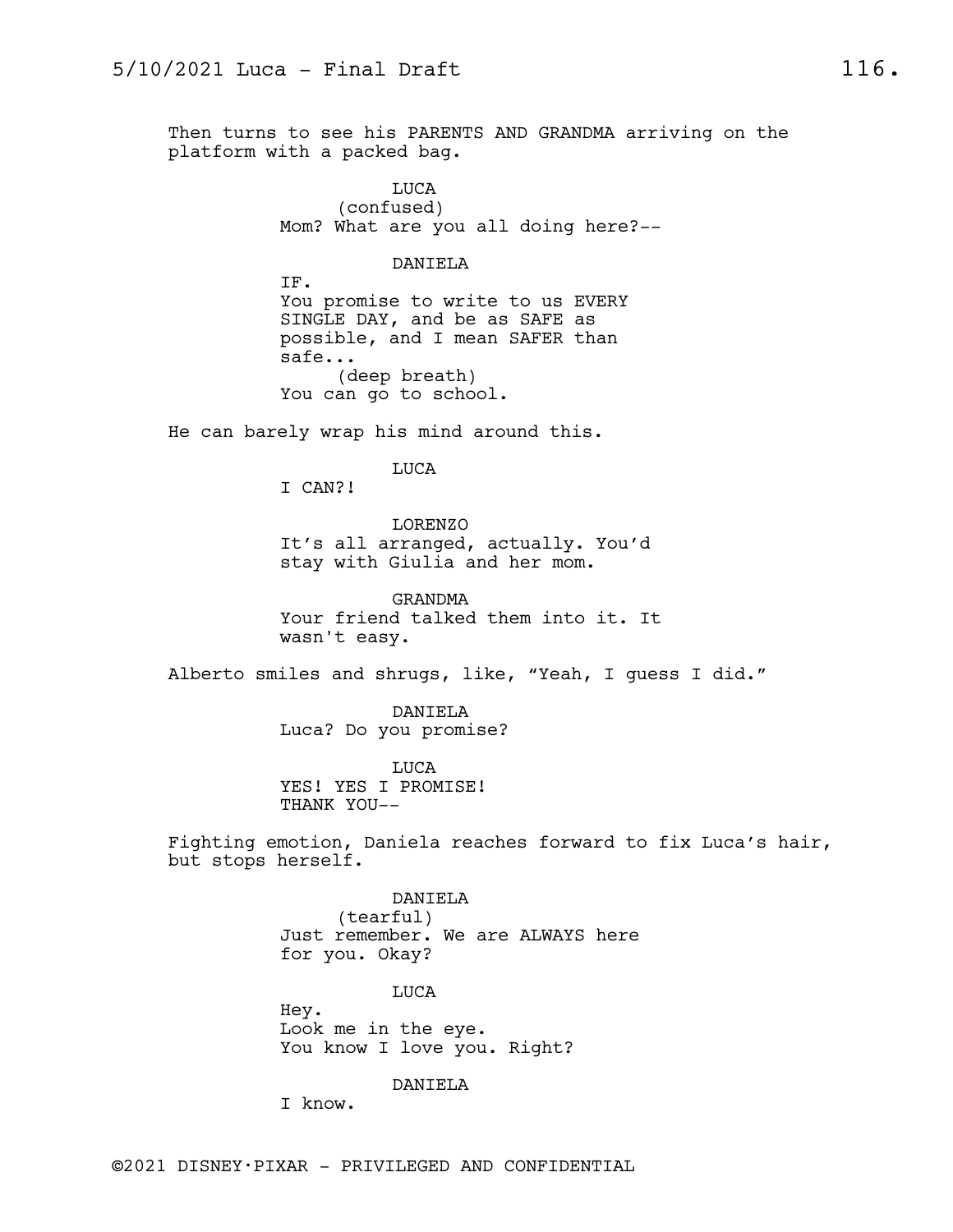Then turns to see his PARENTS AND GRANDMA arriving on the platform with a packed bag.

> LUCA (confused) Mom? What are you all doing here?--

> > DANIELA

IF. You promise to write to us EVERY SINGLE DAY, and be as SAFE as possible, and I mean SAFER than safe... (deep breath) You can go to school.

He can barely wrap his mind around this.

LUCA

I CAN?!

LORENZO It's all arranged, actually. You'd stay with Giulia and her mom.

GRANDMA Your friend talked them into it. It wasn't easy.

Alberto smiles and shrugs, like, "Yeah, I guess I did."

DANIELA Luca? Do you promise?

LUCA YES! YES I PROMISE! THANK YOU--

Fighting emotion, Daniela reaches forward to fix Luca's hair, but stops herself.

> DANIELA (tearful) Just remember. We are ALWAYS here for you. Okay?

> > LUCA

Hey. Look me in the eye. You know I love you. Right?

DANIELA

I know.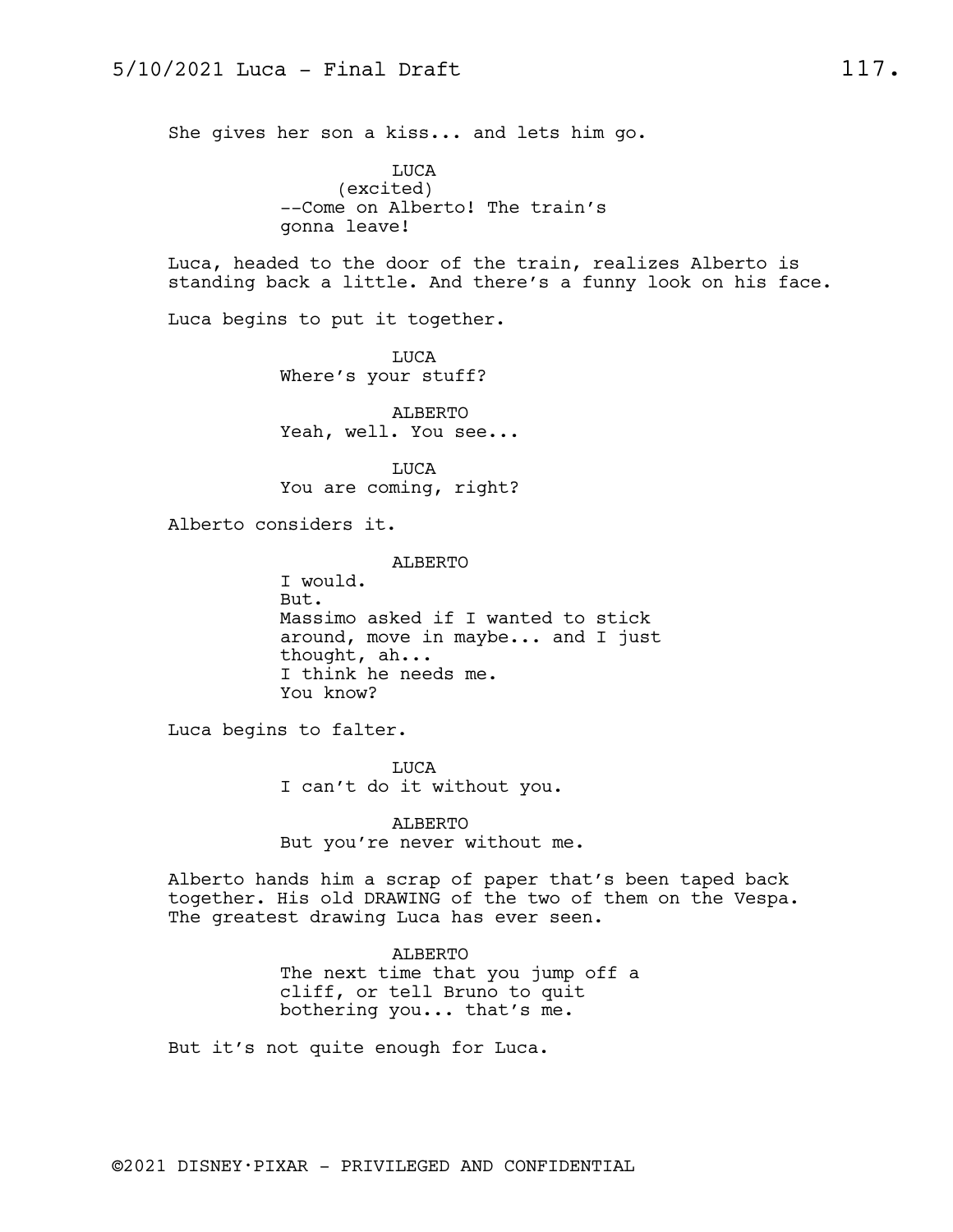She gives her son a kiss... and lets him go.

LUCA (excited) --Come on Alberto! The train's gonna leave!

Luca, headed to the door of the train, realizes Alberto is standing back a little. And there's a funny look on his face.

Luca begins to put it together.

LUCA Where's your stuff?

ALBERTO Yeah, well. You see...

LUCA You are coming, right?

Alberto considers it.

ALBERTO I would. But. Massimo asked if I wanted to stick around, move in maybe... and I just thought, ah... I think he needs me. You know?

Luca begins to falter.

LUCA I can't do it without you.

ALBERTO But you're never without me.

Alberto hands him a scrap of paper that's been taped back together. His old DRAWING of the two of them on the Vespa. The greatest drawing Luca has ever seen.

> ALBERTO The next time that you jump off a cliff, or tell Bruno to quit bothering you... that's me.

But it's not quite enough for Luca.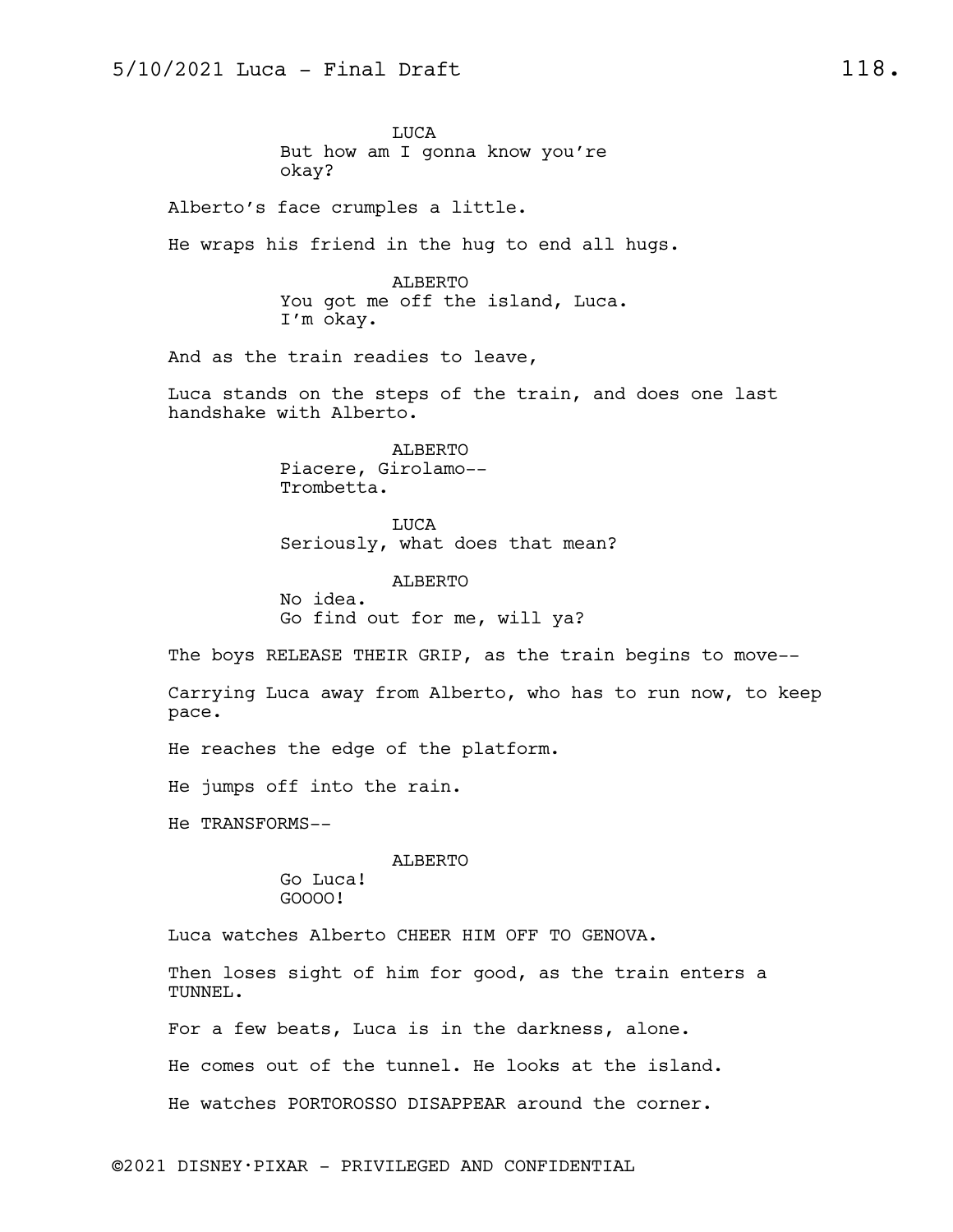LUCA But how am I gonna know you're okay?

Alberto's face crumples a little.

He wraps his friend in the hug to end all hugs.

ALBERTO You got me off the island, Luca. I'm okay.

And as the train readies to leave,

Luca stands on the steps of the train, and does one last handshake with Alberto.

> ALBERTO Piacere, Girolamo-- Trombetta.

LUCA Seriously, what does that mean?

ALBERTO No idea. Go find out for me, will ya?

The boys RELEASE THEIR GRIP, as the train begins to move--

Carrying Luca away from Alberto, who has to run now, to keep pace.

He reaches the edge of the platform.

He jumps off into the rain.

He TRANSFORMS--

ALBERTO

Go Luca! GOOOO!

Luca watches Alberto CHEER HIM OFF TO GENOVA.

Then loses sight of him for good, as the train enters a TUNNEL.

For a few beats, Luca is in the darkness, alone.

He comes out of the tunnel. He looks at the island.

He watches PORTOROSSO DISAPPEAR around the corner.